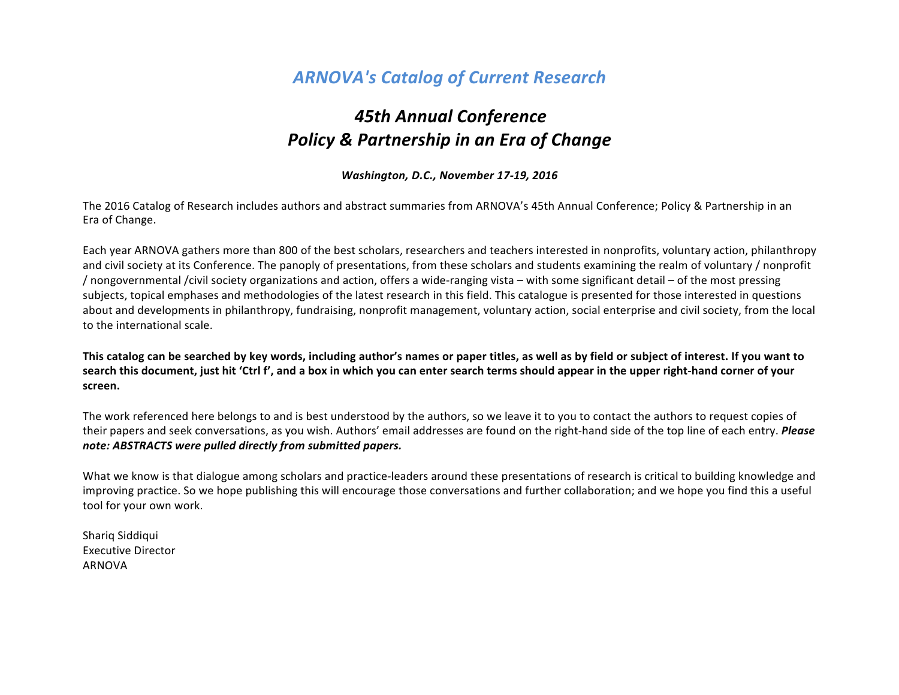# *ARNOVA's Catalog of Current Research*

# *45th Annual Conference* **Policy & Partnership in an Era of Change**

#### *Washington, D.C., November 17-19, 2016*

The 2016 Catalog of Research includes authors and abstract summaries from ARNOVA's 45th Annual Conference; Policy & Partnership in an Era of Change. 

Each year ARNOVA gathers more than 800 of the best scholars, researchers and teachers interested in nonprofits, voluntary action, philanthropy and civil society at its Conference. The panoply of presentations, from these scholars and students examining the realm of voluntary / nonprofit / nongovernmental /civil society organizations and action, offers a wide-ranging vista – with some significant detail – of the most pressing subjects, topical emphases and methodologies of the latest research in this field. This catalogue is presented for those interested in questions about and developments in philanthropy, fundraising, nonprofit management, voluntary action, social enterprise and civil society, from the local to the international scale.

This catalog can be searched by key words, including author's names or paper titles, as well as by field or subject of interest. If you want to search this document, just hit 'Ctrl f', and a box in which you can enter search terms should appear in the upper right-hand corner of your **screen.** 

The work referenced here belongs to and is best understood by the authors, so we leave it to you to contact the authors to request copies of their papers and seek conversations, as you wish. Authors' email addresses are found on the right-hand side of the top line of each entry. **Please** note: ABSTRACTS were pulled directly from submitted papers.

What we know is that dialogue among scholars and practice-leaders around these presentations of research is critical to building knowledge and improving practice. So we hope publishing this will encourage those conversations and further collaboration; and we hope you find this a useful tool for your own work.

Shariq Siddiqui Executive Director ARNOVA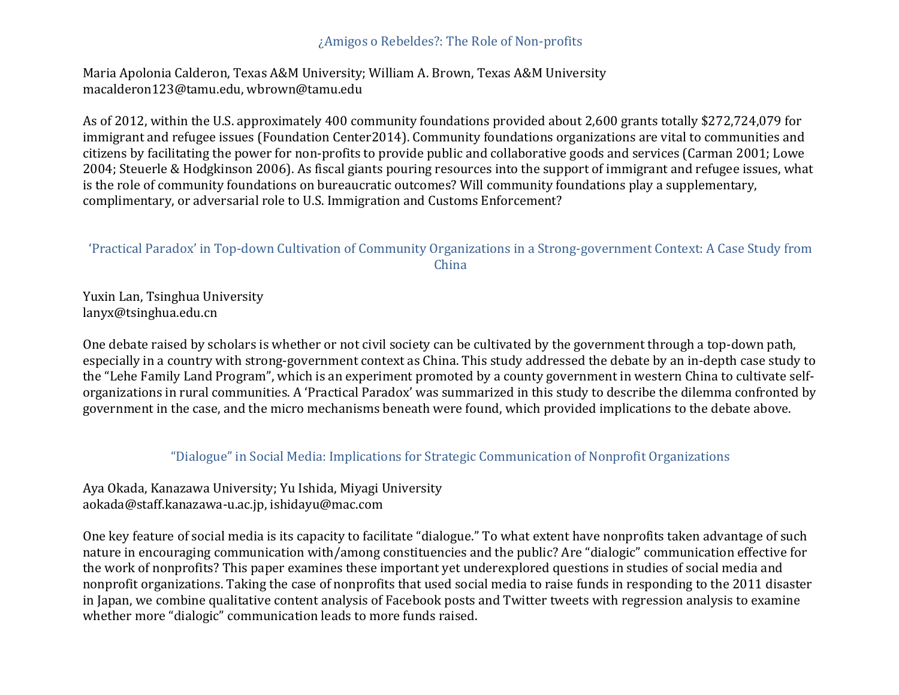#### ¿Amigos o Rebeldes?: The Role of Non-profits

Maria Apolonia Calderon, Texas A&M University; William A. Brown, Texas A&M University macalderon123@tamu.edu, wbrown@tamu.edu

As of 2012, within the U.S. approximately 400 community foundations provided about 2,600 grants totally \$272,724,079 for immigrant and refugee issues (Foundation Center2014). Community foundations organizations are vital to communities and citizens by facilitating the power for non-profits to provide public and collaborative goods and services (Carman 2001; Lowe 2004; Steuerle & Hodgkinson 2006). As fiscal giants pouring resources into the support of immigrant and refugee issues, what is the role of community foundations on bureaucratic outcomes? Will community foundations play a supplementary, complimentary, or adversarial role to U.S. Immigration and Customs Enforcement?

### 'Practical Paradox' in Top-down Cultivation of Community Organizations in a Strong-government Context: A Case Study from China

Yuxin Lan, Tsinghua University lanyx@tsinghua.edu.cn

One debate raised by scholars is whether or not civil society can be cultivated by the government through a top-down path, especially in a country with strong-government context as China. This study addressed the debate by an in-depth case study to the "Lehe Family Land Program", which is an experiment promoted by a county government in western China to cultivate selforganizations in rural communities. A 'Practical Paradox' was summarized in this study to describe the dilemma confronted by government in the case, and the micro mechanisms beneath were found, which provided implications to the debate above.

#### "Dialogue" in Social Media: Implications for Strategic Communication of Nonprofit Organizations

Aya Okada, Kanazawa University; Yu Ishida, Miyagi University aokada@staff.kanazawa-u.ac.jp, ishidayu@mac.com

One key feature of social media is its capacity to facilitate "dialogue." To what extent have nonprofits taken advantage of such nature in encouraging communication with/among constituencies and the public? Are "dialogic" communication effective for the work of nonprofits? This paper examines these important yet underexplored questions in studies of social media and nonprofit organizations. Taking the case of nonprofits that used social media to raise funds in responding to the 2011 disaster in Japan, we combine qualitative content analysis of Facebook posts and Twitter tweets with regression analysis to examine whether more "dialogic" communication leads to more funds raised.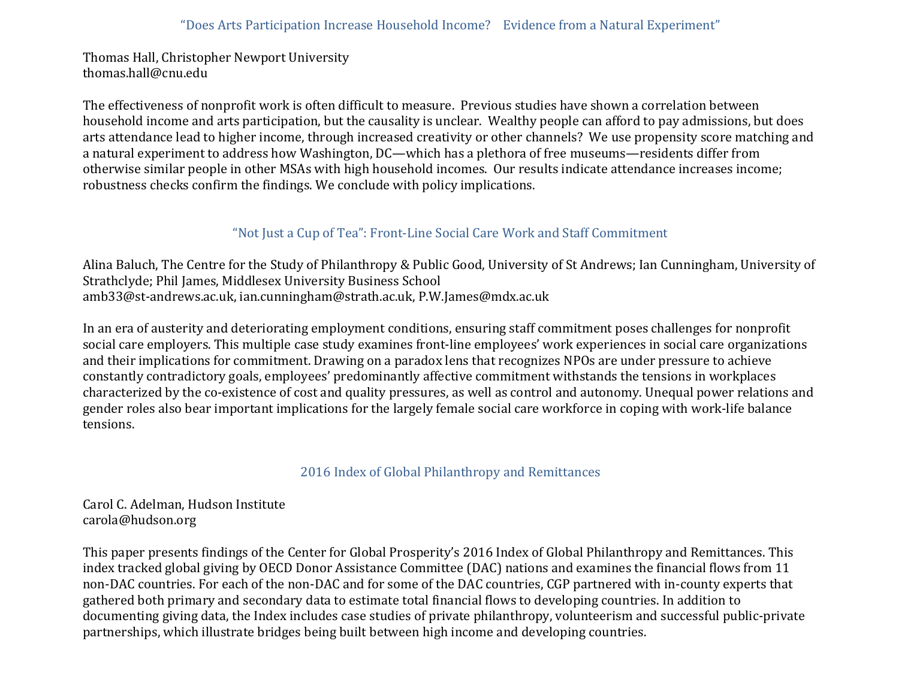Thomas Hall, Christopher Newport University thomas.hall@cnu.edu

The effectiveness of nonprofit work is often difficult to measure. Previous studies have shown a correlation between household income and arts participation, but the causality is unclear. Wealthy people can afford to pay admissions, but does arts attendance lead to higher income, through increased creativity or other channels? We use propensity score matching and a natural experiment to address how Washington, DC—which has a plethora of free museums—residents differ from otherwise similar people in other MSAs with high household incomes. Our results indicate attendance increases income; robustness checks confirm the findings. We conclude with policy implications.

# "Not Just a Cup of Tea": Front-Line Social Care Work and Staff Commitment

Alina Baluch, The Centre for the Study of Philanthropy & Public Good, University of St Andrews; Ian Cunningham, University of Strathclyde; Phil James, Middlesex University Business School amb33@st-andrews.ac.uk, ian.cunningham@strath.ac.uk, P.W.James@mdx.ac.uk

In an era of austerity and deteriorating employment conditions, ensuring staff commitment poses challenges for nonprofit social care employers. This multiple case study examines front-line employees' work experiences in social care organizations and their implications for commitment. Drawing on a paradox lens that recognizes NPOs are under pressure to achieve constantly contradictory goals, employees' predominantly affective commitment withstands the tensions in workplaces characterized by the co-existence of cost and quality pressures, as well as control and autonomy. Unequal power relations and gender roles also bear important implications for the largely female social care workforce in coping with work-life balance tensions.

2016 Index of Global Philanthropy and Remittances

Carol C. Adelman, Hudson Institute carola@hudson.org

This paper presents findings of the Center for Global Prosperity's 2016 Index of Global Philanthropy and Remittances. This index tracked global giving by OECD Donor Assistance Committee (DAC) nations and examines the financial flows from 11 non-DAC countries. For each of the non-DAC and for some of the DAC countries, CGP partnered with in-county experts that gathered both primary and secondary data to estimate total financial flows to developing countries. In addition to documenting giving data, the Index includes case studies of private philanthropy, volunteerism and successful public-private partnerships, which illustrate bridges being built between high income and developing countries.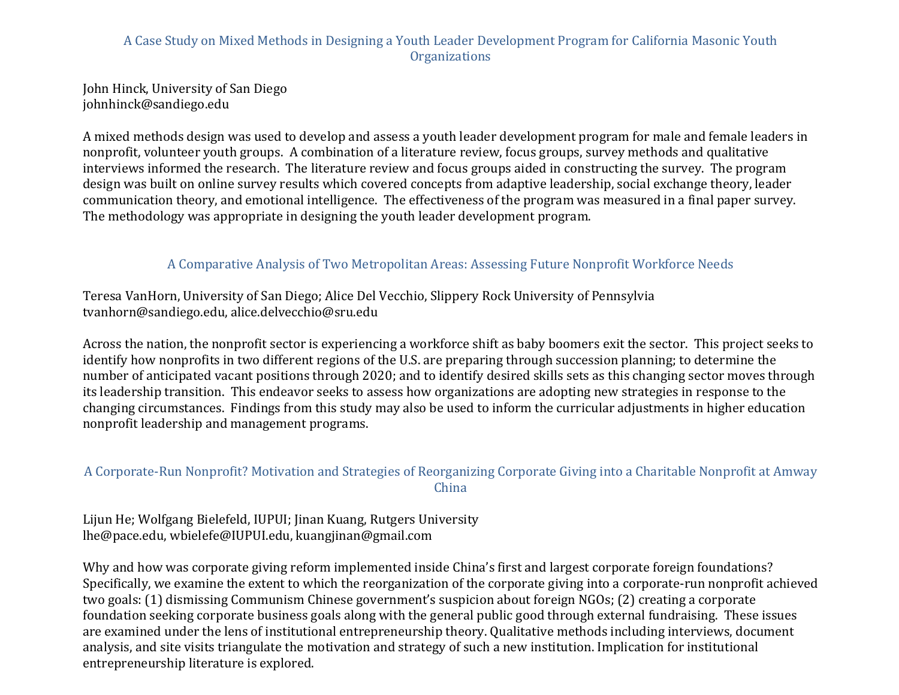# A Case Study on Mixed Methods in Designing a Youth Leader Development Program for California Masonic Youth **Organizations**

John Hinck, University of San Diego johnhinck@sandiego.edu

A mixed methods design was used to develop and assess a youth leader development program for male and female leaders in nonprofit, volunteer youth groups. A combination of a literature review, focus groups, survey methods and qualitative interviews informed the research. The literature review and focus groups aided in constructing the survey. The program design was built on online survey results which covered concepts from adaptive leadership, social exchange theory, leader communication theory, and emotional intelligence. The effectiveness of the program was measured in a final paper survey. The methodology was appropriate in designing the youth leader development program.

### A Comparative Analysis of Two Metropolitan Areas: Assessing Future Nonprofit Workforce Needs

Teresa VanHorn, University of San Diego; Alice Del Vecchio, Slippery Rock University of Pennsylvia tvanhorn@sandiego.edu, alice.delvecchio@sru.edu

Across the nation, the nonprofit sector is experiencing a workforce shift as baby boomers exit the sector. This project seeks to identify how nonprofits in two different regions of the U.S. are preparing through succession planning; to determine the number of anticipated vacant positions through 2020; and to identify desired skills sets as this changing sector moves through its leadership transition. This endeavor seeks to assess how organizations are adopting new strategies in response to the changing circumstances. Findings from this study may also be used to inform the curricular adjustments in higher education nonprofit leadership and management programs.

# A Corporate-Run Nonprofit? Motivation and Strategies of Reorganizing Corporate Giving into a Charitable Nonprofit at Amway China

Lijun He; Wolfgang Bielefeld, IUPUI; Jinan Kuang, Rutgers University lhe@pace.edu, wbielefe@IUPUI.edu, kuangjinan@gmail.com

Why and how was corporate giving reform implemented inside China's first and largest corporate foreign foundations? Specifically, we examine the extent to which the reorganization of the corporate giving into a corporate-run nonprofit achieved two goals: (1) dismissing Communism Chinese government's suspicion about foreign NGOs; (2) creating a corporate foundation seeking corporate business goals along with the general public good through external fundraising. These issues are examined under the lens of institutional entrepreneurship theory. Qualitative methods including interviews, document analysis, and site visits triangulate the motivation and strategy of such a new institution. Implication for institutional entrepreneurship literature is explored.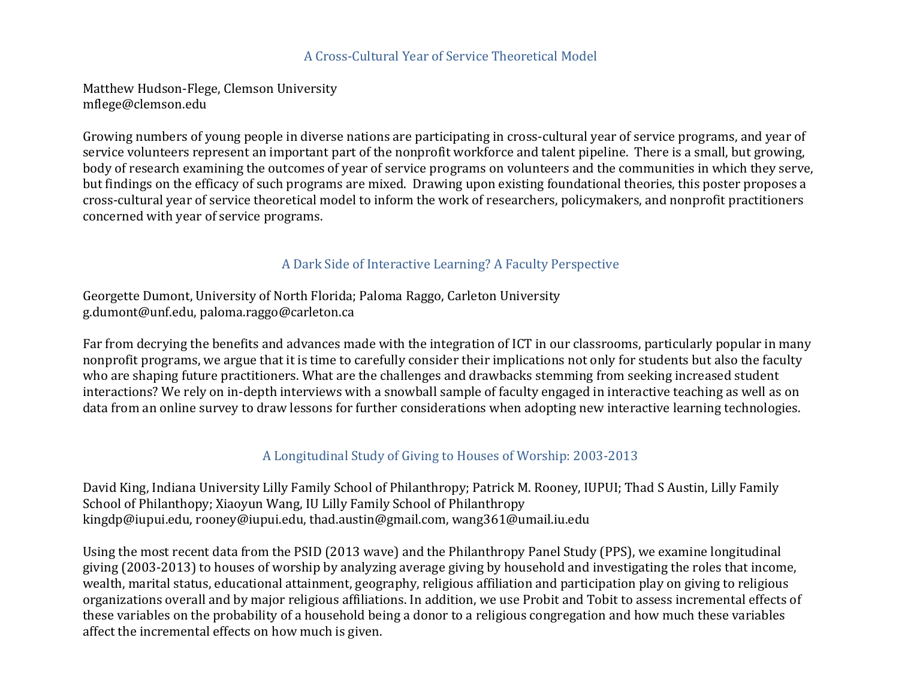### A Cross-Cultural Year of Service Theoretical Model

Matthew Hudson-Flege, Clemson University mflege@clemson.edu

Growing numbers of young people in diverse nations are participating in cross-cultural year of service programs, and year of service volunteers represent an important part of the nonprofit workforce and talent pipeline. There is a small, but growing, body of research examining the outcomes of year of service programs on volunteers and the communities in which they serve, but findings on the efficacy of such programs are mixed. Drawing upon existing foundational theories, this poster proposes a cross-cultural year of service theoretical model to inform the work of researchers, policymakers, and nonprofit practitioners concerned with year of service programs.

### A Dark Side of Interactive Learning? A Faculty Perspective

Georgette Dumont, University of North Florida; Paloma Raggo, Carleton University g.dumont@unf.edu, paloma.raggo@carleton.ca

Far from decrying the benefits and advances made with the integration of ICT in our classrooms, particularly popular in many nonprofit programs, we argue that it is time to carefully consider their implications not only for students but also the faculty who are shaping future practitioners. What are the challenges and drawbacks stemming from seeking increased student interactions? We rely on in-depth interviews with a snowball sample of faculty engaged in interactive teaching as well as on data from an online survey to draw lessons for further considerations when adopting new interactive learning technologies.

### A Longitudinal Study of Giving to Houses of Worship: 2003-2013

David King, Indiana University Lilly Family School of Philanthropy; Patrick M. Rooney, IUPUI; Thad S Austin, Lilly Family School of Philanthopy; Xiaoyun Wang, IU Lilly Family School of Philanthropy kingdp@iupui.edu, rooney@iupui.edu, thad.austin@gmail.com, wang361@umail.iu.edu

Using the most recent data from the PSID (2013 wave) and the Philanthropy Panel Study (PPS), we examine longitudinal giving (2003-2013) to houses of worship by analyzing average giving by household and investigating the roles that income, wealth, marital status, educational attainment, geography, religious affiliation and participation play on giving to religious organizations overall and by major religious affiliations. In addition, we use Probit and Tobit to assess incremental effects of these variables on the probability of a household being a donor to a religious congregation and how much these variables affect the incremental effects on how much is given.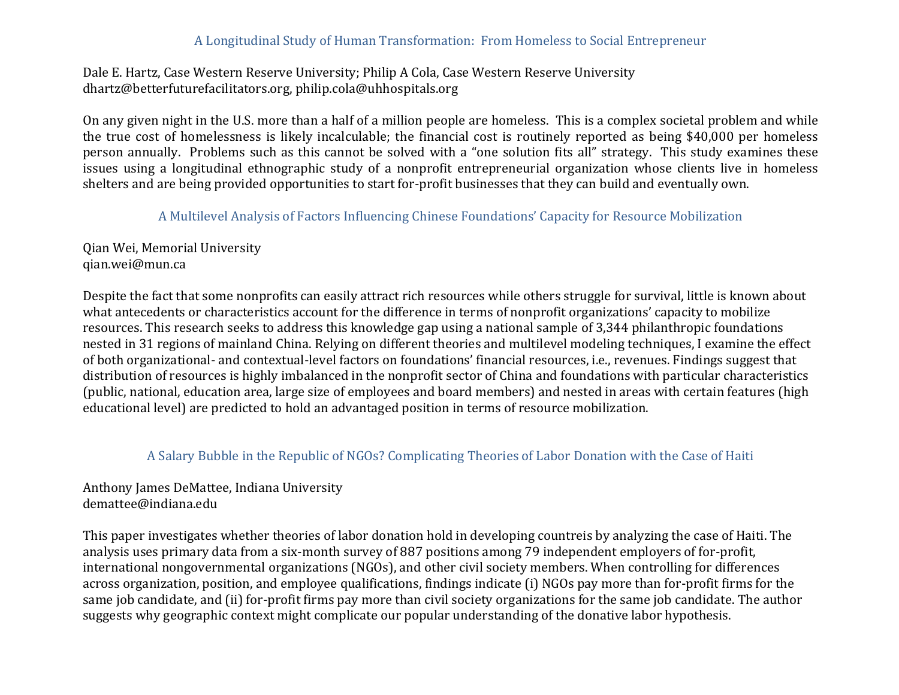### A Longitudinal Study of Human Transformation: From Homeless to Social Entrepreneur

#### Dale E. Hartz, Case Western Reserve University; Philip A Cola, Case Western Reserve University dhartz@betterfuturefacilitators.org, philip.cola@uhhospitals.org

On any given night in the U.S. more than a half of a million people are homeless. This is a complex societal problem and while the true cost of homelessness is likely incalculable; the financial cost is routinely reported as being \$40,000 per homeless person annually. Problems such as this cannot be solved with a "one solution fits all" strategy. This study examines these issues using a longitudinal ethnographic study of a nonprofit entrepreneurial organization whose clients live in homeless shelters and are being provided opportunities to start for-profit businesses that they can build and eventually own.

A Multilevel Analysis of Factors Influencing Chinese Foundations' Capacity for Resource Mobilization

Qian Wei, Memorial University qian.wei@mun.ca

Despite the fact that some nonprofits can easily attract rich resources while others struggle for survival, little is known about what antecedents or characteristics account for the difference in terms of nonprofit organizations' capacity to mobilize resources. This research seeks to address this knowledge gap using a national sample of 3,344 philanthropic foundations nested in 31 regions of mainland China. Relying on different theories and multilevel modeling techniques, I examine the effect of both organizational- and contextual-level factors on foundations' financial resources, i.e., revenues. Findings suggest that distribution of resources is highly imbalanced in the nonprofit sector of China and foundations with particular characteristics (public, national, education area, large size of employees and board members) and nested in areas with certain features (high educational level) are predicted to hold an advantaged position in terms of resource mobilization.

#### A Salary Bubble in the Republic of NGOs? Complicating Theories of Labor Donation with the Case of Haiti

Anthony James DeMattee, Indiana University demattee@indiana.edu

This paper investigates whether theories of labor donation hold in developing countreis by analyzing the case of Haiti. The analysis uses primary data from a six-month survey of 887 positions among 79 independent employers of for-profit, international nongovernmental organizations (NGOs), and other civil society members. When controlling for differences across organization, position, and employee qualifications, findings indicate (i) NGOs pay more than for-profit firms for the same job candidate, and (ii) for-profit firms pay more than civil society organizations for the same job candidate. The author suggests why geographic context might complicate our popular understanding of the donative labor hypothesis.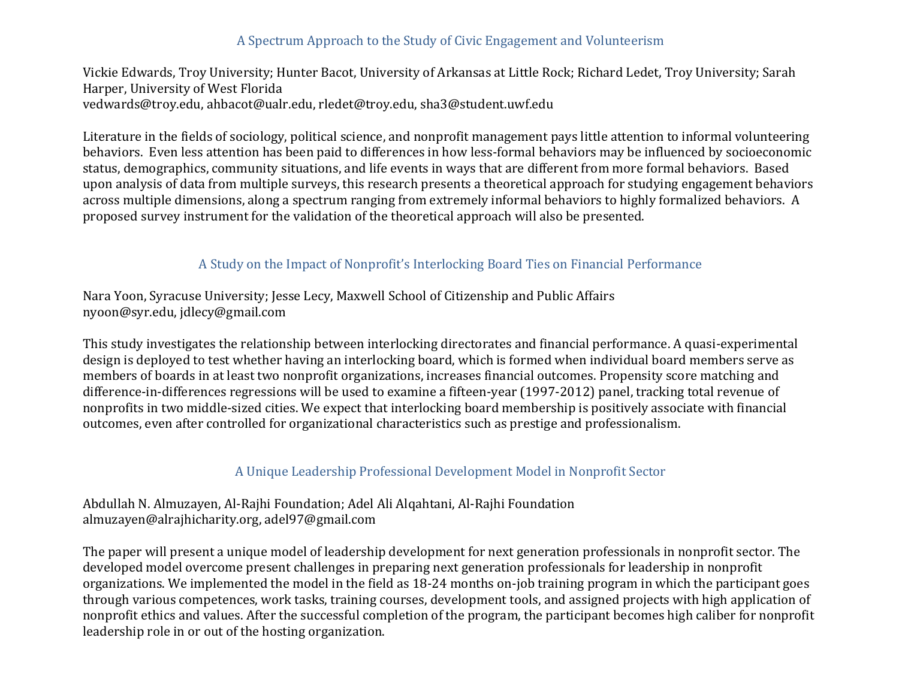# A Spectrum Approach to the Study of Civic Engagement and Volunteerism

Vickie Edwards, Troy University; Hunter Bacot, University of Arkansas at Little Rock; Richard Ledet, Troy University; Sarah Harper, University of West Florida vedwards@troy.edu, ahbacot@ualr.edu, rledet@troy.edu, sha3@student.uwf.edu

Literature in the fields of sociology, political science, and nonprofit management pays little attention to informal volunteering behaviors. Even less attention has been paid to differences in how less-formal behaviors may be influenced by socioeconomic status, demographics, community situations, and life events in ways that are different from more formal behaviors. Based upon analysis of data from multiple surveys, this research presents a theoretical approach for studying engagement behaviors across multiple dimensions, along a spectrum ranging from extremely informal behaviors to highly formalized behaviors. A proposed survey instrument for the validation of the theoretical approach will also be presented.

### A Study on the Impact of Nonprofit's Interlocking Board Ties on Financial Performance

Nara Yoon, Syracuse University; Jesse Lecy, Maxwell School of Citizenship and Public Affairs nyoon@syr.edu, jdlecy@gmail.com

This study investigates the relationship between interlocking directorates and financial performance. A quasi-experimental design is deployed to test whether having an interlocking board, which is formed when individual board members serve as members of boards in at least two nonprofit organizations, increases financial outcomes. Propensity score matching and difference-in-differences regressions will be used to examine a fifteen-year (1997-2012) panel, tracking total revenue of nonprofits in two middle-sized cities. We expect that interlocking board membership is positively associate with financial outcomes, even after controlled for organizational characteristics such as prestige and professionalism.

### A Unique Leadership Professional Development Model in Nonprofit Sector

Abdullah N. Almuzayen, Al-Rajhi Foundation; Adel Ali Alqahtani, Al-Rajhi Foundation almuzayen@alrajhicharity.org, adel97@gmail.com

The paper will present a unique model of leadership development for next generation professionals in nonprofit sector. The developed model overcome present challenges in preparing next generation professionals for leadership in nonprofit organizations. We implemented the model in the field as  $18-24$  months on-job training program in which the participant goes through various competences, work tasks, training courses, development tools, and assigned projects with high application of nonprofit ethics and values. After the successful completion of the program, the participant becomes high caliber for nonprofit leadership role in or out of the hosting organization.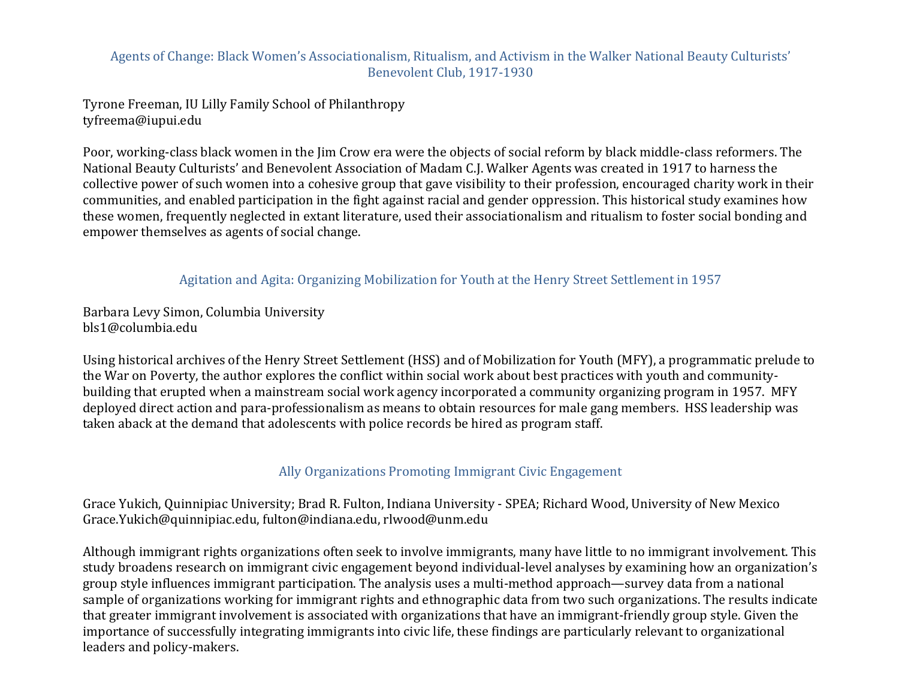### Agents of Change: Black Women's Associationalism, Ritualism, and Activism in the Walker National Beauty Culturists' Benevolent Club, 1917-1930

Tyrone Freeman, IU Lilly Family School of Philanthropy tyfreema@iupui.edu

Poor, working-class black women in the Jim Crow era were the objects of social reform by black middle-class reformers. The National Beauty Culturists' and Benevolent Association of Madam C.J. Walker Agents was created in 1917 to harness the collective power of such women into a cohesive group that gave visibility to their profession, encouraged charity work in their communities, and enabled participation in the fight against racial and gender oppression. This historical study examines how these women, frequently neglected in extant literature, used their associationalism and ritualism to foster social bonding and empower themselves as agents of social change.

### Agitation and Agita: Organizing Mobilization for Youth at the Henry Street Settlement in 1957

Barbara Levy Simon, Columbia University bls1@columbia.edu

Using historical archives of the Henry Street Settlement (HSS) and of Mobilization for Youth (MFY), a programmatic prelude to the War on Poverty, the author explores the conflict within social work about best practices with youth and communitybuilding that erupted when a mainstream social work agency incorporated a community organizing program in 1957. MFY deployed direct action and para-professionalism as means to obtain resources for male gang members. HSS leadership was taken aback at the demand that adolescents with police records be hired as program staff.

### Ally Organizations Promoting Immigrant Civic Engagement

Grace Yukich, Quinnipiac University; Brad R. Fulton, Indiana University - SPEA; Richard Wood, University of New Mexico Grace.Yukich@quinnipiac.edu, fulton@indiana.edu, rlwood@unm.edu

Although immigrant rights organizations often seek to involve immigrants, many have little to no immigrant involvement. This study broadens research on immigrant civic engagement beyond individual-level analyses by examining how an organization's group style influences immigrant participation. The analysis uses a multi-method approach—survey data from a national sample of organizations working for immigrant rights and ethnographic data from two such organizations. The results indicate that greater immigrant involvement is associated with organizations that have an immigrant-friendly group style. Given the importance of successfully integrating immigrants into civic life, these findings are particularly relevant to organizational leaders and policy-makers.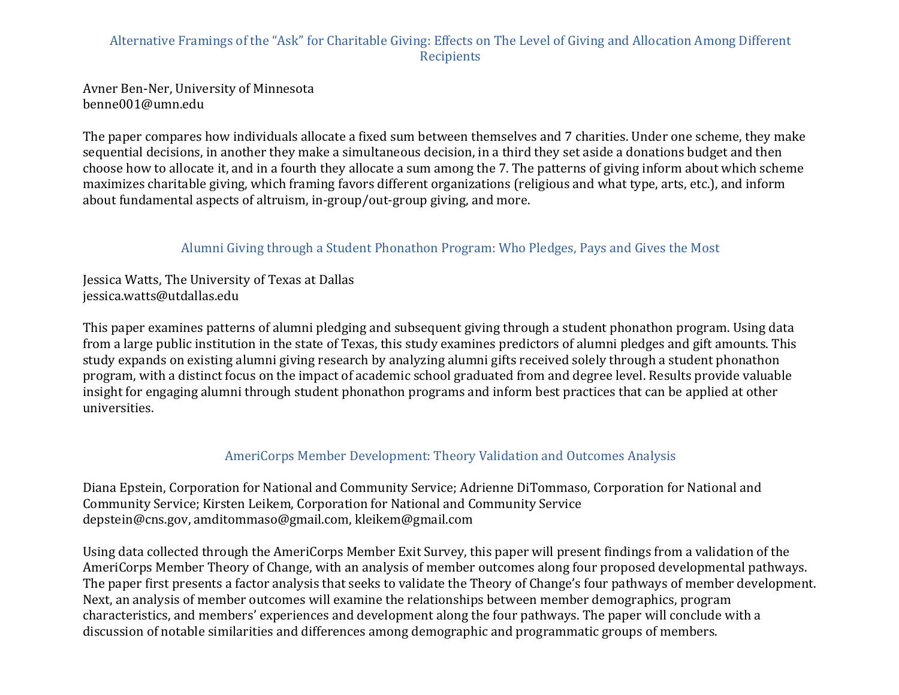# Alternative Framings of the "Ask" for Charitable Giving: Effects on The Level of Giving and Allocation Among Different **Recipients**

Avner Ben-Ner, University of Minnesota benne001@umn.edu

The paper compares how individuals allocate a fixed sum between themselves and 7 charities. Under one scheme, they make sequential decisions, in another they make a simultaneous decision, in a third they set aside a donations budget and then choose how to allocate it, and in a fourth they allocate a sum among the 7. The patterns of giving inform about which scheme maximizes charitable giving, which framing favors different organizations (religious and what type, arts, etc.), and inform about fundamental aspects of altruism, in-group/out-group giving, and more.

# Alumni Giving through a Student Phonathon Program: Who Pledges, Pays and Gives the Most

Jessica Watts, The University of Texas at Dallas jessica.watts@utdallas.edu

This paper examines patterns of alumni pledging and subsequent giving through a student phonathon program. Using data from a large public institution in the state of Texas, this study examines predictors of alumni pledges and gift amounts. This study expands on existing alumni giving research by analyzing alumni gifts received solely through a student phonathon program, with a distinct focus on the impact of academic school graduated from and degree level. Results provide valuable insight for engaging alumni through student phonathon programs and inform best practices that can be applied at other universities.

### AmeriCorps Member Development: Theory Validation and Outcomes Analysis

Diana Epstein, Corporation for National and Community Service; Adrienne DiTommaso, Corporation for National and Community Service; Kirsten Leikem, Corporation for National and Community Service depstein@cns.gov, amditommaso@gmail.com, kleikem@gmail.com

Using data collected through the AmeriCorps Member Exit Survey, this paper will present findings from a validation of the AmeriCorps Member Theory of Change, with an analysis of member outcomes along four proposed developmental pathways. The paper first presents a factor analysis that seeks to validate the Theory of Change's four pathways of member development. Next, an analysis of member outcomes will examine the relationships between member demographics, program characteristics, and members' experiences and development along the four pathways. The paper will conclude with a discussion of notable similarities and differences among demographic and programmatic groups of members.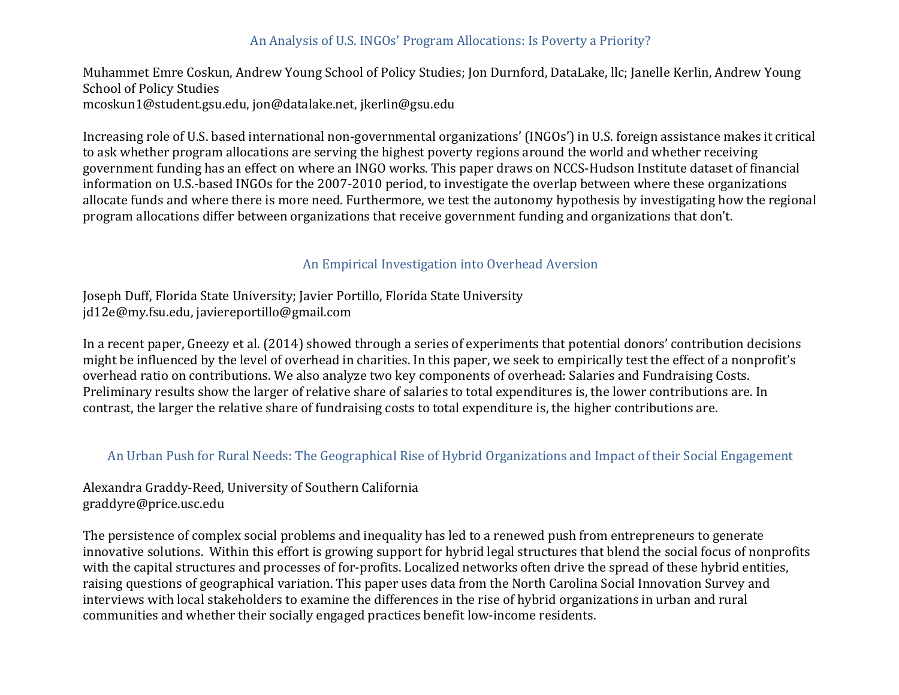# An Analysis of U.S. INGOs' Program Allocations: Is Poverty a Priority?

Muhammet Emre Coskun, Andrew Young School of Policy Studies; Jon Durnford, DataLake, llc; Janelle Kerlin, Andrew Young School of Policy Studies mcoskun1@student.gsu.edu, jon@datalake.net, jkerlin@gsu.edu

Increasing role of U.S. based international non-governmental organizations' (INGOs') in U.S. foreign assistance makes it critical to ask whether program allocations are serving the highest poverty regions around the world and whether receiving government funding has an effect on where an INGO works. This paper draws on NCCS-Hudson Institute dataset of financial information on U.S.-based INGOs for the 2007-2010 period, to investigate the overlap between where these organizations allocate funds and where there is more need. Furthermore, we test the autonomy hypothesis by investigating how the regional program allocations differ between organizations that receive government funding and organizations that don't.

#### An Empirical Investigation into Overhead Aversion

Joseph Duff, Florida State University; Javier Portillo, Florida State University jd12e@my.fsu.edu, javiereportillo@gmail.com

In a recent paper, Gneezy et al. (2014) showed through a series of experiments that potential donors' contribution decisions might be influenced by the level of overhead in charities. In this paper, we seek to empirically test the effect of a nonprofit's overhead ratio on contributions. We also analyze two key components of overhead: Salaries and Fundraising Costs. Preliminary results show the larger of relative share of salaries to total expenditures is, the lower contributions are. In contrast, the larger the relative share of fundraising costs to total expenditure is, the higher contributions are.

#### An Urban Push for Rural Needs: The Geographical Rise of Hybrid Organizations and Impact of their Social Engagement

Alexandra Graddy-Reed, University of Southern California graddyre@price.usc.edu

The persistence of complex social problems and inequality has led to a renewed push from entrepreneurs to generate innovative solutions. Within this effort is growing support for hybrid legal structures that blend the social focus of nonprofits with the capital structures and processes of for-profits. Localized networks often drive the spread of these hybrid entities, raising questions of geographical variation. This paper uses data from the North Carolina Social Innovation Survey and interviews with local stakeholders to examine the differences in the rise of hybrid organizations in urban and rural communities and whether their socially engaged practices benefit low-income residents.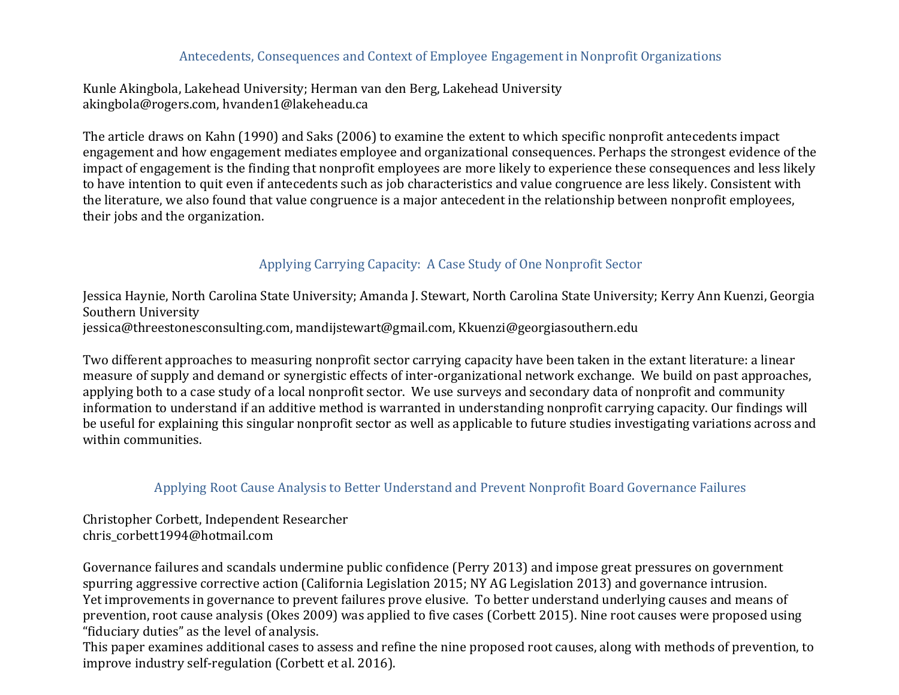### Antecedents, Consequences and Context of Employee Engagement in Nonprofit Organizations

Kunle Akingbola, Lakehead University; Herman van den Berg, Lakehead University akingbola@rogers.com, hvanden1@lakeheadu.ca

The article draws on Kahn (1990) and Saks (2006) to examine the extent to which specific nonprofit antecedents impact engagement and how engagement mediates employee and organizational consequences. Perhaps the strongest evidence of the impact of engagement is the finding that nonprofit employees are more likely to experience these consequences and less likely to have intention to quit even if antecedents such as job characteristics and value congruence are less likely. Consistent with the literature, we also found that value congruence is a major antecedent in the relationship between nonprofit employees, their jobs and the organization.

# Applying Carrying Capacity: A Case Study of One Nonprofit Sector

Jessica Haynie, North Carolina State University; Amanda J. Stewart, North Carolina State University; Kerry Ann Kuenzi, Georgia Southern University jessica@threestonesconsulting.com, mandijstewart@gmail.com, Kkuenzi@georgiasouthern.edu

Two different approaches to measuring nonprofit sector carrying capacity have been taken in the extant literature: a linear measure of supply and demand or synergistic effects of inter-organizational network exchange. We build on past approaches, applying both to a case study of a local nonprofit sector. We use surveys and secondary data of nonprofit and community information to understand if an additive method is warranted in understanding nonprofit carrying capacity. Our findings will be useful for explaining this singular nonprofit sector as well as applicable to future studies investigating variations across and within communities.

### Applying Root Cause Analysis to Better Understand and Prevent Nonprofit Board Governance Failures

Christopher Corbett, Independent Researcher chris\_corbett1994@hotmail.com

Governance failures and scandals undermine public confidence (Perry 2013) and impose great pressures on government spurring aggressive corrective action (California Legislation 2015; NY AG Legislation 2013) and governance intrusion. Yet improvements in governance to prevent failures prove elusive. To better understand underlying causes and means of prevention, root cause analysis (Okes 2009) was applied to five cases (Corbett 2015). Nine root causes were proposed using "fiduciary duties" as the level of analysis.

This paper examines additional cases to assess and refine the nine proposed root causes, along with methods of prevention, to improve industry self-regulation (Corbett et al. 2016).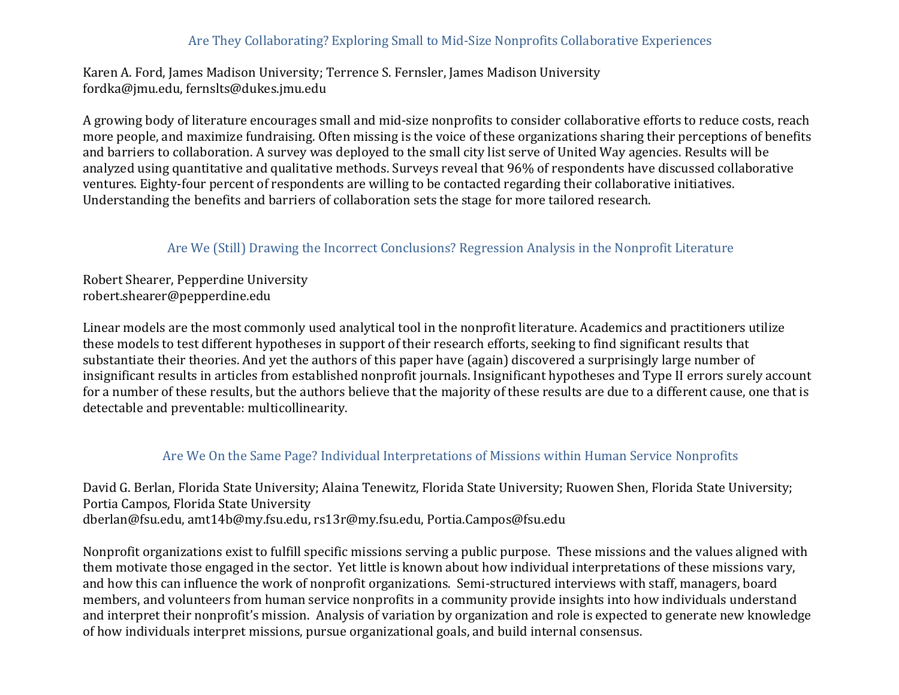# Are They Collaborating? Exploring Small to Mid-Size Nonprofits Collaborative Experiences

Karen A. Ford, James Madison University; Terrence S. Fernsler, James Madison University fordka@jmu.edu, fernslts@dukes.jmu.edu

A growing body of literature encourages small and mid-size nonprofits to consider collaborative efforts to reduce costs, reach more people, and maximize fundraising. Often missing is the voice of these organizations sharing their perceptions of benefits and barriers to collaboration. A survey was deployed to the small city list serve of United Way agencies. Results will be analyzed using quantitative and qualitative methods. Surveys reveal that 96% of respondents have discussed collaborative ventures. Eighty-four percent of respondents are willing to be contacted regarding their collaborative initiatives. Understanding the benefits and barriers of collaboration sets the stage for more tailored research.

### Are We (Still) Drawing the Incorrect Conclusions? Regression Analysis in the Nonprofit Literature

Robert Shearer, Pepperdine University robert.shearer@pepperdine.edu

Linear models are the most commonly used analytical tool in the nonprofit literature. Academics and practitioners utilize these models to test different hypotheses in support of their research efforts, seeking to find significant results that substantiate their theories. And yet the authors of this paper have (again) discovered a surprisingly large number of insignificant results in articles from established nonprofit journals. Insignificant hypotheses and Type II errors surely account for a number of these results, but the authors believe that the majority of these results are due to a different cause, one that is detectable and preventable: multicollinearity.

#### Are We On the Same Page? Individual Interpretations of Missions within Human Service Nonprofits

David G. Berlan, Florida State University; Alaina Tenewitz, Florida State University; Ruowen Shen, Florida State University; Portia Campos, Florida State University dberlan@fsu.edu, amt14b@my.fsu.edu, rs13r@my.fsu.edu, Portia.Campos@fsu.edu

Nonprofit organizations exist to fulfill specific missions serving a public purpose. These missions and the values aligned with them motivate those engaged in the sector. Yet little is known about how individual interpretations of these missions vary, and how this can influence the work of nonprofit organizations. Semi-structured interviews with staff, managers, board members, and volunteers from human service nonprofits in a community provide insights into how individuals understand and interpret their nonprofit's mission. Analysis of variation by organization and role is expected to generate new knowledge of how individuals interpret missions, pursue organizational goals, and build internal consensus.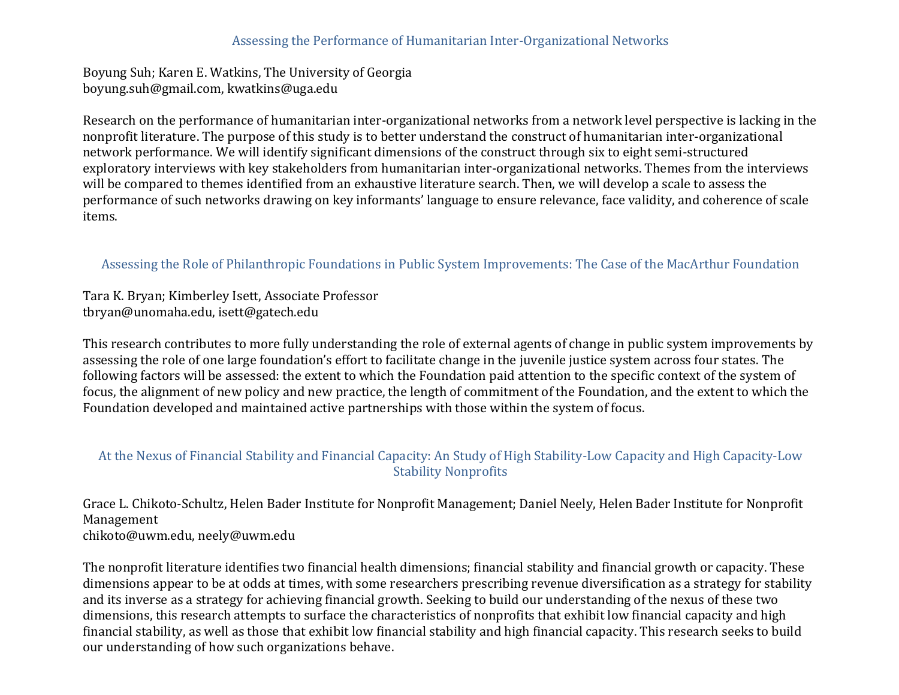### Assessing the Performance of Humanitarian Inter-Organizational Networks

Boyung Suh; Karen E. Watkins, The University of Georgia boyung.suh@gmail.com, kwatkins@uga.edu

Research on the performance of humanitarian inter-organizational networks from a network level perspective is lacking in the nonprofit literature. The purpose of this study is to better understand the construct of humanitarian inter-organizational network performance. We will identify significant dimensions of the construct through six to eight semi-structured exploratory interviews with key stakeholders from humanitarian inter-organizational networks. Themes from the interviews will be compared to themes identified from an exhaustive literature search. Then, we will develop a scale to assess the performance of such networks drawing on key informants' language to ensure relevance, face validity, and coherence of scale items.

### Assessing the Role of Philanthropic Foundations in Public System Improvements: The Case of the MacArthur Foundation

Tara K. Bryan; Kimberley Isett, Associate Professor tbryan@unomaha.edu, isett@gatech.edu

This research contributes to more fully understanding the role of external agents of change in public system improvements by assessing the role of one large foundation's effort to facilitate change in the juvenile justice system across four states. The following factors will be assessed: the extent to which the Foundation paid attention to the specific context of the system of focus, the alignment of new policy and new practice, the length of commitment of the Foundation, and the extent to which the Foundation developed and maintained active partnerships with those within the system of focus.

### At the Nexus of Financial Stability and Financial Capacity: An Study of High Stability-Low Capacity and High Capacity-Low **Stability Nonprofits**

Grace L. Chikoto-Schultz, Helen Bader Institute for Nonprofit Management; Daniel Neely, Helen Bader Institute for Nonprofit Management chikoto@uwm.edu, neely@uwm.edu

The nonprofit literature identifies two financial health dimensions; financial stability and financial growth or capacity. These dimensions appear to be at odds at times, with some researchers prescribing revenue diversification as a strategy for stability and its inverse as a strategy for achieving financial growth. Seeking to build our understanding of the nexus of these two dimensions, this research attempts to surface the characteristics of nonprofits that exhibit low financial capacity and high financial stability, as well as those that exhibit low financial stability and high financial capacity. This research seeks to build our understanding of how such organizations behave.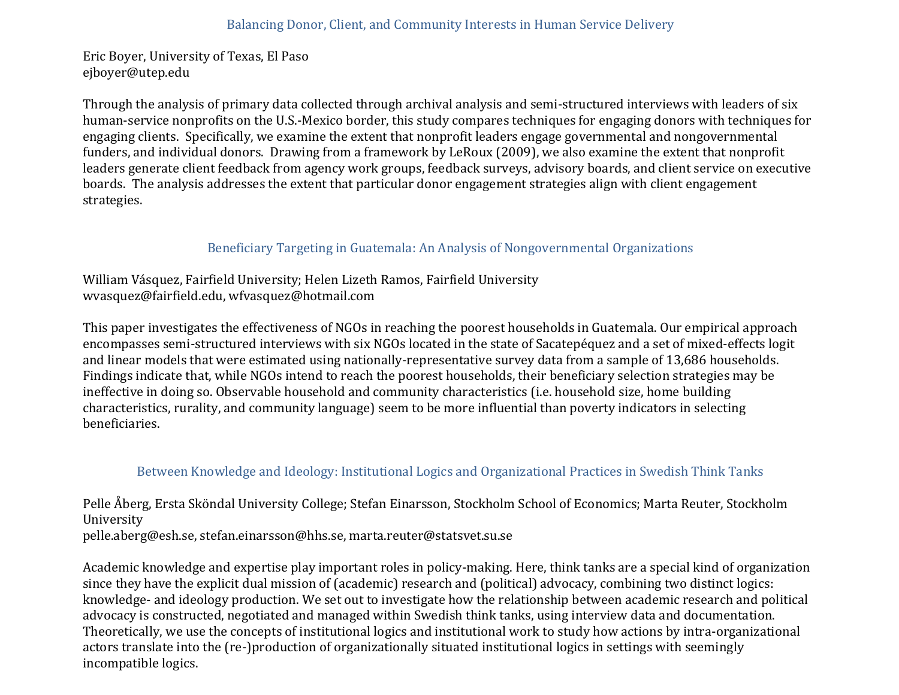Eric Boyer, University of Texas, El Paso ejboyer@utep.edu

Through the analysis of primary data collected through archival analysis and semi-structured interviews with leaders of six human-service nonprofits on the U.S.-Mexico border, this study compares techniques for engaging donors with techniques for engaging clients. Specifically, we examine the extent that nonprofit leaders engage governmental and nongovernmental funders, and individual donors. Drawing from a framework by LeRoux (2009), we also examine the extent that nonprofit leaders generate client feedback from agency work groups, feedback surveys, advisory boards, and client service on executive boards. The analysis addresses the extent that particular donor engagement strategies align with client engagement strategies.

# Beneficiary Targeting in Guatemala: An Analysis of Nongovernmental Organizations

William Vásquez, Fairfield University; Helen Lizeth Ramos, Fairfield University wvasquez@fairfield.edu, wfvasquez@hotmail.com

This paper investigates the effectiveness of NGOs in reaching the poorest households in Guatemala. Our empirical approach encompasses semi-structured interviews with six NGOs located in the state of Sacatepéquez and a set of mixed-effects logit and linear models that were estimated using nationally-representative survey data from a sample of 13,686 households. Findings indicate that, while NGOs intend to reach the poorest households, their beneficiary selection strategies may be ineffective in doing so. Observable household and community characteristics (i.e. household size, home building characteristics, rurality, and community language) seem to be more influential than poverty indicators in selecting beneficiaries.

# Between Knowledge and Ideology: Institutional Logics and Organizational Practices in Swedish Think Tanks

Pelle Åberg, Ersta Sköndal University College; Stefan Einarsson, Stockholm School of Economics; Marta Reuter, Stockholm University

pelle.aberg@esh.se, stefan.einarsson@hhs.se, marta.reuter@statsvet.su.se

Academic knowledge and expertise play important roles in policy-making. Here, think tanks are a special kind of organization since they have the explicit dual mission of (academic) research and (political) advocacy, combining two distinct logics: knowledge- and ideology production. We set out to investigate how the relationship between academic research and political advocacy is constructed, negotiated and managed within Swedish think tanks, using interview data and documentation. Theoretically, we use the concepts of institutional logics and institutional work to study how actions by intra-organizational actors translate into the (re-)production of organizationally situated institutional logics in settings with seemingly incompatible logics.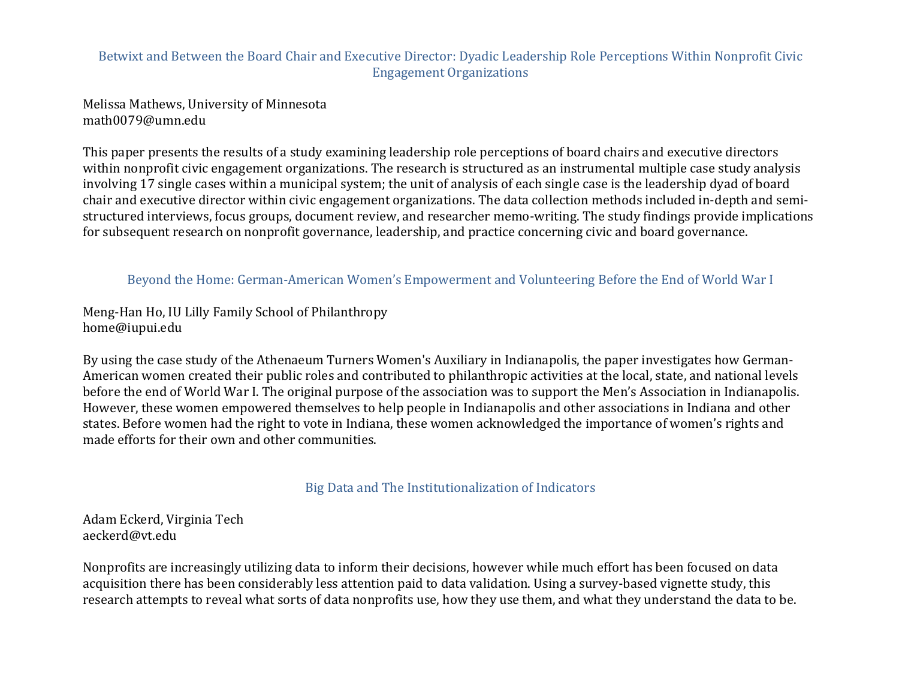### Betwixt and Between the Board Chair and Executive Director: Dyadic Leadership Role Perceptions Within Nonprofit Civic Engagement Organizations

Melissa Mathews, University of Minnesota math0079@umn.edu

This paper presents the results of a study examining leadership role perceptions of board chairs and executive directors within nonprofit civic engagement organizations. The research is structured as an instrumental multiple case study analysis involving 17 single cases within a municipal system; the unit of analysis of each single case is the leadership dyad of board chair and executive director within civic engagement organizations. The data collection methods included in-depth and semistructured interviews, focus groups, document review, and researcher memo-writing. The study findings provide implications for subsequent research on nonprofit governance, leadership, and practice concerning civic and board governance.

#### Beyond the Home: German-American Women's Empowerment and Volunteering Before the End of World War I

Meng-Han Ho, IU Lilly Family School of Philanthropy home@iupui.edu

By using the case study of the Athenaeum Turners Women's Auxiliary in Indianapolis, the paper investigates how German-American women created their public roles and contributed to philanthropic activities at the local, state, and national levels before the end of World War I. The original purpose of the association was to support the Men's Association in Indianapolis. However, these women empowered themselves to help people in Indianapolis and other associations in Indiana and other states. Before women had the right to vote in Indiana, these women acknowledged the importance of women's rights and made efforts for their own and other communities.

#### Big Data and The Institutionalization of Indicators

Adam Eckerd, Virginia Tech aeckerd@vt.edu

Nonprofits are increasingly utilizing data to inform their decisions, however while much effort has been focused on data acquisition there has been considerably less attention paid to data validation. Using a survey-based vignette study, this research attempts to reveal what sorts of data nonprofits use, how they use them, and what they understand the data to be.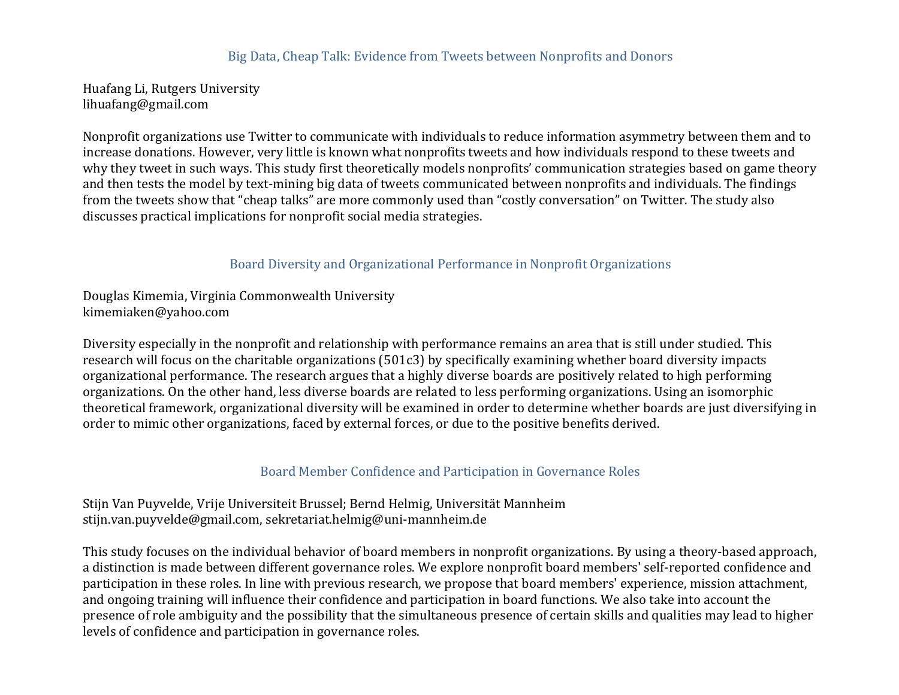#### Big Data, Cheap Talk: Evidence from Tweets between Nonprofits and Donors

Huafang Li, Rutgers University lihuafang@gmail.com

Nonprofit organizations use Twitter to communicate with individuals to reduce information asymmetry between them and to increase donations. However, very little is known what nonprofits tweets and how individuals respond to these tweets and why they tweet in such ways. This study first theoretically models nonprofits' communication strategies based on game theory and then tests the model by text-mining big data of tweets communicated between nonprofits and individuals. The findings from the tweets show that "cheap talks" are more commonly used than "costly conversation" on Twitter. The study also discusses practical implications for nonprofit social media strategies.

#### Board Diversity and Organizational Performance in Nonprofit Organizations

Douglas Kimemia, Virginia Commonwealth University kimemiaken@yahoo.com

Diversity especially in the nonprofit and relationship with performance remains an area that is still under studied. This research will focus on the charitable organizations  $(501c3)$  by specifically examining whether board diversity impacts organizational performance. The research argues that a highly diverse boards are positively related to high performing organizations. On the other hand, less diverse boards are related to less performing organizations. Using an isomorphic theoretical framework, organizational diversity will be examined in order to determine whether boards are just diversifying in order to mimic other organizations, faced by external forces, or due to the positive benefits derived.

#### Board Member Confidence and Participation in Governance Roles

Stijn Van Puyvelde, Vrije Universiteit Brussel; Bernd Helmig, Universität Mannheim stijn.van.puyvelde@gmail.com, sekretariat.helmig@uni-mannheim.de

This study focuses on the individual behavior of board members in nonprofit organizations. By using a theory-based approach, a distinction is made between different governance roles. We explore nonprofit board members' self-reported confidence and participation in these roles. In line with previous research, we propose that board members' experience, mission attachment, and ongoing training will influence their confidence and participation in board functions. We also take into account the presence of role ambiguity and the possibility that the simultaneous presence of certain skills and qualities may lead to higher levels of confidence and participation in governance roles.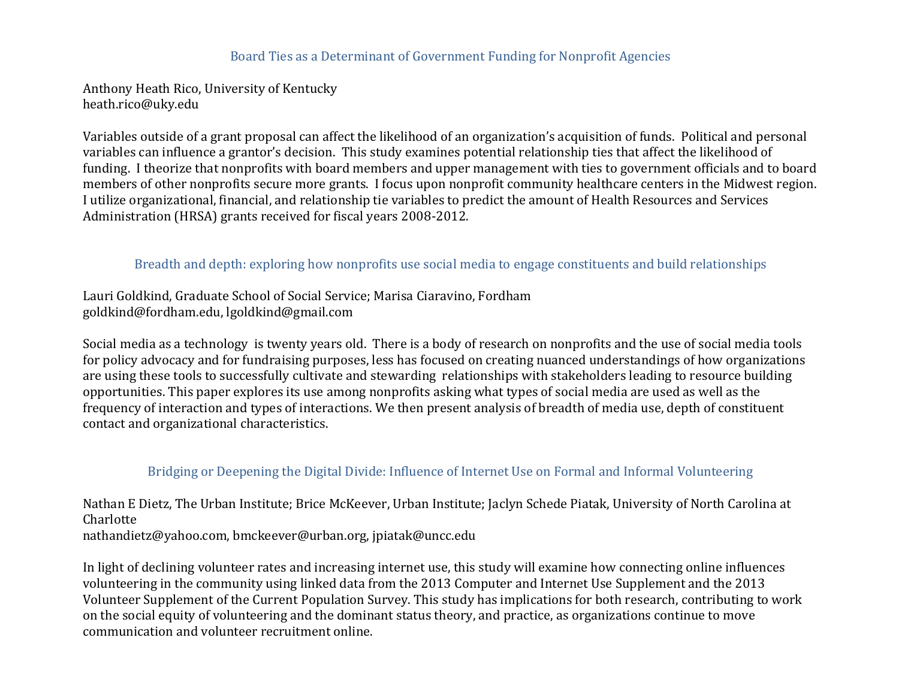#### Board Ties as a Determinant of Government Funding for Nonprofit Agencies

Anthony Heath Rico, University of Kentucky heath.rico@uky.edu

Variables outside of a grant proposal can affect the likelihood of an organization's acquisition of funds. Political and personal variables can influence a grantor's decision. This study examines potential relationship ties that affect the likelihood of funding. I theorize that nonprofits with board members and upper management with ties to government officials and to board members of other nonprofits secure more grants. I focus upon nonprofit community healthcare centers in the Midwest region. I utilize organizational, financial, and relationship tie variables to predict the amount of Health Resources and Services Administration (HRSA) grants received for fiscal years 2008-2012.

#### Breadth and depth: exploring how nonprofits use social media to engage constituents and build relationships

Lauri Goldkind, Graduate School of Social Service; Marisa Ciaravino, Fordham goldkind@fordham.edu, lgoldkind@gmail.com

Social media as a technology is twenty years old. There is a body of research on nonprofits and the use of social media tools for policy advocacy and for fundraising purposes, less has focused on creating nuanced understandings of how organizations are using these tools to successfully cultivate and stewarding relationships with stakeholders leading to resource building opportunities. This paper explores its use among nonprofits asking what types of social media are used as well as the frequency of interaction and types of interactions. We then present analysis of breadth of media use, depth of constituent contact and organizational characteristics.

#### Bridging or Deepening the Digital Divide: Influence of Internet Use on Formal and Informal Volunteering

Nathan E Dietz, The Urban Institute; Brice McKeever, Urban Institute; Jaclyn Schede Piatak, University of North Carolina at Charlotte

nathandietz@yahoo.com, bmckeever@urban.org, jpiatak@uncc.edu

In light of declining volunteer rates and increasing internet use, this study will examine how connecting online influences volunteering in the community using linked data from the 2013 Computer and Internet Use Supplement and the 2013 Volunteer Supplement of the Current Population Survey. This study has implications for both research, contributing to work on the social equity of volunteering and the dominant status theory, and practice, as organizations continue to move communication and volunteer recruitment online.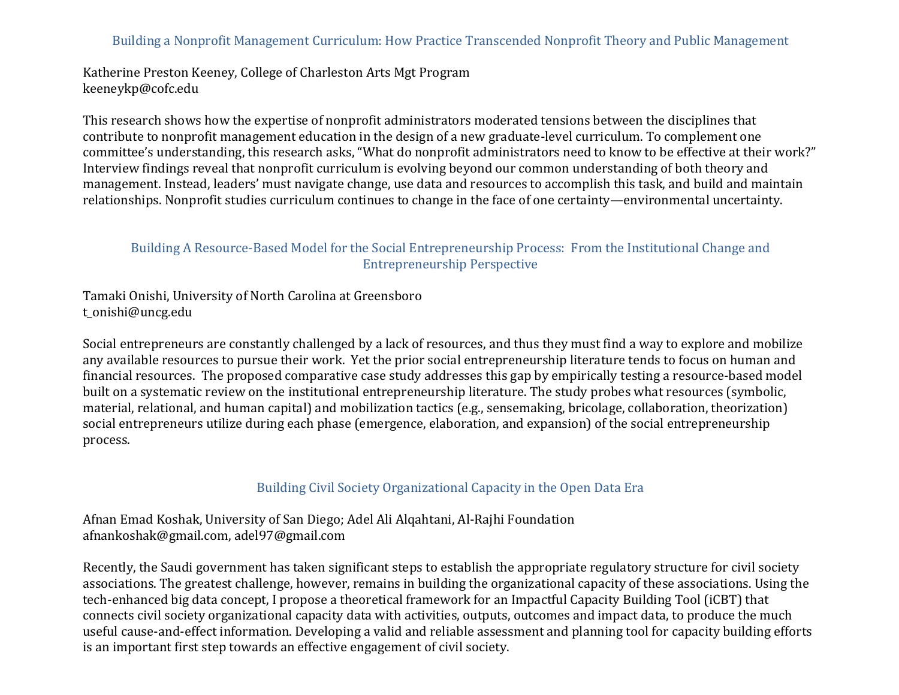### Building a Nonprofit Management Curriculum: How Practice Transcended Nonprofit Theory and Public Management

Katherine Preston Keeney, College of Charleston Arts Mgt Program keeneykp@cofc.edu

This research shows how the expertise of nonprofit administrators moderated tensions between the disciplines that contribute to nonprofit management education in the design of a new graduate-level curriculum. To complement one committee's understanding, this research asks, "What do nonprofit administrators need to know to be effective at their work?" Interview findings reveal that nonprofit curriculum is evolving beyond our common understanding of both theory and management. Instead, leaders' must navigate change, use data and resources to accomplish this task, and build and maintain relationships. Nonprofit studies curriculum continues to change in the face of one certainty—environmental uncertainty.

#### Building A Resource-Based Model for the Social Entrepreneurship Process: From the Institutional Change and Entrepreneurship Perspective

Tamaki Onishi, University of North Carolina at Greensboro t\_onishi@uncg.edu

Social entrepreneurs are constantly challenged by a lack of resources, and thus they must find a way to explore and mobilize any available resources to pursue their work. Yet the prior social entrepreneurship literature tends to focus on human and financial resources. The proposed comparative case study addresses this gap by empirically testing a resource-based model built on a systematic review on the institutional entrepreneurship literature. The study probes what resources (symbolic, material, relational, and human capital) and mobilization tactics (e.g., sensemaking, bricolage, collaboration, theorization) social entrepreneurs utilize during each phase (emergence, elaboration, and expansion) of the social entrepreneurship process.

#### Building Civil Society Organizational Capacity in the Open Data Era

Afnan Emad Koshak, University of San Diego; Adel Ali Alqahtani, Al-Rajhi Foundation afnankoshak@gmail.com, adel97@gmail.com

Recently, the Saudi government has taken significant steps to establish the appropriate regulatory structure for civil society associations. The greatest challenge, however, remains in building the organizational capacity of these associations. Using the tech-enhanced big data concept, I propose a theoretical framework for an Impactful Capacity Building Tool (iCBT) that connects civil society organizational capacity data with activities, outputs, outcomes and impact data, to produce the much useful cause-and-effect information. Developing a valid and reliable assessment and planning tool for capacity building efforts is an important first step towards an effective engagement of civil society.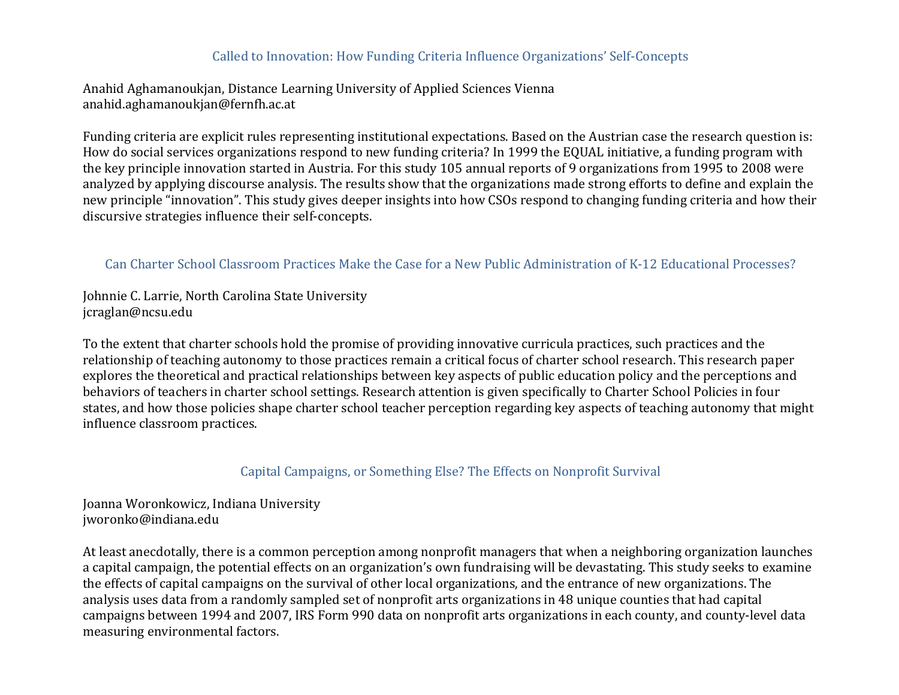#### Called to Innovation: How Funding Criteria Influence Organizations' Self-Concepts

Anahid Aghamanoukjan, Distance Learning University of Applied Sciences Vienna anahid.aghamanoukjan@fernfh.ac.at

Funding criteria are explicit rules representing institutional expectations. Based on the Austrian case the research question is: How do social services organizations respond to new funding criteria? In 1999 the EQUAL initiative, a funding program with the key principle innovation started in Austria. For this study 105 annual reports of 9 organizations from 1995 to 2008 were analyzed by applying discourse analysis. The results show that the organizations made strong efforts to define and explain the new principle "innovation". This study gives deeper insights into how CSOs respond to changing funding criteria and how their discursive strategies influence their self-concepts.

### Can Charter School Classroom Practices Make the Case for a New Public Administration of K-12 Educational Processes?

Johnnie C. Larrie, North Carolina State University jcraglan@ncsu.edu

To the extent that charter schools hold the promise of providing innovative curricula practices, such practices and the relationship of teaching autonomy to those practices remain a critical focus of charter school research. This research paper explores the theoretical and practical relationships between key aspects of public education policy and the perceptions and behaviors of teachers in charter school settings. Research attention is given specifically to Charter School Policies in four states, and how those policies shape charter school teacher perception regarding key aspects of teaching autonomy that might influence classroom practices.

### Capital Campaigns, or Something Else? The Effects on Nonprofit Survival

Joanna Woronkowicz, Indiana University jworonko@indiana.edu

At least anecdotally, there is a common perception among nonprofit managers that when a neighboring organization launches a capital campaign, the potential effects on an organization's own fundraising will be devastating. This study seeks to examine the effects of capital campaigns on the survival of other local organizations, and the entrance of new organizations. The analysis uses data from a randomly sampled set of nonprofit arts organizations in 48 unique counties that had capital campaigns between 1994 and 2007, IRS Form 990 data on nonprofit arts organizations in each county, and county-level data measuring environmental factors.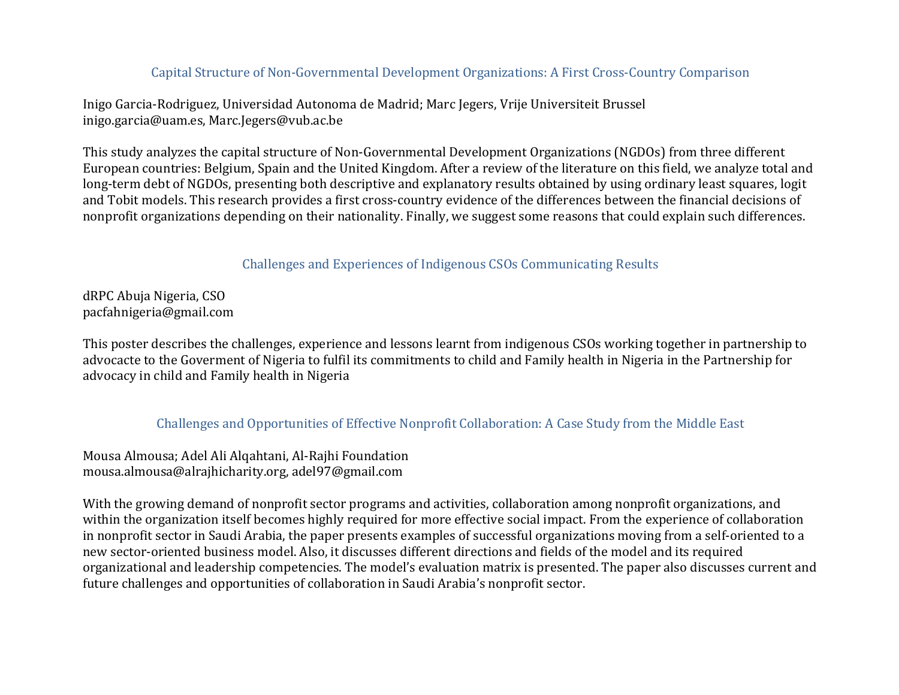## Capital Structure of Non-Governmental Development Organizations: A First Cross-Country Comparison

Inigo Garcia-Rodriguez, Universidad Autonoma de Madrid; Marc Jegers, Vrije Universiteit Brussel inigo.garcia@uam.es, Marc.Jegers@vub.ac.be

This study analyzes the capital structure of Non-Governmental Development Organizations (NGDOs) from three different European countries: Belgium, Spain and the United Kingdom. After a review of the literature on this field, we analyze total and long-term debt of NGDOs, presenting both descriptive and explanatory results obtained by using ordinary least squares, logit and Tobit models. This research provides a first cross-country evidence of the differences between the financial decisions of nonprofit organizations depending on their nationality. Finally, we suggest some reasons that could explain such differences.

Challenges and Experiences of Indigenous CSOs Communicating Results

dRPC Abuja Nigeria, CSO pacfahnigeria@gmail.com

This poster describes the challenges, experience and lessons learnt from indigenous CSOs working together in partnership to advocacte to the Goverment of Nigeria to fulfil its commitments to child and Family health in Nigeria in the Partnership for advocacy in child and Family health in Nigeria

#### Challenges and Opportunities of Effective Nonprofit Collaboration: A Case Study from the Middle East

Mousa Almousa; Adel Ali Alqahtani, Al-Rajhi Foundation mousa.almousa@alrajhicharity.org, adel97@gmail.com

With the growing demand of nonprofit sector programs and activities, collaboration among nonprofit organizations, and within the organization itself becomes highly required for more effective social impact. From the experience of collaboration in nonprofit sector in Saudi Arabia, the paper presents examples of successful organizations moving from a self-oriented to a new sector-oriented business model. Also, it discusses different directions and fields of the model and its required organizational and leadership competencies. The model's evaluation matrix is presented. The paper also discusses current and future challenges and opportunities of collaboration in Saudi Arabia's nonprofit sector.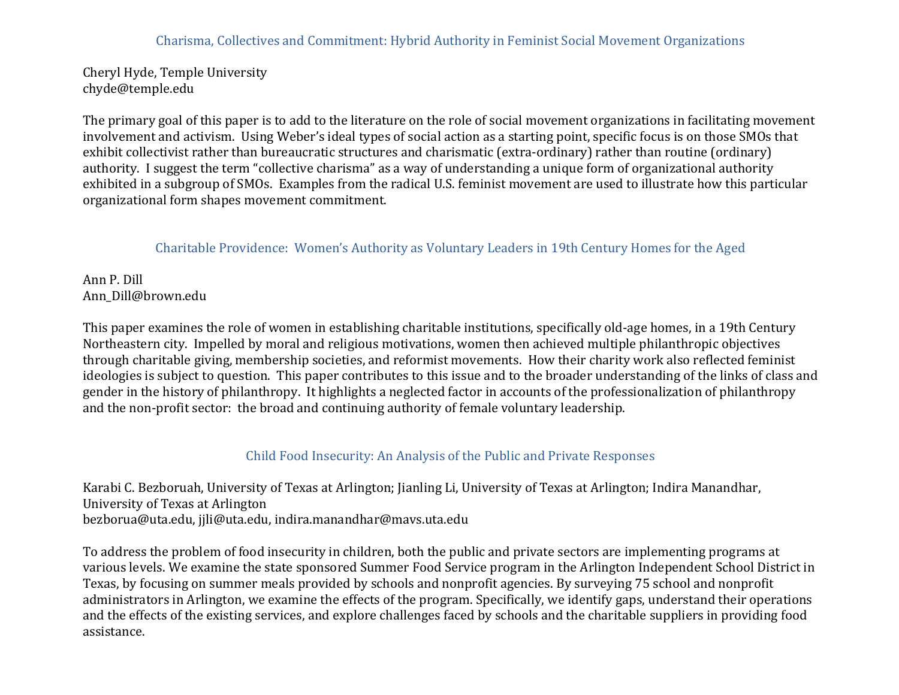Cheryl Hyde, Temple University chyde@temple.edu

The primary goal of this paper is to add to the literature on the role of social movement organizations in facilitating movement involvement and activism. Using Weber's ideal types of social action as a starting point, specific focus is on those SMOs that exhibit collectivist rather than bureaucratic structures and charismatic (extra-ordinary) rather than routine (ordinary) authority. I suggest the term "collective charisma" as a way of understanding a unique form of organizational authority exhibited in a subgroup of SMOs. Examples from the radical U.S. feminist movement are used to illustrate how this particular organizational form shapes movement commitment.

### Charitable Providence: Women's Authority as Voluntary Leaders in 19th Century Homes for the Aged

Ann P. Dill Ann\_Dill@brown.edu

This paper examines the role of women in establishing charitable institutions, specifically old-age homes, in a 19th Century Northeastern city. Impelled by moral and religious motivations, women then achieved multiple philanthropic objectives through charitable giving, membership societies, and reformist movements. How their charity work also reflected feminist ideologies is subject to question. This paper contributes to this issue and to the broader understanding of the links of class and gender in the history of philanthropy. It highlights a neglected factor in accounts of the professionalization of philanthropy and the non-profit sector: the broad and continuing authority of female voluntary leadership.

### Child Food Insecurity: An Analysis of the Public and Private Responses

Karabi C. Bezboruah, University of Texas at Arlington; Jianling Li, University of Texas at Arlington; Indira Manandhar, University of Texas at Arlington bezborua@uta.edu, jjli@uta.edu, indira.manandhar@mavs.uta.edu

To address the problem of food insecurity in children, both the public and private sectors are implementing programs at various levels. We examine the state sponsored Summer Food Service program in the Arlington Independent School District in Texas, by focusing on summer meals provided by schools and nonprofit agencies. By surveying 75 school and nonprofit administrators in Arlington, we examine the effects of the program. Specifically, we identify gaps, understand their operations and the effects of the existing services, and explore challenges faced by schools and the charitable suppliers in providing food assistance.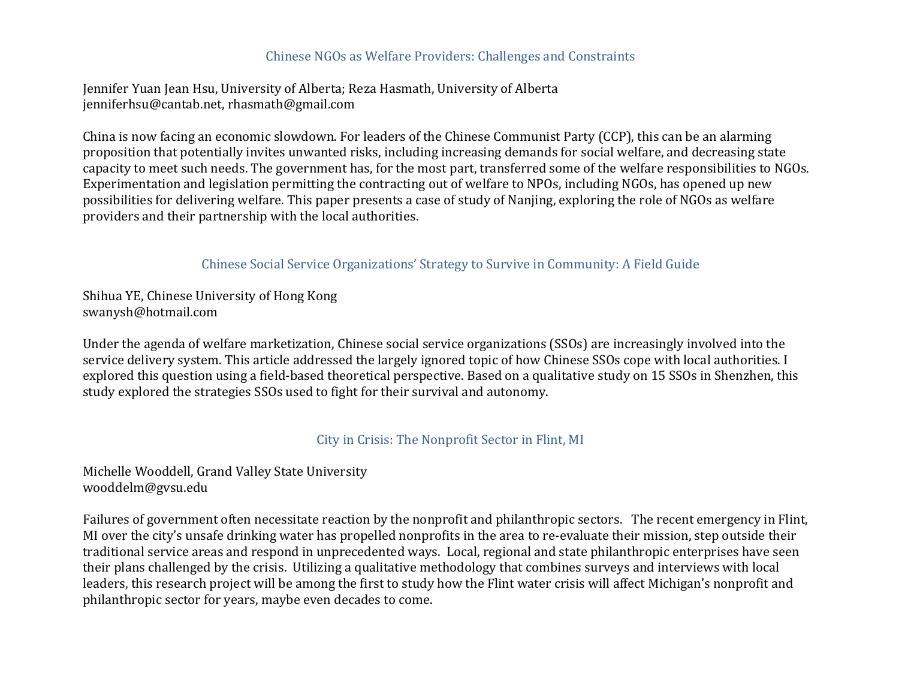#### Chinese NGOs as Welfare Providers: Challenges and Constraints

Jennifer Yuan Jean Hsu, University of Alberta; Reza Hasmath, University of Alberta jenniferhsu@cantab.net, rhasmath@gmail.com

China is now facing an economic slowdown. For leaders of the Chinese Communist Party (CCP), this can be an alarming proposition that potentially invites unwanted risks, including increasing demands for social welfare, and decreasing state capacity to meet such needs. The government has, for the most part, transferred some of the welfare responsibilities to NGOs. Experimentation and legislation permitting the contracting out of welfare to NPOs, including NGOs, has opened up new possibilities for delivering welfare. This paper presents a case of study of Nanjing, exploring the role of NGOs as welfare providers and their partnership with the local authorities.

#### Chinese Social Service Organizations' Strategy to Survive in Community: A Field Guide

Shihua YE, Chinese University of Hong Kong swanysh@hotmail.com

Under the agenda of welfare marketization, Chinese social service organizations (SSOs) are increasingly involved into the service delivery system. This article addressed the largely ignored topic of how Chinese SSOs cope with local authorities. I explored this question using a field-based theoretical perspective. Based on a qualitative study on 15 SSOs in Shenzhen, this study explored the strategies SSOs used to fight for their survival and autonomy.

#### City in Crisis: The Nonprofit Sector in Flint, MI

Michelle Wooddell, Grand Valley State University wooddelm@gvsu.edu

Failures of government often necessitate reaction by the nonprofit and philanthropic sectors. The recent emergency in Flint, MI over the city's unsafe drinking water has propelled nonprofits in the area to re-evaluate their mission, step outside their traditional service areas and respond in unprecedented ways. Local, regional and state philanthropic enterprises have seen their plans challenged by the crisis. Utilizing a qualitative methodology that combines surveys and interviews with local leaders, this research project will be among the first to study how the Flint water crisis will affect Michigan's nonprofit and philanthropic sector for years, maybe even decades to come.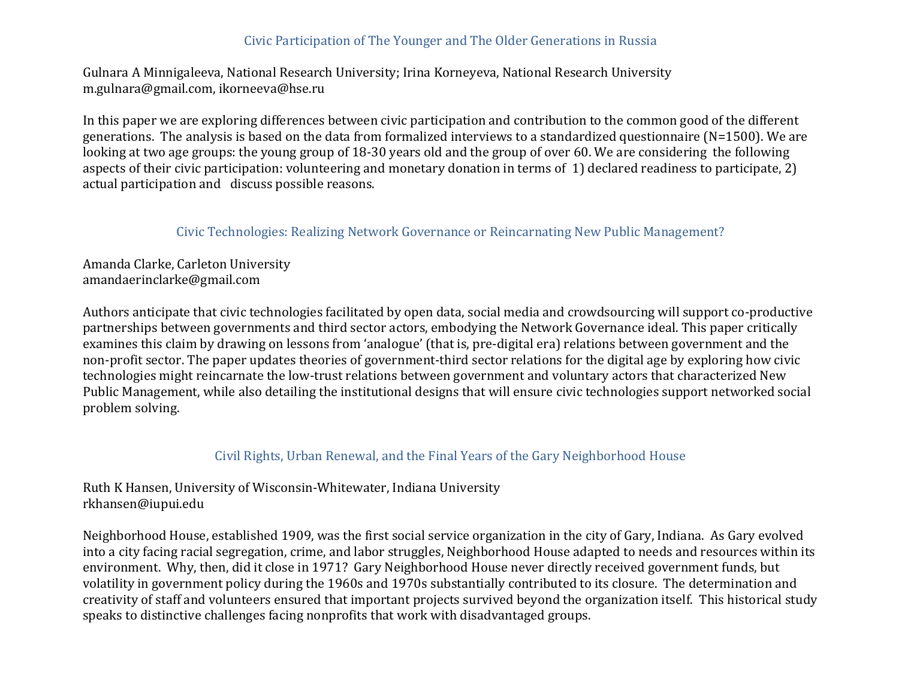### Civic Participation of The Younger and The Older Generations in Russia

Gulnara A Minnigaleeva, National Research University; Irina Korneyeva, National Research University m.gulnara@gmail.com, ikorneeva@hse.ru

In this paper we are exploring differences between civic participation and contribution to the common good of the different generations. The analysis is based on the data from formalized interviews to a standardized questionnaire ( $N=1500$ ). We are looking at two age groups: the young group of 18-30 years old and the group of over 60. We are considering the following aspects of their civic participation: volunteering and monetary donation in terms of  $1$ ) declared readiness to participate, 2) actual participation and discuss possible reasons.

#### Civic Technologies: Realizing Network Governance or Reincarnating New Public Management?

Amanda Clarke, Carleton University amandaerinclarke@gmail.com

Authors anticipate that civic technologies facilitated by open data, social media and crowdsourcing will support co-productive partnerships between governments and third sector actors, embodying the Network Governance ideal. This paper critically examines this claim by drawing on lessons from 'analogue' (that is, pre-digital era) relations between government and the non-profit sector. The paper updates theories of government-third sector relations for the digital age by exploring how civic technologies might reincarnate the low-trust relations between government and voluntary actors that characterized New Public Management, while also detailing the institutional designs that will ensure civic technologies support networked social problem solving.

#### Civil Rights, Urban Renewal, and the Final Years of the Gary Neighborhood House

### Ruth K Hansen, University of Wisconsin-Whitewater, Indiana University rkhansen@iupui.edu

Neighborhood House, established 1909, was the first social service organization in the city of Gary, Indiana. As Gary evolved into a city facing racial segregation, crime, and labor struggles, Neighborhood House adapted to needs and resources within its environment. Why, then, did it close in 1971? Gary Neighborhood House never directly received government funds, but volatility in government policy during the 1960s and 1970s substantially contributed to its closure. The determination and creativity of staff and volunteers ensured that important projects survived beyond the organization itself. This historical study speaks to distinctive challenges facing nonprofits that work with disadvantaged groups.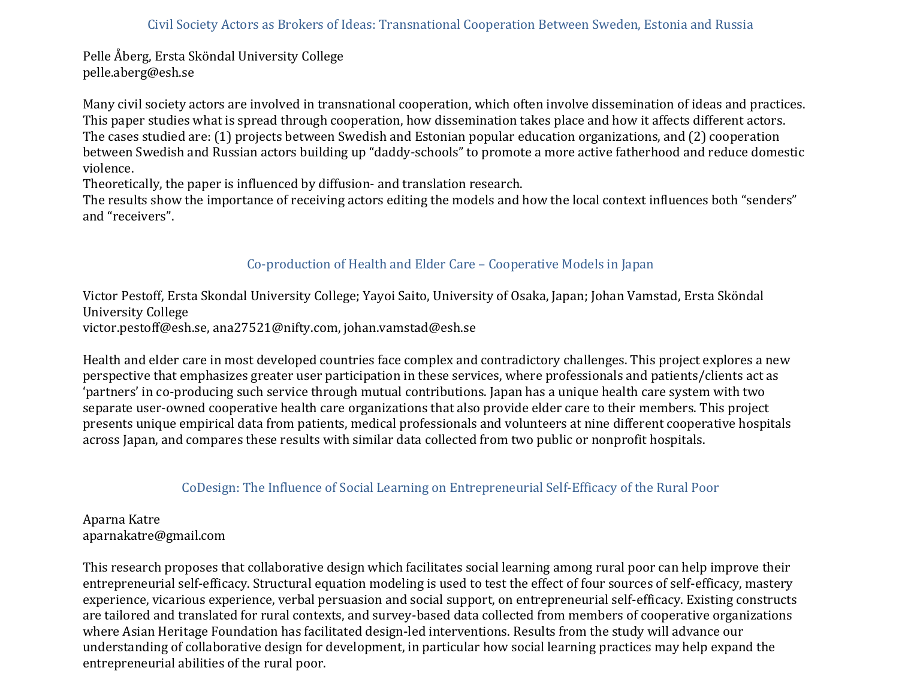Pelle Åberg, Ersta Sköndal University College pelle.aberg@esh.se

Many civil society actors are involved in transnational cooperation, which often involve dissemination of ideas and practices. This paper studies what is spread through cooperation, how dissemination takes place and how it affects different actors. The cases studied are: (1) projects between Swedish and Estonian popular education organizations, and (2) cooperation between Swedish and Russian actors building up "daddy-schools" to promote a more active fatherhood and reduce domestic violence. 

Theoretically, the paper is influenced by diffusion- and translation research.

The results show the importance of receiving actors editing the models and how the local context influences both "senders" and "receivers".

# Co-production of Health and Elder Care – Cooperative Models in Japan

Victor Pestoff, Ersta Skondal University College; Yayoi Saito, University of Osaka, Japan; Johan Vamstad, Ersta Sköndal University College victor.pestoff@esh.se, ana27521@nifty.com, johan.vamstad@esh.se

Health and elder care in most developed countries face complex and contradictory challenges. This project explores a new perspective that emphasizes greater user participation in these services, where professionals and patients/clients act as 'partners' in co-producing such service through mutual contributions. Japan has a unique health care system with two separate user-owned cooperative health care organizations that also provide elder care to their members. This project presents unique empirical data from patients, medical professionals and volunteers at nine different cooperative hospitals across Japan, and compares these results with similar data collected from two public or nonprofit hospitals.

# CoDesign: The Influence of Social Learning on Entrepreneurial Self-Efficacy of the Rural Poor

Aparna Katre aparnakatre@gmail.com

This research proposes that collaborative design which facilitates social learning among rural poor can help improve their entrepreneurial self-efficacy. Structural equation modeling is used to test the effect of four sources of self-efficacy, mastery experience, vicarious experience, verbal persuasion and social support, on entrepreneurial self-efficacy. Existing constructs are tailored and translated for rural contexts, and survey-based data collected from members of cooperative organizations where Asian Heritage Foundation has facilitated design-led interventions. Results from the study will advance our understanding of collaborative design for development, in particular how social learning practices may help expand the entrepreneurial abilities of the rural poor.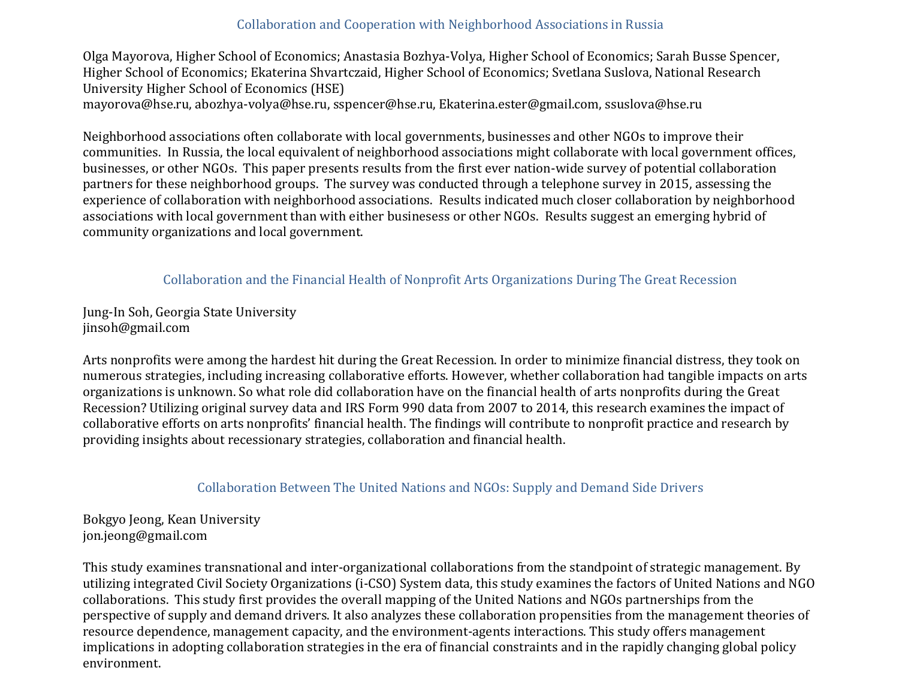### Collaboration and Cooperation with Neighborhood Associations in Russia

Olga Mayorova, Higher School of Economics; Anastasia Bozhya-Volya, Higher School of Economics; Sarah Busse Spencer, Higher School of Economics; Ekaterina Shvartczaid, Higher School of Economics; Svetlana Suslova, National Research University Higher School of Economics (HSE) mayorova@hse.ru, abozhya-volya@hse.ru, sspencer@hse.ru, Ekaterina.ester@gmail.com, ssuslova@hse.ru

Neighborhood associations often collaborate with local governments, businesses and other NGOs to improve their communities. In Russia, the local equivalent of neighborhood associations might collaborate with local government offices, businesses, or other NGOs. This paper presents results from the first ever nation-wide survey of potential collaboration partners for these neighborhood groups. The survey was conducted through a telephone survey in 2015, assessing the experience of collaboration with neighborhood associations. Results indicated much closer collaboration by neighborhood associations with local government than with either businesess or other NGOs. Results suggest an emerging hybrid of community organizations and local government.

### Collaboration and the Financial Health of Nonprofit Arts Organizations During The Great Recession

Jung-In Soh, Georgia State University jinsoh@gmail.com

Arts nonprofits were among the hardest hit during the Great Recession. In order to minimize financial distress, they took on numerous strategies, including increasing collaborative efforts. However, whether collaboration had tangible impacts on arts organizations is unknown. So what role did collaboration have on the financial health of arts nonprofits during the Great Recession? Utilizing original survey data and IRS Form 990 data from 2007 to 2014, this research examines the impact of collaborative efforts on arts nonprofits' financial health. The findings will contribute to nonprofit practice and research by providing insights about recessionary strategies, collaboration and financial health.

#### Collaboration Between The United Nations and NGOs: Supply and Demand Side Drivers

Bokgyo Jeong, Kean University jon.jeong@gmail.com

This study examines transnational and inter-organizational collaborations from the standpoint of strategic management. By utilizing integrated Civil Society Organizations (i-CSO) System data, this study examines the factors of United Nations and NGO collaborations. This study first provides the overall mapping of the United Nations and NGOs partnerships from the perspective of supply and demand drivers. It also analyzes these collaboration propensities from the management theories of resource dependence, management capacity, and the environment-agents interactions. This study offers management implications in adopting collaboration strategies in the era of financial constraints and in the rapidly changing global policy environment.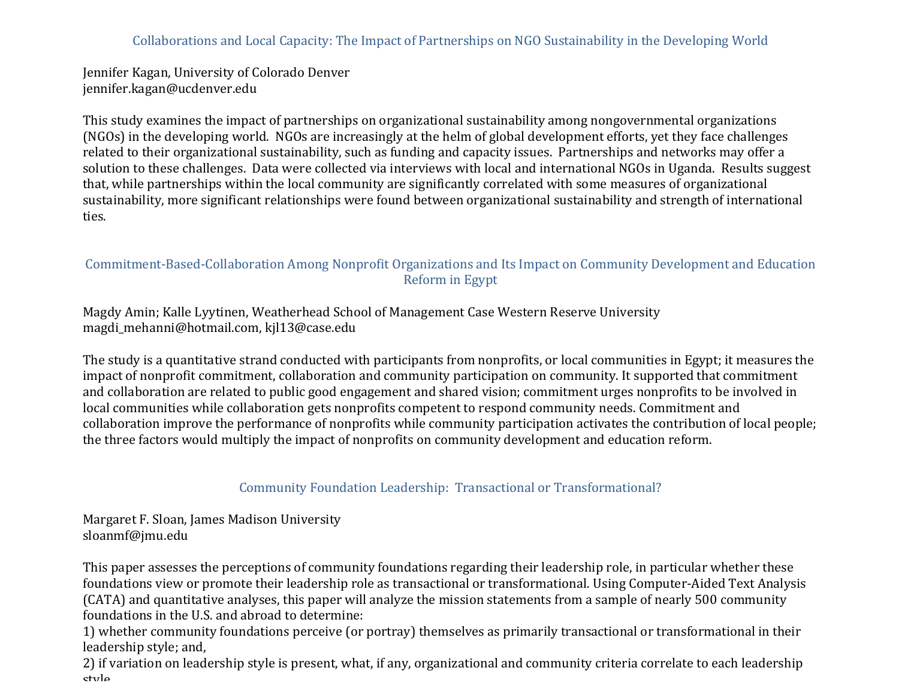# Collaborations and Local Capacity: The Impact of Partnerships on NGO Sustainability in the Developing World

Jennifer Kagan, University of Colorado Denver jennifer.kagan@ucdenver.edu

This study examines the impact of partnerships on organizational sustainability among nongovernmental organizations (NGOs) in the developing world. NGOs are increasingly at the helm of global development efforts, yet they face challenges related to their organizational sustainability, such as funding and capacity issues. Partnerships and networks may offer a solution to these challenges. Data were collected via interviews with local and international NGOs in Uganda. Results suggest that, while partnerships within the local community are significantly correlated with some measures of organizational sustainability, more significant relationships were found between organizational sustainability and strength of international ties.

### Commitment-Based-Collaboration Among Nonprofit Organizations and Its Impact on Community Development and Education Reform in Egypt

Magdy Amin; Kalle Lyytinen, Weatherhead School of Management Case Western Reserve University magdi\_mehanni@hotmail.com, kjl13@case.edu

The study is a quantitative strand conducted with participants from nonprofits, or local communities in Egypt; it measures the impact of nonprofit commitment, collaboration and community participation on community. It supported that commitment and collaboration are related to public good engagement and shared vision; commitment urges nonprofits to be involved in local communities while collaboration gets nonprofits competent to respond community needs. Commitment and collaboration improve the performance of nonprofits while community participation activates the contribution of local people; the three factors would multiply the impact of nonprofits on community development and education reform.

### Community Foundation Leadership: Transactional or Transformational?

Margaret F. Sloan, James Madison University sloanmf@jmu.edu

This paper assesses the perceptions of community foundations regarding their leadership role, in particular whether these foundations view or promote their leadership role as transactional or transformational. Using Computer-Aided Text Analysis (CATA) and quantitative analyses, this paper will analyze the mission statements from a sample of nearly 500 community foundations in the U.S. and abroad to determine:

1) whether community foundations perceive (or portray) themselves as primarily transactional or transformational in their leadership style; and,

2) if variation on leadership style is present, what, if any, organizational and community criteria correlate to each leadership style.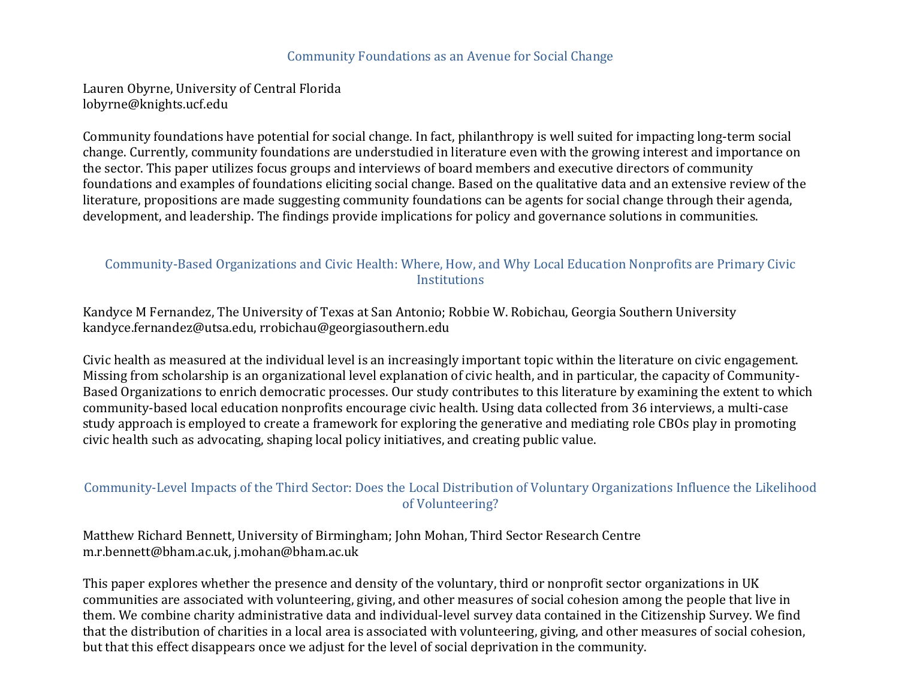#### Community Foundations as an Avenue for Social Change

Lauren Obyrne, University of Central Florida lobyrne@knights.ucf.edu

Community foundations have potential for social change. In fact, philanthropy is well suited for impacting long-term social change. Currently, community foundations are understudied in literature even with the growing interest and importance on the sector. This paper utilizes focus groups and interviews of board members and executive directors of community foundations and examples of foundations eliciting social change. Based on the qualitative data and an extensive review of the literature, propositions are made suggesting community foundations can be agents for social change through their agenda, development, and leadership. The findings provide implications for policy and governance solutions in communities.

### Community-Based Organizations and Civic Health: Where, How, and Why Local Education Nonprofits are Primary Civic **Institutions**

Kandyce M Fernandez, The University of Texas at San Antonio; Robbie W. Robichau, Georgia Southern University kandyce.fernandez@utsa.edu, rrobichau@georgiasouthern.edu

Civic health as measured at the individual level is an increasingly important topic within the literature on civic engagement. Missing from scholarship is an organizational level explanation of civic health, and in particular, the capacity of Community-Based Organizations to enrich democratic processes. Our study contributes to this literature by examining the extent to which community-based local education nonprofits encourage civic health. Using data collected from 36 interviews, a multi-case study approach is employed to create a framework for exploring the generative and mediating role CBOs play in promoting civic health such as advocating, shaping local policy initiatives, and creating public value.

### Community-Level Impacts of the Third Sector: Does the Local Distribution of Voluntary Organizations Influence the Likelihood of Volunteering?

Matthew Richard Bennett, University of Birmingham; John Mohan, Third Sector Research Centre m.r.bennett@bham.ac.uk, j.mohan@bham.ac.uk

This paper explores whether the presence and density of the voluntary, third or nonprofit sector organizations in UK communities are associated with volunteering, giving, and other measures of social cohesion among the people that live in them. We combine charity administrative data and individual-level survey data contained in the Citizenship Survey. We find that the distribution of charities in a local area is associated with volunteering, giving, and other measures of social cohesion, but that this effect disappears once we adjust for the level of social deprivation in the community.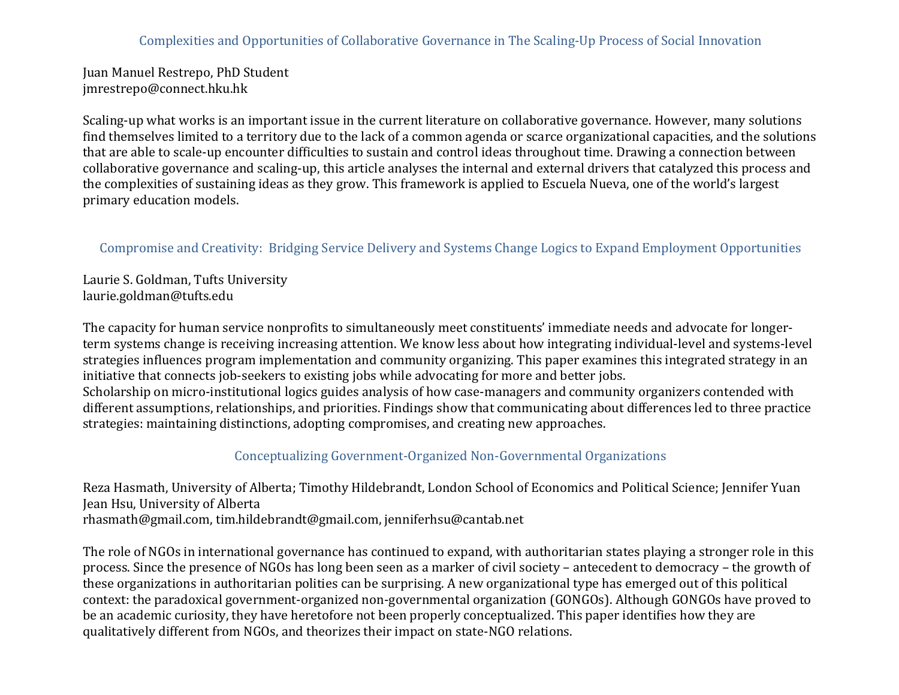### Complexities and Opportunities of Collaborative Governance in The Scaling-Up Process of Social Innovation

Juan Manuel Restrepo, PhD Student jmrestrepo@connect.hku.hk

Scaling-up what works is an important issue in the current literature on collaborative governance. However, many solutions find themselves limited to a territory due to the lack of a common agenda or scarce organizational capacities, and the solutions that are able to scale-up encounter difficulties to sustain and control ideas throughout time. Drawing a connection between collaborative governance and scaling-up, this article analyses the internal and external drivers that catalyzed this process and the complexities of sustaining ideas as they grow. This framework is applied to Escuela Nueva, one of the world's largest primary education models.

### Compromise and Creativity: Bridging Service Delivery and Systems Change Logics to Expand Employment Opportunities

Laurie S. Goldman, Tufts University laurie.goldman@tufts.edu

The capacity for human service nonprofits to simultaneously meet constituents' immediate needs and advocate for longerterm systems change is receiving increasing attention. We know less about how integrating individual-level and systems-level strategies influences program implementation and community organizing. This paper examines this integrated strategy in an initiative that connects job-seekers to existing jobs while advocating for more and better jobs. Scholarship on micro-institutional logics guides analysis of how case-managers and community organizers contended with different assumptions, relationships, and priorities. Findings show that communicating about differences led to three practice

strategies: maintaining distinctions, adopting compromises, and creating new approaches.

#### Conceptualizing Government-Organized Non-Governmental Organizations

Reza Hasmath, University of Alberta; Timothy Hildebrandt, London School of Economics and Political Science; Jennifer Yuan Jean Hsu, University of Alberta rhasmath@gmail.com, tim.hildebrandt@gmail.com, jenniferhsu@cantab.net

The role of NGOs in international governance has continued to expand, with authoritarian states playing a stronger role in this process. Since the presence of NGOs has long been seen as a marker of civil society – antecedent to democracy – the growth of these organizations in authoritarian polities can be surprising. A new organizational type has emerged out of this political context: the paradoxical government-organized non-governmental organization (GONGOs). Although GONGOs have proved to be an academic curiosity, they have heretofore not been properly conceptualized. This paper identifies how they are qualitatively different from NGOs, and theorizes their impact on state-NGO relations.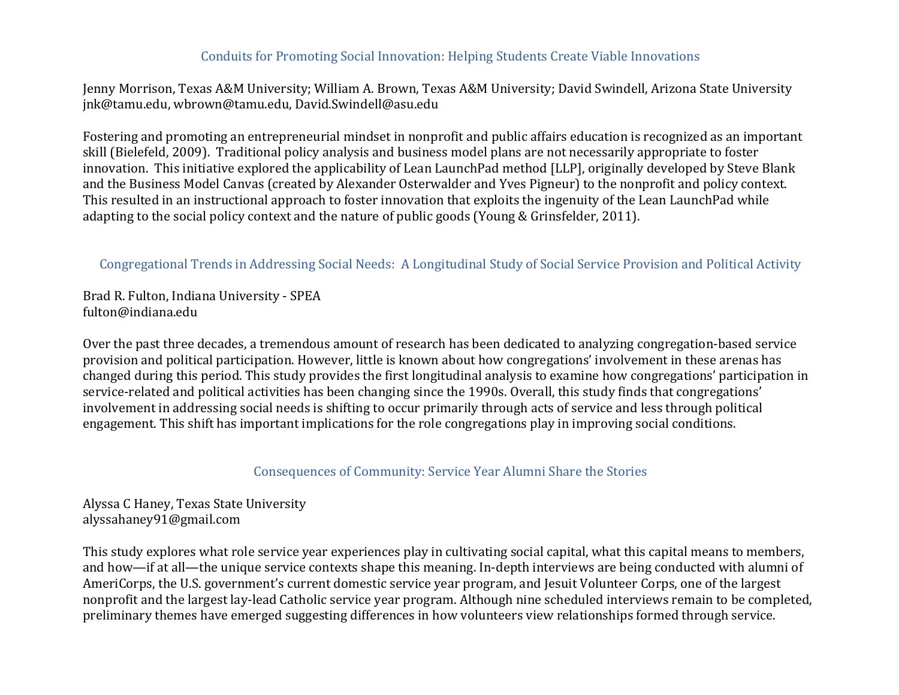#### Conduits for Promoting Social Innovation: Helping Students Create Viable Innovations

Jenny Morrison, Texas A&M University; William A. Brown, Texas A&M University; David Swindell, Arizona State University jnk@tamu.edu, wbrown@tamu.edu, David.Swindell@asu.edu

Fostering and promoting an entrepreneurial mindset in nonprofit and public affairs education is recognized as an important skill (Bielefeld, 2009). Traditional policy analysis and business model plans are not necessarily appropriate to foster innovation. This initiative explored the applicability of Lean LaunchPad method [LLP], originally developed by Steve Blank and the Business Model Canvas (created by Alexander Osterwalder and Yves Pigneur) to the nonprofit and policy context. This resulted in an instructional approach to foster innovation that exploits the ingenuity of the Lean LaunchPad while adapting to the social policy context and the nature of public goods (Young & Grinsfelder, 2011).

#### Congregational Trends in Addressing Social Needs: A Longitudinal Study of Social Service Provision and Political Activity

Brad R. Fulton, Indiana University - SPEA fulton@indiana.edu

Over the past three decades, a tremendous amount of research has been dedicated to analyzing congregation-based service provision and political participation. However, little is known about how congregations' involvement in these arenas has changed during this period. This study provides the first longitudinal analysis to examine how congregations' participation in service-related and political activities has been changing since the 1990s. Overall, this study finds that congregations' involvement in addressing social needs is shifting to occur primarily through acts of service and less through political engagement. This shift has important implications for the role congregations play in improving social conditions.

Consequences of Community: Service Year Alumni Share the Stories

Alyssa C Haney, Texas State University alyssahaney91@gmail.com

This study explores what role service year experiences play in cultivating social capital, what this capital means to members, and how—if at all—the unique service contexts shape this meaning. In-depth interviews are being conducted with alumni of AmeriCorps, the U.S. government's current domestic service year program, and Jesuit Volunteer Corps, one of the largest nonprofit and the largest lay-lead Catholic service year program. Although nine scheduled interviews remain to be completed, preliminary themes have emerged suggesting differences in how volunteers view relationships formed through service.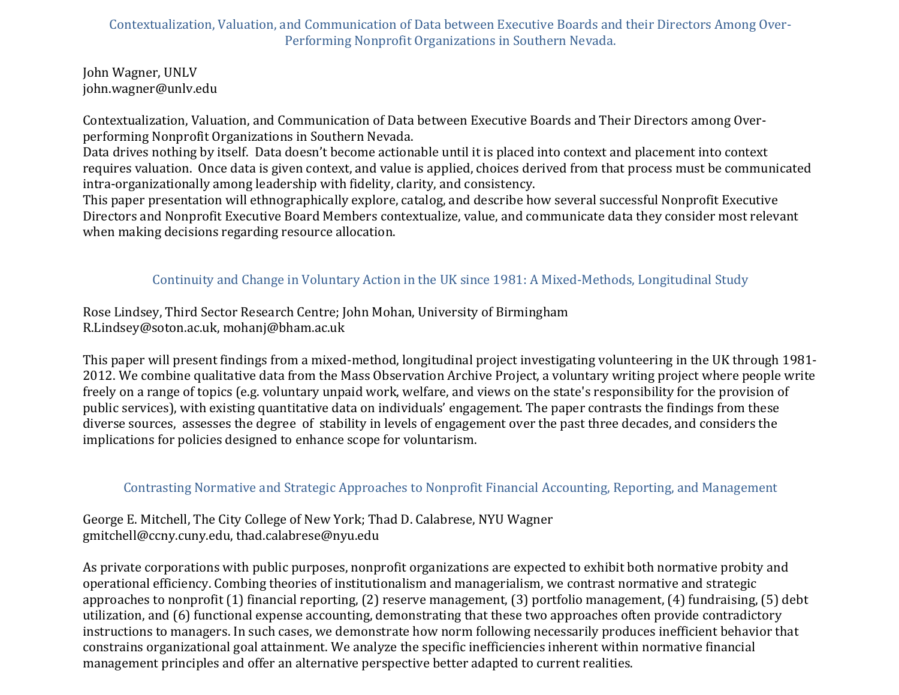Contextualization, Valuation, and Communication of Data between Executive Boards and their Directors Among Over-Performing Nonprofit Organizations in Southern Nevada.

John Wagner, UNLV john.wagner@unlv.edu

Contextualization, Valuation, and Communication of Data between Executive Boards and Their Directors among Overperforming Nonprofit Organizations in Southern Nevada.

Data drives nothing by itself. Data doesn't become actionable until it is placed into context and placement into context requires valuation. Once data is given context, and value is applied, choices derived from that process must be communicated intra-organizationally among leadership with fidelity, clarity, and consistency.

This paper presentation will ethnographically explore, catalog, and describe how several successful Nonprofit Executive Directors and Nonprofit Executive Board Members contextualize, value, and communicate data they consider most relevant when making decisions regarding resource allocation.

# Continuity and Change in Voluntary Action in the UK since 1981: A Mixed-Methods, Longitudinal Study

Rose Lindsey, Third Sector Research Centre; John Mohan, University of Birmingham R.Lindsey@soton.ac.uk, mohanj@bham.ac.uk

This paper will present findings from a mixed-method, longitudinal project investigating volunteering in the UK through 1981-2012. We combine qualitative data from the Mass Observation Archive Project, a voluntary writing project where people write freely on a range of topics (e.g. voluntary unpaid work, welfare, and views on the state's responsibility for the provision of public services), with existing quantitative data on individuals' engagement. The paper contrasts the findings from these diverse sources, assesses the degree of stability in levels of engagement over the past three decades, and considers the implications for policies designed to enhance scope for voluntarism.

### Contrasting Normative and Strategic Approaches to Nonprofit Financial Accounting, Reporting, and Management

George E. Mitchell, The City College of New York; Thad D. Calabrese, NYU Wagner gmitchell@ccny.cuny.edu, thad.calabrese@nyu.edu

As private corporations with public purposes, nonprofit organizations are expected to exhibit both normative probity and operational efficiency. Combing theories of institutionalism and managerialism, we contrast normative and strategic approaches to nonprofit  $(1)$  financial reporting,  $(2)$  reserve management,  $(3)$  portfolio management,  $(4)$  fundraising,  $(5)$  debt utilization, and (6) functional expense accounting, demonstrating that these two approaches often provide contradictory instructions to managers. In such cases, we demonstrate how norm following necessarily produces inefficient behavior that constrains organizational goal attainment. We analyze the specific inefficiencies inherent within normative financial management principles and offer an alternative perspective better adapted to current realities.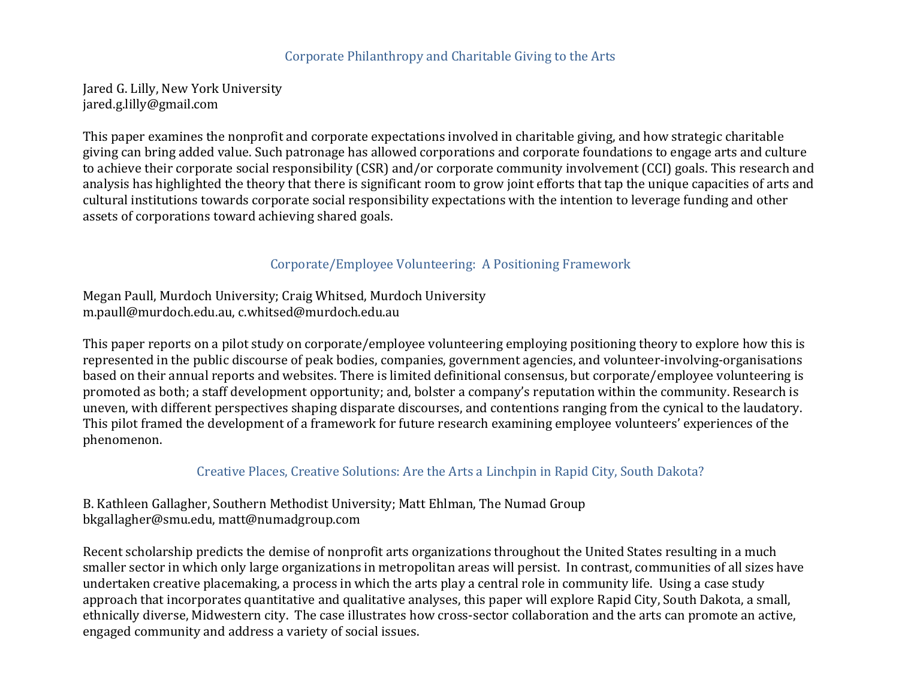#### Corporate Philanthropy and Charitable Giving to the Arts

Jared G. Lilly, New York University jared.g.lilly@gmail.com

This paper examines the nonprofit and corporate expectations involved in charitable giving, and how strategic charitable giving can bring added value. Such patronage has allowed corporations and corporate foundations to engage arts and culture to achieve their corporate social responsibility (CSR) and/or corporate community involvement (CCI) goals. This research and analysis has highlighted the theory that there is significant room to grow joint efforts that tap the unique capacities of arts and cultural institutions towards corporate social responsibility expectations with the intention to leverage funding and other assets of corporations toward achieving shared goals.

### Corporate/Employee Volunteering: A Positioning Framework

Megan Paull, Murdoch University; Craig Whitsed, Murdoch University m.paull@murdoch.edu.au, c.whitsed@murdoch.edu.au

This paper reports on a pilot study on corporate/employee volunteering employing positioning theory to explore how this is represented in the public discourse of peak bodies, companies, government agencies, and volunteer-involving-organisations based on their annual reports and websites. There is limited definitional consensus, but corporate/employee volunteering is promoted as both; a staff development opportunity; and, bolster a company's reputation within the community. Research is uneven, with different perspectives shaping disparate discourses, and contentions ranging from the cynical to the laudatory. This pilot framed the development of a framework for future research examining employee volunteers' experiences of the phenomenon.

Creative Places, Creative Solutions: Are the Arts a Linchpin in Rapid City, South Dakota?

B. Kathleen Gallagher, Southern Methodist University; Matt Ehlman, The Numad Group bkgallagher@smu.edu, matt@numadgroup.com

Recent scholarship predicts the demise of nonprofit arts organizations throughout the United States resulting in a much smaller sector in which only large organizations in metropolitan areas will persist. In contrast, communities of all sizes have undertaken creative placemaking, a process in which the arts play a central role in community life. Using a case study approach that incorporates quantitative and qualitative analyses, this paper will explore Rapid City, South Dakota, a small, ethnically diverse, Midwestern city. The case illustrates how cross-sector collaboration and the arts can promote an active, engaged community and address a variety of social issues.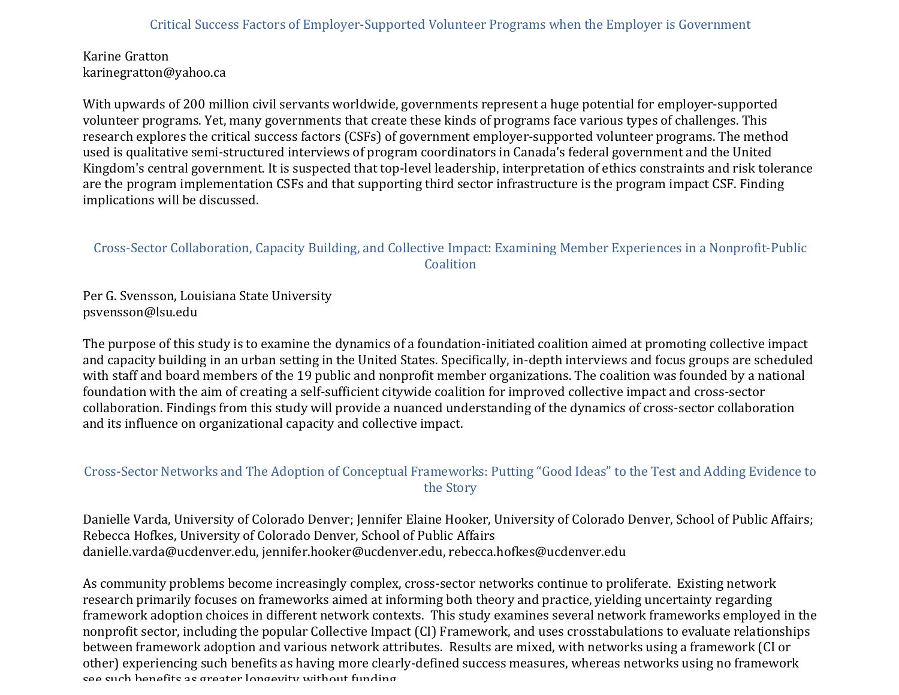Karine Gratton karinegratton@yahoo.ca

With upwards of 200 million civil servants worldwide, governments represent a huge potential for employer-supported volunteer programs. Yet, many governments that create these kinds of programs face various types of challenges. This research explores the critical success factors (CSFs) of government employer-supported volunteer programs. The method used is qualitative semi-structured interviews of program coordinators in Canada's federal government and the United Kingdom's central government. It is suspected that top-level leadership, interpretation of ethics constraints and risk tolerance are the program implementation CSFs and that supporting third sector infrastructure is the program impact CSF. Finding implications will be discussed.

# Cross-Sector Collaboration, Capacity Building, and Collective Impact: Examining Member Experiences in a Nonprofit-Public **Coalition**

Per G. Svensson, Louisiana State University psvensson@lsu.edu

The purpose of this study is to examine the dynamics of a foundation-initiated coalition aimed at promoting collective impact and capacity building in an urban setting in the United States. Specifically, in-depth interviews and focus groups are scheduled with staff and board members of the 19 public and nonprofit member organizations. The coalition was founded by a national foundation with the aim of creating a self-sufficient citywide coalition for improved collective impact and cross-sector collaboration. Findings from this study will provide a nuanced understanding of the dynamics of cross-sector collaboration and its influence on organizational capacity and collective impact.

# Cross-Sector Networks and The Adoption of Conceptual Frameworks: Putting "Good Ideas" to the Test and Adding Evidence to the Story

Danielle Varda, University of Colorado Denver; Jennifer Elaine Hooker, University of Colorado Denver, School of Public Affairs; Rebecca Hofkes, University of Colorado Denver, School of Public Affairs danielle.varda@ucdenver.edu, jennifer.hooker@ucdenver.edu, rebecca.hofkes@ucdenver.edu

As community problems become increasingly complex, cross-sector networks continue to proliferate. Existing network research primarily focuses on frameworks aimed at informing both theory and practice, yielding uncertainty regarding framework adoption choices in different network contexts. This study examines several network frameworks employed in the nonprofit sector, including the popular Collective Impact (CI) Framework, and uses crosstabulations to evaluate relationships between framework adoption and various network attributes. Results are mixed, with networks using a framework (CI or other) experiencing such benefits as having more clearly-defined success measures, whereas networks using no framework see such henefits as greater Iongevity without funding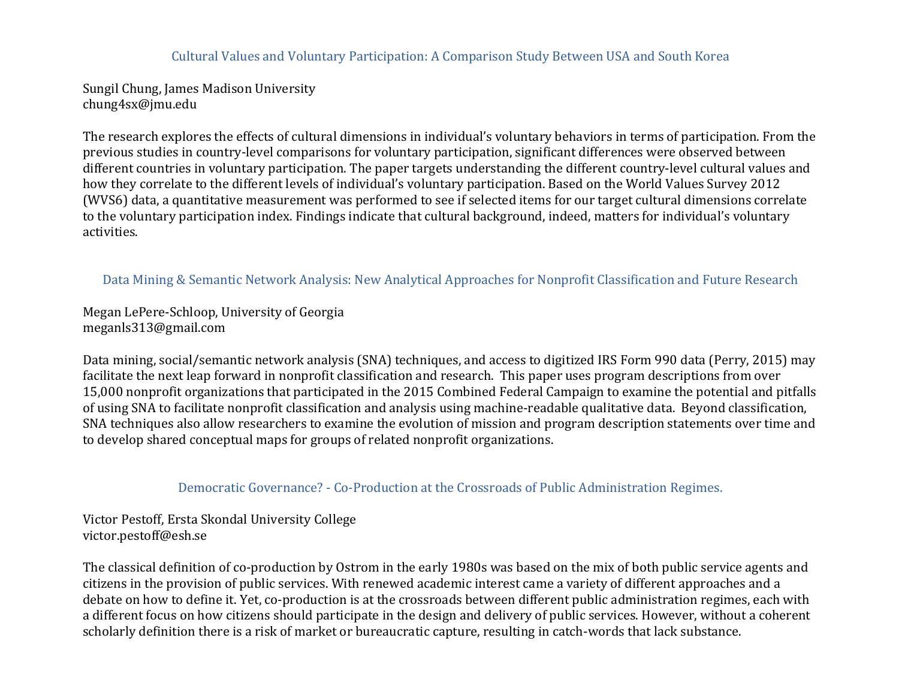#### Cultural Values and Voluntary Participation: A Comparison Study Between USA and South Korea

Sungil Chung, James Madison University chung4sx@jmu.edu

The research explores the effects of cultural dimensions in individual's voluntary behaviors in terms of participation. From the previous studies in country-level comparisons for voluntary participation, significant differences were observed between different countries in voluntary participation. The paper targets understanding the different country-level cultural values and how they correlate to the different levels of individual's voluntary participation. Based on the World Values Survey 2012 (WVS6) data, a quantitative measurement was performed to see if selected items for our target cultural dimensions correlate to the voluntary participation index. Findings indicate that cultural background, indeed, matters for individual's voluntary activities.

#### Data Mining & Semantic Network Analysis: New Analytical Approaches for Nonprofit Classification and Future Research

Megan LePere-Schloop, University of Georgia meganls313@gmail.com

Data mining, social/semantic network analysis (SNA) techniques, and access to digitized IRS Form 990 data (Perry, 2015) may facilitate the next leap forward in nonprofit classification and research. This paper uses program descriptions from over 15,000 nonprofit organizations that participated in the 2015 Combined Federal Campaign to examine the potential and pitfalls of using SNA to facilitate nonprofit classification and analysis using machine-readable qualitative data. Beyond classification, SNA techniques also allow researchers to examine the evolution of mission and program description statements over time and to develop shared conceptual maps for groups of related nonprofit organizations.

#### Democratic Governance? - Co-Production at the Crossroads of Public Administration Regimes.

Victor Pestoff, Ersta Skondal University College victor.pestoff@esh.se

The classical definition of co-production by Ostrom in the early 1980s was based on the mix of both public service agents and citizens in the provision of public services. With renewed academic interest came a variety of different approaches and a debate on how to define it. Yet, co-production is at the crossroads between different public administration regimes, each with a different focus on how citizens should participate in the design and delivery of public services. However, without a coherent scholarly definition there is a risk of market or bureaucratic capture, resulting in catch-words that lack substance.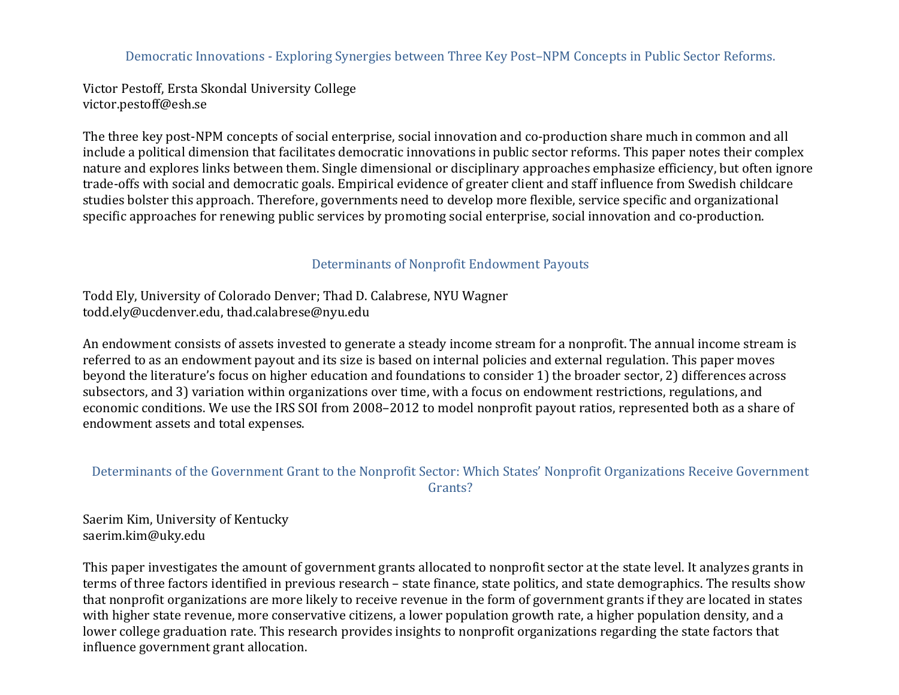Democratic Innovations - Exploring Synergies between Three Key Post–NPM Concepts in Public Sector Reforms.

Victor Pestoff, Ersta Skondal University College victor.pestoff@esh.se

The three key post-NPM concepts of social enterprise, social innovation and co-production share much in common and all include a political dimension that facilitates democratic innovations in public sector reforms. This paper notes their complex nature and explores links between them. Single dimensional or disciplinary approaches emphasize efficiency, but often ignore trade-offs with social and democratic goals. Empirical evidence of greater client and staff influence from Swedish childcare studies bolster this approach. Therefore, governments need to develop more flexible, service specific and organizational specific approaches for renewing public services by promoting social enterprise, social innovation and co-production.

# Determinants of Nonprofit Endowment Payouts

Todd Ely, University of Colorado Denver; Thad D. Calabrese, NYU Wagner todd.ely@ucdenver.edu, thad.calabrese@nyu.edu

An endowment consists of assets invested to generate a steady income stream for a nonprofit. The annual income stream is referred to as an endowment payout and its size is based on internal policies and external regulation. This paper moves beyond the literature's focus on higher education and foundations to consider 1) the broader sector, 2) differences across subsectors, and 3) variation within organizations over time, with a focus on endowment restrictions, regulations, and economic conditions. We use the IRS SOI from 2008–2012 to model nonprofit payout ratios, represented both as a share of endowment assets and total expenses.

# Determinants of the Government Grant to the Nonprofit Sector: Which States' Nonprofit Organizations Receive Government Grants?

Saerim Kim, University of Kentucky saerim.kim@uky.edu

This paper investigates the amount of government grants allocated to nonprofit sector at the state level. It analyzes grants in terms of three factors identified in previous research – state finance, state politics, and state demographics. The results show that nonprofit organizations are more likely to receive revenue in the form of government grants if they are located in states with higher state revenue, more conservative citizens, a lower population growth rate, a higher population density, and a lower college graduation rate. This research provides insights to nonprofit organizations regarding the state factors that influence government grant allocation.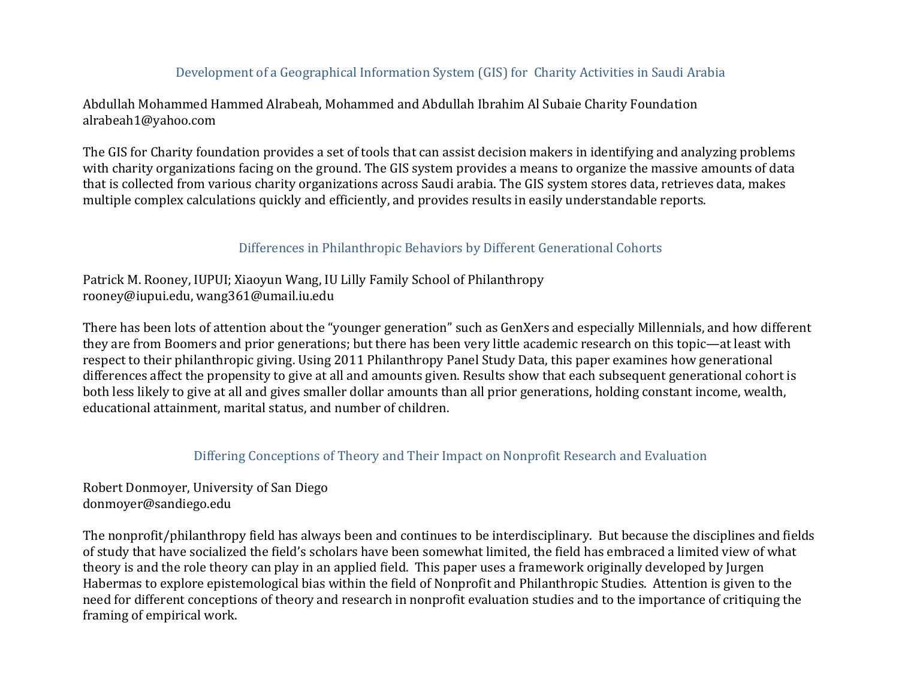## Development of a Geographical Information System (GIS) for Charity Activities in Saudi Arabia

Abdullah Mohammed Hammed Alrabeah, Mohammed and Abdullah Ibrahim Al Subaie Charity Foundation alrabeah1@yahoo.com

The GIS for Charity foundation provides a set of tools that can assist decision makers in identifying and analyzing problems with charity organizations facing on the ground. The GIS system provides a means to organize the massive amounts of data that is collected from various charity organizations across Saudi arabia. The GIS system stores data, retrieves data, makes multiple complex calculations quickly and efficiently, and provides results in easily understandable reports.

### Differences in Philanthropic Behaviors by Different Generational Cohorts

Patrick M. Rooney, IUPUI; Xiaoyun Wang, IU Lilly Family School of Philanthropy rooney@iupui.edu, wang361@umail.iu.edu

There has been lots of attention about the "younger generation" such as GenXers and especially Millennials, and how different they are from Boomers and prior generations; but there has been very little academic research on this topic—at least with respect to their philanthropic giving. Using 2011 Philanthropy Panel Study Data, this paper examines how generational differences affect the propensity to give at all and amounts given. Results show that each subsequent generational cohort is both less likely to give at all and gives smaller dollar amounts than all prior generations, holding constant income, wealth, educational attainment, marital status, and number of children.

#### Differing Conceptions of Theory and Their Impact on Nonprofit Research and Evaluation

Robert Donmoyer, University of San Diego donmoyer@sandiego.edu

The nonprofit/philanthropy field has always been and continues to be interdisciplinary. But because the disciplines and fields of study that have socialized the field's scholars have been somewhat limited, the field has embraced a limited view of what theory is and the role theory can play in an applied field. This paper uses a framework originally developed by Jurgen Habermas to explore epistemological bias within the field of Nonprofit and Philanthropic Studies. Attention is given to the need for different conceptions of theory and research in nonprofit evaluation studies and to the importance of critiquing the framing of empirical work.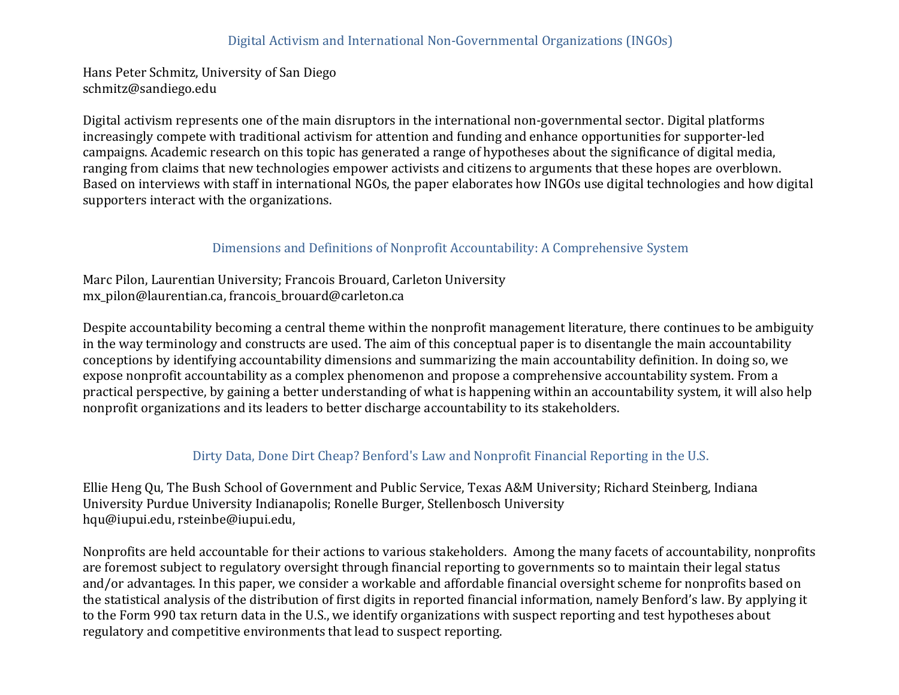### Digital Activism and International Non-Governmental Organizations (INGOs)

Hans Peter Schmitz, University of San Diego schmitz@sandiego.edu

Digital activism represents one of the main disruptors in the international non-governmental sector. Digital platforms increasingly compete with traditional activism for attention and funding and enhance opportunities for supporter-led campaigns. Academic research on this topic has generated a range of hypotheses about the significance of digital media, ranging from claims that new technologies empower activists and citizens to arguments that these hopes are overblown. Based on interviews with staff in international NGOs, the paper elaborates how INGOs use digital technologies and how digital supporters interact with the organizations.

### Dimensions and Definitions of Nonprofit Accountability: A Comprehensive System

Marc Pilon, Laurentian University; Francois Brouard, Carleton University mx\_pilon@laurentian.ca, francois\_brouard@carleton.ca

Despite accountability becoming a central theme within the nonprofit management literature, there continues to be ambiguity in the way terminology and constructs are used. The aim of this conceptual paper is to disentangle the main accountability conceptions by identifying accountability dimensions and summarizing the main accountability definition. In doing so, we expose nonprofit accountability as a complex phenomenon and propose a comprehensive accountability system. From a practical perspective, by gaining a better understanding of what is happening within an accountability system, it will also help nonprofit organizations and its leaders to better discharge accountability to its stakeholders.

#### Dirty Data, Done Dirt Cheap? Benford's Law and Nonprofit Financial Reporting in the U.S.

Ellie Heng Qu, The Bush School of Government and Public Service, Texas A&M University; Richard Steinberg, Indiana University Purdue University Indianapolis; Ronelle Burger, Stellenbosch University hqu@iupui.edu, rsteinbe@iupui.edu,

Nonprofits are held accountable for their actions to various stakeholders. Among the many facets of accountability, nonprofits are foremost subject to regulatory oversight through financial reporting to governments so to maintain their legal status and/or advantages. In this paper, we consider a workable and affordable financial oversight scheme for nonprofits based on the statistical analysis of the distribution of first digits in reported financial information, namely Benford's law. By applying it to the Form 990 tax return data in the U.S., we identify organizations with suspect reporting and test hypotheses about regulatory and competitive environments that lead to suspect reporting.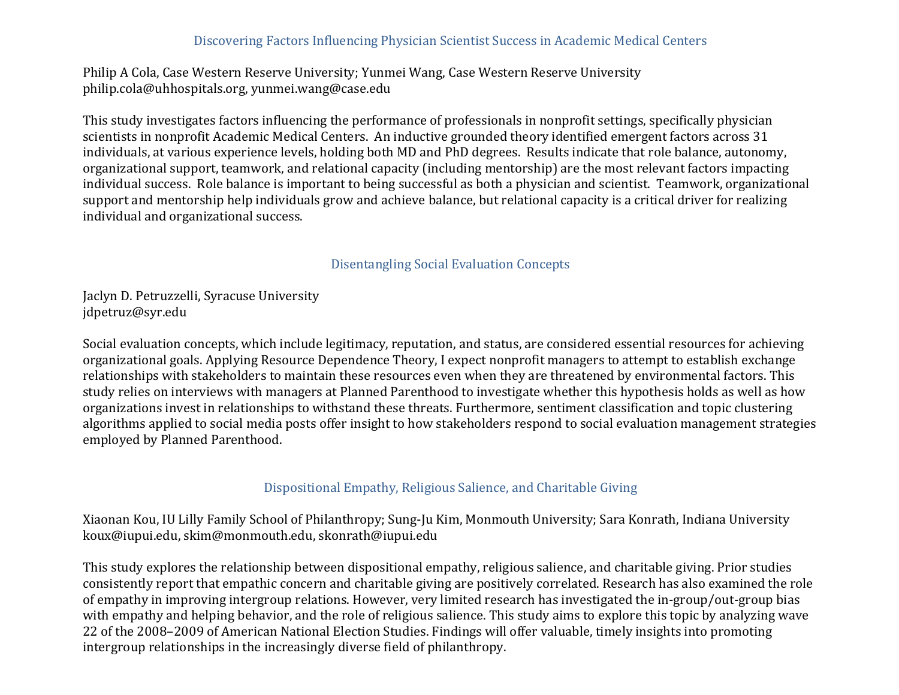### Discovering Factors Influencing Physician Scientist Success in Academic Medical Centers

Philip A Cola, Case Western Reserve University; Yunmei Wang, Case Western Reserve University philip.cola@uhhospitals.org, yunmei.wang@case.edu

This study investigates factors influencing the performance of professionals in nonprofit settings, specifically physician scientists in nonprofit Academic Medical Centers. An inductive grounded theory identified emergent factors across 31 individuals, at various experience levels, holding both MD and PhD degrees. Results indicate that role balance, autonomy, organizational support, teamwork, and relational capacity (including mentorship) are the most relevant factors impacting individual success. Role balance is important to being successful as both a physician and scientist. Teamwork, organizational support and mentorship help individuals grow and achieve balance, but relational capacity is a critical driver for realizing individual and organizational success.

#### Disentangling Social Evaluation Concepts

Jaclyn D. Petruzzelli, Syracuse University jdpetruz@syr.edu

Social evaluation concepts, which include legitimacy, reputation, and status, are considered essential resources for achieving organizational goals. Applying Resource Dependence Theory, I expect nonprofit managers to attempt to establish exchange relationships with stakeholders to maintain these resources even when they are threatened by environmental factors. This study relies on interviews with managers at Planned Parenthood to investigate whether this hypothesis holds as well as how organizations invest in relationships to withstand these threats. Furthermore, sentiment classification and topic clustering algorithms applied to social media posts offer insight to how stakeholders respond to social evaluation management strategies employed by Planned Parenthood.

### Dispositional Empathy, Religious Salience, and Charitable Giving

Xiaonan Kou, IU Lilly Family School of Philanthropy; Sung-Ju Kim, Monmouth University; Sara Konrath, Indiana University koux@iupui.edu, skim@monmouth.edu, skonrath@iupui.edu

This study explores the relationship between dispositional empathy, religious salience, and charitable giving. Prior studies consistently report that empathic concern and charitable giving are positively correlated. Research has also examined the role of empathy in improving intergroup relations. However, very limited research has investigated the in-group/out-group bias with empathy and helping behavior, and the role of religious salience. This study aims to explore this topic by analyzing wave 22 of the 2008–2009 of American National Election Studies. Findings will offer valuable, timely insights into promoting intergroup relationships in the increasingly diverse field of philanthropy.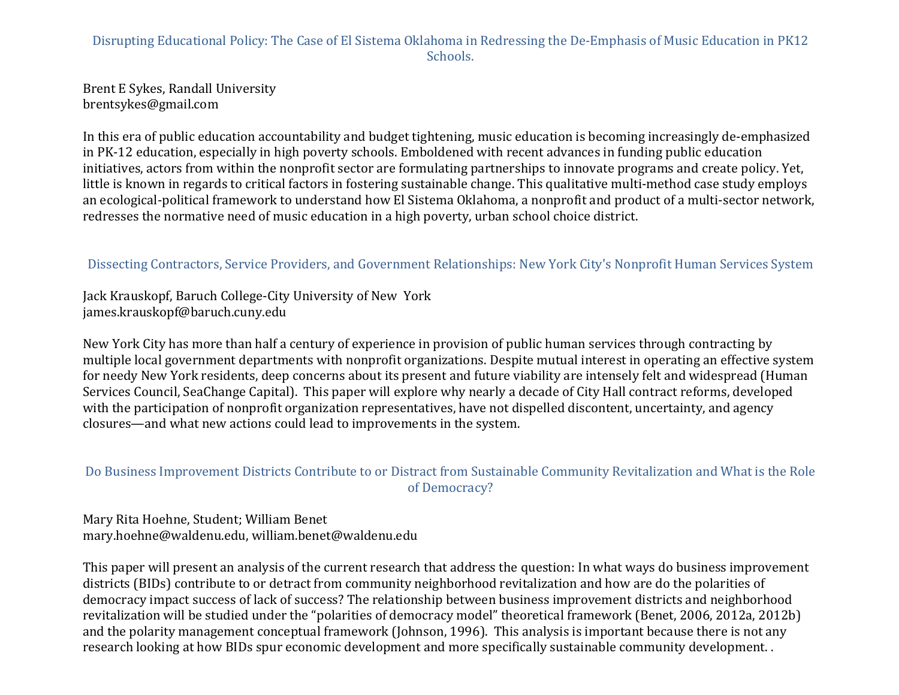# Disrupting Educational Policy: The Case of El Sistema Oklahoma in Redressing the De-Emphasis of Music Education in PK12 Schools.

Brent E Sykes, Randall University brentsykes@gmail.com

In this era of public education accountability and budget tightening, music education is becoming increasingly de-emphasized in PK-12 education, especially in high poverty schools. Emboldened with recent advances in funding public education initiatives, actors from within the nonprofit sector are formulating partnerships to innovate programs and create policy. Yet, little is known in regards to critical factors in fostering sustainable change. This qualitative multi-method case study employs an ecological-political framework to understand how El Sistema Oklahoma, a nonprofit and product of a multi-sector network, redresses the normative need of music education in a high poverty, urban school choice district.

# Dissecting Contractors, Service Providers, and Government Relationships: New York City's Nonprofit Human Services System

Jack Krauskopf, Baruch College-City University of New York james.krauskopf@baruch.cuny.edu

New York City has more than half a century of experience in provision of public human services through contracting by multiple local government departments with nonprofit organizations. Despite mutual interest in operating an effective system for needy New York residents, deep concerns about its present and future viability are intensely felt and widespread (Human Services Council, SeaChange Capital). This paper will explore why nearly a decade of City Hall contract reforms, developed with the participation of nonprofit organization representatives, have not dispelled discontent, uncertainty, and agency closures—and what new actions could lead to improvements in the system.

# Do Business Improvement Districts Contribute to or Distract from Sustainable Community Revitalization and What is the Role of Democracy?

Mary Rita Hoehne, Student; William Benet mary.hoehne@waldenu.edu, william.benet@waldenu.edu

This paper will present an analysis of the current research that address the question: In what ways do business improvement districts (BIDs) contribute to or detract from community neighborhood revitalization and how are do the polarities of democracy impact success of lack of success? The relationship between business improvement districts and neighborhood revitalization will be studied under the "polarities of democracy model" theoretical framework (Benet, 2006, 2012a, 2012b) and the polarity management conceptual framework (Johnson, 1996). This analysis is important because there is not any research looking at how BIDs spur economic development and more specifically sustainable community development.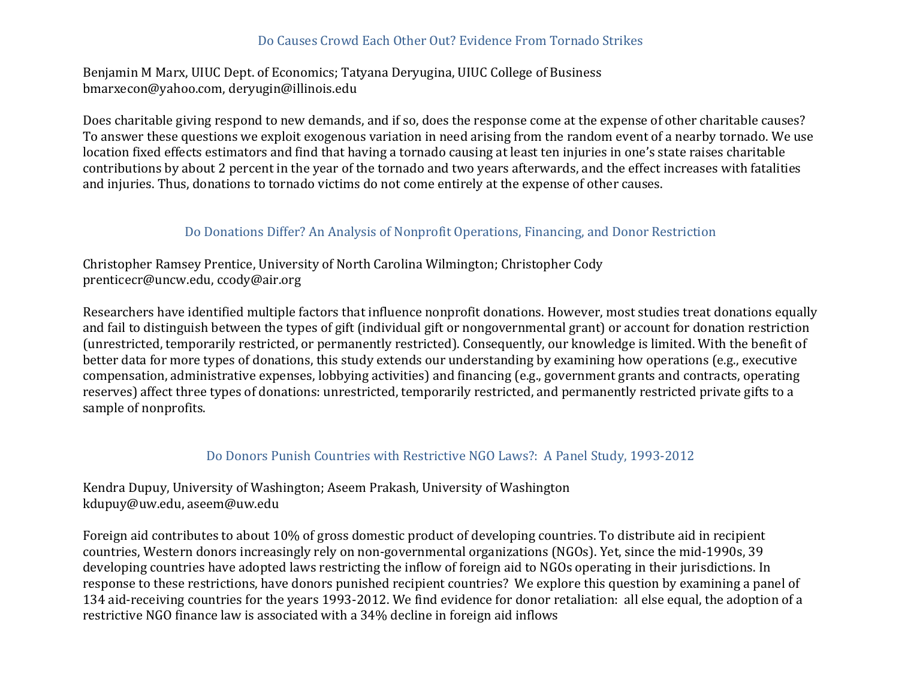# Do Causes Crowd Each Other Out? Evidence From Tornado Strikes

Benjamin M Marx, UIUC Dept. of Economics; Tatyana Deryugina, UIUC College of Business bmarxecon@yahoo.com, deryugin@illinois.edu

Does charitable giving respond to new demands, and if so, does the response come at the expense of other charitable causes? To answer these questions we exploit exogenous variation in need arising from the random event of a nearby tornado. We use location fixed effects estimators and find that having a tornado causing at least ten injuries in one's state raises charitable contributions by about 2 percent in the year of the tornado and two years afterwards, and the effect increases with fatalities and injuries. Thus, donations to tornado victims do not come entirely at the expense of other causes.

### Do Donations Differ? An Analysis of Nonprofit Operations, Financing, and Donor Restriction

Christopher Ramsey Prentice, University of North Carolina Wilmington; Christopher Cody prenticecr@uncw.edu, ccody@air.org

Researchers have identified multiple factors that influence nonprofit donations. However, most studies treat donations equally and fail to distinguish between the types of gift (individual gift or nongovernmental grant) or account for donation restriction (unrestricted, temporarily restricted, or permanently restricted). Consequently, our knowledge is limited. With the benefit of better data for more types of donations, this study extends our understanding by examining how operations (e.g., executive compensation, administrative expenses, lobbying activities) and financing (e.g., government grants and contracts, operating reserves) affect three types of donations: unrestricted, temporarily restricted, and permanently restricted private gifts to a sample of nonprofits.

#### Do Donors Punish Countries with Restrictive NGO Laws?: A Panel Study, 1993-2012

Kendra Dupuy, University of Washington; Aseem Prakash, University of Washington kdupuy@uw.edu, aseem@uw.edu

Foreign aid contributes to about 10% of gross domestic product of developing countries. To distribute aid in recipient countries, Western donors increasingly rely on non-governmental organizations (NGOs). Yet, since the mid-1990s, 39 developing countries have adopted laws restricting the inflow of foreign aid to NGOs operating in their jurisdictions. In response to these restrictions, have donors punished recipient countries? We explore this question by examining a panel of 134 aid-receiving countries for the years 1993-2012. We find evidence for donor retaliation: all else equal, the adoption of a restrictive NGO finance law is associated with a 34% decline in foreign aid inflows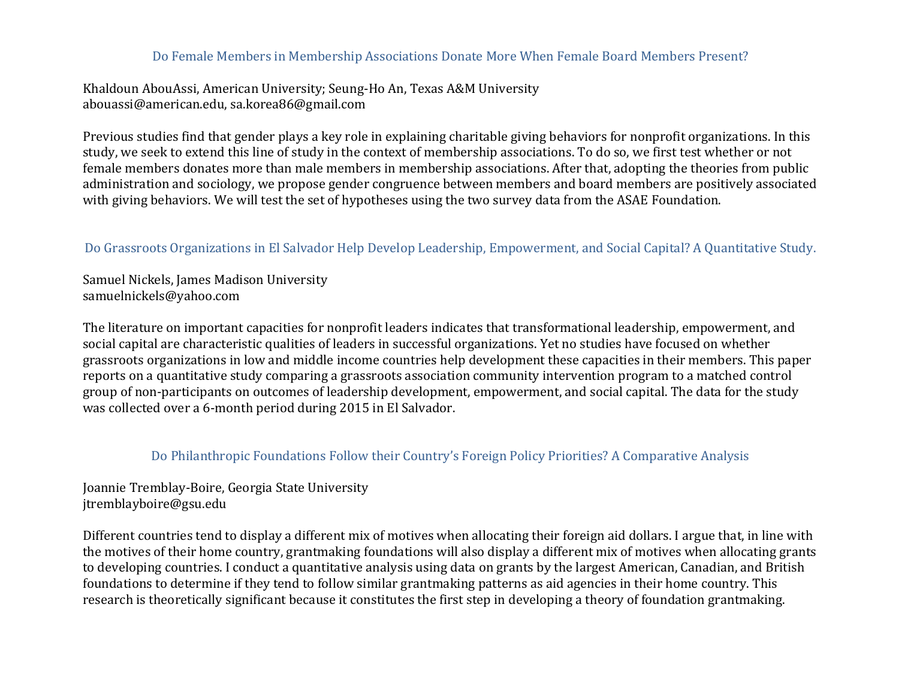### Do Female Members in Membership Associations Donate More When Female Board Members Present?

Khaldoun AbouAssi, American University; Seung-Ho An, Texas A&M University abouassi@american.edu, sa.korea86@gmail.com

Previous studies find that gender plays a key role in explaining charitable giving behaviors for nonprofit organizations. In this study, we seek to extend this line of study in the context of membership associations. To do so, we first test whether or not female members donates more than male members in membership associations. After that, adopting the theories from public administration and sociology, we propose gender congruence between members and board members are positively associated with giving behaviors. We will test the set of hypotheses using the two survey data from the ASAE Foundation.

# Do Grassroots Organizations in El Salvador Help Develop Leadership, Empowerment, and Social Capital? A Quantitative Study.

Samuel Nickels, James Madison University samuelnickels@yahoo.com

The literature on important capacities for nonprofit leaders indicates that transformational leadership, empowerment, and social capital are characteristic qualities of leaders in successful organizations. Yet no studies have focused on whether grassroots organizations in low and middle income countries help development these capacities in their members. This paper reports on a quantitative study comparing a grassroots association community intervention program to a matched control group of non-participants on outcomes of leadership development, empowerment, and social capital. The data for the study was collected over a 6-month period during 2015 in El Salvador.

### Do Philanthropic Foundations Follow their Country's Foreign Policy Priorities? A Comparative Analysis

Joannie Tremblay-Boire, Georgia State University jtremblayboire@gsu.edu

Different countries tend to display a different mix of motives when allocating their foreign aid dollars. I argue that, in line with the motives of their home country, grantmaking foundations will also display a different mix of motives when allocating grants to developing countries. I conduct a quantitative analysis using data on grants by the largest American, Canadian, and British foundations to determine if they tend to follow similar grantmaking patterns as aid agencies in their home country. This research is theoretically significant because it constitutes the first step in developing a theory of foundation grantmaking.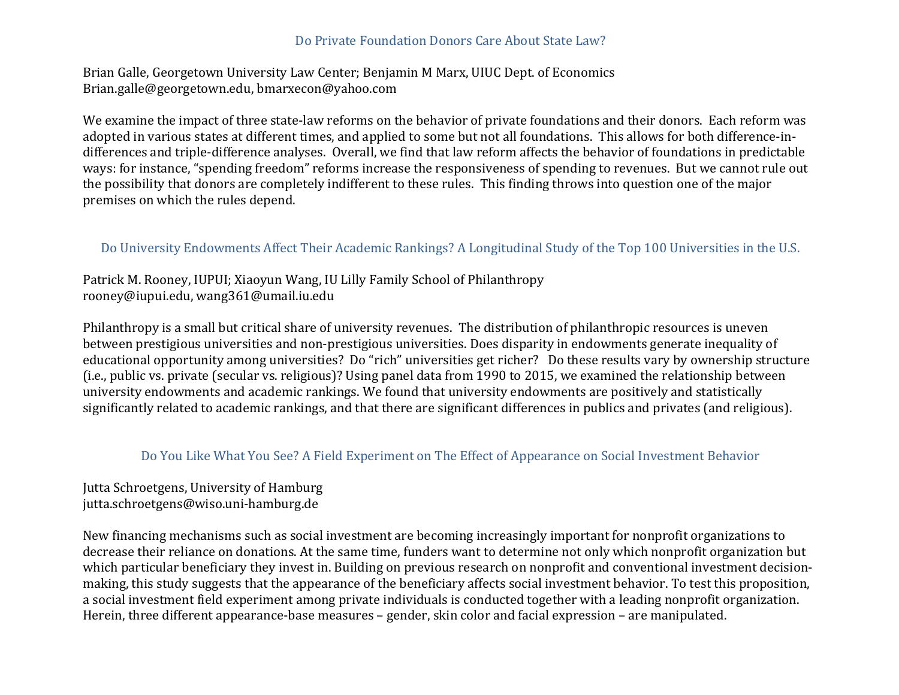### Do Private Foundation Donors Care About State Law?

Brian Galle, Georgetown University Law Center; Benjamin M Marx, UIUC Dept. of Economics Brian.galle@georgetown.edu, bmarxecon@yahoo.com

We examine the impact of three state-law reforms on the behavior of private foundations and their donors. Each reform was adopted in various states at different times, and applied to some but not all foundations. This allows for both difference-indifferences and triple-difference analyses. Overall, we find that law reform affects the behavior of foundations in predictable ways: for instance, "spending freedom" reforms increase the responsiveness of spending to revenues. But we cannot rule out the possibility that donors are completely indifferent to these rules. This finding throws into question one of the major premises on which the rules depend.

### Do University Endowments Affect Their Academic Rankings? A Longitudinal Study of the Top 100 Universities in the U.S.

Patrick M. Rooney, IUPUI; Xiaoyun Wang, IU Lilly Family School of Philanthropy rooney@iupui.edu, wang361@umail.iu.edu

Philanthropy is a small but critical share of university revenues. The distribution of philanthropic resources is uneven between prestigious universities and non-prestigious universities. Does disparity in endowments generate inequality of educational opportunity among universities? Do "rich" universities get richer? Do these results vary by ownership structure (i.e., public vs. private (secular vs. religious)? Using panel data from 1990 to 2015, we examined the relationship between university endowments and academic rankings. We found that university endowments are positively and statistically significantly related to academic rankings, and that there are significant differences in publics and privates (and religious).

#### Do You Like What You See? A Field Experiment on The Effect of Appearance on Social Investment Behavior

Jutta Schroetgens, University of Hamburg jutta.schroetgens@wiso.uni-hamburg.de

New financing mechanisms such as social investment are becoming increasingly important for nonprofit organizations to decrease their reliance on donations. At the same time, funders want to determine not only which nonprofit organization but which particular beneficiary they invest in. Building on previous research on nonprofit and conventional investment decisionmaking, this study suggests that the appearance of the beneficiary affects social investment behavior. To test this proposition, a social investment field experiment among private individuals is conducted together with a leading nonprofit organization. Herein, three different appearance-base measures – gender, skin color and facial expression – are manipulated.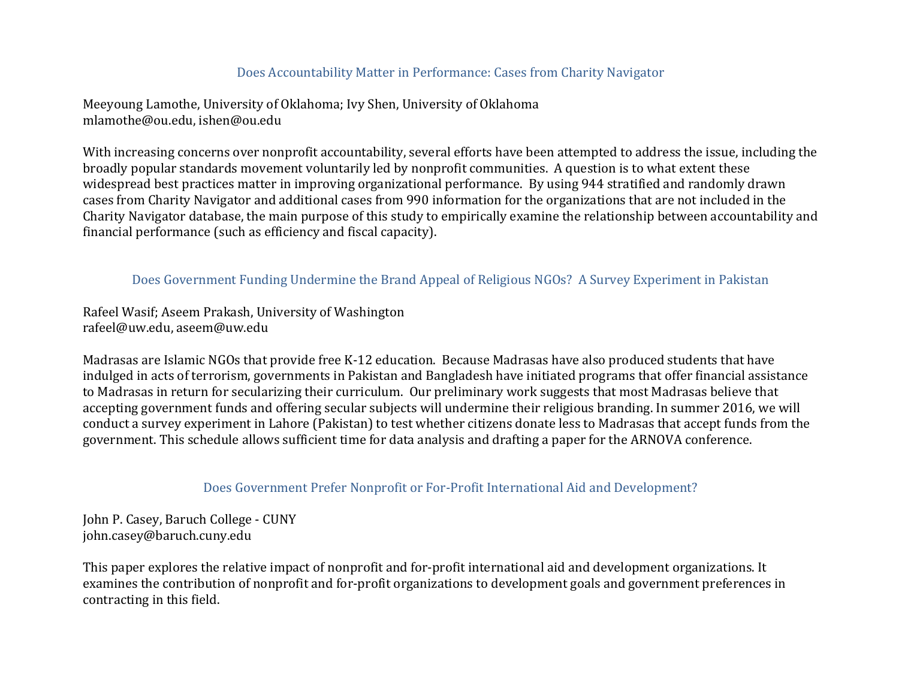### Does Accountability Matter in Performance: Cases from Charity Navigator

Meeyoung Lamothe, University of Oklahoma; Ivy Shen, University of Oklahoma mlamothe@ou.edu, ishen@ou.edu

With increasing concerns over nonprofit accountability, several efforts have been attempted to address the issue, including the broadly popular standards movement voluntarily led by nonprofit communities. A question is to what extent these widespread best practices matter in improving organizational performance. By using 944 stratified and randomly drawn cases from Charity Navigator and additional cases from 990 information for the organizations that are not included in the Charity Navigator database, the main purpose of this study to empirically examine the relationship between accountability and financial performance (such as efficiency and fiscal capacity).

### Does Government Funding Undermine the Brand Appeal of Religious NGOs? A Survey Experiment in Pakistan

Rafeel Wasif; Aseem Prakash, University of Washington rafeel@uw.edu, aseem@uw.edu

Madrasas are Islamic NGOs that provide free K-12 education. Because Madrasas have also produced students that have indulged in acts of terrorism, governments in Pakistan and Bangladesh have initiated programs that offer financial assistance to Madrasas in return for secularizing their curriculum. Our preliminary work suggests that most Madrasas believe that accepting government funds and offering secular subjects will undermine their religious branding. In summer 2016, we will conduct a survey experiment in Lahore (Pakistan) to test whether citizens donate less to Madrasas that accept funds from the government. This schedule allows sufficient time for data analysis and drafting a paper for the ARNOVA conference.

### Does Government Prefer Nonprofit or For-Profit International Aid and Development?

John P. Casey, Baruch College - CUNY john.casey@baruch.cuny.edu

This paper explores the relative impact of nonprofit and for-profit international aid and development organizations. It examines the contribution of nonprofit and for-profit organizations to development goals and government preferences in contracting in this field.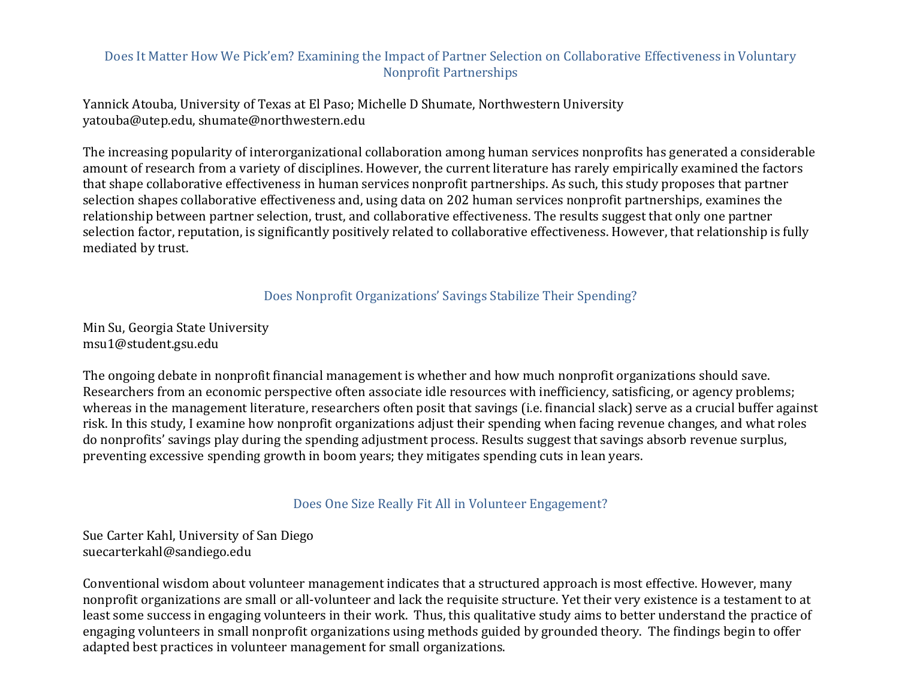### Does It Matter How We Pick'em? Examining the Impact of Partner Selection on Collaborative Effectiveness in Voluntary Nonprofit Partnerships

Yannick Atouba, University of Texas at El Paso; Michelle D Shumate, Northwestern University yatouba@utep.edu, shumate@northwestern.edu

The increasing popularity of interorganizational collaboration among human services nonprofits has generated a considerable amount of research from a variety of disciplines. However, the current literature has rarely empirically examined the factors that shape collaborative effectiveness in human services nonprofit partnerships. As such, this study proposes that partner selection shapes collaborative effectiveness and, using data on 202 human services nonprofit partnerships, examines the relationship between partner selection, trust, and collaborative effectiveness. The results suggest that only one partner selection factor, reputation, is significantly positively related to collaborative effectiveness. However, that relationship is fully mediated by trust.

Does Nonprofit Organizations' Savings Stabilize Their Spending?

Min Su, Georgia State University msu1@student.gsu.edu

The ongoing debate in nonprofit financial management is whether and how much nonprofit organizations should save. Researchers from an economic perspective often associate idle resources with inefficiency, satisficing, or agency problems; whereas in the management literature, researchers often posit that savings (i.e. financial slack) serve as a crucial buffer against risk. In this study, I examine how nonprofit organizations adjust their spending when facing revenue changes, and what roles do nonprofits' savings play during the spending adjustment process. Results suggest that savings absorb revenue surplus, preventing excessive spending growth in boom years; they mitigates spending cuts in lean years.

Does One Size Really Fit All in Volunteer Engagement?

Sue Carter Kahl, University of San Diego suecarterkahl@sandiego.edu

Conventional wisdom about volunteer management indicates that a structured approach is most effective. However, many nonprofit organizations are small or all-volunteer and lack the requisite structure. Yet their very existence is a testament to at least some success in engaging volunteers in their work. Thus, this qualitative study aims to better understand the practice of engaging volunteers in small nonprofit organizations using methods guided by grounded theory. The findings begin to offer adapted best practices in volunteer management for small organizations.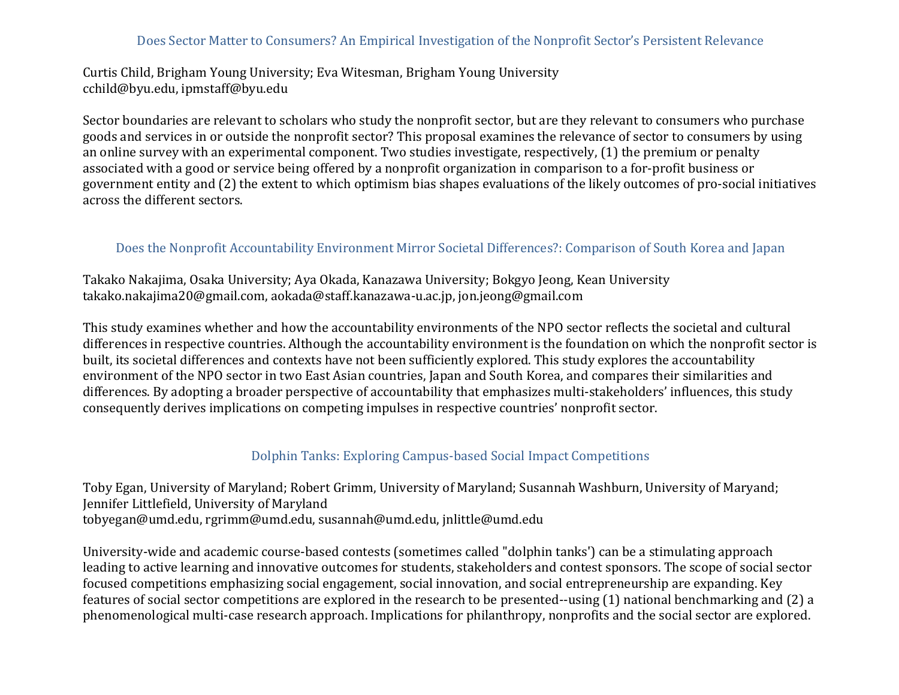### Does Sector Matter to Consumers? An Empirical Investigation of the Nonprofit Sector's Persistent Relevance

Curtis Child, Brigham Young University; Eva Witesman, Brigham Young University cchild@byu.edu, ipmstaff@byu.edu

Sector boundaries are relevant to scholars who study the nonprofit sector, but are they relevant to consumers who purchase goods and services in or outside the nonprofit sector? This proposal examines the relevance of sector to consumers by using an online survey with an experimental component. Two studies investigate, respectively, (1) the premium or penalty associated with a good or service being offered by a nonprofit organization in comparison to a for-profit business or government entity and (2) the extent to which optimism bias shapes evaluations of the likely outcomes of pro-social initiatives across the different sectors.

#### Does the Nonprofit Accountability Environment Mirror Societal Differences?: Comparison of South Korea and Japan

Takako Nakajima, Osaka University; Aya Okada, Kanazawa University; Bokgyo Jeong, Kean University takako.nakajima20@gmail.com, aokada@staff.kanazawa-u.ac.jp, jon.jeong@gmail.com

This study examines whether and how the accountability environments of the NPO sector reflects the societal and cultural differences in respective countries. Although the accountability environment is the foundation on which the nonprofit sector is built, its societal differences and contexts have not been sufficiently explored. This study explores the accountability environment of the NPO sector in two East Asian countries, Japan and South Korea, and compares their similarities and differences. By adopting a broader perspective of accountability that emphasizes multi-stakeholders' influences, this study consequently derives implications on competing impulses in respective countries' nonprofit sector.

### Dolphin Tanks: Exploring Campus-based Social Impact Competitions

Toby Egan, University of Maryland; Robert Grimm, University of Maryland; Susannah Washburn, University of Maryand; Jennifer Littlefield, University of Maryland tobyegan@umd.edu, rgrimm@umd.edu, susannah@umd.edu, jnlittle@umd.edu

University-wide and academic course-based contests (sometimes called "dolphin tanks') can be a stimulating approach leading to active learning and innovative outcomes for students, stakeholders and contest sponsors. The scope of social sector focused competitions emphasizing social engagement, social innovation, and social entrepreneurship are expanding. Key features of social sector competitions are explored in the research to be presented--using (1) national benchmarking and (2) a phenomenological multi-case research approach. Implications for philanthropy, nonprofits and the social sector are explored.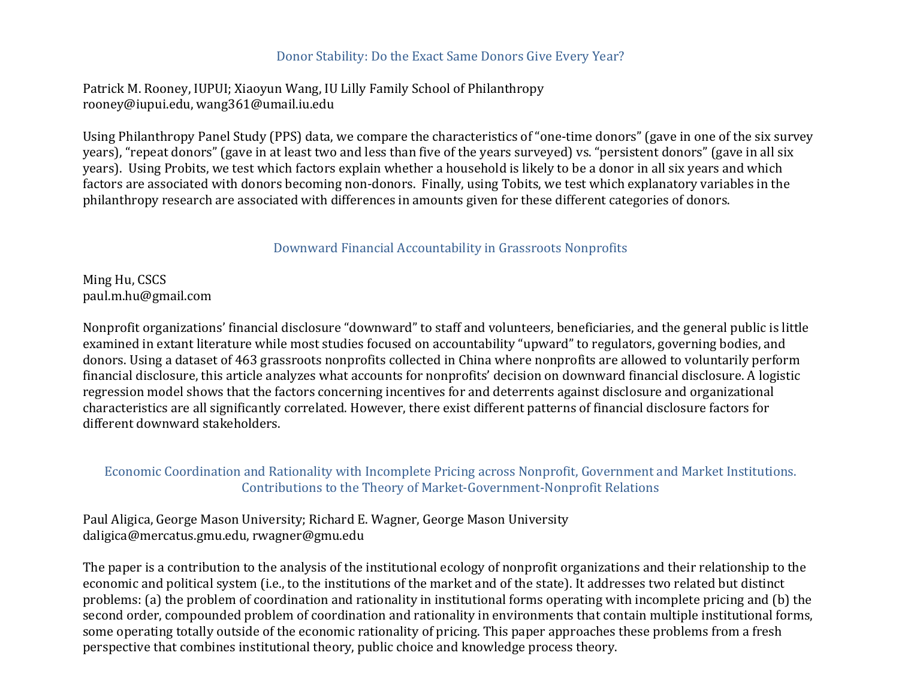#### Donor Stability: Do the Exact Same Donors Give Every Year?

Patrick M. Rooney, IUPUI; Xiaoyun Wang, IU Lilly Family School of Philanthropy rooney@iupui.edu, wang361@umail.iu.edu

Using Philanthropy Panel Study (PPS) data, we compare the characteristics of "one-time donors" (gave in one of the six survey years), "repeat donors" (gave in at least two and less than five of the years surveyed) vs. "persistent donors" (gave in all six years). Using Probits, we test which factors explain whether a household is likely to be a donor in all six years and which factors are associated with donors becoming non-donors. Finally, using Tobits, we test which explanatory variables in the philanthropy research are associated with differences in amounts given for these different categories of donors.

### Downward Financial Accountability in Grassroots Nonprofits

Ming Hu, CSCS paul.m.hu@gmail.com

Nonprofit organizations' financial disclosure "downward" to staff and volunteers, beneficiaries, and the general public is little examined in extant literature while most studies focused on accountability "upward" to regulators, governing bodies, and donors. Using a dataset of 463 grassroots nonprofits collected in China where nonprofits are allowed to voluntarily perform financial disclosure, this article analyzes what accounts for nonprofits' decision on downward financial disclosure. A logistic regression model shows that the factors concerning incentives for and deterrents against disclosure and organizational characteristics are all significantly correlated. However, there exist different patterns of financial disclosure factors for different downward stakeholders.

Economic Coordination and Rationality with Incomplete Pricing across Nonprofit, Government and Market Institutions. Contributions to the Theory of Market-Government-Nonprofit Relations

Paul Aligica, George Mason University; Richard E. Wagner, George Mason University daligica@mercatus.gmu.edu, rwagner@gmu.edu

The paper is a contribution to the analysis of the institutional ecology of nonprofit organizations and their relationship to the economic and political system (i.e., to the institutions of the market and of the state). It addresses two related but distinct problems: (a) the problem of coordination and rationality in institutional forms operating with incomplete pricing and (b) the second order, compounded problem of coordination and rationality in environments that contain multiple institutional forms, some operating totally outside of the economic rationality of pricing. This paper approaches these problems from a fresh perspective that combines institutional theory, public choice and knowledge process theory.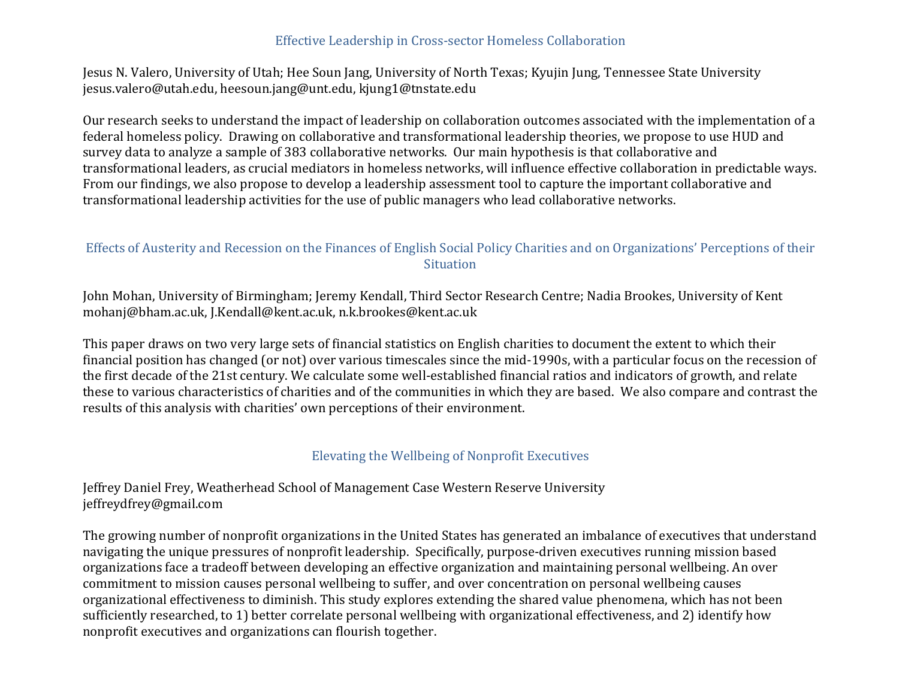### Effective Leadership in Cross-sector Homeless Collaboration

Jesus N. Valero, University of Utah; Hee Soun Jang, University of North Texas; Kyujin Jung, Tennessee State University jesus.valero@utah.edu, heesoun.jang@unt.edu, kjung1@tnstate.edu

Our research seeks to understand the impact of leadership on collaboration outcomes associated with the implementation of a federal homeless policy. Drawing on collaborative and transformational leadership theories, we propose to use HUD and survey data to analyze a sample of 383 collaborative networks. Our main hypothesis is that collaborative and transformational leaders, as crucial mediators in homeless networks, will influence effective collaboration in predictable ways. From our findings, we also propose to develop a leadership assessment tool to capture the important collaborative and transformational leadership activities for the use of public managers who lead collaborative networks.

### Effects of Austerity and Recession on the Finances of English Social Policy Charities and on Organizations' Perceptions of their **Situation**

John Mohan, University of Birmingham; Jeremy Kendall, Third Sector Research Centre; Nadia Brookes, University of Kent mohanj@bham.ac.uk, J.Kendall@kent.ac.uk, n.k.brookes@kent.ac.uk

This paper draws on two very large sets of financial statistics on English charities to document the extent to which their financial position has changed (or not) over various timescales since the mid-1990s, with a particular focus on the recession of the first decade of the 21st century. We calculate some well-established financial ratios and indicators of growth, and relate these to various characteristics of charities and of the communities in which they are based. We also compare and contrast the results of this analysis with charities' own perceptions of their environment.

# Elevating the Wellbeing of Nonprofit Executives

Jeffrey Daniel Frey, Weatherhead School of Management Case Western Reserve University jeffreydfrey@gmail.com

The growing number of nonprofit organizations in the United States has generated an imbalance of executives that understand navigating the unique pressures of nonprofit leadership. Specifically, purpose-driven executives running mission based organizations face a tradeoff between developing an effective organization and maintaining personal wellbeing. An over commitment to mission causes personal wellbeing to suffer, and over concentration on personal wellbeing causes organizational effectiveness to diminish. This study explores extending the shared value phenomena, which has not been sufficiently researched, to 1) better correlate personal wellbeing with organizational effectiveness, and 2) identify how nonprofit executives and organizations can flourish together.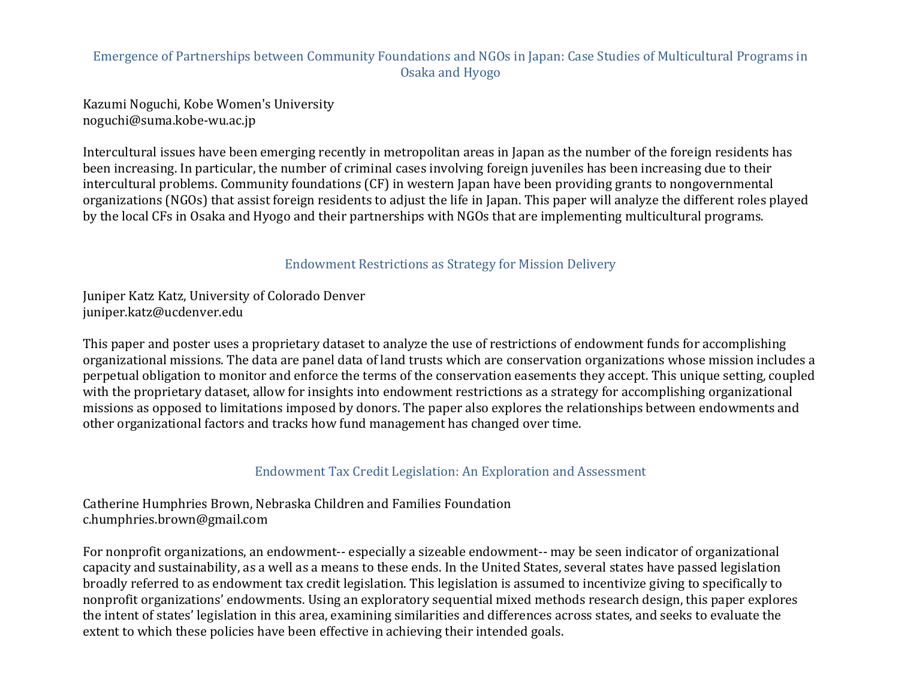### Emergence of Partnerships between Community Foundations and NGOs in Japan: Case Studies of Multicultural Programs in Osaka and Hyogo

Kazumi Noguchi, Kobe Women's University noguchi@suma.kobe-wu.ac.jp

Intercultural issues have been emerging recently in metropolitan areas in Japan as the number of the foreign residents has been increasing. In particular, the number of criminal cases involving foreign juveniles has been increasing due to their intercultural problems. Community foundations (CF) in western Japan have been providing grants to nongovernmental organizations (NGOs) that assist foreign residents to adjust the life in Japan. This paper will analyze the different roles played by the local CFs in Osaka and Hyogo and their partnerships with NGOs that are implementing multicultural programs.

### Endowment Restrictions as Strategy for Mission Delivery

Juniper Katz Katz, University of Colorado Denver juniper.katz@ucdenver.edu

This paper and poster uses a proprietary dataset to analyze the use of restrictions of endowment funds for accomplishing organizational missions. The data are panel data of land trusts which are conservation organizations whose mission includes a perpetual obligation to monitor and enforce the terms of the conservation easements they accept. This unique setting, coupled with the proprietary dataset, allow for insights into endowment restrictions as a strategy for accomplishing organizational missions as opposed to limitations imposed by donors. The paper also explores the relationships between endowments and other organizational factors and tracks how fund management has changed over time.

#### Endowment Tax Credit Legislation: An Exploration and Assessment

Catherine Humphries Brown, Nebraska Children and Families Foundation c.humphries.brown@gmail.com

For nonprofit organizations, an endowment-- especially a sizeable endowment-- may be seen indicator of organizational capacity and sustainability, as a well as a means to these ends. In the United States, several states have passed legislation broadly referred to as endowment tax credit legislation. This legislation is assumed to incentivize giving to specifically to nonprofit organizations' endowments. Using an exploratory sequential mixed methods research design, this paper explores the intent of states' legislation in this area, examining similarities and differences across states, and seeks to evaluate the extent to which these policies have been effective in achieving their intended goals.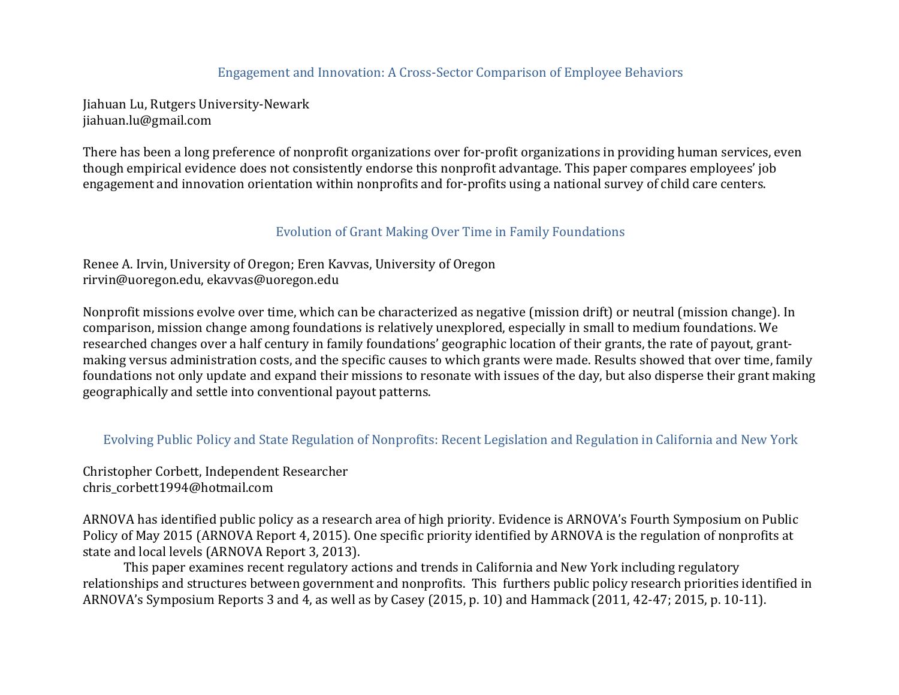### Engagement and Innovation: A Cross-Sector Comparison of Employee Behaviors

Jiahuan Lu, Rutgers University-Newark jiahuan.lu@gmail.com

There has been a long preference of nonprofit organizations over for-profit organizations in providing human services, even though empirical evidence does not consistently endorse this nonprofit advantage. This paper compares employees' job engagement and innovation orientation within nonprofits and for-profits using a national survey of child care centers.

### Evolution of Grant Making Over Time in Family Foundations

Renee A. Irvin, University of Oregon; Eren Kavvas, University of Oregon rirvin@uoregon.edu, ekavvas@uoregon.edu

Nonprofit missions evolve over time, which can be characterized as negative (mission drift) or neutral (mission change). In comparison, mission change among foundations is relatively unexplored, especially in small to medium foundations. We researched changes over a half century in family foundations' geographic location of their grants, the rate of payout, grantmaking versus administration costs, and the specific causes to which grants were made. Results showed that over time, family foundations not only update and expand their missions to resonate with issues of the day, but also disperse their grant making geographically and settle into conventional payout patterns.

Evolving Public Policy and State Regulation of Nonprofits: Recent Legislation and Regulation in California and New York

Christopher Corbett, Independent Researcher chris\_corbett1994@hotmail.com

ARNOVA has identified public policy as a research area of high priority. Evidence is ARNOVA's Fourth Symposium on Public Policy of May 2015 (ARNOVA Report 4, 2015). One specific priority identified by ARNOVA is the regulation of nonprofits at state and local levels (ARNOVA Report 3, 2013).

This paper examines recent regulatory actions and trends in California and New York including regulatory relationships and structures between government and nonprofits. This furthers public policy research priorities identified in ARNOVA's Symposium Reports 3 and 4, as well as by Casey (2015, p. 10) and Hammack (2011, 42-47; 2015, p. 10-11).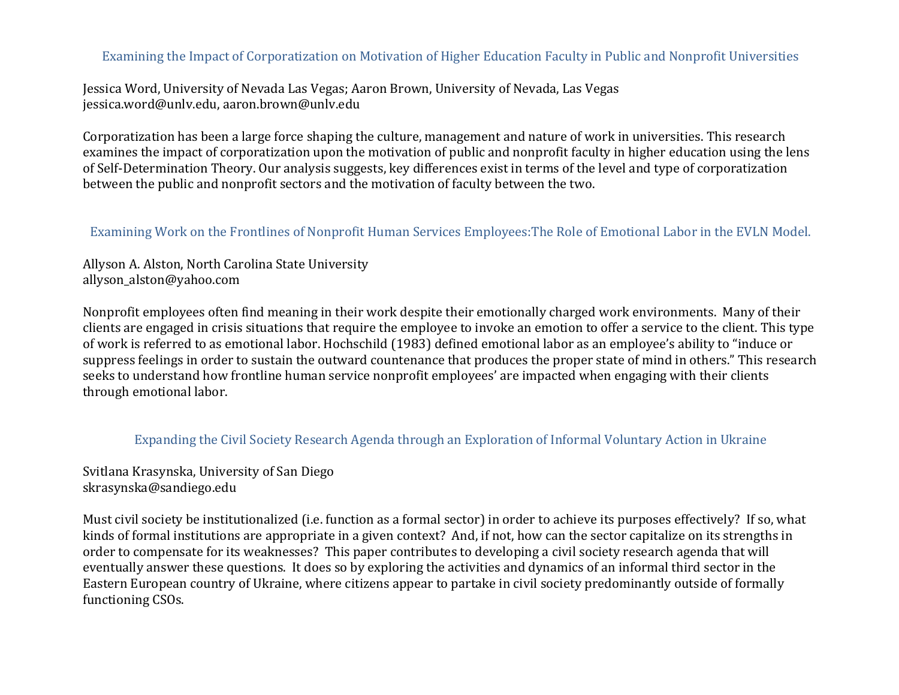### Examining the Impact of Corporatization on Motivation of Higher Education Faculty in Public and Nonprofit Universities

Jessica Word, University of Nevada Las Vegas; Aaron Brown, University of Nevada, Las Vegas jessica.word@unlv.edu, aaron.brown@unlv.edu

Corporatization has been a large force shaping the culture, management and nature of work in universities. This research examines the impact of corporatization upon the motivation of public and nonprofit faculty in higher education using the lens of Self-Determination Theory. Our analysis suggests, key differences exist in terms of the level and type of corporatization between the public and nonprofit sectors and the motivation of faculty between the two.

### Examining Work on the Frontlines of Nonprofit Human Services Employees: The Role of Emotional Labor in the EVLN Model.

Allyson A. Alston, North Carolina State University allyson\_alston@yahoo.com

Nonprofit employees often find meaning in their work despite their emotionally charged work environments. Many of their clients are engaged in crisis situations that require the employee to invoke an emotion to offer a service to the client. This type of work is referred to as emotional labor. Hochschild (1983) defined emotional labor as an employee's ability to "induce or suppress feelings in order to sustain the outward countenance that produces the proper state of mind in others." This research seeks to understand how frontline human service nonprofit employees' are impacted when engaging with their clients through emotional labor.

### Expanding the Civil Society Research Agenda through an Exploration of Informal Voluntary Action in Ukraine

Svitlana Krasynska, University of San Diego skrasynska@sandiego.edu

Must civil society be institutionalized (i.e. function as a formal sector) in order to achieve its purposes effectively? If so, what kinds of formal institutions are appropriate in a given context? And, if not, how can the sector capitalize on its strengths in order to compensate for its weaknesses? This paper contributes to developing a civil society research agenda that will eventually answer these questions. It does so by exploring the activities and dynamics of an informal third sector in the Eastern European country of Ukraine, where citizens appear to partake in civil society predominantly outside of formally functioning CSOs.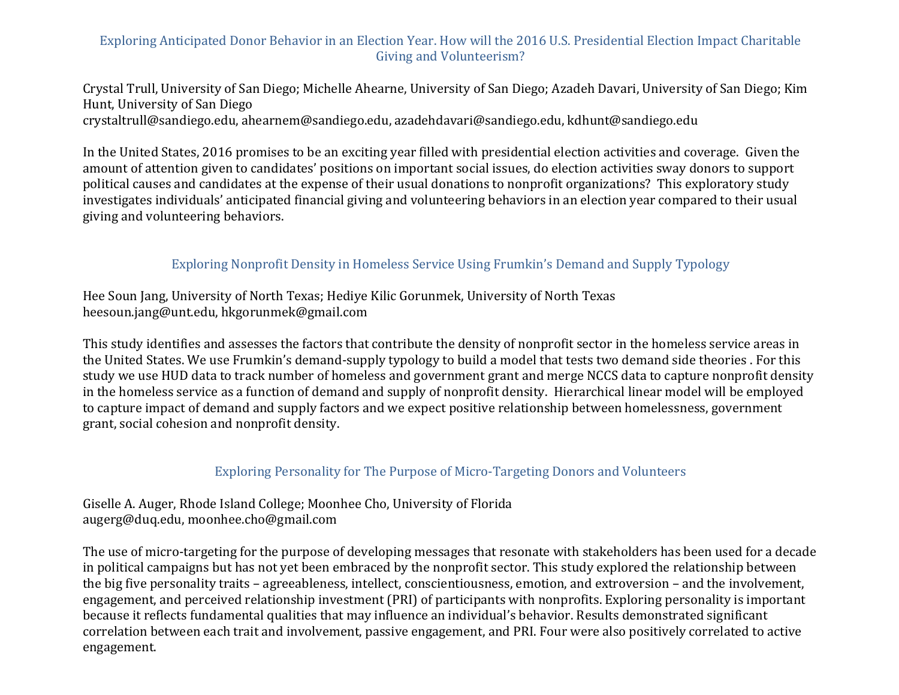# Exploring Anticipated Donor Behavior in an Election Year. How will the 2016 U.S. Presidential Election Impact Charitable Giving and Volunteerism?

Crystal Trull, University of San Diego; Michelle Ahearne, University of San Diego; Azadeh Davari, University of San Diego; Kim Hunt, University of San Diego

crystaltrull@sandiego.edu, ahearnem@sandiego.edu, azadehdavari@sandiego.edu, kdhunt@sandiego.edu

In the United States, 2016 promises to be an exciting year filled with presidential election activities and coverage. Given the amount of attention given to candidates' positions on important social issues, do election activities sway donors to support political causes and candidates at the expense of their usual donations to nonprofit organizations? This exploratory study investigates individuals' anticipated financial giving and volunteering behaviors in an election year compared to their usual giving and volunteering behaviors.

### Exploring Nonprofit Density in Homeless Service Using Frumkin's Demand and Supply Typology

Hee Soun Jang, University of North Texas; Hediye Kilic Gorunmek, University of North Texas heesoun.jang@unt.edu, hkgorunmek@gmail.com

This study identifies and assesses the factors that contribute the density of nonprofit sector in the homeless service areas in the United States. We use Frumkin's demand-supply typology to build a model that tests two demand side theories . For this study we use HUD data to track number of homeless and government grant and merge NCCS data to capture nonprofit density in the homeless service as a function of demand and supply of nonprofit density. Hierarchical linear model will be employed to capture impact of demand and supply factors and we expect positive relationship between homelessness, government grant, social cohesion and nonprofit density.

# Exploring Personality for The Purpose of Micro-Targeting Donors and Volunteers

Giselle A. Auger, Rhode Island College; Moonhee Cho, University of Florida augerg@duq.edu, moonhee.cho@gmail.com

The use of micro-targeting for the purpose of developing messages that resonate with stakeholders has been used for a decade in political campaigns but has not yet been embraced by the nonprofit sector. This study explored the relationship between the big five personality traits – agreeableness, intellect, conscientiousness, emotion, and extroversion – and the involvement, engagement, and perceived relationship investment (PRI) of participants with nonprofits. Exploring personality is important because it reflects fundamental qualities that may influence an individual's behavior. Results demonstrated significant correlation between each trait and involvement, passive engagement, and PRI. Four were also positively correlated to active engagement.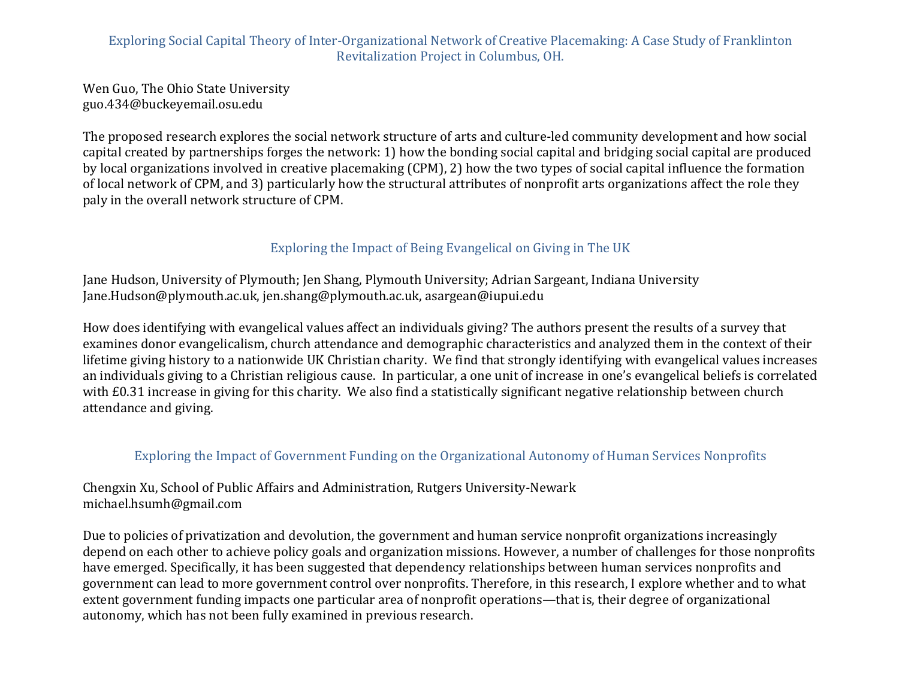# Exploring Social Capital Theory of Inter-Organizational Network of Creative Placemaking: A Case Study of Franklinton Revitalization Project in Columbus, OH.

Wen Guo, The Ohio State University guo.434@buckeyemail.osu.edu

The proposed research explores the social network structure of arts and culture-led community development and how social capital created by partnerships forges the network: 1) how the bonding social capital and bridging social capital are produced by local organizations involved in creative placemaking (CPM), 2) how the two types of social capital influence the formation of local network of CPM, and 3) particularly how the structural attributes of nonprofit arts organizations affect the role they paly in the overall network structure of CPM.

# Exploring the Impact of Being Evangelical on Giving in The UK

Jane Hudson, University of Plymouth; Jen Shang, Plymouth University; Adrian Sargeant, Indiana University Jane.Hudson@plymouth.ac.uk, jen.shang@plymouth.ac.uk, asargean@iupui.edu

How does identifying with evangelical values affect an individuals giving? The authors present the results of a survey that examines donor evangelicalism, church attendance and demographic characteristics and analyzed them in the context of their lifetime giving history to a nationwide UK Christian charity. We find that strongly identifying with evangelical values increases an individuals giving to a Christian religious cause. In particular, a one unit of increase in one's evangelical beliefs is correlated with £0.31 increase in giving for this charity. We also find a statistically significant negative relationship between church attendance and giving.

# Exploring the Impact of Government Funding on the Organizational Autonomy of Human Services Nonprofits

Chengxin Xu, School of Public Affairs and Administration, Rutgers University-Newark michael.hsumh@gmail.com

Due to policies of privatization and devolution, the government and human service nonprofit organizations increasingly depend on each other to achieve policy goals and organization missions. However, a number of challenges for those nonprofits have emerged. Specifically, it has been suggested that dependency relationships between human services nonprofits and government can lead to more government control over nonprofits. Therefore, in this research, I explore whether and to what extent government funding impacts one particular area of nonprofit operations—that is, their degree of organizational autonomy, which has not been fully examined in previous research.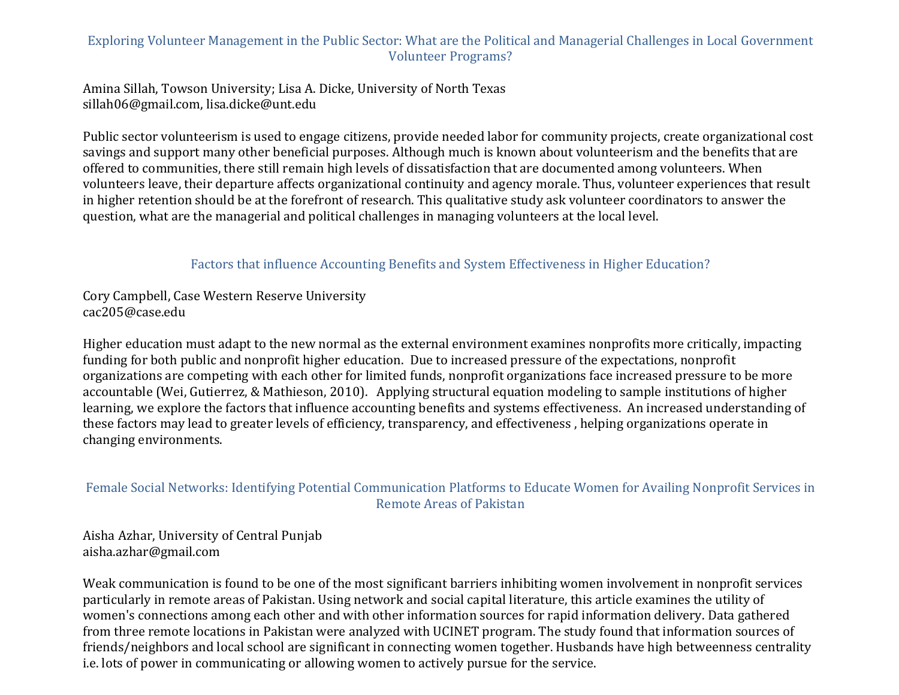# Exploring Volunteer Management in the Public Sector: What are the Political and Managerial Challenges in Local Government Volunteer Programs?

Amina Sillah, Towson University; Lisa A. Dicke, University of North Texas sillah06@gmail.com, lisa.dicke@unt.edu

Public sector volunteerism is used to engage citizens, provide needed labor for community projects, create organizational cost savings and support many other beneficial purposes. Although much is known about volunteerism and the benefits that are offered to communities, there still remain high levels of dissatisfaction that are documented among volunteers. When volunteers leave, their departure affects organizational continuity and agency morale. Thus, volunteer experiences that result in higher retention should be at the forefront of research. This qualitative study ask volunteer coordinators to answer the question, what are the managerial and political challenges in managing volunteers at the local level.

Factors that influence Accounting Benefits and System Effectiveness in Higher Education?

Cory Campbell, Case Western Reserve University cac205@case.edu

Higher education must adapt to the new normal as the external environment examines nonprofits more critically, impacting funding for both public and nonprofit higher education. Due to increased pressure of the expectations, nonprofit organizations are competing with each other for limited funds, nonprofit organizations face increased pressure to be more accountable (Wei, Gutierrez, & Mathieson, 2010). Applying structural equation modeling to sample institutions of higher learning, we explore the factors that influence accounting benefits and systems effectiveness. An increased understanding of these factors may lead to greater levels of efficiency, transparency, and effectiveness, helping organizations operate in changing environments.

# Female Social Networks: Identifying Potential Communication Platforms to Educate Women for Availing Nonprofit Services in Remote Areas of Pakistan

Aisha Azhar, University of Central Punjab aisha.azhar@gmail.com

Weak communication is found to be one of the most significant barriers inhibiting women involvement in nonprofit services particularly in remote areas of Pakistan. Using network and social capital literature, this article examines the utility of women's connections among each other and with other information sources for rapid information delivery. Data gathered from three remote locations in Pakistan were analyzed with UCINET program. The study found that information sources of friends/neighbors and local school are significant in connecting women together. Husbands have high betweenness centrality i.e. lots of power in communicating or allowing women to actively pursue for the service.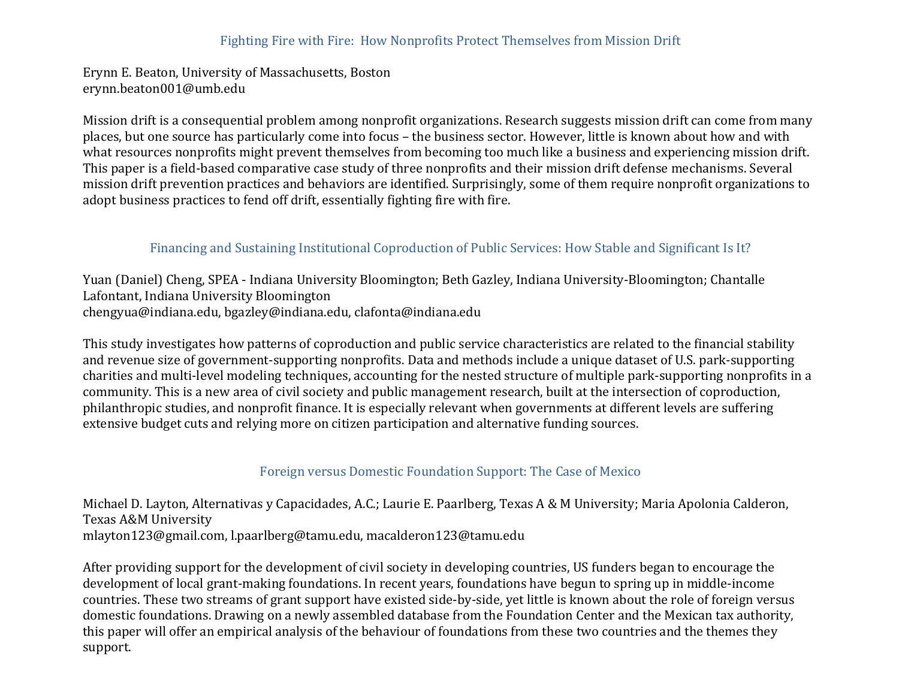# Fighting Fire with Fire: How Nonprofits Protect Themselves from Mission Drift

Erynn E. Beaton, University of Massachusetts, Boston erynn.beaton001@umb.edu

Mission drift is a consequential problem among nonprofit organizations. Research suggests mission drift can come from many places, but one source has particularly come into focus – the business sector. However, little is known about how and with what resources nonprofits might prevent themselves from becoming too much like a business and experiencing mission drift. This paper is a field-based comparative case study of three nonprofits and their mission drift defense mechanisms. Several mission drift prevention practices and behaviors are identified. Surprisingly, some of them require nonprofit organizations to adopt business practices to fend off drift, essentially fighting fire with fire.

### Financing and Sustaining Institutional Coproduction of Public Services: How Stable and Significant Is It?

Yuan (Daniel) Cheng, SPEA - Indiana University Bloomington; Beth Gazley, Indiana University-Bloomington; Chantalle Lafontant, Indiana University Bloomington chengyua@indiana.edu, bgazley@indiana.edu, clafonta@indiana.edu

This study investigates how patterns of coproduction and public service characteristics are related to the financial stability and revenue size of government-supporting nonprofits. Data and methods include a unique dataset of U.S. park-supporting charities and multi-level modeling techniques, accounting for the nested structure of multiple park-supporting nonprofits in a community. This is a new area of civil society and public management research, built at the intersection of coproduction, philanthropic studies, and nonprofit finance. It is especially relevant when governments at different levels are suffering extensive budget cuts and relying more on citizen participation and alternative funding sources.

### Foreign versus Domestic Foundation Support: The Case of Mexico

Michael D. Layton, Alternativas y Capacidades, A.C.; Laurie E. Paarlberg, Texas A & M University; Maria Apolonia Calderon, Texas A&M University mlayton123@gmail.com, l.paarlberg@tamu.edu, macalderon123@tamu.edu

After providing support for the development of civil society in developing countries, US funders began to encourage the development of local grant-making foundations. In recent years, foundations have begun to spring up in middle-income countries. These two streams of grant support have existed side-by-side, yet little is known about the role of foreign versus domestic foundations. Drawing on a newly assembled database from the Foundation Center and the Mexican tax authority, this paper will offer an empirical analysis of the behaviour of foundations from these two countries and the themes they support.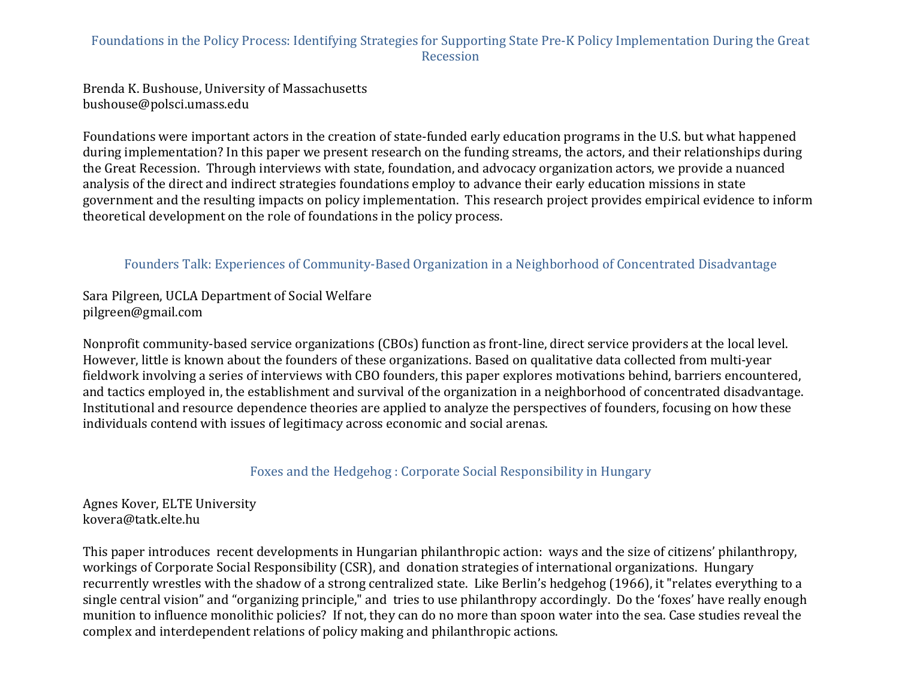# Foundations in the Policy Process: Identifying Strategies for Supporting State Pre-K Policy Implementation During the Great Recession

Brenda K. Bushouse, University of Massachusetts bushouse@polsci.umass.edu

Foundations were important actors in the creation of state-funded early education programs in the U.S. but what happened during implementation? In this paper we present research on the funding streams, the actors, and their relationships during the Great Recession. Through interviews with state, foundation, and advocacy organization actors, we provide a nuanced analysis of the direct and indirect strategies foundations employ to advance their early education missions in state government and the resulting impacts on policy implementation. This research project provides empirical evidence to inform theoretical development on the role of foundations in the policy process.

# Founders Talk: Experiences of Community-Based Organization in a Neighborhood of Concentrated Disadvantage

Sara Pilgreen, UCLA Department of Social Welfare pilgreen@gmail.com

Nonprofit community-based service organizations (CBOs) function as front-line, direct service providers at the local level. However, little is known about the founders of these organizations. Based on qualitative data collected from multi-year fieldwork involving a series of interviews with CBO founders, this paper explores motivations behind, barriers encountered, and tactics employed in, the establishment and survival of the organization in a neighborhood of concentrated disadvantage. Institutional and resource dependence theories are applied to analyze the perspectives of founders, focusing on how these individuals contend with issues of legitimacy across economic and social arenas.

Foxes and the Hedgehog : Corporate Social Responsibility in Hungary

Agnes Kover, ELTE University kovera@tatk.elte.hu

This paper introduces recent developments in Hungarian philanthropic action: ways and the size of citizens' philanthropy, workings of Corporate Social Responsibility (CSR), and donation strategies of international organizations. Hungary recurrently wrestles with the shadow of a strong centralized state. Like Berlin's hedgehog (1966), it "relates everything to a single central vision" and "organizing principle," and tries to use philanthropy accordingly. Do the 'foxes' have really enough munition to influence monolithic policies? If not, they can do no more than spoon water into the sea. Case studies reveal the complex and interdependent relations of policy making and philanthropic actions.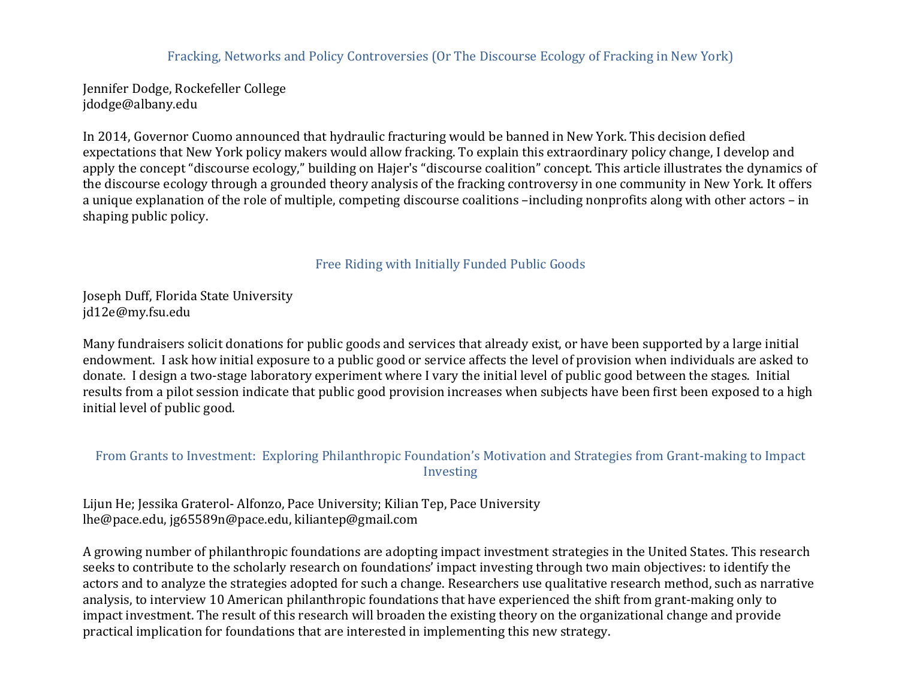### Fracking, Networks and Policy Controversies (Or The Discourse Ecology of Fracking in New York)

Jennifer Dodge, Rockefeller College jdodge@albany.edu

In 2014, Governor Cuomo announced that hydraulic fracturing would be banned in New York. This decision defied expectations that New York policy makers would allow fracking. To explain this extraordinary policy change, I develop and apply the concept "discourse ecology," building on Hajer's "discourse coalition" concept. This article illustrates the dynamics of the discourse ecology through a grounded theory analysis of the fracking controversy in one community in New York. It offers a unique explanation of the role of multiple, competing discourse coalitions -including nonprofits along with other actors - in shaping public policy.

#### Free Riding with Initially Funded Public Goods

Joseph Duff, Florida State University jd12e@my.fsu.edu

Many fundraisers solicit donations for public goods and services that already exist, or have been supported by a large initial endowment. I ask how initial exposure to a public good or service affects the level of provision when individuals are asked to donate. I design a two-stage laboratory experiment where I vary the initial level of public good between the stages. Initial results from a pilot session indicate that public good provision increases when subjects have been first been exposed to a high initial level of public good.

### From Grants to Investment: Exploring Philanthropic Foundation's Motivation and Strategies from Grant-making to Impact Investing

Lijun He; Jessika Graterol- Alfonzo, Pace University; Kilian Tep, Pace University lhe@pace.edu, jg65589n@pace.edu, kiliantep@gmail.com

A growing number of philanthropic foundations are adopting impact investment strategies in the United States. This research seeks to contribute to the scholarly research on foundations' impact investing through two main objectives: to identify the actors and to analyze the strategies adopted for such a change. Researchers use qualitative research method, such as narrative analysis, to interview 10 American philanthropic foundations that have experienced the shift from grant-making only to impact investment. The result of this research will broaden the existing theory on the organizational change and provide practical implication for foundations that are interested in implementing this new strategy.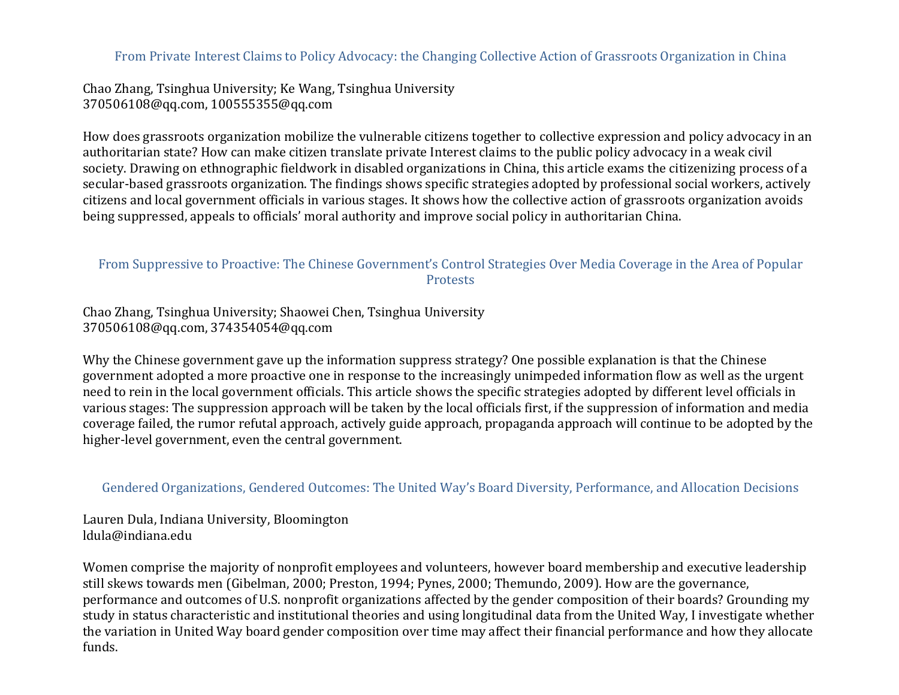From Private Interest Claims to Policy Advocacy: the Changing Collective Action of Grassroots Organization in China

Chao Zhang, Tsinghua University; Ke Wang, Tsinghua University 370506108@qq.com, 100555355@qq.com

How does grassroots organization mobilize the vulnerable citizens together to collective expression and policy advocacy in an authoritarian state? How can make citizen translate private Interest claims to the public policy advocacy in a weak civil society. Drawing on ethnographic fieldwork in disabled organizations in China, this article exams the citizenizing process of a secular-based grassroots organization. The findings shows specific strategies adopted by professional social workers, actively citizens and local government officials in various stages. It shows how the collective action of grassroots organization avoids being suppressed, appeals to officials' moral authority and improve social policy in authoritarian China.

### From Suppressive to Proactive: The Chinese Government's Control Strategies Over Media Coverage in the Area of Popular **Protests**

Chao Zhang, Tsinghua University; Shaowei Chen, Tsinghua University 370506108@qq.com, 374354054@qq.com

Why the Chinese government gave up the information suppress strategy? One possible explanation is that the Chinese government adopted a more proactive one in response to the increasingly unimpeded information flow as well as the urgent need to rein in the local government officials. This article shows the specific strategies adopted by different level officials in various stages: The suppression approach will be taken by the local officials first, if the suppression of information and media coverage failed, the rumor refutal approach, actively guide approach, propaganda approach will continue to be adopted by the higher-level government, even the central government.

# Gendered Organizations, Gendered Outcomes: The United Way's Board Diversity, Performance, and Allocation Decisions

Lauren Dula, Indiana University, Bloomington ldula@indiana.edu

Women comprise the majority of nonprofit employees and volunteers, however board membership and executive leadership still skews towards men (Gibelman, 2000; Preston, 1994; Pynes, 2000; Themundo, 2009). How are the governance, performance and outcomes of U.S. nonprofit organizations affected by the gender composition of their boards? Grounding my study in status characteristic and institutional theories and using longitudinal data from the United Way, I investigate whether the variation in United Way board gender composition over time may affect their financial performance and how they allocate funds.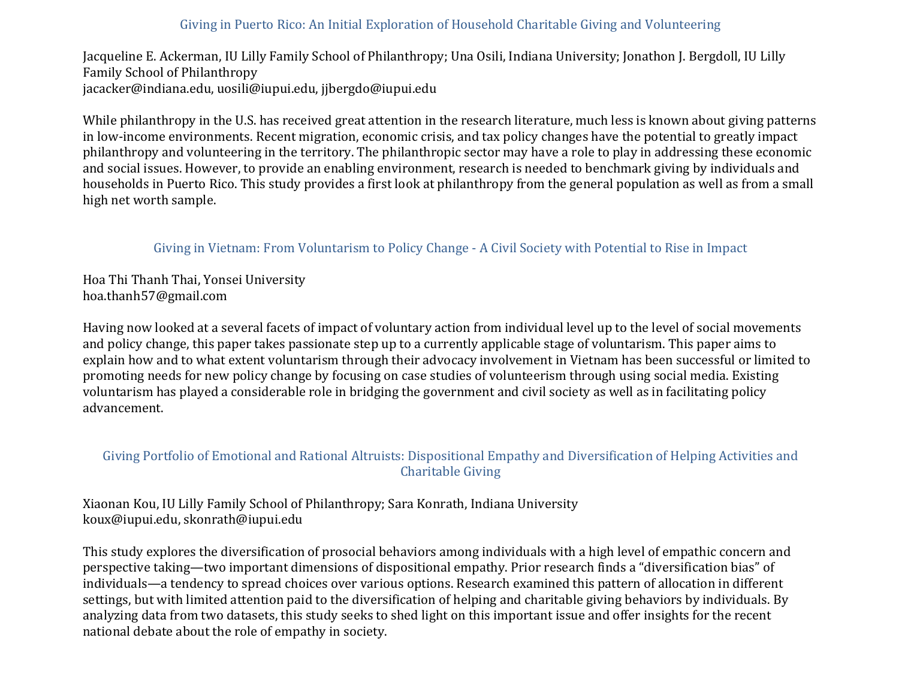### Giving in Puerto Rico: An Initial Exploration of Household Charitable Giving and Volunteering

Jacqueline E. Ackerman, IU Lilly Family School of Philanthropy; Una Osili, Indiana University; Jonathon J. Bergdoll, IU Lilly Family School of Philanthropy jacacker@indiana.edu, uosili@iupui.edu, iibergdo@iupui.edu

While philanthropy in the U.S. has received great attention in the research literature, much less is known about giving patterns in low-income environments. Recent migration, economic crisis, and tax policy changes have the potential to greatly impact philanthropy and volunteering in the territory. The philanthropic sector may have a role to play in addressing these economic and social issues. However, to provide an enabling environment, research is needed to benchmark giving by individuals and households in Puerto Rico. This study provides a first look at philanthropy from the general population as well as from a small high net worth sample.

# Giving in Vietnam: From Voluntarism to Policy Change - A Civil Society with Potential to Rise in Impact

Hoa Thi Thanh Thai, Yonsei University hoa.thanh57@gmail.com

Having now looked at a several facets of impact of voluntary action from individual level up to the level of social movements and policy change, this paper takes passionate step up to a currently applicable stage of voluntarism. This paper aims to explain how and to what extent voluntarism through their advocacy involvement in Vietnam has been successful or limited to promoting needs for new policy change by focusing on case studies of volunteerism through using social media. Existing voluntarism has played a considerable role in bridging the government and civil society as well as in facilitating policy advancement.

# Giving Portfolio of Emotional and Rational Altruists: Dispositional Empathy and Diversification of Helping Activities and **Charitable Giving**

Xiaonan Kou, IU Lilly Family School of Philanthropy; Sara Konrath, Indiana University koux@iupui.edu, skonrath@iupui.edu

This study explores the diversification of prosocial behaviors among individuals with a high level of empathic concern and perspective taking—two important dimensions of dispositional empathy. Prior research finds a "diversification bias" of individuals—a tendency to spread choices over various options. Research examined this pattern of allocation in different settings, but with limited attention paid to the diversification of helping and charitable giving behaviors by individuals. By analyzing data from two datasets, this study seeks to shed light on this important issue and offer insights for the recent national debate about the role of empathy in society.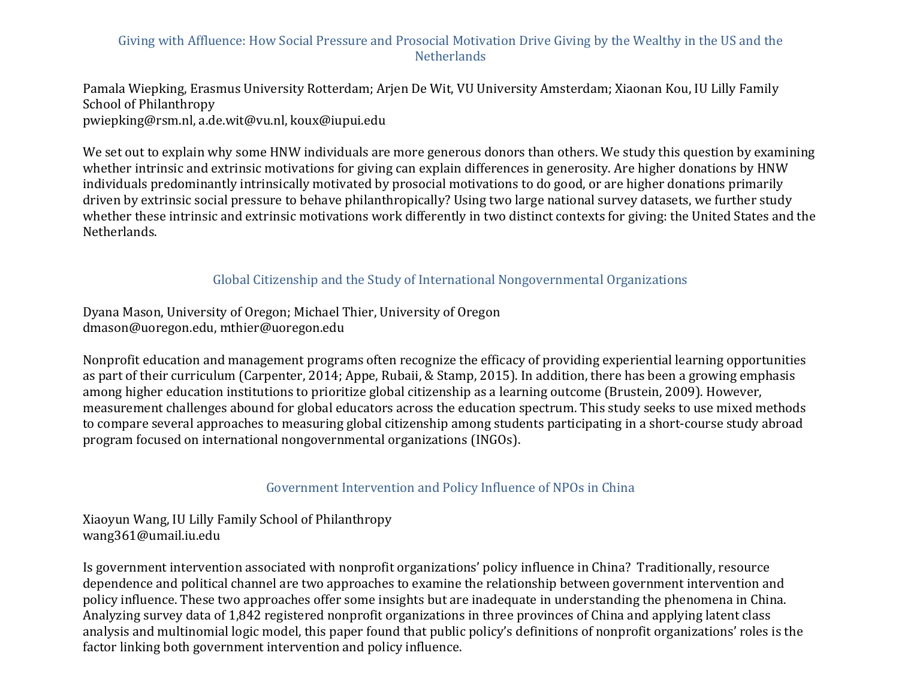# Giving with Affluence: How Social Pressure and Prosocial Motivation Drive Giving by the Wealthy in the US and the **Netherlands**

Pamala Wiepking, Erasmus University Rotterdam; Arjen De Wit, VU University Amsterdam; Xiaonan Kou, IU Lilly Family School of Philanthropy pwiepking@rsm.nl, a.de.wit@vu.nl, koux@iupui.edu

We set out to explain why some HNW individuals are more generous donors than others. We study this question by examining whether intrinsic and extrinsic motivations for giving can explain differences in generosity. Are higher donations by HNW individuals predominantly intrinsically motivated by prosocial motivations to do good, or are higher donations primarily driven by extrinsic social pressure to behave philanthropically? Using two large national survey datasets, we further study whether these intrinsic and extrinsic motivations work differently in two distinct contexts for giving: the United States and the Netherlands.

### Global Citizenship and the Study of International Nongovernmental Organizations

Dyana Mason, University of Oregon; Michael Thier, University of Oregon dmason@uoregon.edu, mthier@uoregon.edu

Nonprofit education and management programs often recognize the efficacy of providing experiential learning opportunities as part of their curriculum (Carpenter, 2014; Appe, Rubaii, & Stamp, 2015). In addition, there has been a growing emphasis among higher education institutions to prioritize global citizenship as a learning outcome (Brustein, 2009). However, measurement challenges abound for global educators across the education spectrum. This study seeks to use mixed methods to compare several approaches to measuring global citizenship among students participating in a short-course study abroad program focused on international nongovernmental organizations (INGOs).

### Government Intervention and Policy Influence of NPOs in China

Xiaoyun Wang, IU Lilly Family School of Philanthropy wang361@umail.iu.edu

Is government intervention associated with nonprofit organizations' policy influence in China? Traditionally, resource dependence and political channel are two approaches to examine the relationship between government intervention and policy influence. These two approaches offer some insights but are inadequate in understanding the phenomena in China. Analyzing survey data of 1,842 registered nonprofit organizations in three provinces of China and applying latent class analysis and multinomial logic model, this paper found that public policy's definitions of nonprofit organizations' roles is the factor linking both government intervention and policy influence.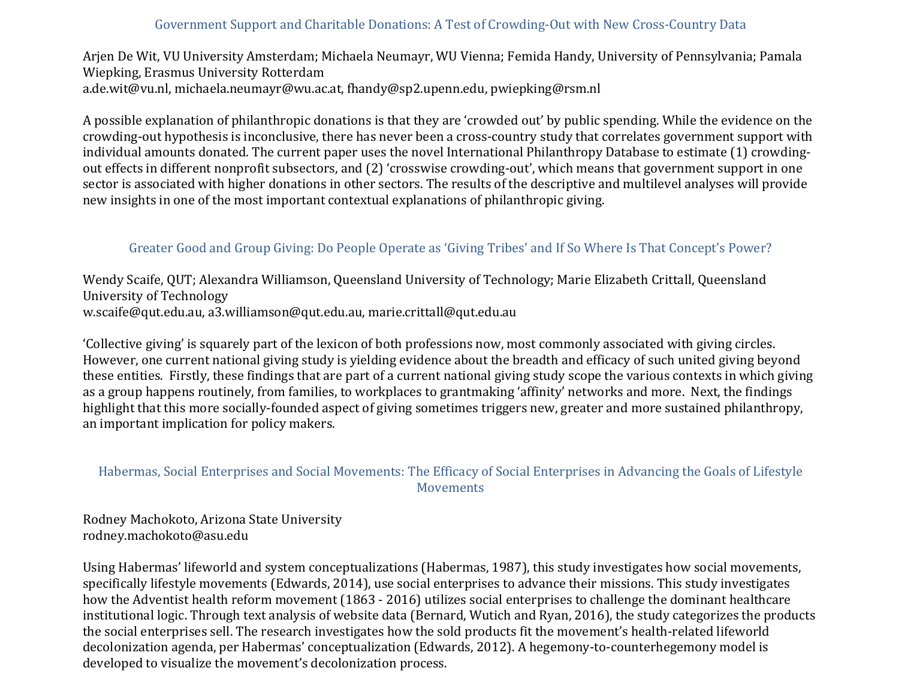### Government Support and Charitable Donations: A Test of Crowding-Out with New Cross-Country Data

Arjen De Wit, VU University Amsterdam; Michaela Neumayr, WU Vienna; Femida Handy, University of Pennsylvania; Pamala Wiepking, Erasmus University Rotterdam a.de.wit@vu.nl, michaela.neumayr@wu.ac.at, fhandy@sp2.upenn.edu, pwiepking@rsm.nl

A possible explanation of philanthropic donations is that they are 'crowded out' by public spending. While the evidence on the crowding-out hypothesis is inconclusive, there has never been a cross-country study that correlates government support with individual amounts donated. The current paper uses the novel International Philanthropy Database to estimate (1) crowdingout effects in different nonprofit subsectors, and (2) 'crosswise crowding-out', which means that government support in one sector is associated with higher donations in other sectors. The results of the descriptive and multilevel analyses will provide new insights in one of the most important contextual explanations of philanthropic giving.

# Greater Good and Group Giving: Do People Operate as 'Giving Tribes' and If So Where Is That Concept's Power?

Wendy Scaife, OUT; Alexandra Williamson, Queensland University of Technology; Marie Elizabeth Crittall, Queensland University of Technology w.scaife@qut.edu.au, a3.williamson@qut.edu.au, marie.crittall@qut.edu.au

'Collective giving' is squarely part of the lexicon of both professions now, most commonly associated with giving circles. However, one current national giving study is yielding evidence about the breadth and efficacy of such united giving beyond these entities. Firstly, these findings that are part of a current national giving study scope the various contexts in which giving as a group happens routinely, from families, to workplaces to grantmaking 'affinity' networks and more. Next, the findings highlight that this more socially-founded aspect of giving sometimes triggers new, greater and more sustained philanthropy, an important implication for policy makers.

### Habermas, Social Enterprises and Social Movements: The Efficacy of Social Enterprises in Advancing the Goals of Lifestyle Movements

Rodney Machokoto, Arizona State University rodney.machokoto@asu.edu

Using Habermas' lifeworld and system conceptualizations (Habermas, 1987), this study investigates how social movements, specifically lifestyle movements (Edwards, 2014), use social enterprises to advance their missions. This study investigates how the Adventist health reform movement (1863 - 2016) utilizes social enterprises to challenge the dominant healthcare institutional logic. Through text analysis of website data (Bernard, Wutich and Ryan, 2016), the study categorizes the products the social enterprises sell. The research investigates how the sold products fit the movement's health-related lifeworld decolonization agenda, per Habermas' conceptualization (Edwards, 2012). A hegemony-to-counterhegemony model is developed to visualize the movement's decolonization process.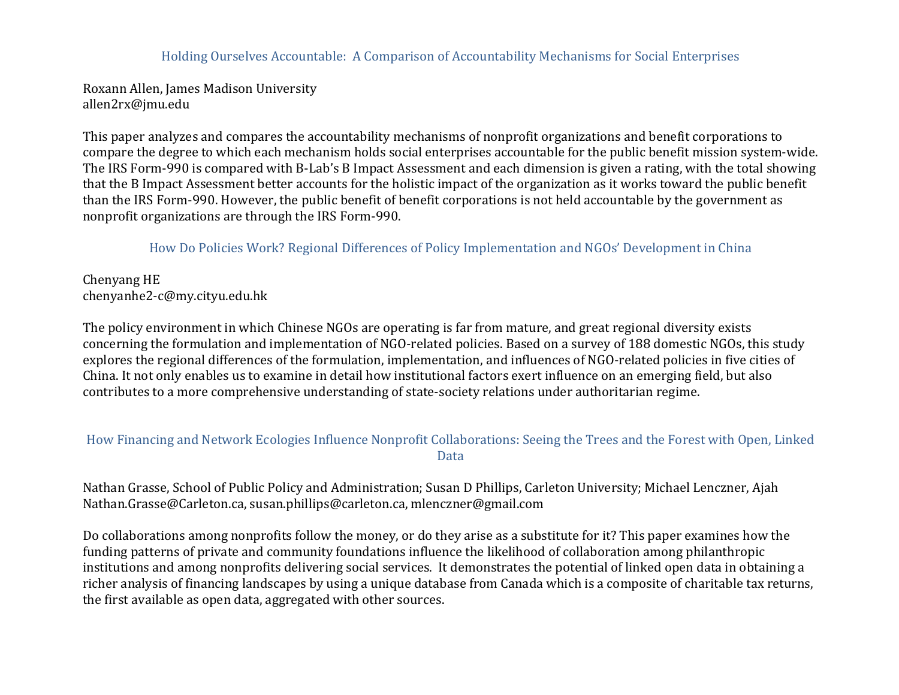### Holding Ourselves Accountable: A Comparison of Accountability Mechanisms for Social Enterprises

Roxann Allen, James Madison University allen2rx@jmu.edu

This paper analyzes and compares the accountability mechanisms of nonprofit organizations and benefit corporations to compare the degree to which each mechanism holds social enterprises accountable for the public benefit mission system-wide. The IRS Form-990 is compared with B-Lab's B Impact Assessment and each dimension is given a rating, with the total showing that the B Impact Assessment better accounts for the holistic impact of the organization as it works toward the public benefit than the IRS Form-990. However, the public benefit of benefit corporations is not held accountable by the government as nonprofit organizations are through the IRS Form-990.

### How Do Policies Work? Regional Differences of Policy Implementation and NGOs' Development in China

Chenyang HE chenyanhe2-c@my.cityu.edu.hk

The policy environment in which Chinese NGOs are operating is far from mature, and great regional diversity exists concerning the formulation and implementation of NGO-related policies. Based on a survey of 188 domestic NGOs, this study explores the regional differences of the formulation, implementation, and influences of NGO-related policies in five cities of China. It not only enables us to examine in detail how institutional factors exert influence on an emerging field, but also contributes to a more comprehensive understanding of state-society relations under authoritarian regime.

# How Financing and Network Ecologies Influence Nonprofit Collaborations: Seeing the Trees and the Forest with Open, Linked Data

Nathan Grasse, School of Public Policy and Administration; Susan D Phillips, Carleton University; Michael Lenczner, Ajah Nathan.Grasse@Carleton.ca, susan.phillips@carleton.ca, mlenczner@gmail.com

Do collaborations among nonprofits follow the money, or do they arise as a substitute for it? This paper examines how the funding patterns of private and community foundations influence the likelihood of collaboration among philanthropic institutions and among nonprofits delivering social services. It demonstrates the potential of linked open data in obtaining a richer analysis of financing landscapes by using a unique database from Canada which is a composite of charitable tax returns, the first available as open data, aggregated with other sources.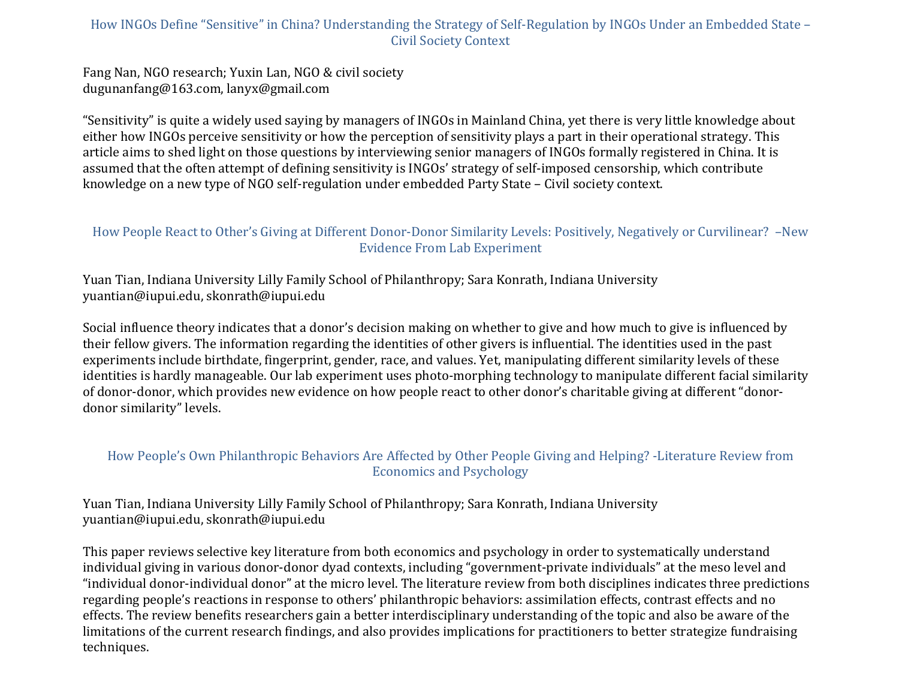# How INGOs Define "Sensitive" in China? Understanding the Strategy of Self-Regulation by INGOs Under an Embedded State – Civil Society Context

Fang Nan, NGO research; Yuxin Lan, NGO & civil society dugunanfang@163.com, lanyx@gmail.com

"Sensitivity" is quite a widely used saying by managers of INGOs in Mainland China, yet there is very little knowledge about either how INGOs perceive sensitivity or how the perception of sensitivity plays a part in their operational strategy. This article aims to shed light on those questions by interviewing senior managers of INGOs formally registered in China. It is assumed that the often attempt of defining sensitivity is INGOs' strategy of self-imposed censorship, which contribute knowledge on a new type of NGO self-regulation under embedded Party State – Civil society context.

# How People React to Other's Giving at Different Donor-Donor Similarity Levels: Positively, Negatively or Curvilinear? -New Evidence From Lab Experiment

Yuan Tian, Indiana University Lilly Family School of Philanthropy; Sara Konrath, Indiana University yuantian@iupui.edu, skonrath@iupui.edu

Social influence theory indicates that a donor's decision making on whether to give and how much to give is influenced by their fellow givers. The information regarding the identities of other givers is influential. The identities used in the past experiments include birthdate, fingerprint, gender, race, and values. Yet, manipulating different similarity levels of these identities is hardly manageable. Our lab experiment uses photo-morphing technology to manipulate different facial similarity of donor-donor, which provides new evidence on how people react to other donor's charitable giving at different "donordonor similarity" levels.

### How People's Own Philanthropic Behaviors Are Affected by Other People Giving and Helping? -Literature Review from Economics and Psychology

Yuan Tian, Indiana University Lilly Family School of Philanthropy; Sara Konrath, Indiana University yuantian@iupui.edu, skonrath@iupui.edu

This paper reviews selective key literature from both economics and psychology in order to systematically understand individual giving in various donor-donor dyad contexts, including "government-private individuals" at the meso level and "individual donor-individual donor" at the micro level. The literature review from both disciplines indicates three predictions regarding people's reactions in response to others' philanthropic behaviors: assimilation effects, contrast effects and no effects. The review benefits researchers gain a better interdisciplinary understanding of the topic and also be aware of the limitations of the current research findings, and also provides implications for practitioners to better strategize fundraising techniques.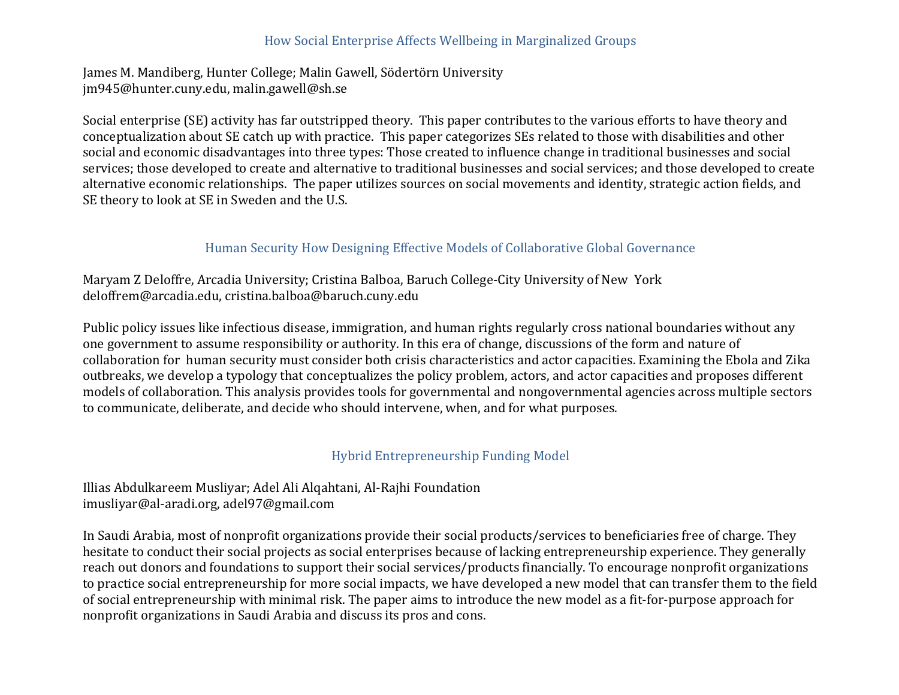### How Social Enterprise Affects Wellbeing in Marginalized Groups

James M. Mandiberg, Hunter College; Malin Gawell, Södertörn University jm945@hunter.cuny.edu, malin.gawell@sh.se

Social enterprise (SE) activity has far outstripped theory. This paper contributes to the various efforts to have theory and conceptualization about SE catch up with practice. This paper categorizes SEs related to those with disabilities and other social and economic disadvantages into three types: Those created to influence change in traditional businesses and social services; those developed to create and alternative to traditional businesses and social services; and those developed to create alternative economic relationships. The paper utilizes sources on social movements and identity, strategic action fields, and SE theory to look at SE in Sweden and the U.S.

# Human Security How Designing Effective Models of Collaborative Global Governance

Maryam Z Deloffre, Arcadia University; Cristina Balboa, Baruch College-City University of New York deloffrem@arcadia.edu, cristina.balboa@baruch.cuny.edu

Public policy issues like infectious disease, immigration, and human rights regularly cross national boundaries without any one government to assume responsibility or authority. In this era of change, discussions of the form and nature of collaboration for human security must consider both crisis characteristics and actor capacities. Examining the Ebola and Zika outbreaks, we develop a typology that conceptualizes the policy problem, actors, and actor capacities and proposes different models of collaboration. This analysis provides tools for governmental and nongovernmental agencies across multiple sectors to communicate, deliberate, and decide who should intervene, when, and for what purposes.

### Hybrid Entrepreneurship Funding Model

Illias Abdulkareem Musliyar; Adel Ali Alqahtani, Al-Rajhi Foundation imusliyar@al-aradi.org, adel97@gmail.com

In Saudi Arabia, most of nonprofit organizations provide their social products/services to beneficiaries free of charge. They hesitate to conduct their social projects as social enterprises because of lacking entrepreneurship experience. They generally reach out donors and foundations to support their social services/products financially. To encourage nonprofit organizations to practice social entrepreneurship for more social impacts, we have developed a new model that can transfer them to the field of social entrepreneurship with minimal risk. The paper aims to introduce the new model as a fit-for-purpose approach for nonprofit organizations in Saudi Arabia and discuss its pros and cons.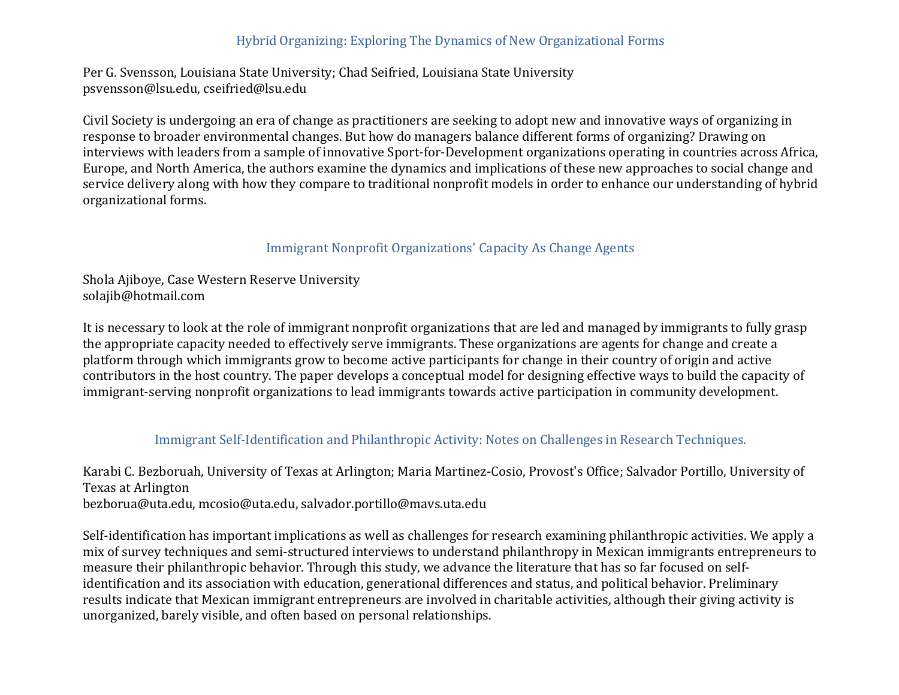# Hybrid Organizing: Exploring The Dynamics of New Organizational Forms

Per G. Svensson, Louisiana State University; Chad Seifried, Louisiana State University psvensson@lsu.edu, cseifried@lsu.edu

Civil Society is undergoing an era of change as practitioners are seeking to adopt new and innovative ways of organizing in response to broader environmental changes. But how do managers balance different forms of organizing? Drawing on interviews with leaders from a sample of innovative Sport-for-Development organizations operating in countries across Africa, Europe, and North America, the authors examine the dynamics and implications of these new approaches to social change and service delivery along with how they compare to traditional nonprofit models in order to enhance our understanding of hybrid organizational forms.

# Immigrant Nonprofit Organizations' Capacity As Change Agents

Shola Ajiboye, Case Western Reserve University solajib@hotmail.com

It is necessary to look at the role of immigrant nonprofit organizations that are led and managed by immigrants to fully grasp the appropriate capacity needed to effectively serve immigrants. These organizations are agents for change and create a platform through which immigrants grow to become active participants for change in their country of origin and active contributors in the host country. The paper develops a conceptual model for designing effective ways to build the capacity of immigrant-serving nonprofit organizations to lead immigrants towards active participation in community development.

### Immigrant Self-Identification and Philanthropic Activity: Notes on Challenges in Research Techniques.

Karabi C. Bezboruah, University of Texas at Arlington; Maria Martinez-Cosio, Provost's Office; Salvador Portillo, University of Texas at Arlington bezborua@uta.edu, mcosio@uta.edu, salvador.portillo@mavs.uta.edu

Self-identification has important implications as well as challenges for research examining philanthropic activities. We apply a mix of survey techniques and semi-structured interviews to understand philanthropy in Mexican immigrants entrepreneurs to measure their philanthropic behavior. Through this study, we advance the literature that has so far focused on selfidentification and its association with education, generational differences and status, and political behavior. Preliminary results indicate that Mexican immigrant entrepreneurs are involved in charitable activities, although their giving activity is unorganized, barely visible, and often based on personal relationships.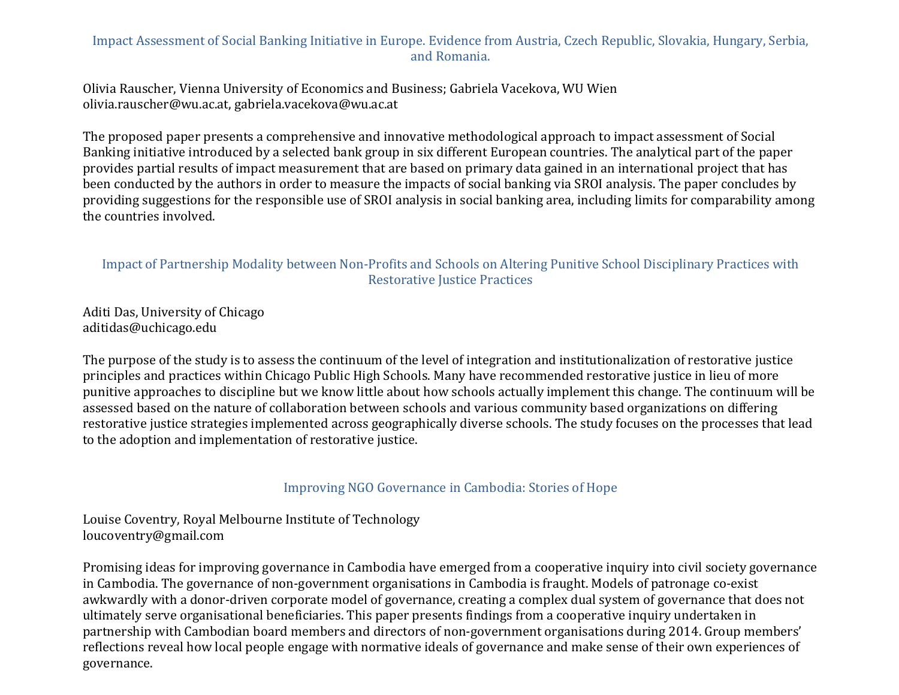# Impact Assessment of Social Banking Initiative in Europe. Evidence from Austria, Czech Republic, Slovakia, Hungary, Serbia, and Romania.

Olivia Rauscher, Vienna University of Economics and Business; Gabriela Vacekova, WU Wien olivia.rauscher@wu.ac.at, gabriela.vacekova@wu.ac.at

The proposed paper presents a comprehensive and innovative methodological approach to impact assessment of Social Banking initiative introduced by a selected bank group in six different European countries. The analytical part of the paper provides partial results of impact measurement that are based on primary data gained in an international project that has been conducted by the authors in order to measure the impacts of social banking via SROI analysis. The paper concludes by providing suggestions for the responsible use of SROI analysis in social banking area, including limits for comparability among the countries involved.

### Impact of Partnership Modality between Non-Profits and Schools on Altering Punitive School Disciplinary Practices with Restorative Justice Practices

Aditi Das, University of Chicago aditidas@uchicago.edu

The purpose of the study is to assess the continuum of the level of integration and institutionalization of restorative justice principles and practices within Chicago Public High Schools. Many have recommended restorative justice in lieu of more punitive approaches to discipline but we know little about how schools actually implement this change. The continuum will be assessed based on the nature of collaboration between schools and various community based organizations on differing restorative justice strategies implemented across geographically diverse schools. The study focuses on the processes that lead to the adoption and implementation of restorative justice.

# Improving NGO Governance in Cambodia: Stories of Hope

Louise Coventry, Royal Melbourne Institute of Technology loucoventry@gmail.com

Promising ideas for improving governance in Cambodia have emerged from a cooperative inquiry into civil society governance in Cambodia. The governance of non-government organisations in Cambodia is fraught. Models of patronage co-exist awkwardly with a donor-driven corporate model of governance, creating a complex dual system of governance that does not ultimately serve organisational beneficiaries. This paper presents findings from a cooperative inquiry undertaken in partnership with Cambodian board members and directors of non-government organisations during 2014. Group members' reflections reveal how local people engage with normative ideals of governance and make sense of their own experiences of governance.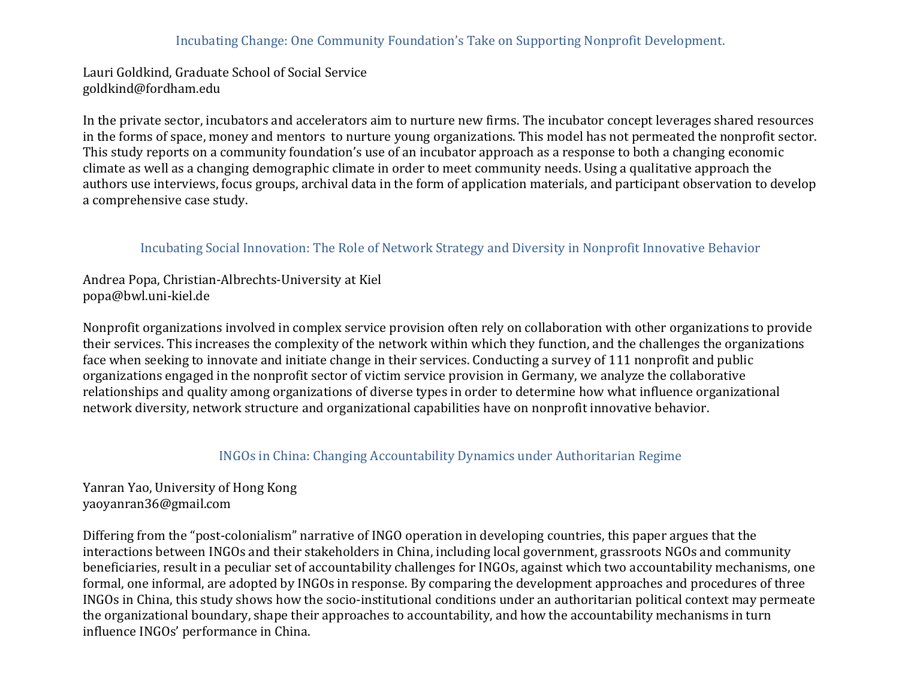### Incubating Change: One Community Foundation's Take on Supporting Nonprofit Development.

Lauri Goldkind, Graduate School of Social Service goldkind@fordham.edu

In the private sector, incubators and accelerators aim to nurture new firms. The incubator concept leverages shared resources in the forms of space, money and mentors to nurture young organizations. This model has not permeated the nonprofit sector. This study reports on a community foundation's use of an incubator approach as a response to both a changing economic climate as well as a changing demographic climate in order to meet community needs. Using a qualitative approach the authors use interviews, focus groups, archival data in the form of application materials, and participant observation to develop a comprehensive case study.

#### Incubating Social Innovation: The Role of Network Strategy and Diversity in Nonprofit Innovative Behavior

Andrea Popa, Christian-Albrechts-University at Kiel popa@bwl.uni-kiel.de

Nonprofit organizations involved in complex service provision often rely on collaboration with other organizations to provide their services. This increases the complexity of the network within which they function, and the challenges the organizations face when seeking to innovate and initiate change in their services. Conducting a survey of 111 nonprofit and public organizations engaged in the nonprofit sector of victim service provision in Germany, we analyze the collaborative relationships and quality among organizations of diverse types in order to determine how what influence organizational network diversity, network structure and organizational capabilities have on nonprofit innovative behavior.

### INGOs in China: Changing Accountability Dynamics under Authoritarian Regime

Yanran Yao, University of Hong Kong yaoyanran36@gmail.com

Differing from the "post-colonialism" narrative of INGO operation in developing countries, this paper argues that the interactions between INGOs and their stakeholders in China, including local government, grassroots NGOs and community beneficiaries, result in a peculiar set of accountability challenges for INGOs, against which two accountability mechanisms, one formal, one informal, are adopted by INGOs in response. By comparing the development approaches and procedures of three INGOs in China, this study shows how the socio-institutional conditions under an authoritarian political context may permeate the organizational boundary, shape their approaches to accountability, and how the accountability mechanisms in turn influence INGOs' performance in China.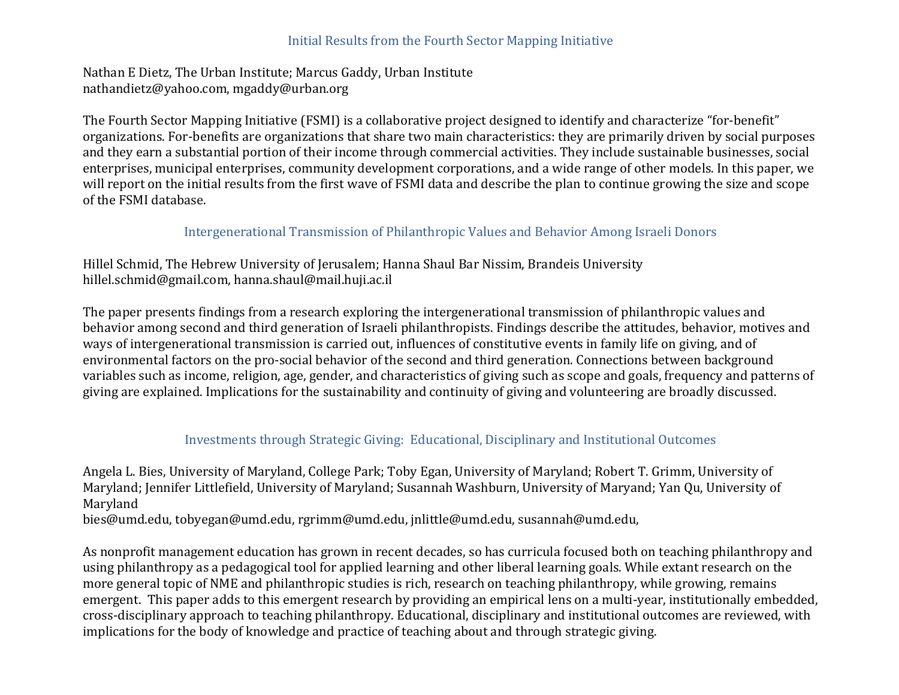### Initial Results from the Fourth Sector Mapping Initiative

Nathan E Dietz, The Urban Institute; Marcus Gaddy, Urban Institute nathandietz@yahoo.com, mgaddy@urban.org

The Fourth Sector Mapping Initiative (FSMI) is a collaborative project designed to identify and characterize "for-benefit" organizations. For-benefits are organizations that share two main characteristics: they are primarily driven by social purposes and they earn a substantial portion of their income through commercial activities. They include sustainable businesses, social enterprises, municipal enterprises, community development corporations, and a wide range of other models. In this paper, we will report on the initial results from the first wave of FSMI data and describe the plan to continue growing the size and scope of the FSMI database.

### Intergenerational Transmission of Philanthropic Values and Behavior Among Israeli Donors

Hillel Schmid, The Hebrew University of Jerusalem; Hanna Shaul Bar Nissim, Brandeis University hillel.schmid@gmail.com, hanna.shaul@mail.huji.ac.il

The paper presents findings from a research exploring the intergenerational transmission of philanthropic values and behavior among second and third generation of Israeli philanthropists. Findings describe the attitudes, behavior, motives and ways of intergenerational transmission is carried out, influences of constitutive events in family life on giving, and of environmental factors on the pro-social behavior of the second and third generation. Connections between background variables such as income, religion, age, gender, and characteristics of giving such as scope and goals, frequency and patterns of giving are explained. Implications for the sustainability and continuity of giving and volunteering are broadly discussed.

# Investments through Strategic Giving: Educational, Disciplinary and Institutional Outcomes

Angela L. Bies, University of Maryland, College Park; Toby Egan, University of Maryland; Robert T. Grimm, University of Maryland; Jennifer Littlefield, University of Maryland; Susannah Washburn, University of Maryand; Yan Qu, University of Maryland

bies@umd.edu, tobyegan@umd.edu, rgrimm@umd.edu, jnlittle@umd.edu, susannah@umd.edu,

As nonprofit management education has grown in recent decades, so has curricula focused both on teaching philanthropy and using philanthropy as a pedagogical tool for applied learning and other liberal learning goals. While extant research on the more general topic of NME and philanthropic studies is rich, research on teaching philanthropy, while growing, remains emergent. This paper adds to this emergent research by providing an empirical lens on a multi-year, institutionally embedded, cross-disciplinary approach to teaching philanthropy. Educational, disciplinary and institutional outcomes are reviewed, with implications for the body of knowledge and practice of teaching about and through strategic giving.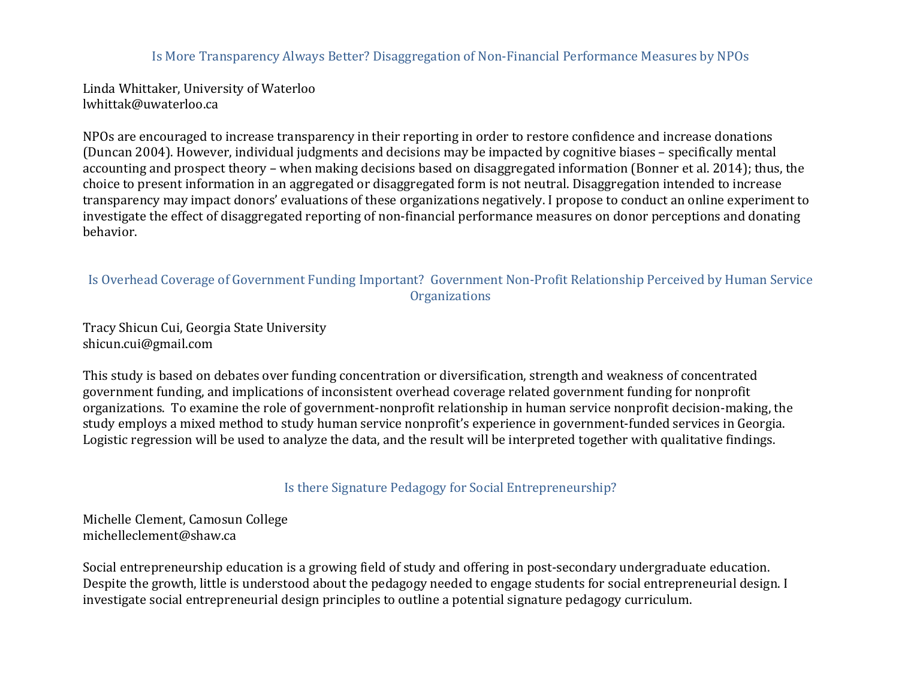### Is More Transparency Always Better? Disaggregation of Non-Financial Performance Measures by NPOs

Linda Whittaker, University of Waterloo lwhittak@uwaterloo.ca

NPOs are encouraged to increase transparency in their reporting in order to restore confidence and increase donations (Duncan 2004). However, individual judgments and decisions may be impacted by cognitive biases – specifically mental accounting and prospect theory – when making decisions based on disaggregated information (Bonner et al. 2014); thus, the choice to present information in an aggregated or disaggregated form is not neutral. Disaggregation intended to increase transparency may impact donors' evaluations of these organizations negatively. I propose to conduct an online experiment to investigate the effect of disaggregated reporting of non-financial performance measures on donor perceptions and donating behavior.

# Is Overhead Coverage of Government Funding Important? Government Non-Profit Relationship Perceived by Human Service **Organizations**

Tracy Shicun Cui, Georgia State University shicun.cui@gmail.com

This study is based on debates over funding concentration or diversification, strength and weakness of concentrated government funding, and implications of inconsistent overhead coverage related government funding for nonprofit organizations. To examine the role of government-nonprofit relationship in human service nonprofit decision-making, the study employs a mixed method to study human service nonprofit's experience in government-funded services in Georgia. Logistic regression will be used to analyze the data, and the result will be interpreted together with qualitative findings.

Is there Signature Pedagogy for Social Entrepreneurship?

Michelle Clement, Camosun College michelleclement@shaw.ca

Social entrepreneurship education is a growing field of study and offering in post-secondary undergraduate education. Despite the growth, little is understood about the pedagogy needed to engage students for social entrepreneurial design. I investigate social entrepreneurial design principles to outline a potential signature pedagogy curriculum.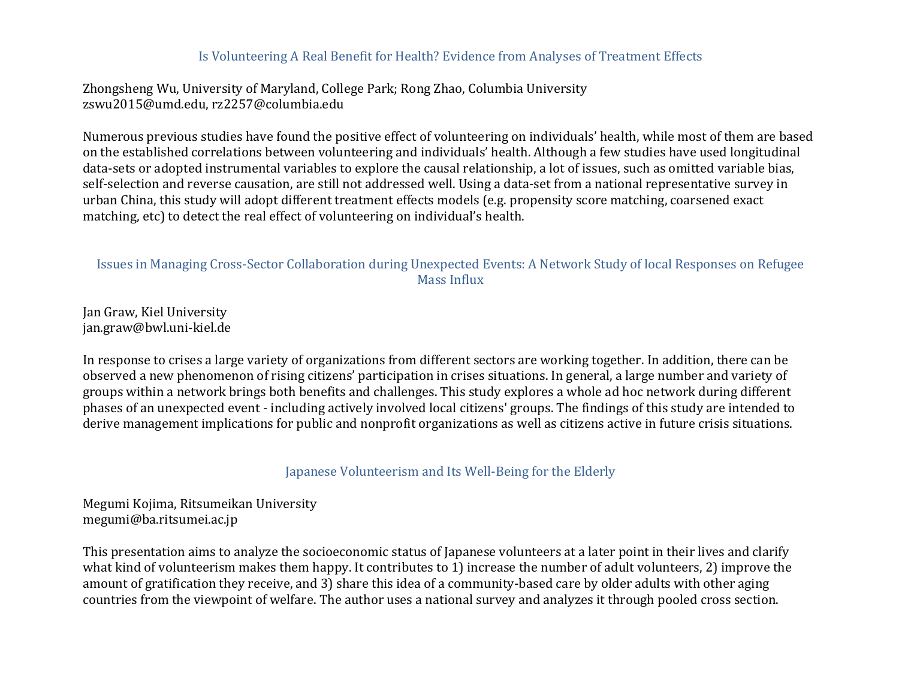### Is Volunteering A Real Benefit for Health? Evidence from Analyses of Treatment Effects

Zhongsheng Wu, University of Maryland, College Park; Rong Zhao, Columbia University zswu2015@umd.edu, rz2257@columbia.edu

Numerous previous studies have found the positive effect of volunteering on individuals' health, while most of them are based on the established correlations between volunteering and individuals' health. Although a few studies have used longitudinal data-sets or adopted instrumental variables to explore the causal relationship, a lot of issues, such as omitted variable bias, self-selection and reverse causation, are still not addressed well. Using a data-set from a national representative survey in urban China, this study will adopt different treatment effects models (e.g. propensity score matching, coarsened exact matching, etc) to detect the real effect of volunteering on individual's health.

### Issues in Managing Cross-Sector Collaboration during Unexpected Events: A Network Study of local Responses on Refugee Mass Influx

Jan Graw, Kiel University jan.graw@bwl.uni-kiel.de

In response to crises a large variety of organizations from different sectors are working together. In addition, there can be observed a new phenomenon of rising citizens' participation in crises situations. In general, a large number and variety of groups within a network brings both benefits and challenges. This study explores a whole ad hoc network during different phases of an unexpected event - including actively involved local citizens' groups. The findings of this study are intended to derive management implications for public and nonprofit organizations as well as citizens active in future crisis situations.

Japanese Volunteerism and Its Well-Being for the Elderly

Megumi Kojima, Ritsumeikan University megumi@ba.ritsumei.ac.jp

This presentation aims to analyze the socioeconomic status of lapanese volunteers at a later point in their lives and clarify what kind of volunteerism makes them happy. It contributes to 1) increase the number of adult volunteers, 2) improve the amount of gratification they receive, and 3) share this idea of a community-based care by older adults with other aging countries from the viewpoint of welfare. The author uses a national survey and analyzes it through pooled cross section.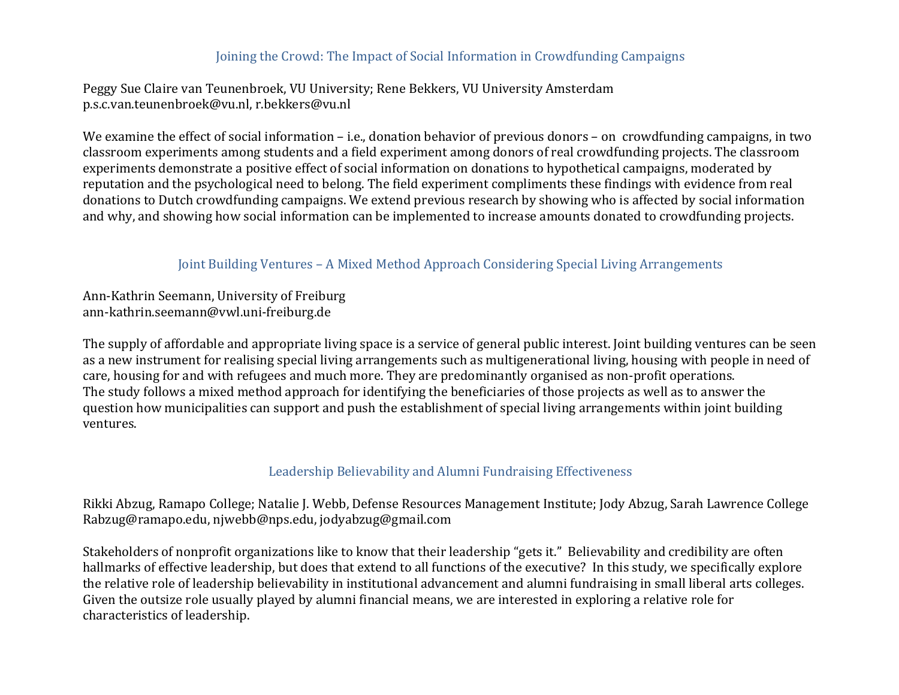### Joining the Crowd: The Impact of Social Information in Crowdfunding Campaigns

Peggy Sue Claire van Teunenbroek, VU University; Rene Bekkers, VU University Amsterdam p.s.c.van.teunenbroek@vu.nl, r.bekkers@vu.nl

We examine the effect of social information – i.e., donation behavior of previous donors – on crowdfunding campaigns, in two classroom experiments among students and a field experiment among donors of real crowdfunding projects. The classroom experiments demonstrate a positive effect of social information on donations to hypothetical campaigns, moderated by reputation and the psychological need to belong. The field experiment compliments these findings with evidence from real donations to Dutch crowdfunding campaigns. We extend previous research by showing who is affected by social information and why, and showing how social information can be implemented to increase amounts donated to crowdfunding projects.

### Joint Building Ventures – A Mixed Method Approach Considering Special Living Arrangements

Ann-Kathrin Seemann, University of Freiburg ann-kathrin.seemann@vwl.uni-freiburg.de

The supply of affordable and appropriate living space is a service of general public interest. Joint building ventures can be seen as a new instrument for realising special living arrangements such as multigenerational living, housing with people in need of care, housing for and with refugees and much more. They are predominantly organised as non-profit operations. The study follows a mixed method approach for identifying the beneficiaries of those projects as well as to answer the question how municipalities can support and push the establishment of special living arrangements within joint building ventures.

### Leadership Believability and Alumni Fundraising Effectiveness

Rikki Abzug, Ramapo College; Natalie J. Webb, Defense Resources Management Institute; Jody Abzug, Sarah Lawrence College Rabzug@ramapo.edu, njwebb@nps.edu, jodyabzug@gmail.com

Stakeholders of nonprofit organizations like to know that their leadership "gets it." Believability and credibility are often hallmarks of effective leadership, but does that extend to all functions of the executive? In this study, we specifically explore the relative role of leadership believability in institutional advancement and alumni fundraising in small liberal arts colleges. Given the outsize role usually played by alumni financial means, we are interested in exploring a relative role for characteristics of leadership.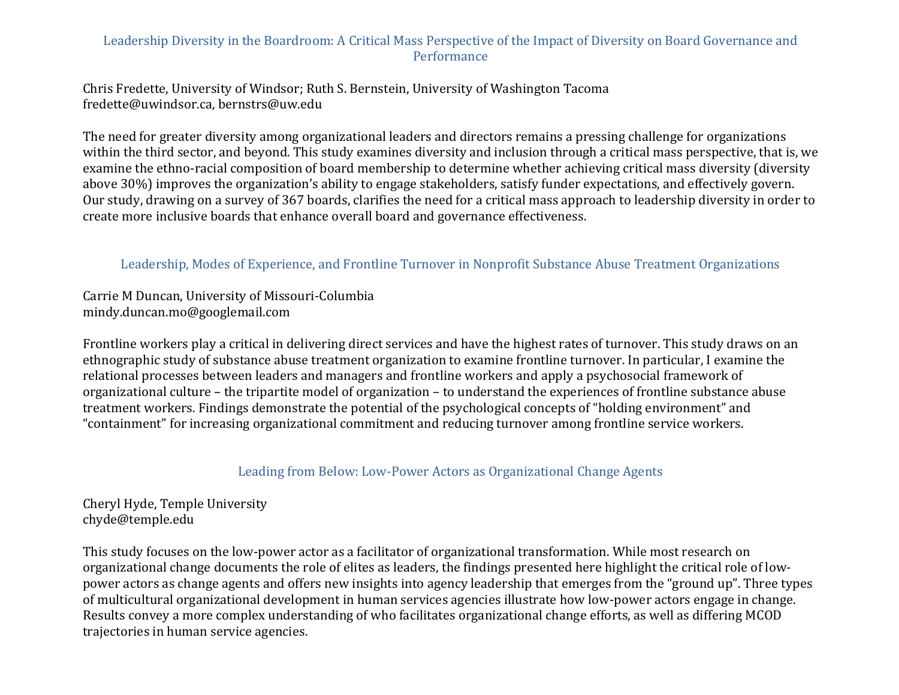# Leadership Diversity in the Boardroom: A Critical Mass Perspective of the Impact of Diversity on Board Governance and **Performance**

Chris Fredette, University of Windsor; Ruth S. Bernstein, University of Washington Tacoma fredette@uwindsor.ca, bernstrs@uw.edu

The need for greater diversity among organizational leaders and directors remains a pressing challenge for organizations within the third sector, and beyond. This study examines diversity and inclusion through a critical mass perspective, that is, we examine the ethno-racial composition of board membership to determine whether achieving critical mass diversity (diversity above 30%) improves the organization's ability to engage stakeholders, satisfy funder expectations, and effectively govern. Our study, drawing on a survey of 367 boards, clarifies the need for a critical mass approach to leadership diversity in order to create more inclusive boards that enhance overall board and governance effectiveness.

### Leadership, Modes of Experience, and Frontline Turnover in Nonprofit Substance Abuse Treatment Organizations

Carrie M Duncan, University of Missouri-Columbia mindy.duncan.mo@googlemail.com

Frontline workers play a critical in delivering direct services and have the highest rates of turnover. This study draws on an ethnographic study of substance abuse treatment organization to examine frontline turnover. In particular, I examine the relational processes between leaders and managers and frontline workers and apply a psychosocial framework of organizational culture – the tripartite model of organization – to understand the experiences of frontline substance abuse treatment workers. Findings demonstrate the potential of the psychological concepts of "holding environment" and "containment" for increasing organizational commitment and reducing turnover among frontline service workers.

### Leading from Below: Low-Power Actors as Organizational Change Agents

Cheryl Hyde, Temple University chyde@temple.edu

This study focuses on the low-power actor as a facilitator of organizational transformation. While most research on organizational change documents the role of elites as leaders, the findings presented here highlight the critical role of lowpower actors as change agents and offers new insights into agency leadership that emerges from the "ground up". Three types of multicultural organizational development in human services agencies illustrate how low-power actors engage in change. Results convey a more complex understanding of who facilitates organizational change efforts, as well as differing MCOD trajectories in human service agencies.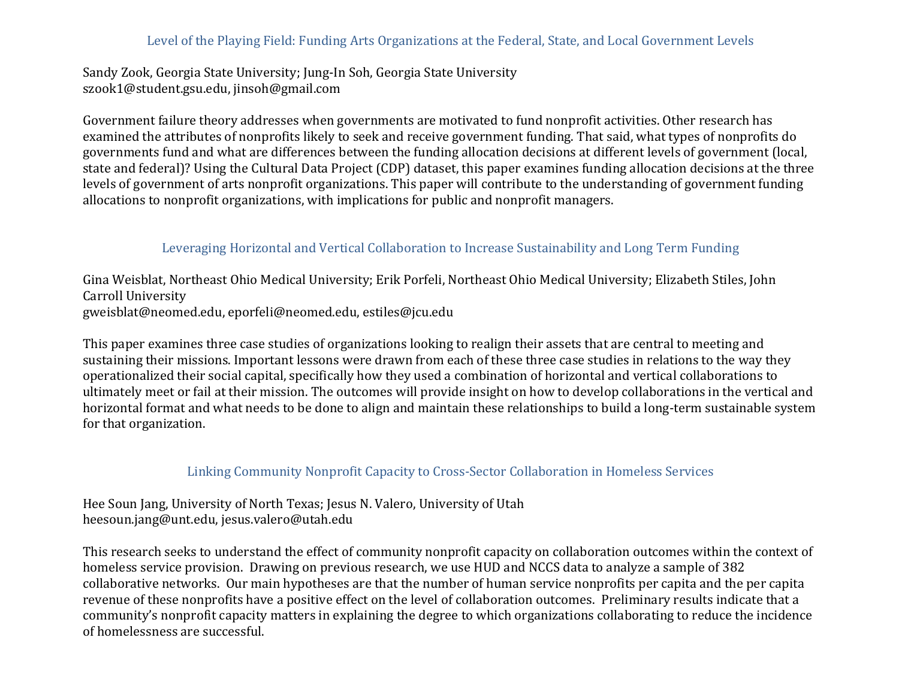# Level of the Playing Field: Funding Arts Organizations at the Federal, State, and Local Government Levels

Sandy Zook, Georgia State University; Jung-In Soh, Georgia State University szook1@student.gsu.edu, jinsoh@gmail.com

Government failure theory addresses when governments are motivated to fund nonprofit activities. Other research has examined the attributes of nonprofits likely to seek and receive government funding. That said, what types of nonprofits do governments fund and what are differences between the funding allocation decisions at different levels of government (local, state and federal)? Using the Cultural Data Project (CDP) dataset, this paper examines funding allocation decisions at the three levels of government of arts nonprofit organizations. This paper will contribute to the understanding of government funding allocations to nonprofit organizations, with implications for public and nonprofit managers.

# Leveraging Horizontal and Vertical Collaboration to Increase Sustainability and Long Term Funding

Gina Weisblat, Northeast Ohio Medical University; Erik Porfeli, Northeast Ohio Medical University; Elizabeth Stiles, John Carroll University gweisblat@neomed.edu, eporfeli@neomed.edu, estiles@jcu.edu

This paper examines three case studies of organizations looking to realign their assets that are central to meeting and sustaining their missions. Important lessons were drawn from each of these three case studies in relations to the way they operationalized their social capital, specifically how they used a combination of horizontal and vertical collaborations to ultimately meet or fail at their mission. The outcomes will provide insight on how to develop collaborations in the vertical and horizontal format and what needs to be done to align and maintain these relationships to build a long-term sustainable system for that organization.

### Linking Community Nonprofit Capacity to Cross-Sector Collaboration in Homeless Services

Hee Soun Jang, University of North Texas; Jesus N. Valero, University of Utah heesoun.jang@unt.edu, jesus.valero@utah.edu

This research seeks to understand the effect of community nonprofit capacity on collaboration outcomes within the context of homeless service provision. Drawing on previous research, we use HUD and NCCS data to analyze a sample of 382 collaborative networks. Our main hypotheses are that the number of human service nonprofits per capita and the per capita revenue of these nonprofits have a positive effect on the level of collaboration outcomes. Preliminary results indicate that a community's nonprofit capacity matters in explaining the degree to which organizations collaborating to reduce the incidence of homelessness are successful.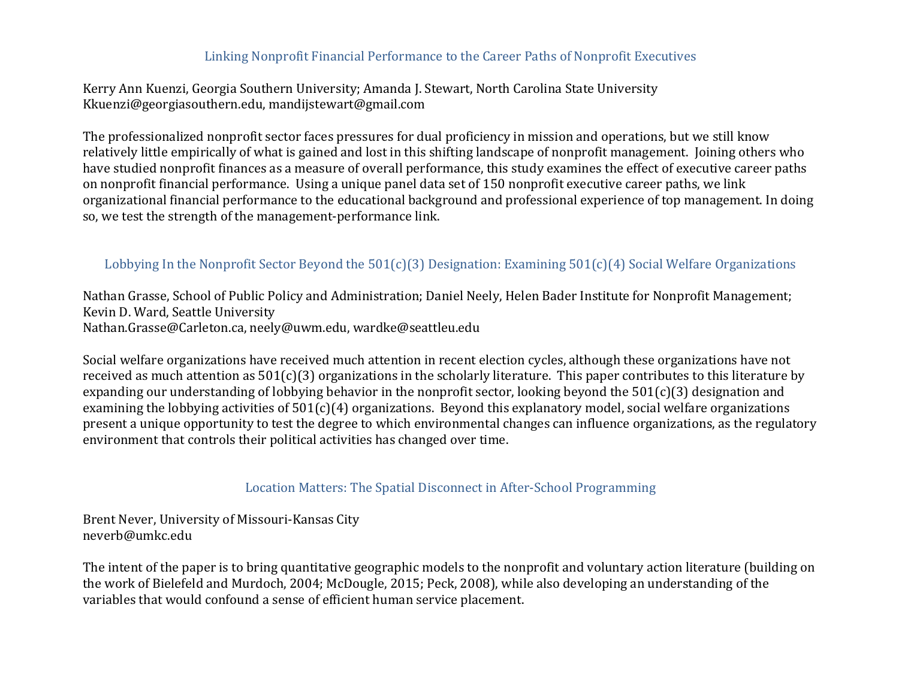### Linking Nonprofit Financial Performance to the Career Paths of Nonprofit Executives

Kerry Ann Kuenzi, Georgia Southern University; Amanda J. Stewart, North Carolina State University Kkuenzi@georgiasouthern.edu, mandijstewart@gmail.com

The professionalized nonprofit sector faces pressures for dual proficiency in mission and operations, but we still know relatively little empirically of what is gained and lost in this shifting landscape of nonprofit management. Joining others who have studied nonprofit finances as a measure of overall performance, this study examines the effect of executive career paths on nonprofit financial performance. Using a unique panel data set of 150 nonprofit executive career paths, we link organizational financial performance to the educational background and professional experience of top management. In doing so, we test the strength of the management-performance link.

# Lobbying In the Nonprofit Sector Beyond the  $501(c)(3)$  Designation: Examining  $501(c)(4)$  Social Welfare Organizations

Nathan Grasse, School of Public Policy and Administration; Daniel Neely, Helen Bader Institute for Nonprofit Management; Kevin D. Ward, Seattle University Nathan.Grasse@Carleton.ca, neely@uwm.edu, wardke@seattleu.edu

Social welfare organizations have received much attention in recent election cycles, although these organizations have not received as much attention as  $501(c)(3)$  organizations in the scholarly literature. This paper contributes to this literature by expanding our understanding of lobbying behavior in the nonprofit sector, looking beyond the  $501(c)(3)$  designation and examining the lobbying activities of  $501(c)(4)$  organizations. Beyond this explanatory model, social welfare organizations present a unique opportunity to test the degree to which environmental changes can influence organizations, as the regulatory environment that controls their political activities has changed over time.

### Location Matters: The Spatial Disconnect in After-School Programming

Brent Never, University of Missouri-Kansas City neverb@umkc.edu

The intent of the paper is to bring quantitative geographic models to the nonprofit and voluntary action literature (building on the work of Bielefeld and Murdoch, 2004; McDougle, 2015; Peck, 2008), while also developing an understanding of the variables that would confound a sense of efficient human service placement.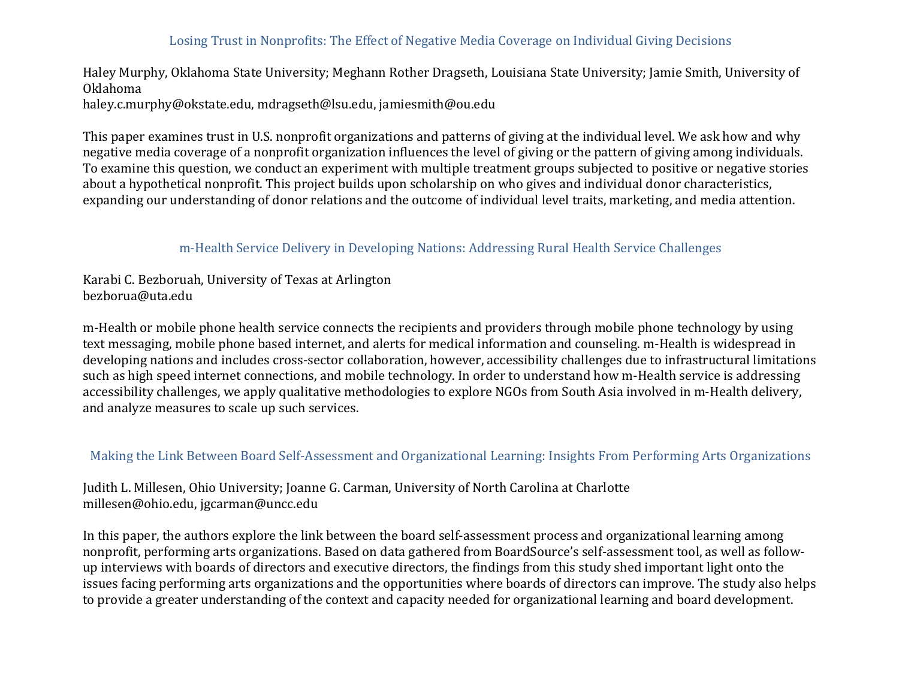# Losing Trust in Nonprofits: The Effect of Negative Media Coverage on Individual Giving Decisions

Haley Murphy, Oklahoma State University; Meghann Rother Dragseth, Louisiana State University; Jamie Smith, University of Oklahoma haley.c.murphy@okstate.edu, mdragseth@lsu.edu, jamiesmith@ou.edu

This paper examines trust in U.S. nonprofit organizations and patterns of giving at the individual level. We ask how and why negative media coverage of a nonprofit organization influences the level of giving or the pattern of giving among individuals. To examine this question, we conduct an experiment with multiple treatment groups subjected to positive or negative stories about a hypothetical nonprofit. This project builds upon scholarship on who gives and individual donor characteristics, expanding our understanding of donor relations and the outcome of individual level traits, marketing, and media attention.

## m-Health Service Delivery in Developing Nations: Addressing Rural Health Service Challenges

Karabi C. Bezboruah, University of Texas at Arlington bezborua@uta.edu

m-Health or mobile phone health service connects the recipients and providers through mobile phone technology by using text messaging, mobile phone based internet, and alerts for medical information and counseling. m-Health is widespread in developing nations and includes cross-sector collaboration, however, accessibility challenges due to infrastructural limitations such as high speed internet connections, and mobile technology. In order to understand how m-Health service is addressing accessibility challenges, we apply qualitative methodologies to explore NGOs from South Asia involved in m-Health delivery, and analyze measures to scale up such services.

#### Making the Link Between Board Self-Assessment and Organizational Learning: Insights From Performing Arts Organizations

Judith L. Millesen, Ohio University; Joanne G. Carman, University of North Carolina at Charlotte millesen@ohio.edu, jgcarman@uncc.edu

In this paper, the authors explore the link between the board self-assessment process and organizational learning among nonprofit, performing arts organizations. Based on data gathered from BoardSource's self-assessment tool, as well as followup interviews with boards of directors and executive directors, the findings from this study shed important light onto the issues facing performing arts organizations and the opportunities where boards of directors can improve. The study also helps to provide a greater understanding of the context and capacity needed for organizational learning and board development.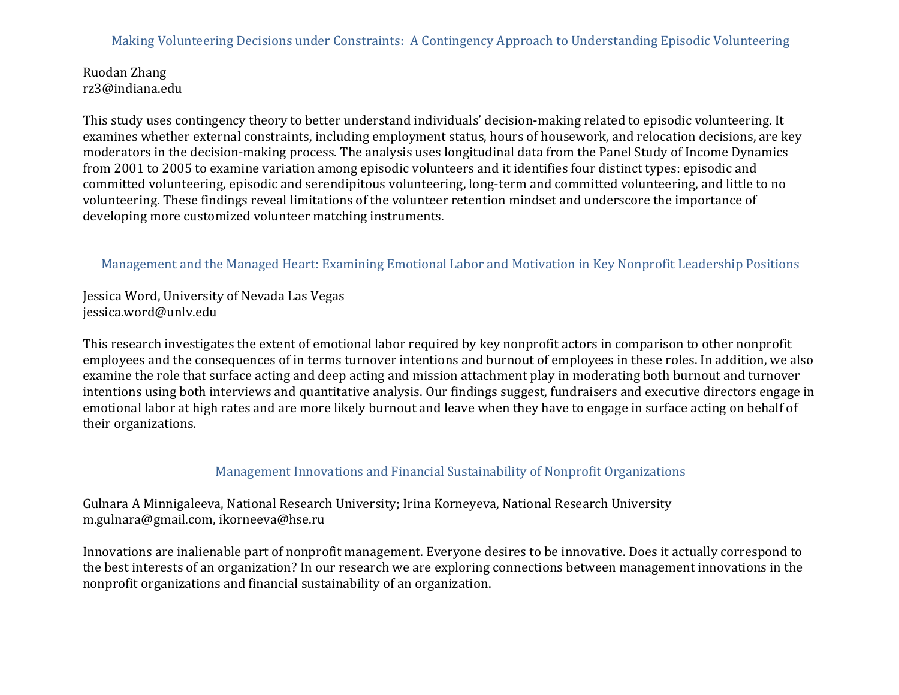## Making Volunteering Decisions under Constraints: A Contingency Approach to Understanding Episodic Volunteering

Ruodan Zhang rz3@indiana.edu

This study uses contingency theory to better understand individuals' decision-making related to episodic volunteering. It examines whether external constraints, including employment status, hours of housework, and relocation decisions, are key moderators in the decision-making process. The analysis uses longitudinal data from the Panel Study of Income Dynamics from 2001 to 2005 to examine variation among episodic volunteers and it identifies four distinct types: episodic and committed volunteering, episodic and serendipitous volunteering, long-term and committed volunteering, and little to no volunteering. These findings reveal limitations of the volunteer retention mindset and underscore the importance of developing more customized volunteer matching instruments.

#### Management and the Managed Heart: Examining Emotional Labor and Motivation in Key Nonprofit Leadership Positions

Jessica Word, University of Nevada Las Vegas jessica.word@unlv.edu

This research investigates the extent of emotional labor required by key nonprofit actors in comparison to other nonprofit employees and the consequences of in terms turnover intentions and burnout of employees in these roles. In addition, we also examine the role that surface acting and deep acting and mission attachment play in moderating both burnout and turnover intentions using both interviews and quantitative analysis. Our findings suggest, fundraisers and executive directors engage in emotional labor at high rates and are more likely burnout and leave when they have to engage in surface acting on behalf of their organizations.

#### Management Innovations and Financial Sustainability of Nonprofit Organizations

Gulnara A Minnigaleeva, National Research University; Irina Korneyeva, National Research University m.gulnara@gmail.com, ikorneeva@hse.ru

Innovations are inalienable part of nonprofit management. Everyone desires to be innovative. Does it actually correspond to the best interests of an organization? In our research we are exploring connections between management innovations in the nonprofit organizations and financial sustainability of an organization.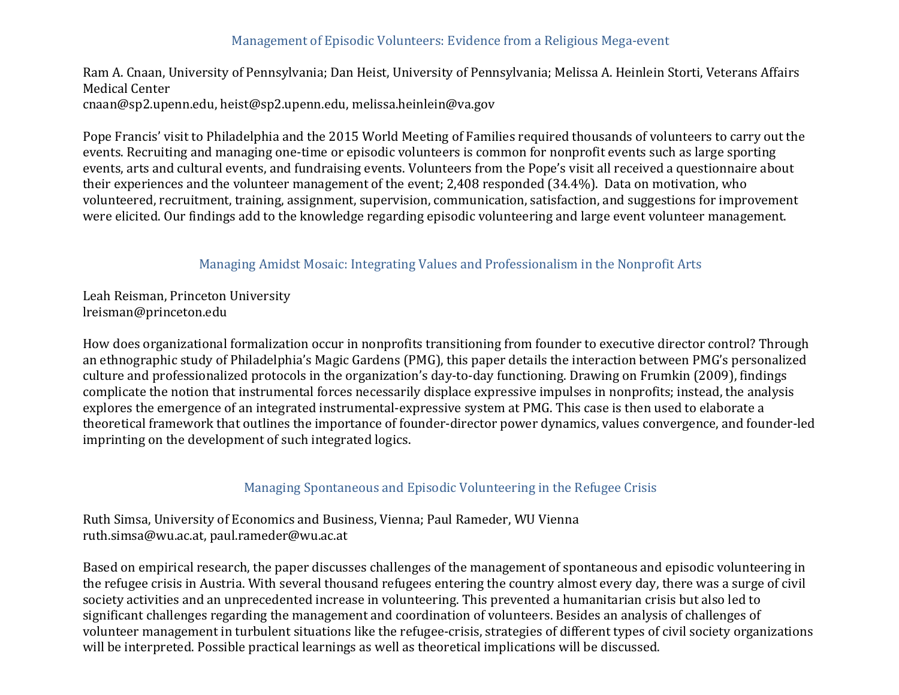## Management of Episodic Volunteers: Evidence from a Religious Mega-event

Ram A. Cnaan, University of Pennsylvania; Dan Heist, University of Pennsylvania; Melissa A. Heinlein Storti, Veterans Affairs Medical Center cnaan@sp2.upenn.edu, heist@sp2.upenn.edu, melissa.heinlein@va.gov

Pope Francis' visit to Philadelphia and the 2015 World Meeting of Families required thousands of volunteers to carry out the events. Recruiting and managing one-time or episodic volunteers is common for nonprofit events such as large sporting events, arts and cultural events, and fundraising events. Volunteers from the Pope's visit all received a questionnaire about their experiences and the volunteer management of the event; 2,408 responded (34.4%). Data on motivation, who volunteered, recruitment, training, assignment, supervision, communication, satisfaction, and suggestions for improvement were elicited. Our findings add to the knowledge regarding episodic volunteering and large event volunteer management.

#### Managing Amidst Mosaic: Integrating Values and Professionalism in the Nonprofit Arts

Leah Reisman, Princeton University lreisman@princeton.edu

How does organizational formalization occur in nonprofits transitioning from founder to executive director control? Through an ethnographic study of Philadelphia's Magic Gardens (PMG), this paper details the interaction between PMG's personalized culture and professionalized protocols in the organization's day-to-day functioning. Drawing on Frumkin (2009), findings complicate the notion that instrumental forces necessarily displace expressive impulses in nonprofits; instead, the analysis explores the emergence of an integrated instrumental-expressive system at PMG. This case is then used to elaborate a theoretical framework that outlines the importance of founder-director power dynamics, values convergence, and founder-led imprinting on the development of such integrated logics.

#### Managing Spontaneous and Episodic Volunteering in the Refugee Crisis

Ruth Simsa, University of Economics and Business, Vienna; Paul Rameder, WU Vienna ruth.simsa@wu.ac.at, paul.rameder@wu.ac.at

Based on empirical research, the paper discusses challenges of the management of spontaneous and episodic volunteering in the refugee crisis in Austria. With several thousand refugees entering the country almost every day, there was a surge of civil society activities and an unprecedented increase in volunteering. This prevented a humanitarian crisis but also led to significant challenges regarding the management and coordination of volunteers. Besides an analysis of challenges of volunteer management in turbulent situations like the refugee-crisis, strategies of different types of civil society organizations will be interpreted. Possible practical learnings as well as theoretical implications will be discussed.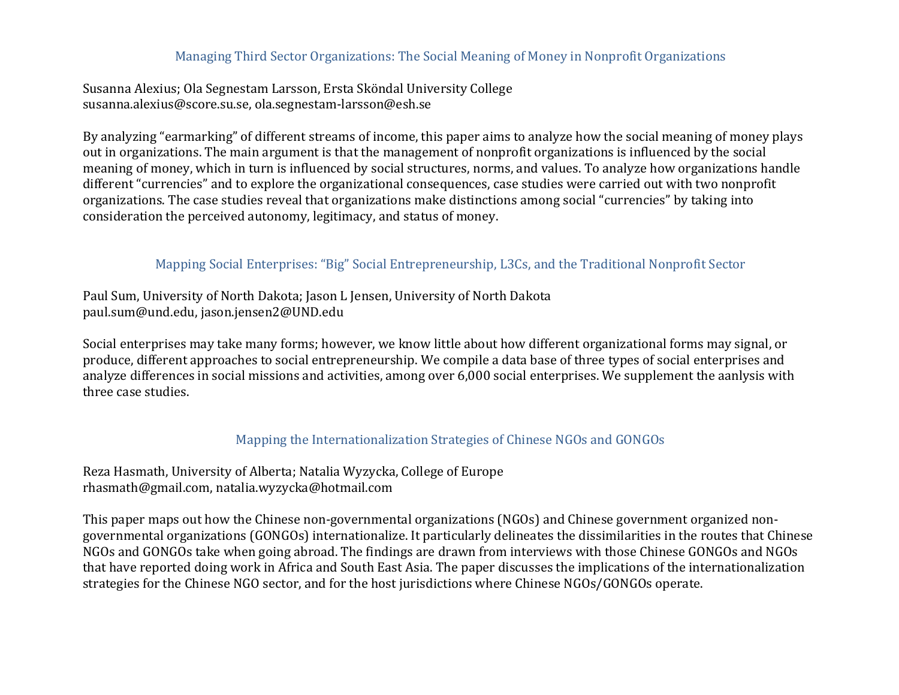#### Managing Third Sector Organizations: The Social Meaning of Money in Nonprofit Organizations

Susanna Alexius; Ola Segnestam Larsson, Ersta Sköndal University College susanna.alexius@score.su.se, ola.segnestam-larsson@esh.se

By analyzing "earmarking" of different streams of income, this paper aims to analyze how the social meaning of money plays out in organizations. The main argument is that the management of nonprofit organizations is influenced by the social meaning of money, which in turn is influenced by social structures, norms, and values. To analyze how organizations handle different "currencies" and to explore the organizational consequences, case studies were carried out with two nonprofit organizations. The case studies reveal that organizations make distinctions among social "currencies" by taking into consideration the perceived autonomy, legitimacy, and status of money.

## Mapping Social Enterprises: "Big" Social Entrepreneurship, L3Cs, and the Traditional Nonprofit Sector

Paul Sum, University of North Dakota; Jason L Jensen, University of North Dakota paul.sum@und.edu, jason.jensen2@UND.edu

Social enterprises may take many forms; however, we know little about how different organizational forms may signal, or produce, different approaches to social entrepreneurship. We compile a data base of three types of social enterprises and analyze differences in social missions and activities, among over 6,000 social enterprises. We supplement the aanlysis with three case studies.

## Mapping the Internationalization Strategies of Chinese NGOs and GONGOs

Reza Hasmath, University of Alberta; Natalia Wyzycka, College of Europe rhasmath@gmail.com, natalia.wyzycka@hotmail.com

This paper maps out how the Chinese non-governmental organizations (NGOs) and Chinese government organized nongovernmental organizations (GONGOs) internationalize. It particularly delineates the dissimilarities in the routes that Chinese NGOs and GONGOs take when going abroad. The findings are drawn from interviews with those Chinese GONGOs and NGOs that have reported doing work in Africa and South East Asia. The paper discusses the implications of the internationalization strategies for the Chinese NGO sector, and for the host jurisdictions where Chinese NGOs/GONGOs operate.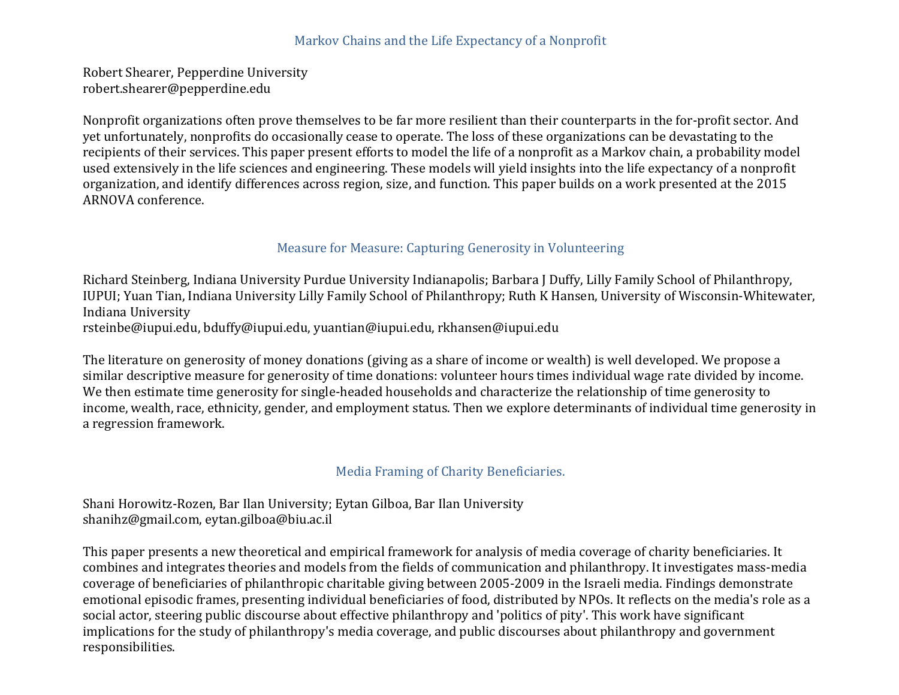## Markov Chains and the Life Expectancy of a Nonprofit

Robert Shearer, Pepperdine University robert.shearer@pepperdine.edu

Nonprofit organizations often prove themselves to be far more resilient than their counterparts in the for-profit sector. And yet unfortunately, nonprofits do occasionally cease to operate. The loss of these organizations can be devastating to the recipients of their services. This paper present efforts to model the life of a nonprofit as a Markov chain, a probability model used extensively in the life sciences and engineering. These models will yield insights into the life expectancy of a nonprofit organization, and identify differences across region, size, and function. This paper builds on a work presented at the 2015 ARNOVA conference.

#### Measure for Measure: Capturing Generosity in Volunteering

Richard Steinberg, Indiana University Purdue University Indianapolis; Barbara J Duffy, Lilly Family School of Philanthropy, IUPUI; Yuan Tian, Indiana University Lilly Family School of Philanthropy; Ruth K Hansen, University of Wisconsin-Whitewater, Indiana University rsteinbe@iupui.edu, bduffy@iupui.edu, yuantian@iupui.edu, rkhansen@iupui.edu

The literature on generosity of money donations (giving as a share of income or wealth) is well developed. We propose a similar descriptive measure for generosity of time donations: volunteer hours times individual wage rate divided by income. We then estimate time generosity for single-headed households and characterize the relationship of time generosity to income, wealth, race, ethnicity, gender, and employment status. Then we explore determinants of individual time generosity in a regression framework.

# Media Framing of Charity Beneficiaries.

Shani Horowitz-Rozen, Bar Ilan University; Eytan Gilboa, Bar Ilan University shanihz@gmail.com, eytan.gilboa@biu.ac.il

This paper presents a new theoretical and empirical framework for analysis of media coverage of charity beneficiaries. It combines and integrates theories and models from the fields of communication and philanthropy. It investigates mass-media coverage of beneficiaries of philanthropic charitable giving between 2005-2009 in the Israeli media. Findings demonstrate emotional episodic frames, presenting individual beneficiaries of food, distributed by NPOs. It reflects on the media's role as a social actor, steering public discourse about effective philanthropy and 'politics of pity'. This work have significant implications for the study of philanthropy's media coverage, and public discourses about philanthropy and government responsibilities.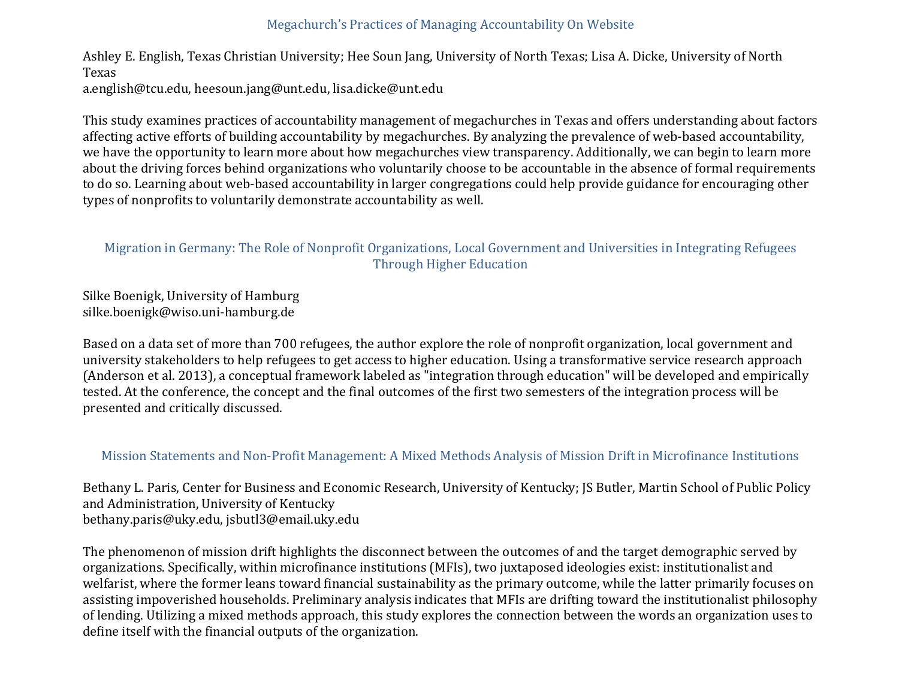# Megachurch's Practices of Managing Accountability On Website

Ashley E. English, Texas Christian University; Hee Soun Jang, University of North Texas; Lisa A. Dicke, University of North Texas a.english@tcu.edu, heesoun.jang@unt.edu, lisa.dicke@unt.edu

This study examines practices of accountability management of megachurches in Texas and offers understanding about factors affecting active efforts of building accountability by megachurches. By analyzing the prevalence of web-based accountability, we have the opportunity to learn more about how megachurches view transparency. Additionally, we can begin to learn more about the driving forces behind organizations who voluntarily choose to be accountable in the absence of formal requirements to do so. Learning about web-based accountability in larger congregations could help provide guidance for encouraging other types of nonprofits to voluntarily demonstrate accountability as well.

## Migration in Germany: The Role of Nonprofit Organizations, Local Government and Universities in Integrating Refugees Through Higher Education

Silke Boenigk, University of Hamburg silke.boenigk@wiso.uni-hamburg.de

Based on a data set of more than 700 refugees, the author explore the role of nonprofit organization, local government and university stakeholders to help refugees to get access to higher education. Using a transformative service research approach (Anderson et al. 2013), a conceptual framework labeled as "integration through education" will be developed and empirically tested. At the conference, the concept and the final outcomes of the first two semesters of the integration process will be presented and critically discussed.

## Mission Statements and Non-Profit Management: A Mixed Methods Analysis of Mission Drift in Microfinance Institutions

Bethany L. Paris, Center for Business and Economic Research, University of Kentucky; JS Butler, Martin School of Public Policy and Administration, University of Kentucky bethany.paris@uky.edu, jsbutl3@email.uky.edu

The phenomenon of mission drift highlights the disconnect between the outcomes of and the target demographic served by organizations. Specifically, within microfinance institutions (MFIs), two juxtaposed ideologies exist: institutionalist and welfarist, where the former leans toward financial sustainability as the primary outcome, while the latter primarily focuses on assisting impoverished households. Preliminary analysis indicates that MFIs are drifting toward the institutionalist philosophy of lending. Utilizing a mixed methods approach, this study explores the connection between the words an organization uses to define itself with the financial outputs of the organization.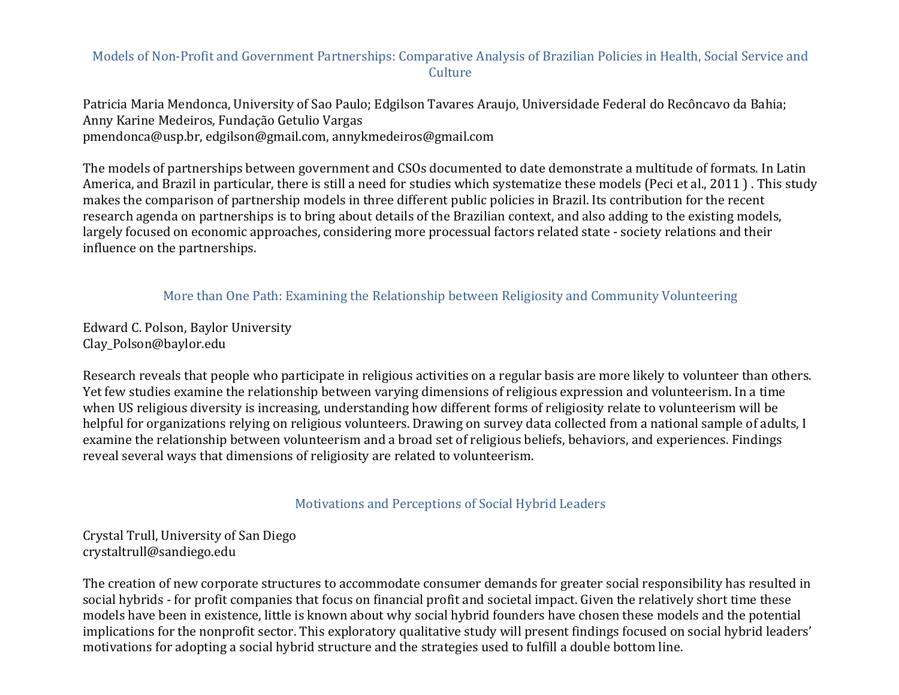#### Models of Non-Profit and Government Partnerships: Comparative Analysis of Brazilian Policies in Health, Social Service and **Culture**

Patricia Maria Mendonca, University of Sao Paulo; Edgilson Tavares Araujo, Universidade Federal do Recôncavo da Bahia; Anny Karine Medeiros, Fundação Getulio Vargas pmendonca@usp.br, edgilson@gmail.com, annykmedeiros@gmail.com

The models of partnerships between government and CSOs documented to date demonstrate a multitude of formats. In Latin America, and Brazil in particular, there is still a need for studies which systematize these models (Peci et al., 2011). This study makes the comparison of partnership models in three different public policies in Brazil. Its contribution for the recent research agenda on partnerships is to bring about details of the Brazilian context, and also adding to the existing models, largely focused on economic approaches, considering more processual factors related state - society relations and their influence on the partnerships.

More than One Path: Examining the Relationship between Religiosity and Community Volunteering

Edward C. Polson, Baylor University Clay\_Polson@baylor.edu

Research reveals that people who participate in religious activities on a regular basis are more likely to volunteer than others. Yet few studies examine the relationship between varying dimensions of religious expression and volunteerism. In a time when US religious diversity is increasing, understanding how different forms of religiosity relate to volunteerism will be helpful for organizations relying on religious volunteers. Drawing on survey data collected from a national sample of adults, I examine the relationship between volunteerism and a broad set of religious beliefs, behaviors, and experiences. Findings reveal several ways that dimensions of religiosity are related to volunteerism.

## Motivations and Perceptions of Social Hybrid Leaders

Crystal Trull, University of San Diego crystaltrull@sandiego.edu

The creation of new corporate structures to accommodate consumer demands for greater social responsibility has resulted in social hybrids - for profit companies that focus on financial profit and societal impact. Given the relatively short time these models have been in existence, little is known about why social hybrid founders have chosen these models and the potential implications for the nonprofit sector. This exploratory qualitative study will present findings focused on social hybrid leaders' motivations for adopting a social hybrid structure and the strategies used to fulfill a double bottom line.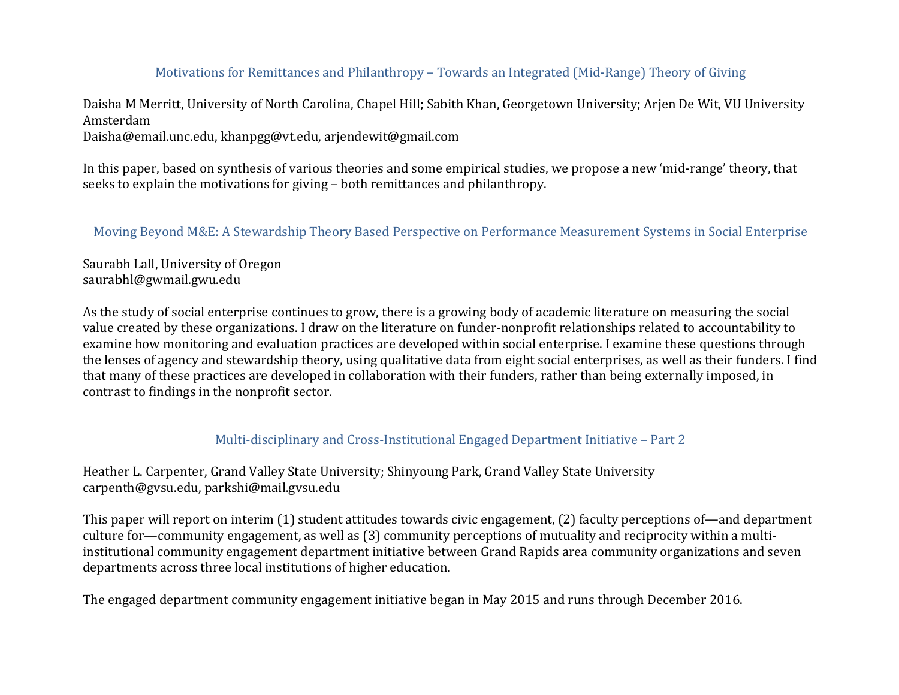# Motivations for Remittances and Philanthropy – Towards an Integrated (Mid-Range) Theory of Giving

Daisha M Merritt, University of North Carolina, Chapel Hill; Sabith Khan, Georgetown University; Arjen De Wit, VU University Amsterdam

Daisha@email.unc.edu, khanpgg@vt.edu, arjendewit@gmail.com

In this paper, based on synthesis of various theories and some empirical studies, we propose a new 'mid-range' theory, that seeks to explain the motivations for giving – both remittances and philanthropy.

Moving Beyond M&E: A Stewardship Theory Based Perspective on Performance Measurement Systems in Social Enterprise

Saurabh Lall, University of Oregon saurabhl@gwmail.gwu.edu

As the study of social enterprise continues to grow, there is a growing body of academic literature on measuring the social value created by these organizations. I draw on the literature on funder-nonprofit relationships related to accountability to examine how monitoring and evaluation practices are developed within social enterprise. I examine these questions through the lenses of agency and stewardship theory, using qualitative data from eight social enterprises, as well as their funders. I find that many of these practices are developed in collaboration with their funders, rather than being externally imposed, in contrast to findings in the nonprofit sector.

#### Multi-disciplinary and Cross-Institutional Engaged Department Initiative – Part 2

Heather L. Carpenter, Grand Valley State University; Shinyoung Park, Grand Valley State University carpenth@gvsu.edu, parkshi@mail.gvsu.edu

This paper will report on interim  $(1)$  student attitudes towards civic engagement,  $(2)$  faculty perceptions of—and department culture for—community engagement, as well as  $(3)$  community perceptions of mutuality and reciprocity within a multiinstitutional community engagement department initiative between Grand Rapids area community organizations and seven departments across three local institutions of higher education.

The engaged department community engagement initiative began in May 2015 and runs through December 2016.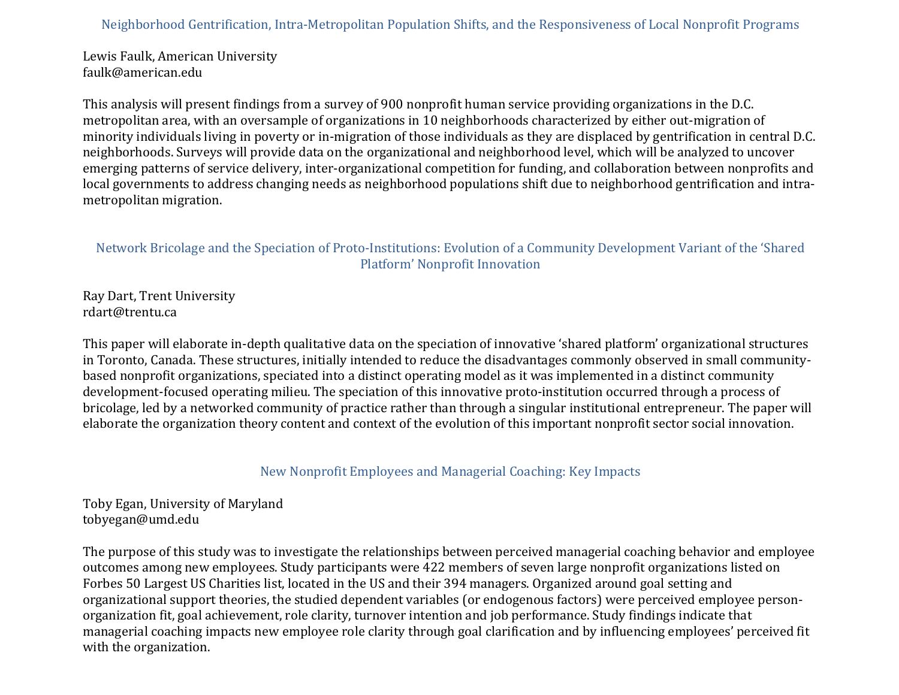### Neighborhood Gentrification, Intra-Metropolitan Population Shifts, and the Responsiveness of Local Nonprofit Programs

Lewis Faulk, American University faulk@american.edu

This analysis will present findings from a survey of 900 nonprofit human service providing organizations in the D.C. metropolitan area, with an oversample of organizations in 10 neighborhoods characterized by either out-migration of minority individuals living in poverty or in-migration of those individuals as they are displaced by gentrification in central D.C. neighborhoods. Surveys will provide data on the organizational and neighborhood level, which will be analyzed to uncover emerging patterns of service delivery, inter-organizational competition for funding, and collaboration between nonprofits and local governments to address changing needs as neighborhood populations shift due to neighborhood gentrification and intrametropolitan migration.

# Network Bricolage and the Speciation of Proto-Institutions: Evolution of a Community Development Variant of the 'Shared Platform' Nonprofit Innovation

Ray Dart, Trent University rdart@trentu.ca

This paper will elaborate in-depth qualitative data on the speciation of innovative 'shared platform' organizational structures in Toronto, Canada. These structures, initially intended to reduce the disadvantages commonly observed in small communitybased nonprofit organizations, speciated into a distinct operating model as it was implemented in a distinct community development-focused operating milieu. The speciation of this innovative proto-institution occurred through a process of bricolage, led by a networked community of practice rather than through a singular institutional entrepreneur. The paper will elaborate the organization theory content and context of the evolution of this important nonprofit sector social innovation.

## New Nonprofit Employees and Managerial Coaching: Key Impacts

# Toby Egan, University of Maryland tobyegan@umd.edu

The purpose of this study was to investigate the relationships between perceived managerial coaching behavior and employee outcomes among new employees. Study participants were 422 members of seven large nonprofit organizations listed on Forbes 50 Largest US Charities list, located in the US and their 394 managers. Organized around goal setting and organizational support theories, the studied dependent variables (or endogenous factors) were perceived employee personorganization fit, goal achievement, role clarity, turnover intention and job performance. Study findings indicate that managerial coaching impacts new employee role clarity through goal clarification and by influencing employees' perceived fit with the organization.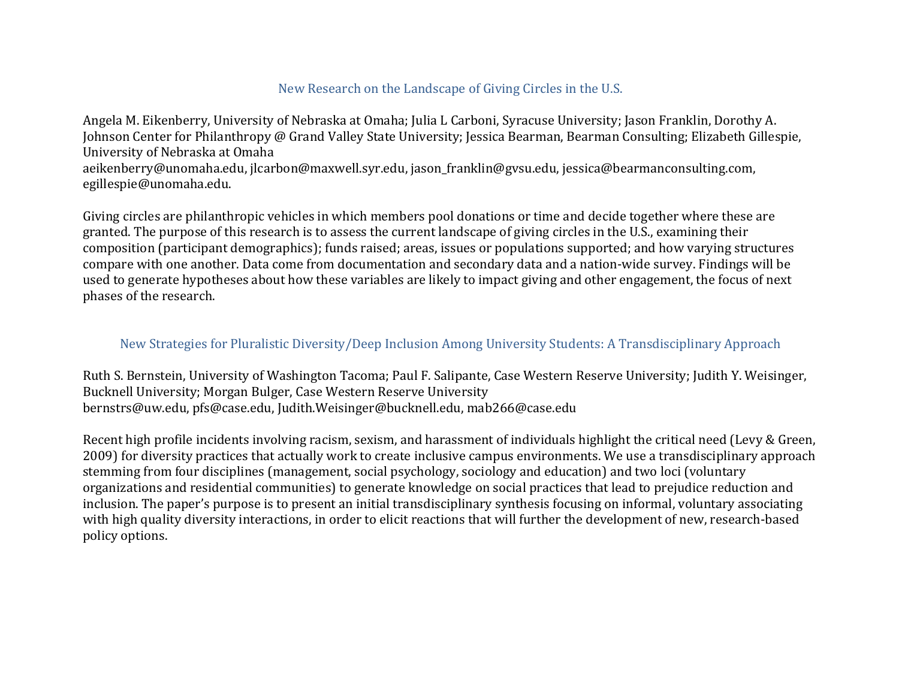### New Research on the Landscape of Giving Circles in the U.S.

Angela M. Eikenberry, University of Nebraska at Omaha; Julia L Carboni, Syracuse University; Jason Franklin, Dorothy A. Johnson Center for Philanthropy @ Grand Valley State University; Jessica Bearman, Bearman Consulting; Elizabeth Gillespie, University of Nebraska at Omaha aeikenberry@unomaha.edu, jlcarbon@maxwell.syr.edu, jason franklin@gvsu.edu, jessica@bearmanconsulting.com, egillespie@unomaha.edu.

Giving circles are philanthropic vehicles in which members pool donations or time and decide together where these are granted. The purpose of this research is to assess the current landscape of giving circles in the U.S., examining their composition (participant demographics); funds raised; areas, issues or populations supported; and how varying structures compare with one another. Data come from documentation and secondary data and a nation-wide survey. Findings will be used to generate hypotheses about how these variables are likely to impact giving and other engagement, the focus of next phases of the research.

### New Strategies for Pluralistic Diversity/Deep Inclusion Among University Students: A Transdisciplinary Approach

Ruth S. Bernstein, University of Washington Tacoma; Paul F. Salipante, Case Western Reserve University; Judith Y. Weisinger, Bucknell University; Morgan Bulger, Case Western Reserve University bernstrs@uw.edu, pfs@case.edu, Judith.Weisinger@bucknell.edu, mab266@case.edu

Recent high profile incidents involving racism, sexism, and harassment of individuals highlight the critical need (Levy & Green, 2009) for diversity practices that actually work to create inclusive campus environments. We use a transdisciplinary approach stemming from four disciplines (management, social psychology, sociology and education) and two loci (voluntary organizations and residential communities) to generate knowledge on social practices that lead to prejudice reduction and inclusion. The paper's purpose is to present an initial transdisciplinary synthesis focusing on informal, voluntary associating with high quality diversity interactions, in order to elicit reactions that will further the development of new, research-based policy options.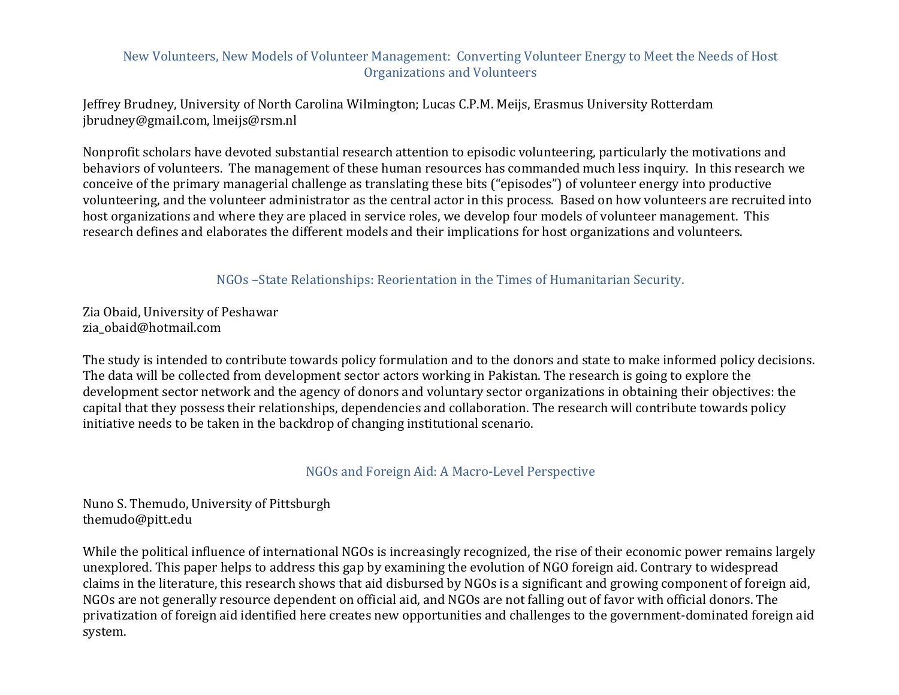### New Volunteers, New Models of Volunteer Management: Converting Volunteer Energy to Meet the Needs of Host Organizations and Volunteers

Jeffrey Brudney, University of North Carolina Wilmington; Lucas C.P.M. Meijs, Erasmus University Rotterdam jbrudney@gmail.com, lmeijs@rsm.nl

Nonprofit scholars have devoted substantial research attention to episodic volunteering, particularly the motivations and behaviors of volunteers. The management of these human resources has commanded much less inquiry. In this research we conceive of the primary managerial challenge as translating these bits ("episodes") of volunteer energy into productive volunteering, and the volunteer administrator as the central actor in this process. Based on how volunteers are recruited into host organizations and where they are placed in service roles, we develop four models of volunteer management. This research defines and elaborates the different models and their implications for host organizations and volunteers.

NGOs – State Relationships: Reorientation in the Times of Humanitarian Security.

Zia Obaid, University of Peshawar zia\_obaid@hotmail.com

The study is intended to contribute towards policy formulation and to the donors and state to make informed policy decisions. The data will be collected from development sector actors working in Pakistan. The research is going to explore the development sector network and the agency of donors and voluntary sector organizations in obtaining their objectives: the capital that they possess their relationships, dependencies and collaboration. The research will contribute towards policy initiative needs to be taken in the backdrop of changing institutional scenario.

NGOs and Foreign Aid: A Macro-Level Perspective

Nuno S. Themudo, University of Pittsburgh themudo@pitt.edu

While the political influence of international NGOs is increasingly recognized, the rise of their economic power remains largely unexplored. This paper helps to address this gap by examining the evolution of NGO foreign aid. Contrary to widespread claims in the literature, this research shows that aid disbursed by NGOs is a significant and growing component of foreign aid, NGOs are not generally resource dependent on official aid, and NGOs are not falling out of favor with official donors. The privatization of foreign aid identified here creates new opportunities and challenges to the government-dominated foreign aid system.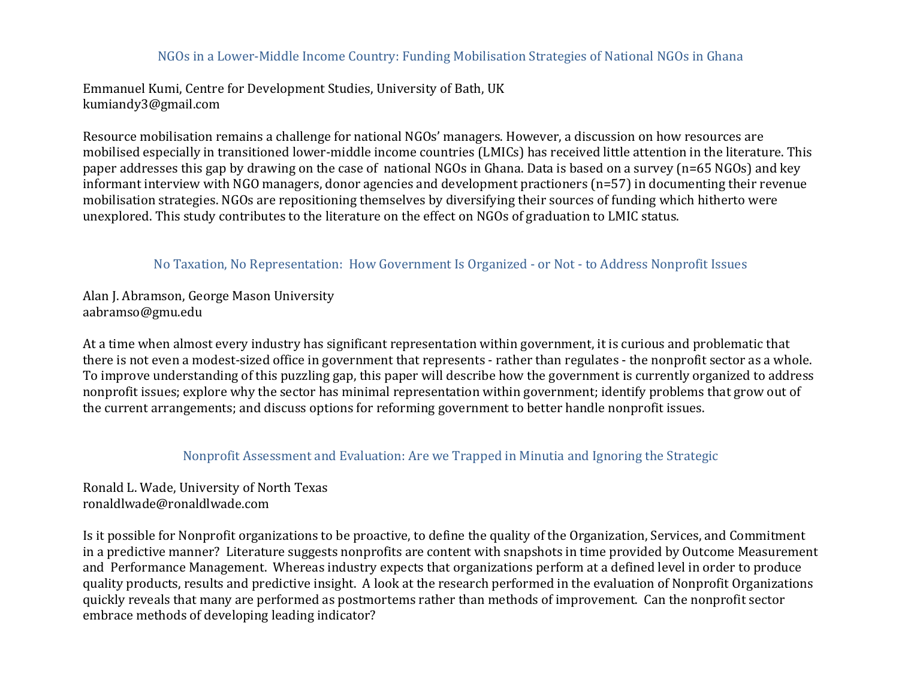#### NGOs in a Lower-Middle Income Country: Funding Mobilisation Strategies of National NGOs in Ghana

Emmanuel Kumi, Centre for Development Studies. University of Bath. UK kumiandy3@gmail.com

Resource mobilisation remains a challenge for national NGOs' managers. However, a discussion on how resources are mobilised especially in transitioned lower-middle income countries (LMICs) has received little attention in the literature. This paper addresses this gap by drawing on the case of national NGOs in Ghana. Data is based on a survey ( $n=65$  NGOs) and key informant interview with NGO managers, donor agencies and development practioners  $(n=57)$  in documenting their revenue mobilisation strategies. NGOs are repositioning themselves by diversifying their sources of funding which hitherto were unexplored. This study contributes to the literature on the effect on NGOs of graduation to LMIC status.

#### No Taxation, No Representation: How Government Is Organized - or Not - to Address Nonprofit Issues

Alan J. Abramson, George Mason University aabramso@gmu.edu

At a time when almost every industry has significant representation within government, it is curious and problematic that there is not even a modest-sized office in government that represents - rather than regulates - the nonprofit sector as a whole. To improve understanding of this puzzling gap, this paper will describe how the government is currently organized to address nonprofit issues; explore why the sector has minimal representation within government; identify problems that grow out of the current arrangements; and discuss options for reforming government to better handle nonprofit issues.

#### Nonprofit Assessment and Evaluation: Are we Trapped in Minutia and Ignoring the Strategic

Ronald L. Wade, University of North Texas ronaldlwade@ronaldlwade.com

Is it possible for Nonprofit organizations to be proactive, to define the quality of the Organization, Services, and Commitment in a predictive manner? Literature suggests nonprofits are content with snapshots in time provided by Outcome Measurement and Performance Management. Whereas industry expects that organizations perform at a defined level in order to produce quality products, results and predictive insight. A look at the research performed in the evaluation of Nonprofit Organizations quickly reveals that many are performed as postmortems rather than methods of improvement. Can the nonprofit sector embrace methods of developing leading indicator?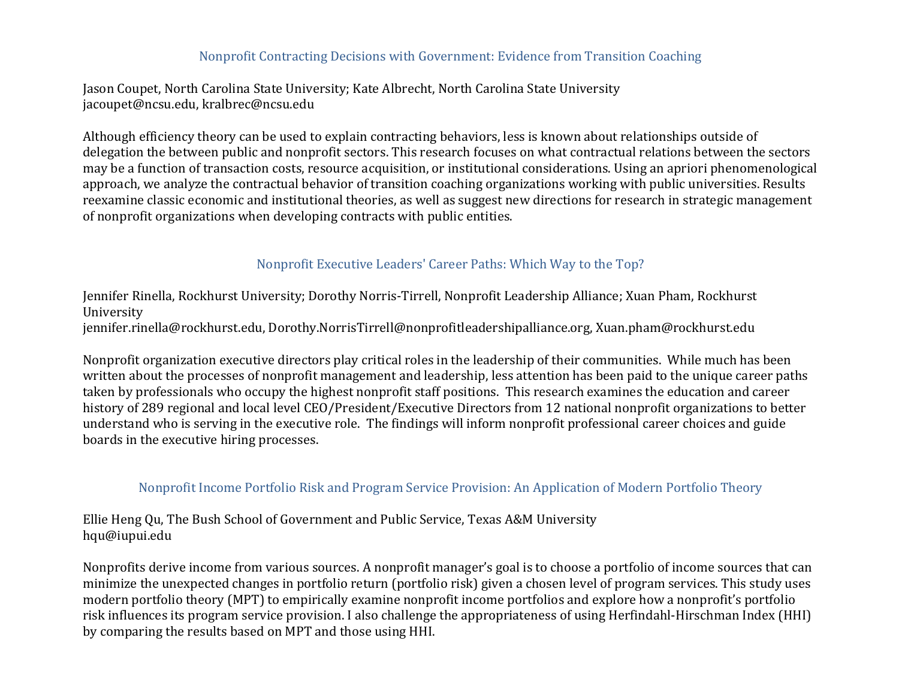#### Nonprofit Contracting Decisions with Government: Evidence from Transition Coaching

Jason Coupet, North Carolina State University; Kate Albrecht, North Carolina State University jacoupet@ncsu.edu, kralbrec@ncsu.edu

Although efficiency theory can be used to explain contracting behaviors, less is known about relationships outside of delegation the between public and nonprofit sectors. This research focuses on what contractual relations between the sectors may be a function of transaction costs, resource acquisition, or institutional considerations. Using an apriori phenomenological approach, we analyze the contractual behavior of transition coaching organizations working with public universities. Results reexamine classic economic and institutional theories, as well as suggest new directions for research in strategic management of nonprofit organizations when developing contracts with public entities.

## Nonprofit Executive Leaders' Career Paths: Which Way to the Top?

Jennifer Rinella, Rockhurst University; Dorothy Norris-Tirrell, Nonprofit Leadership Alliance; Xuan Pham, Rockhurst University jennifer.rinella@rockhurst.edu, Dorothy.NorrisTirrell@nonprofitleadershipalliance.org, Xuan.pham@rockhurst.edu

Nonprofit organization executive directors play critical roles in the leadership of their communities. While much has been written about the processes of nonprofit management and leadership, less attention has been paid to the unique career paths taken by professionals who occupy the highest nonprofit staff positions. This research examines the education and career history of 289 regional and local level CEO/President/Executive Directors from 12 national nonprofit organizations to better understand who is serving in the executive role. The findings will inform nonprofit professional career choices and guide boards in the executive hiring processes.

## Nonprofit Income Portfolio Risk and Program Service Provision: An Application of Modern Portfolio Theory

Ellie Heng Qu, The Bush School of Government and Public Service, Texas A&M University hqu@iupui.edu

Nonprofits derive income from various sources. A nonprofit manager's goal is to choose a portfolio of income sources that can minimize the unexpected changes in portfolio return (portfolio risk) given a chosen level of program services. This study uses modern portfolio theory (MPT) to empirically examine nonprofit income portfolios and explore how a nonprofit's portfolio risk influences its program service provision. I also challenge the appropriateness of using Herfindahl-Hirschman Index (HHI) by comparing the results based on MPT and those using HHI.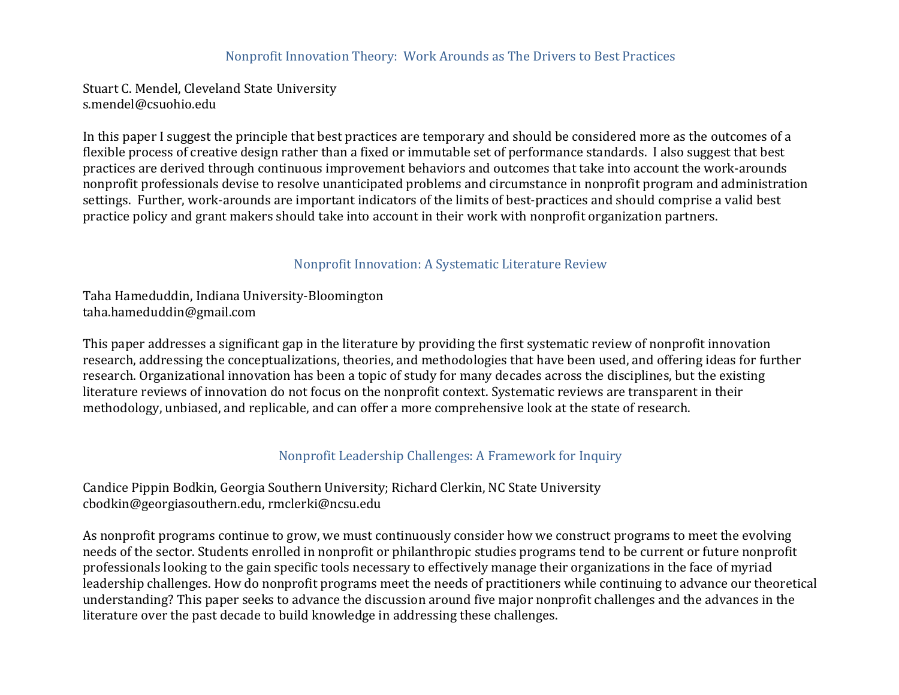#### Nonprofit Innovation Theory: Work Arounds as The Drivers to Best Practices

Stuart C. Mendel, Cleveland State University s.mendel@csuohio.edu

In this paper I suggest the principle that best practices are temporary and should be considered more as the outcomes of a flexible process of creative design rather than a fixed or immutable set of performance standards. I also suggest that best practices are derived through continuous improvement behaviors and outcomes that take into account the work-arounds nonprofit professionals devise to resolve unanticipated problems and circumstance in nonprofit program and administration settings. Further, work-arounds are important indicators of the limits of best-practices and should comprise a valid best practice policy and grant makers should take into account in their work with nonprofit organization partners.

#### Nonprofit Innovation: A Systematic Literature Review

Taha Hameduddin, Indiana University-Bloomington taha.hameduddin@gmail.com

This paper addresses a significant gap in the literature by providing the first systematic review of nonprofit innovation research, addressing the conceptualizations, theories, and methodologies that have been used, and offering ideas for further research. Organizational innovation has been a topic of study for many decades across the disciplines, but the existing literature reviews of innovation do not focus on the nonprofit context. Systematic reviews are transparent in their methodology, unbiased, and replicable, and can offer a more comprehensive look at the state of research.

## Nonprofit Leadership Challenges: A Framework for Inquiry

Candice Pippin Bodkin, Georgia Southern University; Richard Clerkin, NC State University cbodkin@georgiasouthern.edu, rmclerki@ncsu.edu

As nonprofit programs continue to grow, we must continuously consider how we construct programs to meet the evolving needs of the sector. Students enrolled in nonprofit or philanthropic studies programs tend to be current or future nonprofit professionals looking to the gain specific tools necessary to effectively manage their organizations in the face of myriad leadership challenges. How do nonprofit programs meet the needs of practitioners while continuing to advance our theoretical understanding? This paper seeks to advance the discussion around five major nonprofit challenges and the advances in the literature over the past decade to build knowledge in addressing these challenges.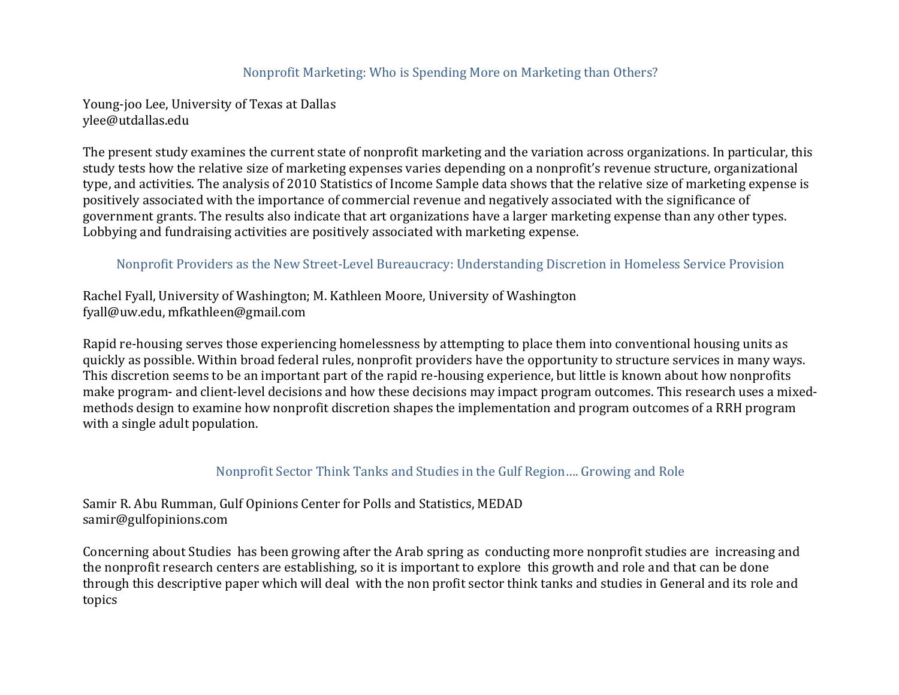## Nonprofit Marketing: Who is Spending More on Marketing than Others?

Young-joo Lee, University of Texas at Dallas ylee@utdallas.edu

The present study examines the current state of nonprofit marketing and the variation across organizations. In particular, this study tests how the relative size of marketing expenses varies depending on a nonprofit's revenue structure, organizational type, and activities. The analysis of 2010 Statistics of Income Sample data shows that the relative size of marketing expense is positively associated with the importance of commercial revenue and negatively associated with the significance of government grants. The results also indicate that art organizations have a larger marketing expense than any other types. Lobbying and fundraising activities are positively associated with marketing expense.

#### Nonprofit Providers as the New Street-Level Bureaucracy: Understanding Discretion in Homeless Service Provision

Rachel Fyall, University of Washington; M. Kathleen Moore, University of Washington fyall@uw.edu, mfkathleen@gmail.com

Rapid re-housing serves those experiencing homelessness by attempting to place them into conventional housing units as quickly as possible. Within broad federal rules, nonprofit providers have the opportunity to structure services in many ways. This discretion seems to be an important part of the rapid re-housing experience, but little is known about how nonprofits make program- and client-level decisions and how these decisions may impact program outcomes. This research uses a mixedmethods design to examine how nonprofit discretion shapes the implementation and program outcomes of a RRH program with a single adult population.

#### Nonprofit Sector Think Tanks and Studies in the Gulf Region.... Growing and Role

Samir R. Abu Rumman, Gulf Opinions Center for Polls and Statistics, MEDAD samir@gulfopinions.com

Concerning about Studies has been growing after the Arab spring as conducting more nonprofit studies are increasing and the nonprofit research centers are establishing, so it is important to explore this growth and role and that can be done through this descriptive paper which will deal with the non profit sector think tanks and studies in General and its role and topics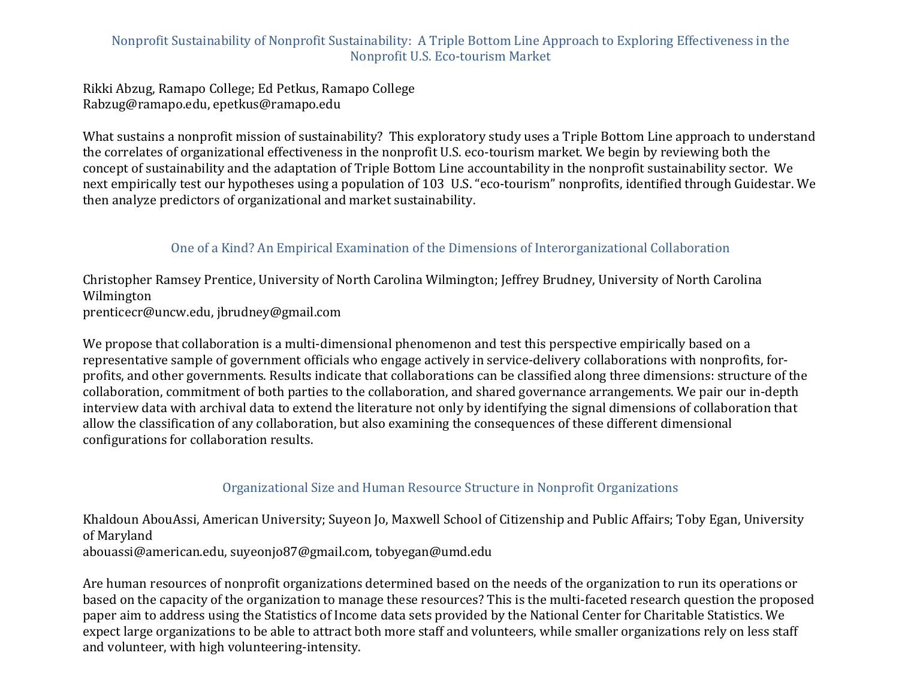# Nonprofit Sustainability of Nonprofit Sustainability: A Triple Bottom Line Approach to Exploring Effectiveness in the Nonprofit U.S. Eco-tourism Market

Rikki Abzug, Ramapo College; Ed Petkus, Ramapo College Rabzug@ramapo.edu, epetkus@ramapo.edu

What sustains a nonprofit mission of sustainability? This exploratory study uses a Triple Bottom Line approach to understand the correlates of organizational effectiveness in the nonprofit U.S. eco-tourism market. We begin by reviewing both the concept of sustainability and the adaptation of Triple Bottom Line accountability in the nonprofit sustainability sector. We next empirically test our hypotheses using a population of 103 U.S. "eco-tourism" nonprofits, identified through Guidestar. We then analyze predictors of organizational and market sustainability.

## One of a Kind? An Empirical Examination of the Dimensions of Interorganizational Collaboration

Christopher Ramsey Prentice, University of North Carolina Wilmington; Jeffrey Brudney, University of North Carolina Wilmington prenticecr@uncw.edu, jbrudney@gmail.com

We propose that collaboration is a multi-dimensional phenomenon and test this perspective empirically based on a representative sample of government officials who engage actively in service-delivery collaborations with nonprofits, forprofits, and other governments. Results indicate that collaborations can be classified along three dimensions: structure of the collaboration, commitment of both parties to the collaboration, and shared governance arrangements. We pair our in-depth interview data with archival data to extend the literature not only by identifying the signal dimensions of collaboration that allow the classification of any collaboration, but also examining the consequences of these different dimensional configurations for collaboration results.

## Organizational Size and Human Resource Structure in Nonprofit Organizations

Khaldoun AbouAssi, American University; Suyeon Jo, Maxwell School of Citizenship and Public Affairs; Toby Egan, University of Maryland abouassi@american.edu, suyeonjo87@gmail.com, tobvegan@umd.edu

Are human resources of nonprofit organizations determined based on the needs of the organization to run its operations or based on the capacity of the organization to manage these resources? This is the multi-faceted research question the proposed paper aim to address using the Statistics of Income data sets provided by the National Center for Charitable Statistics. We expect large organizations to be able to attract both more staff and volunteers, while smaller organizations rely on less staff and volunteer, with high volunteering-intensity.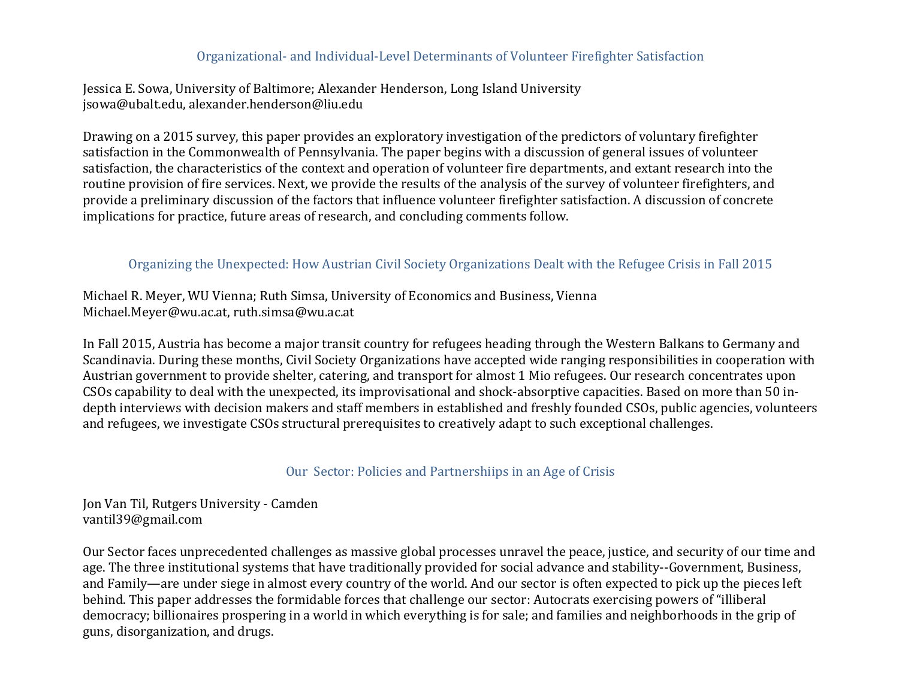#### Organizational- and Individual-Level Determinants of Volunteer Firefighter Satisfaction

Jessica E. Sowa, University of Baltimore; Alexander Henderson, Long Island University jsowa@ubalt.edu, alexander.henderson@liu.edu

Drawing on a 2015 survey, this paper provides an exploratory investigation of the predictors of voluntary firefighter satisfaction in the Commonwealth of Pennsylvania. The paper begins with a discussion of general issues of volunteer satisfaction, the characteristics of the context and operation of volunteer fire departments, and extant research into the routine provision of fire services. Next, we provide the results of the analysis of the survey of volunteer firefighters, and provide a preliminary discussion of the factors that influence volunteer firefighter satisfaction. A discussion of concrete implications for practice, future areas of research, and concluding comments follow.

## Organizing the Unexpected: How Austrian Civil Society Organizations Dealt with the Refugee Crisis in Fall 2015

Michael R. Meyer, WU Vienna; Ruth Simsa, University of Economics and Business, Vienna Michael.Meyer@wu.ac.at, ruth.simsa@wu.ac.at

In Fall 2015, Austria has become a major transit country for refugees heading through the Western Balkans to Germany and Scandinavia. During these months, Civil Society Organizations have accepted wide ranging responsibilities in cooperation with Austrian government to provide shelter, catering, and transport for almost 1 Mio refugees. Our research concentrates upon CSOs capability to deal with the unexpected, its improvisational and shock-absorptive capacities. Based on more than 50 indepth interviews with decision makers and staff members in established and freshly founded CSOs, public agencies, volunteers and refugees, we investigate CSOs structural prerequisites to creatively adapt to such exceptional challenges.

#### Our Sector: Policies and Partnershiips in an Age of Crisis

Jon Van Til, Rutgers University - Camden vantil39@gmail.com

Our Sector faces unprecedented challenges as massive global processes unravel the peace, justice, and security of our time and age. The three institutional systems that have traditionally provided for social advance and stability--Government, Business, and Family—are under siege in almost every country of the world. And our sector is often expected to pick up the pieces left behind. This paper addresses the formidable forces that challenge our sector: Autocrats exercising powers of "illiberal democracy; billionaires prospering in a world in which everything is for sale; and families and neighborhoods in the grip of guns, disorganization, and drugs.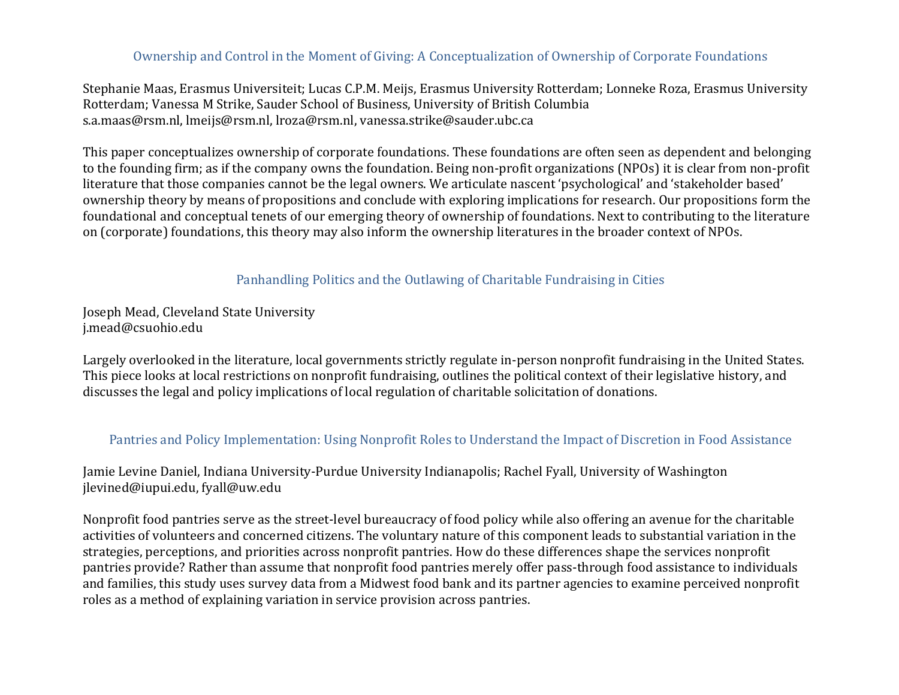## Ownership and Control in the Moment of Giving: A Conceptualization of Ownership of Corporate Foundations

Stephanie Maas, Erasmus Universiteit; Lucas C.P.M. Meijs, Erasmus University Rotterdam; Lonneke Roza, Erasmus University Rotterdam; Vanessa M Strike, Sauder School of Business, University of British Columbia s.a.maas@rsm.nl, lmeijs@rsm.nl, lroza@rsm.nl, vanessa.strike@sauder.ubc.ca

This paper conceptualizes ownership of corporate foundations. These foundations are often seen as dependent and belonging to the founding firm; as if the company owns the foundation. Being non-profit organizations (NPOs) it is clear from non-profit literature that those companies cannot be the legal owners. We articulate nascent 'psychological' and 'stakeholder based' ownership theory by means of propositions and conclude with exploring implications for research. Our propositions form the foundational and conceptual tenets of our emerging theory of ownership of foundations. Next to contributing to the literature on (corporate) foundations, this theory may also inform the ownership literatures in the broader context of NPOs.

### Panhandling Politics and the Outlawing of Charitable Fundraising in Cities

Joseph Mead, Cleveland State University j.mead@csuohio.edu

Largely overlooked in the literature, local governments strictly regulate in-person nonprofit fundraising in the United States. This piece looks at local restrictions on nonprofit fundraising, outlines the political context of their legislative history, and discusses the legal and policy implications of local regulation of charitable solicitation of donations.

#### Pantries and Policy Implementation: Using Nonprofit Roles to Understand the Impact of Discretion in Food Assistance

Jamie Levine Daniel, Indiana University-Purdue University Indianapolis; Rachel Fyall, University of Washington jlevined@iupui.edu, fyall@uw.edu

Nonprofit food pantries serve as the street-level bureaucracy of food policy while also offering an avenue for the charitable activities of volunteers and concerned citizens. The voluntary nature of this component leads to substantial variation in the strategies, perceptions, and priorities across nonprofit pantries. How do these differences shape the services nonprofit pantries provide? Rather than assume that nonprofit food pantries merely offer pass-through food assistance to individuals and families, this study uses survey data from a Midwest food bank and its partner agencies to examine perceived nonprofit roles as a method of explaining variation in service provision across pantries.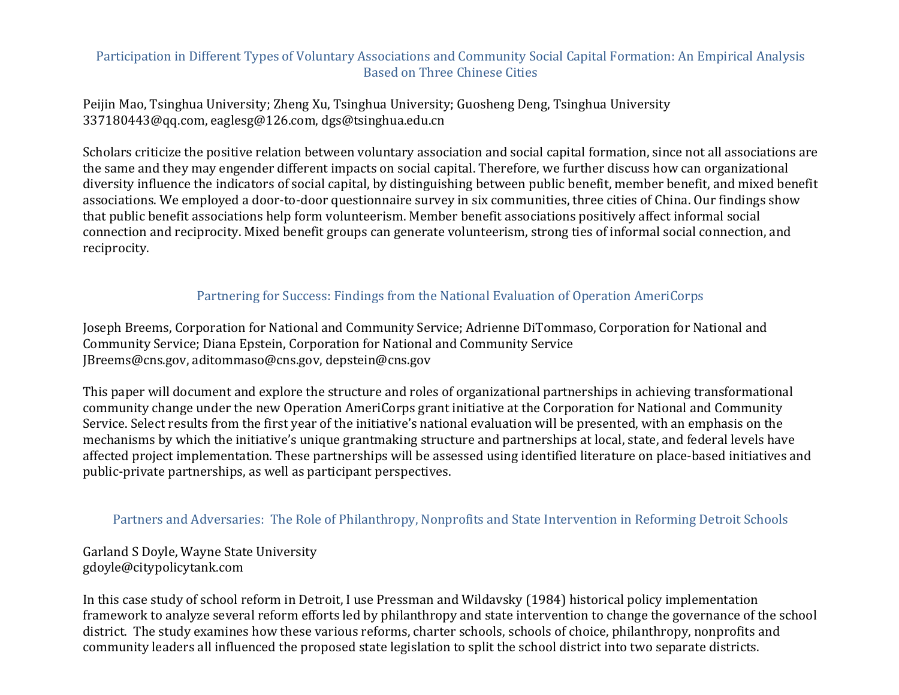## Participation in Different Types of Voluntary Associations and Community Social Capital Formation: An Empirical Analysis **Based on Three Chinese Cities**

Peijin Mao, Tsinghua University; Zheng Xu, Tsinghua University; Guosheng Deng, Tsinghua University 337180443@qq.com, eaglesg@126.com, dgs@tsinghua.edu.cn

Scholars criticize the positive relation between voluntary association and social capital formation, since not all associations are the same and they may engender different impacts on social capital. Therefore, we further discuss how can organizational diversity influence the indicators of social capital, by distinguishing between public benefit, member benefit, and mixed benefit associations. We employed a door-to-door questionnaire survey in six communities, three cities of China. Our findings show that public benefit associations help form volunteerism. Member benefit associations positively affect informal social connection and reciprocity. Mixed benefit groups can generate volunteerism, strong ties of informal social connection, and reciprocity.

### Partnering for Success: Findings from the National Evaluation of Operation AmeriCorps

Joseph Breems, Corporation for National and Community Service; Adrienne DiTommaso, Corporation for National and Community Service; Diana Epstein, Corporation for National and Community Service JBreems@cns.gov, aditommaso@cns.gov, depstein@cns.gov

This paper will document and explore the structure and roles of organizational partnerships in achieving transformational community change under the new Operation AmeriCorps grant initiative at the Corporation for National and Community Service. Select results from the first year of the initiative's national evaluation will be presented, with an emphasis on the mechanisms by which the initiative's unique grantmaking structure and partnerships at local, state, and federal levels have affected project implementation. These partnerships will be assessed using identified literature on place-based initiatives and public-private partnerships, as well as participant perspectives.

#### Partners and Adversaries: The Role of Philanthropy, Nonprofits and State Intervention in Reforming Detroit Schools

Garland S Doyle, Wayne State University gdoyle@citypolicytank.com

In this case study of school reform in Detroit, I use Pressman and Wildavsky (1984) historical policy implementation framework to analyze several reform efforts led by philanthropy and state intervention to change the governance of the school district. The study examines how these various reforms, charter schools, schools of choice, philanthropy, nonprofits and community leaders all influenced the proposed state legislation to split the school district into two separate districts.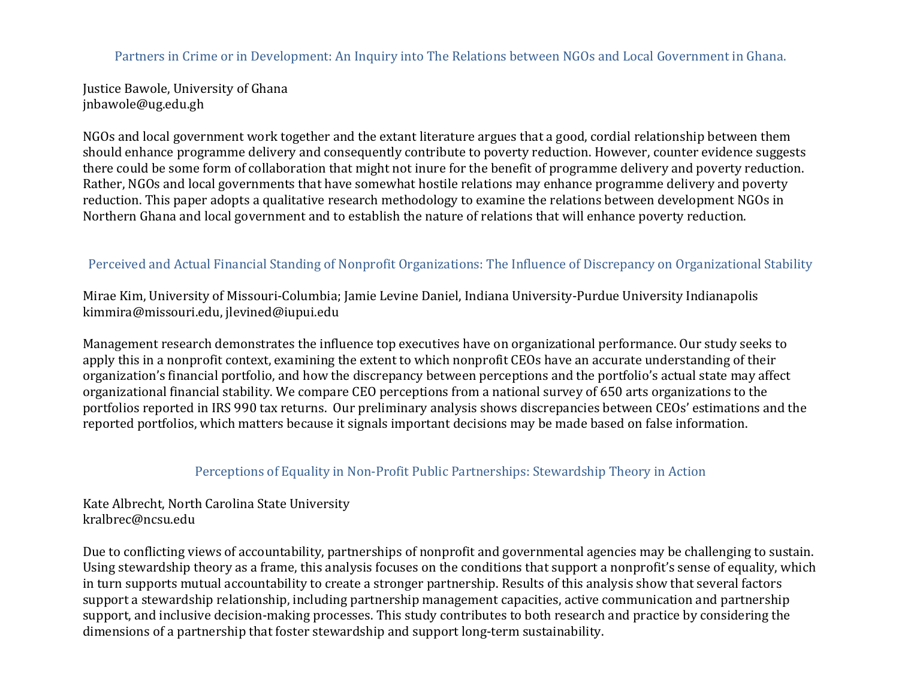Partners in Crime or in Development: An Inquiry into The Relations between NGOs and Local Government in Ghana.

Justice Bawole, University of Ghana jnbawole@ug.edu.gh

NGOs and local government work together and the extant literature argues that a good, cordial relationship between them should enhance programme delivery and consequently contribute to poverty reduction. However, counter evidence suggests there could be some form of collaboration that might not inure for the benefit of programme delivery and poverty reduction. Rather, NGOs and local governments that have somewhat hostile relations may enhance programme delivery and poverty reduction. This paper adopts a qualitative research methodology to examine the relations between development NGOs in Northern Ghana and local government and to establish the nature of relations that will enhance poverty reduction.

# Perceived and Actual Financial Standing of Nonprofit Organizations: The Influence of Discrepancy on Organizational Stability

Mirae Kim, University of Missouri-Columbia; Jamie Levine Daniel, Indiana University-Purdue University Indianapolis kimmira@missouri.edu, jlevined@iupui.edu

Management research demonstrates the influence top executives have on organizational performance. Our study seeks to apply this in a nonprofit context, examining the extent to which nonprofit CEOs have an accurate understanding of their organization's financial portfolio, and how the discrepancy between perceptions and the portfolio's actual state may affect organizational financial stability. We compare CEO perceptions from a national survey of 650 arts organizations to the portfolios reported in IRS 990 tax returns. Our preliminary analysis shows discrepancies between CEOs' estimations and the reported portfolios, which matters because it signals important decisions may be made based on false information.

## Perceptions of Equality in Non-Profit Public Partnerships: Stewardship Theory in Action

Kate Albrecht, North Carolina State University kralbrec@ncsu.edu

Due to conflicting views of accountability, partnerships of nonprofit and governmental agencies may be challenging to sustain. Using stewardship theory as a frame, this analysis focuses on the conditions that support a nonprofit's sense of equality, which in turn supports mutual accountability to create a stronger partnership. Results of this analysis show that several factors support a stewardship relationship, including partnership management capacities, active communication and partnership support, and inclusive decision-making processes. This study contributes to both research and practice by considering the dimensions of a partnership that foster stewardship and support long-term sustainability.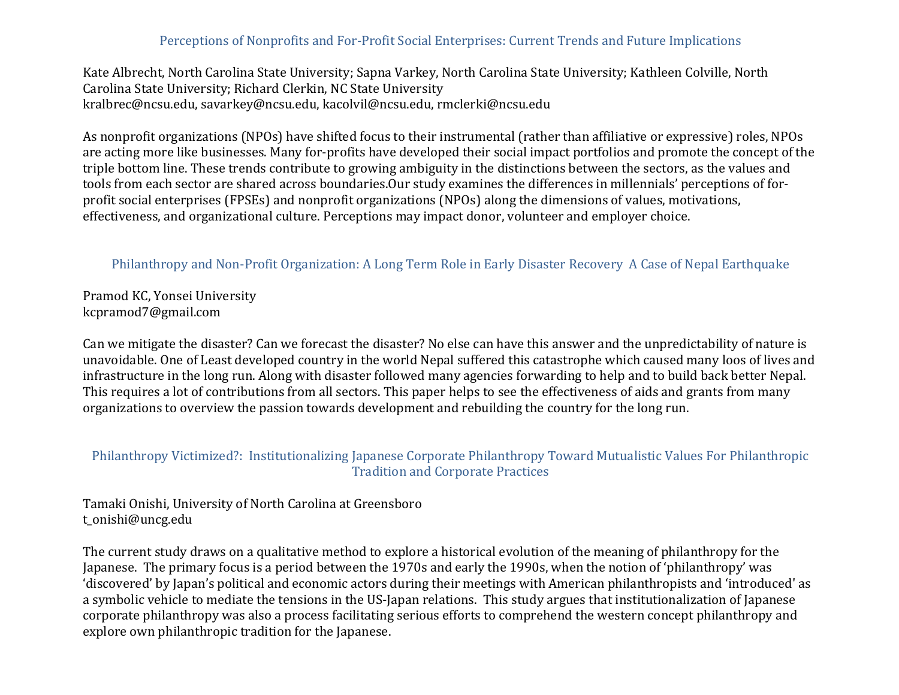## Perceptions of Nonprofits and For-Profit Social Enterprises: Current Trends and Future Implications

Kate Albrecht, North Carolina State University; Sapna Varkey, North Carolina State University; Kathleen Colville, North Carolina State University; Richard Clerkin, NC State University kralbrec@ncsu.edu, savarkey@ncsu.edu, kacolvil@ncsu.edu, rmclerki@ncsu.edu

As nonprofit organizations (NPOs) have shifted focus to their instrumental (rather than affiliative or expressive) roles, NPOs are acting more like businesses. Many for-profits have developed their social impact portfolios and promote the concept of the triple bottom line. These trends contribute to growing ambiguity in the distinctions between the sectors, as the values and tools from each sector are shared across boundaries.Our study examines the differences in millennials' perceptions of forprofit social enterprises (FPSEs) and nonprofit organizations (NPOs) along the dimensions of values, motivations, effectiveness, and organizational culture. Perceptions may impact donor, volunteer and employer choice.

### Philanthropy and Non-Profit Organization: A Long Term Role in Early Disaster Recovery A Case of Nepal Earthquake

Pramod KC, Yonsei University kcpramod7@gmail.com

Can we mitigate the disaster? Can we forecast the disaster? No else can have this answer and the unpredictability of nature is unavoidable. One of Least developed country in the world Nepal suffered this catastrophe which caused many loos of lives and infrastructure in the long run. Along with disaster followed many agencies forwarding to help and to build back better Nepal. This requires a lot of contributions from all sectors. This paper helps to see the effectiveness of aids and grants from many organizations to overview the passion towards development and rebuilding the country for the long run.

### Philanthropy Victimized?: Institutionalizing Japanese Corporate Philanthropy Toward Mutualistic Values For Philanthropic **Tradition and Corporate Practices**

Tamaki Onishi, University of North Carolina at Greensboro t\_onishi@uncg.edu

The current study draws on a qualitative method to explore a historical evolution of the meaning of philanthropy for the Japanese. The primary focus is a period between the 1970s and early the 1990s, when the notion of 'philanthropy' was 'discovered' by Japan's political and economic actors during their meetings with American philanthropists and 'introduced' as a symbolic vehicle to mediate the tensions in the US-Japan relations. This study argues that institutionalization of Japanese corporate philanthropy was also a process facilitating serious efforts to comprehend the western concept philanthropy and explore own philanthropic tradition for the Japanese.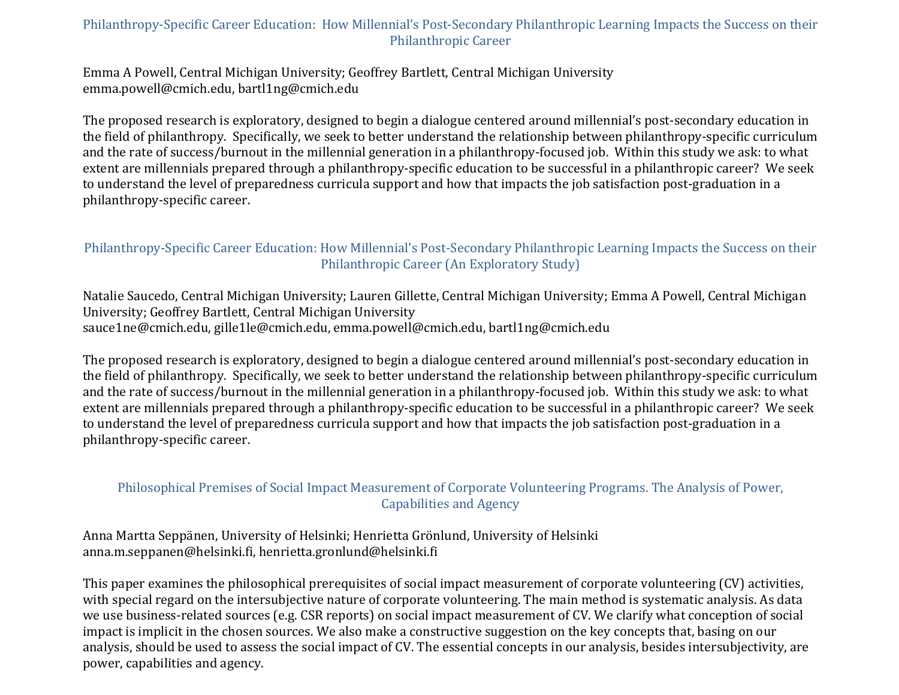## Philanthropy-Specific Career Education: How Millennial's Post-Secondary Philanthropic Learning Impacts the Success on their Philanthropic Career

Emma A Powell, Central Michigan University; Geoffrey Bartlett, Central Michigan University emma.powell@cmich.edu, bartl1ng@cmich.edu

The proposed research is exploratory, designed to begin a dialogue centered around millennial's post-secondary education in the field of philanthropy. Specifically, we seek to better understand the relationship between philanthropy-specific curriculum and the rate of success/burnout in the millennial generation in a philanthropy-focused job. Within this study we ask: to what extent are millennials prepared through a philanthropy-specific education to be successful in a philanthropic career? We seek to understand the level of preparedness curricula support and how that impacts the job satisfaction post-graduation in a philanthropy-specific career.

## Philanthropy-Specific Career Education: How Millennial's Post-Secondary Philanthropic Learning Impacts the Success on their Philanthropic Career (An Exploratory Study)

Natalie Saucedo, Central Michigan University; Lauren Gillette, Central Michigan University; Emma A Powell, Central Michigan University; Geoffrey Bartlett, Central Michigan University sauce1ne@cmich.edu, gille1le@cmich.edu, emma.powell@cmich.edu, bartl1ng@cmich.edu

The proposed research is exploratory, designed to begin a dialogue centered around millennial's post-secondary education in the field of philanthropy. Specifically, we seek to better understand the relationship between philanthropy-specific curriculum and the rate of success/burnout in the millennial generation in a philanthropy-focused job. Within this study we ask: to what extent are millennials prepared through a philanthropy-specific education to be successful in a philanthropic career? We seek to understand the level of preparedness curricula support and how that impacts the job satisfaction post-graduation in a philanthropy-specific career.

# Philosophical Premises of Social Impact Measurement of Corporate Volunteering Programs. The Analysis of Power, Capabilities and Agency

Anna Martta Seppänen, University of Helsinki; Henrietta Grönlund, University of Helsinki anna.m.seppanen@helsinki.fi, henrietta.gronlund@helsinki.fi

This paper examines the philosophical prerequisites of social impact measurement of corporate volunteering (CV) activities, with special regard on the intersubjective nature of corporate volunteering. The main method is systematic analysis. As data we use business-related sources (e.g. CSR reports) on social impact measurement of CV. We clarify what conception of social impact is implicit in the chosen sources. We also make a constructive suggestion on the key concepts that, basing on our analysis, should be used to assess the social impact of CV. The essential concepts in our analysis, besides intersubjectivity, are power, capabilities and agency.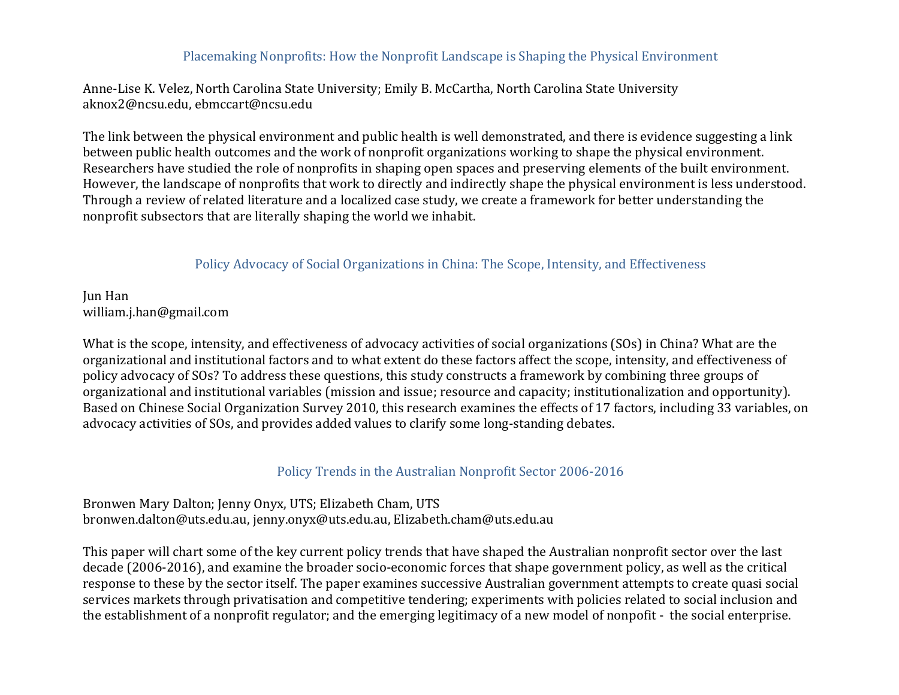#### Placemaking Nonprofits: How the Nonprofit Landscape is Shaping the Physical Environment

Anne-Lise K. Velez, North Carolina State University; Emily B. McCartha, North Carolina State University aknox2@ncsu.edu, ebmccart@ncsu.edu

The link between the physical environment and public health is well demonstrated, and there is evidence suggesting a link between public health outcomes and the work of nonprofit organizations working to shape the physical environment. Researchers have studied the role of nonprofits in shaping open spaces and preserving elements of the built environment. However, the landscape of nonprofits that work to directly and indirectly shape the physical environment is less understood. Through a review of related literature and a localized case study, we create a framework for better understanding the nonprofit subsectors that are literally shaping the world we inhabit.

### Policy Advocacy of Social Organizations in China: The Scope, Intensity, and Effectiveness

**Jun Han** william.j.han@gmail.com

What is the scope, intensity, and effectiveness of advocacy activities of social organizations (SOs) in China? What are the organizational and institutional factors and to what extent do these factors affect the scope, intensity, and effectiveness of policy advocacy of SOs? To address these questions, this study constructs a framework by combining three groups of organizational and institutional variables (mission and issue; resource and capacity; institutionalization and opportunity). Based on Chinese Social Organization Survey 2010, this research examines the effects of 17 factors, including 33 variables, on advocacy activities of SOs, and provides added values to clarify some long-standing debates.

#### Policy Trends in the Australian Nonprofit Sector 2006-2016

Bronwen Mary Dalton; Jenny Onyx, UTS; Elizabeth Cham, UTS bronwen.dalton@uts.edu.au, jenny.onyx@uts.edu.au, Elizabeth.cham@uts.edu.au

This paper will chart some of the key current policy trends that have shaped the Australian nonprofit sector over the last decade (2006-2016), and examine the broader socio-economic forces that shape government policy, as well as the critical response to these by the sector itself. The paper examines successive Australian government attempts to create quasi social services markets through privatisation and competitive tendering; experiments with policies related to social inclusion and the establishment of a nonprofit regulator; and the emerging legitimacy of a new model of nonpofit - the social enterprise.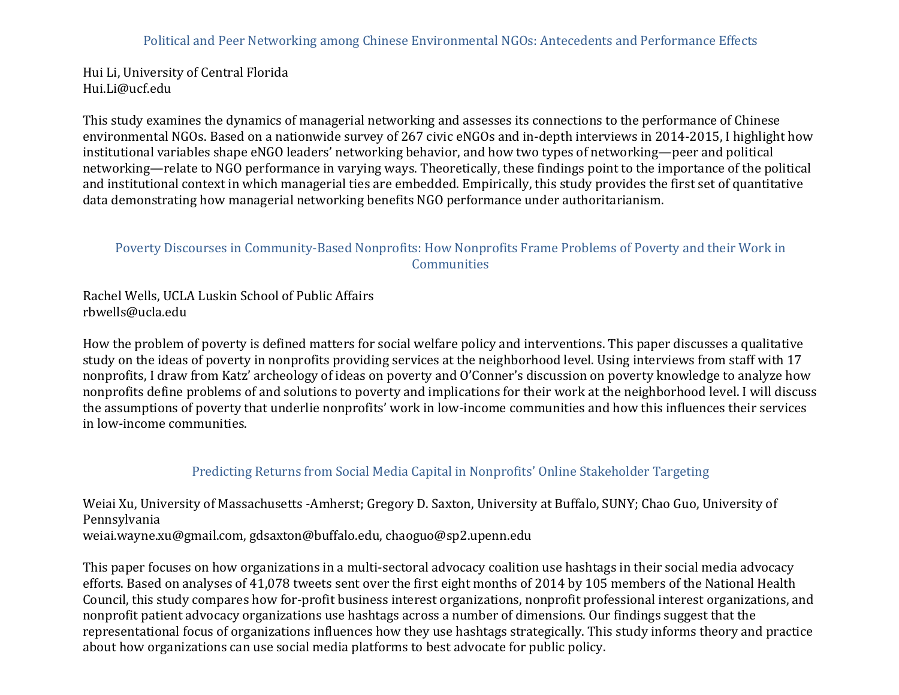Hui Li, University of Central Florida Hui.Li@ucf.edu

This study examines the dynamics of managerial networking and assesses its connections to the performance of Chinese environmental NGOs. Based on a nationwide survey of 267 civic eNGOs and in-depth interviews in 2014-2015, I highlight how institutional variables shape eNGO leaders' networking behavior, and how two types of networking—peer and political networking—relate to NGO performance in varying ways. Theoretically, these findings point to the importance of the political and institutional context in which managerial ties are embedded. Empirically, this study provides the first set of quantitative data demonstrating how managerial networking benefits NGO performance under authoritarianism.

### Poverty Discourses in Community-Based Nonprofits: How Nonprofits Frame Problems of Poverty and their Work in **Communities**

Rachel Wells, UCLA Luskin School of Public Affairs rbwells@ucla.edu

How the problem of poverty is defined matters for social welfare policy and interventions. This paper discusses a qualitative study on the ideas of poverty in nonprofits providing services at the neighborhood level. Using interviews from staff with 17 nonprofits, I draw from Katz' archeology of ideas on poverty and O'Conner's discussion on poverty knowledge to analyze how nonprofits define problems of and solutions to poverty and implications for their work at the neighborhood level. I will discuss the assumptions of poverty that underlie nonprofits' work in low-income communities and how this influences their services in low-income communities.

## Predicting Returns from Social Media Capital in Nonprofits' Online Stakeholder Targeting

Weiai Xu, University of Massachusetts -Amherst; Gregory D. Saxton, University at Buffalo, SUNY; Chao Guo, University of Pennsylvania weiai.wayne.xu@gmail.com, gdsaxton@buffalo.edu, chaoguo@sp2.upenn.edu

This paper focuses on how organizations in a multi-sectoral advocacy coalition use hashtags in their social media advocacy efforts. Based on analyses of 41,078 tweets sent over the first eight months of 2014 by 105 members of the National Health Council, this study compares how for-profit business interest organizations, nonprofit professional interest organizations, and nonprofit patient advocacy organizations use hashtags across a number of dimensions. Our findings suggest that the representational focus of organizations influences how they use hashtags strategically. This study informs theory and practice about how organizations can use social media platforms to best advocate for public policy.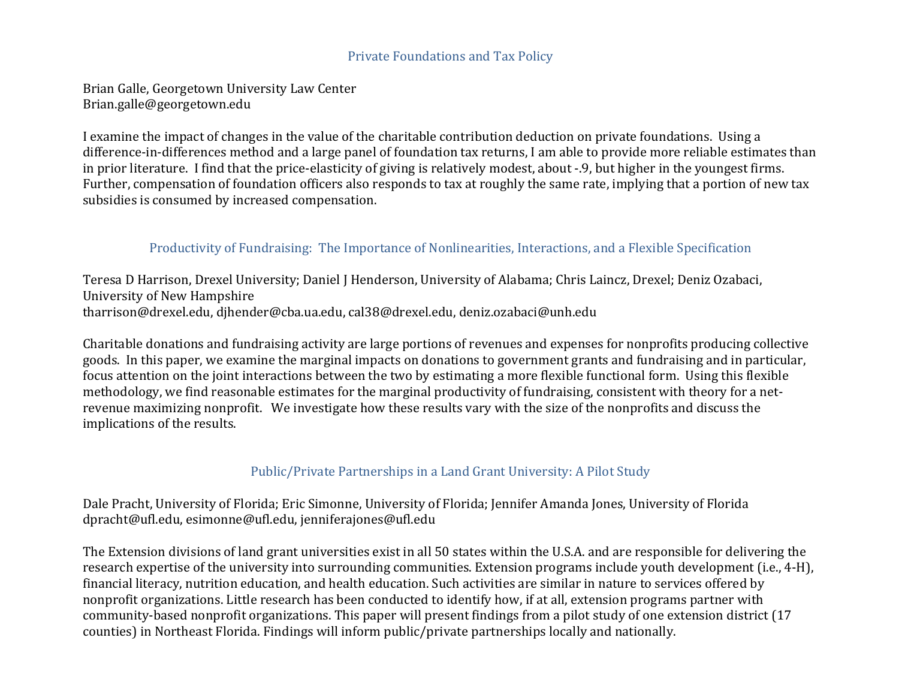#### Private Foundations and Tax Policy

Brian Galle, Georgetown University Law Center Brian.galle@georgetown.edu

I examine the impact of changes in the value of the charitable contribution deduction on private foundations. Using a difference-in-differences method and a large panel of foundation tax returns, I am able to provide more reliable estimates than in prior literature. I find that the price-elasticity of giving is relatively modest, about -.9, but higher in the youngest firms. Further, compensation of foundation officers also responds to tax at roughly the same rate, implying that a portion of new tax subsidies is consumed by increased compensation.

## Productivity of Fundraising: The Importance of Nonlinearities, Interactions, and a Flexible Specification

Teresa D Harrison, Drexel University; Daniel J Henderson, University of Alabama; Chris Laincz, Drexel; Deniz Ozabaci, University of New Hampshire tharrison@drexel.edu, djhender@cba.ua.edu, cal38@drexel.edu, deniz.ozabaci@unh.edu

Charitable donations and fundraising activity are large portions of revenues and expenses for nonprofits producing collective goods. In this paper, we examine the marginal impacts on donations to government grants and fundraising and in particular, focus attention on the joint interactions between the two by estimating a more flexible functional form. Using this flexible methodology, we find reasonable estimates for the marginal productivity of fundraising, consistent with theory for a netrevenue maximizing nonprofit. We investigate how these results vary with the size of the nonprofits and discuss the implications of the results.

## Public/Private Partnerships in a Land Grant University: A Pilot Study

Dale Pracht, University of Florida; Eric Simonne, University of Florida; Jennifer Amanda Jones, University of Florida dpracht@ufl.edu, esimonne@ufl.edu, jenniferajones@ufl.edu

The Extension divisions of land grant universities exist in all 50 states within the U.S.A. and are responsible for delivering the research expertise of the university into surrounding communities. Extension programs include youth development (i.e., 4-H), financial literacy, nutrition education, and health education. Such activities are similar in nature to services offered by nonprofit organizations. Little research has been conducted to identify how, if at all, extension programs partner with community-based nonprofit organizations. This paper will present findings from a pilot study of one extension district (17 counties) in Northeast Florida. Findings will inform public/private partnerships locally and nationally.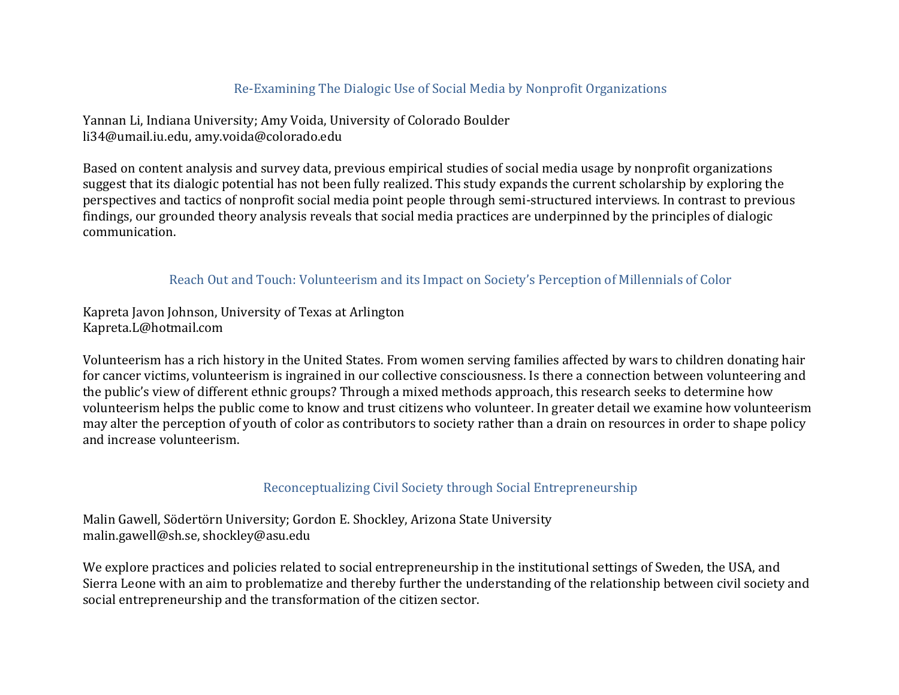## Re-Examining The Dialogic Use of Social Media by Nonprofit Organizations

Yannan Li, Indiana University; Amy Voida, University of Colorado Boulder li34@umail.iu.edu, amy.voida@colorado.edu

Based on content analysis and survey data, previous empirical studies of social media usage by nonprofit organizations suggest that its dialogic potential has not been fully realized. This study expands the current scholarship by exploring the perspectives and tactics of nonprofit social media point people through semi-structured interviews. In contrast to previous findings, our grounded theory analysis reveals that social media practices are underpinned by the principles of dialogic communication.

### Reach Out and Touch: Volunteerism and its Impact on Society's Perception of Millennials of Color

Kapreta Javon Johnson, University of Texas at Arlington Kapreta.L@hotmail.com

Volunteerism has a rich history in the United States. From women serving families affected by wars to children donating hair for cancer victims, volunteerism is ingrained in our collective consciousness. Is there a connection between volunteering and the public's view of different ethnic groups? Through a mixed methods approach, this research seeks to determine how volunteerism helps the public come to know and trust citizens who volunteer. In greater detail we examine how volunteerism may alter the perception of youth of color as contributors to society rather than a drain on resources in order to shape policy and increase volunteerism.

#### Reconceptualizing Civil Society through Social Entrepreneurship

Malin Gawell, Södertörn University; Gordon E. Shockley, Arizona State University malin.gawell@sh.se, shockley@asu.edu

We explore practices and policies related to social entrepreneurship in the institutional settings of Sweden, the USA, and Sierra Leone with an aim to problematize and thereby further the understanding of the relationship between civil society and social entrepreneurship and the transformation of the citizen sector.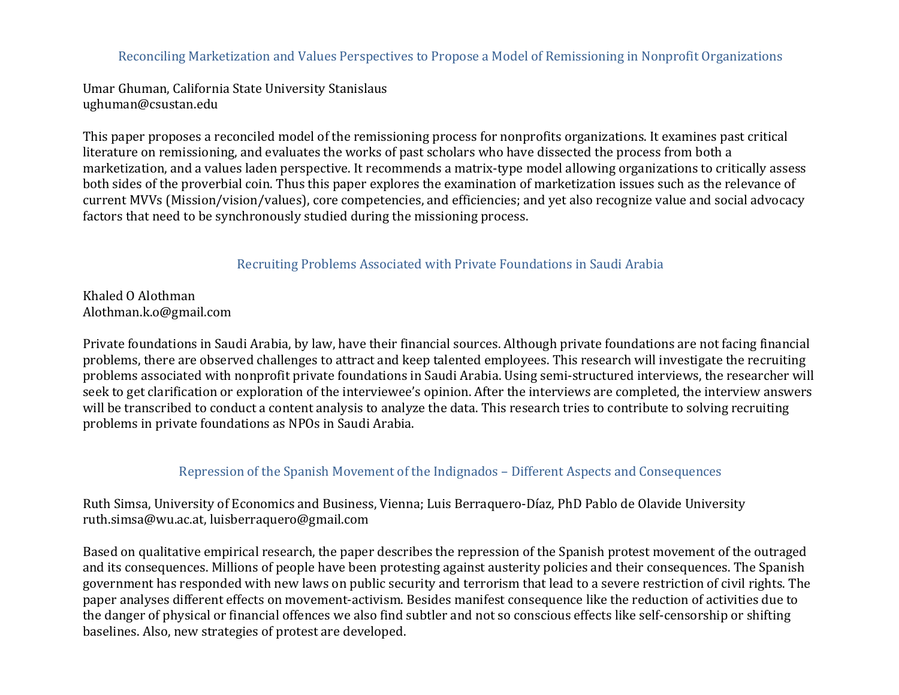Reconciling Marketization and Values Perspectives to Propose a Model of Remissioning in Nonprofit Organizations

Umar Ghuman, California State University Stanislaus ughuman@csustan.edu

This paper proposes a reconciled model of the remissioning process for nonprofits organizations. It examines past critical literature on remissioning, and evaluates the works of past scholars who have dissected the process from both a marketization, and a values laden perspective. It recommends a matrix-type model allowing organizations to critically assess both sides of the proverbial coin. Thus this paper explores the examination of marketization issues such as the relevance of current MVVs (Mission/vision/values), core competencies, and efficiencies; and yet also recognize value and social advocacy factors that need to be synchronously studied during the missioning process.

Recruiting Problems Associated with Private Foundations in Saudi Arabia

Khaled O Alothman Alothman.k.o@gmail.com

Private foundations in Saudi Arabia, by law, have their financial sources. Although private foundations are not facing financial problems, there are observed challenges to attract and keep talented employees. This research will investigate the recruiting problems associated with nonprofit private foundations in Saudi Arabia. Using semi-structured interviews, the researcher will seek to get clarification or exploration of the interviewee's opinion. After the interviews are completed, the interview answers will be transcribed to conduct a content analysis to analyze the data. This research tries to contribute to solving recruiting problems in private foundations as NPOs in Saudi Arabia.

Repression of the Spanish Movement of the Indignados – Different Aspects and Consequences

Ruth Simsa, University of Economics and Business, Vienna; Luis Berraquero-Díaz, PhD Pablo de Olavide University ruth.simsa@wu.ac.at, luisberraquero@gmail.com

Based on qualitative empirical research, the paper describes the repression of the Spanish protest movement of the outraged and its consequences. Millions of people have been protesting against austerity policies and their consequences. The Spanish government has responded with new laws on public security and terrorism that lead to a severe restriction of civil rights. The paper analyses different effects on movement-activism. Besides manifest consequence like the reduction of activities due to the danger of physical or financial offences we also find subtler and not so conscious effects like self-censorship or shifting baselines. Also, new strategies of protest are developed.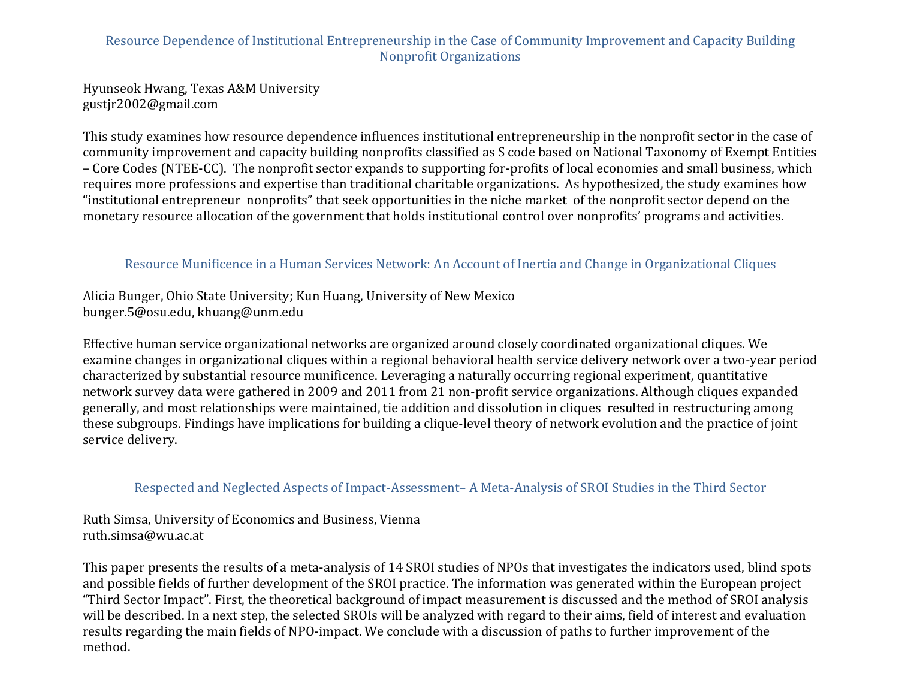# Resource Dependence of Institutional Entrepreneurship in the Case of Community Improvement and Capacity Building Nonprofit Organizations

Hyunseok Hwang, Texas A&M University gustjr2002@gmail.com

This study examines how resource dependence influences institutional entrepreneurship in the nonprofit sector in the case of community improvement and capacity building nonprofits classified as S code based on National Taxonomy of Exempt Entities – Core Codes (NTEE-CC). The nonprofit sector expands to supporting for-profits of local economies and small business, which requires more professions and expertise than traditional charitable organizations. As hypothesized, the study examines how "institutional entrepreneur nonprofits" that seek opportunities in the niche market of the nonprofit sector depend on the monetary resource allocation of the government that holds institutional control over nonprofits' programs and activities.

#### Resource Munificence in a Human Services Network: An Account of Inertia and Change in Organizational Cliques

Alicia Bunger, Ohio State University; Kun Huang, University of New Mexico bunger.5@osu.edu, khuang@unm.edu

Effective human service organizational networks are organized around closely coordinated organizational cliques. We examine changes in organizational cliques within a regional behavioral health service delivery network over a two-year period characterized by substantial resource munificence. Leveraging a naturally occurring regional experiment, quantitative network survey data were gathered in 2009 and 2011 from 21 non-profit service organizations. Although cliques expanded generally, and most relationships were maintained, tie addition and dissolution in cliques resulted in restructuring among these subgroups. Findings have implications for building a clique-level theory of network evolution and the practice of joint service delivery.

#### Respected and Neglected Aspects of Impact-Assessment– A Meta-Analysis of SROI Studies in the Third Sector

Ruth Simsa, University of Economics and Business, Vienna ruth.simsa@wu.ac.at

This paper presents the results of a meta-analysis of 14 SROI studies of NPOs that investigates the indicators used, blind spots and possible fields of further development of the SROI practice. The information was generated within the European project "Third Sector Impact". First, the theoretical background of impact measurement is discussed and the method of SROI analysis will be described. In a next step, the selected SROIs will be analyzed with regard to their aims, field of interest and evaluation results regarding the main fields of NPO-impact. We conclude with a discussion of paths to further improvement of the method.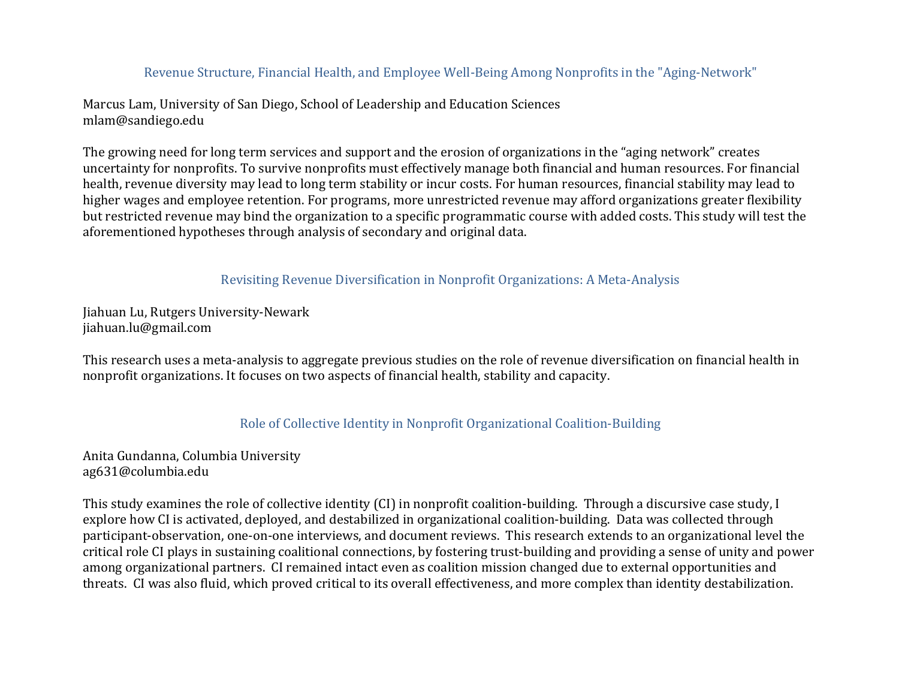## Revenue Structure, Financial Health, and Employee Well-Being Among Nonprofits in the "Aging-Network"

Marcus Lam, University of San Diego, School of Leadership and Education Sciences mlam@sandiego.edu

The growing need for long term services and support and the erosion of organizations in the "aging network" creates uncertainty for nonprofits. To survive nonprofits must effectively manage both financial and human resources. For financial health, revenue diversity may lead to long term stability or incur costs. For human resources, financial stability may lead to higher wages and employee retention. For programs, more unrestricted revenue may afford organizations greater flexibility but restricted revenue may bind the organization to a specific programmatic course with added costs. This study will test the aforementioned hypotheses through analysis of secondary and original data.

Revisiting Revenue Diversification in Nonprofit Organizations: A Meta-Analysis

Jiahuan Lu, Rutgers University-Newark jiahuan.lu@gmail.com

This research uses a meta-analysis to aggregate previous studies on the role of revenue diversification on financial health in nonprofit organizations. It focuses on two aspects of financial health, stability and capacity.

## Role of Collective Identity in Nonprofit Organizational Coalition-Building

Anita Gundanna, Columbia University ag631@columbia.edu

This study examines the role of collective identity (CI) in nonprofit coalition-building. Through a discursive case study, I explore how CI is activated, deployed, and destabilized in organizational coalition-building. Data was collected through participant-observation, one-on-one interviews, and document reviews. This research extends to an organizational level the critical role CI plays in sustaining coalitional connections, by fostering trust-building and providing a sense of unity and power among organizational partners. CI remained intact even as coalition mission changed due to external opportunities and threats. CI was also fluid, which proved critical to its overall effectiveness, and more complex than identity destabilization.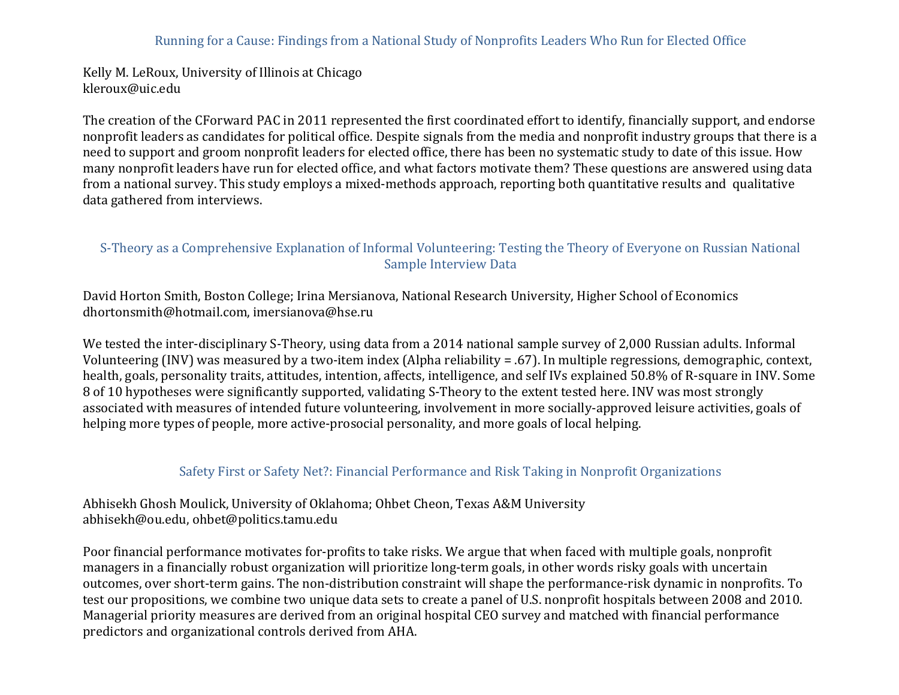#### Running for a Cause: Findings from a National Study of Nonprofits Leaders Who Run for Elected Office

Kelly M. LeRoux, University of Illinois at Chicago kleroux@uic.edu

The creation of the CForward PAC in 2011 represented the first coordinated effort to identify, financially support, and endorse nonprofit leaders as candidates for political office. Despite signals from the media and nonprofit industry groups that there is a need to support and groom nonprofit leaders for elected office, there has been no systematic study to date of this issue. How many nonprofit leaders have run for elected office, and what factors motivate them? These questions are answered using data from a national survey. This study employs a mixed-methods approach, reporting both quantitative results and qualitative data gathered from interviews.

#### S-Theory as a Comprehensive Explanation of Informal Volunteering: Testing the Theory of Everyone on Russian National Sample Interview Data

David Horton Smith, Boston College; Irina Mersianova, National Research University, Higher School of Economics dhortonsmith@hotmail.com, imersianova@hse.ru

We tested the inter-disciplinary S-Theory, using data from a 2014 national sample survey of 2,000 Russian adults. Informal Volunteering (INV) was measured by a two-item index (Alpha reliability = .67). In multiple regressions, demographic, context, health, goals, personality traits, attitudes, intention, affects, intelligence, and self IVs explained 50.8% of R-square in INV. Some 8 of 10 hypotheses were significantly supported, validating S-Theory to the extent tested here. INV was most strongly associated with measures of intended future volunteering, involvement in more socially-approved leisure activities, goals of helping more types of people, more active-prosocial personality, and more goals of local helping.

#### Safety First or Safety Net?: Financial Performance and Risk Taking in Nonprofit Organizations

Abhisekh Ghosh Moulick, University of Oklahoma; Ohbet Cheon, Texas A&M University abhisekh@ou.edu, ohbet@politics.tamu.edu

Poor financial performance motivates for-profits to take risks. We argue that when faced with multiple goals, nonprofit managers in a financially robust organization will prioritize long-term goals, in other words risky goals with uncertain outcomes, over short-term gains. The non-distribution constraint will shape the performance-risk dynamic in nonprofits. To test our propositions, we combine two unique data sets to create a panel of U.S. nonprofit hospitals between 2008 and 2010. Managerial priority measures are derived from an original hospital CEO survey and matched with financial performance predictors and organizational controls derived from AHA.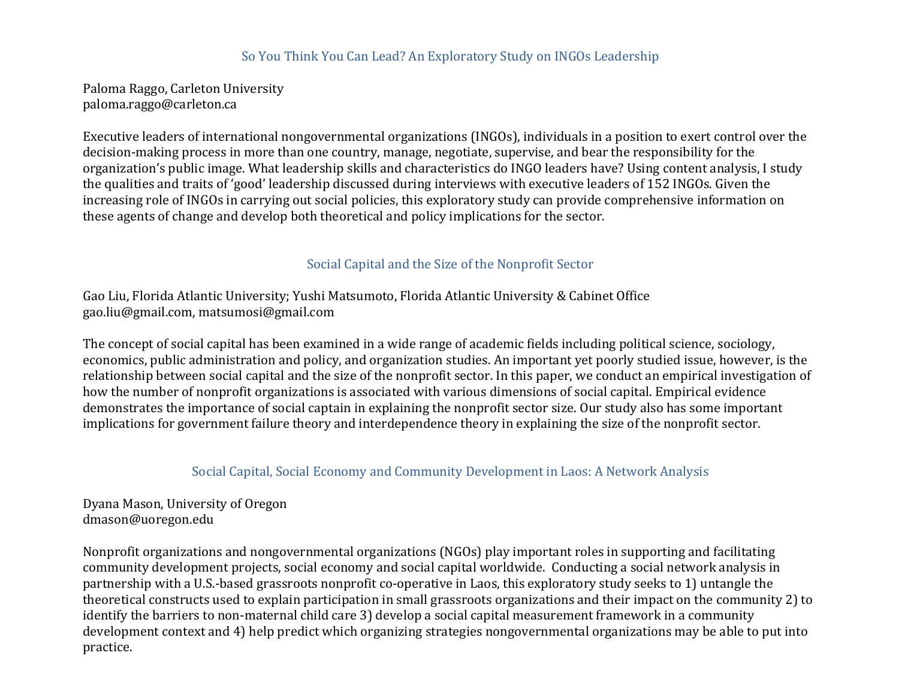### So You Think You Can Lead? An Exploratory Study on INGOs Leadership

Paloma Raggo, Carleton University paloma.raggo@carleton.ca

Executive leaders of international nongovernmental organizations (INGOs), individuals in a position to exert control over the decision-making process in more than one country, manage, negotiate, supervise, and bear the responsibility for the organization's public image. What leadership skills and characteristics do INGO leaders have? Using content analysis, I study the qualities and traits of 'good' leadership discussed during interviews with executive leaders of 152 INGOs. Given the increasing role of INGOs in carrying out social policies, this exploratory study can provide comprehensive information on these agents of change and develop both theoretical and policy implications for the sector.

## Social Capital and the Size of the Nonprofit Sector

Gao Liu, Florida Atlantic University; Yushi Matsumoto, Florida Atlantic University & Cabinet Office gao.liu@gmail.com, matsumosi@gmail.com

The concept of social capital has been examined in a wide range of academic fields including political science, sociology, economics, public administration and policy, and organization studies. An important yet poorly studied issue, however, is the relationship between social capital and the size of the nonprofit sector. In this paper, we conduct an empirical investigation of how the number of nonprofit organizations is associated with various dimensions of social capital. Empirical evidence demonstrates the importance of social captain in explaining the nonprofit sector size. Our study also has some important implications for government failure theory and interdependence theory in explaining the size of the nonprofit sector.

## Social Capital, Social Economy and Community Development in Laos: A Network Analysis

Dyana Mason, University of Oregon dmason@uoregon.edu

Nonprofit organizations and nongovernmental organizations (NGOs) play important roles in supporting and facilitating community development projects, social economy and social capital worldwide. Conducting a social network analysis in partnership with a U.S.-based grassroots nonprofit co-operative in Laos, this exploratory study seeks to 1) untangle the theoretical constructs used to explain participation in small grassroots organizations and their impact on the community 2) to identify the barriers to non-maternal child care 3) develop a social capital measurement framework in a community development context and 4) help predict which organizing strategies nongovernmental organizations may be able to put into practice.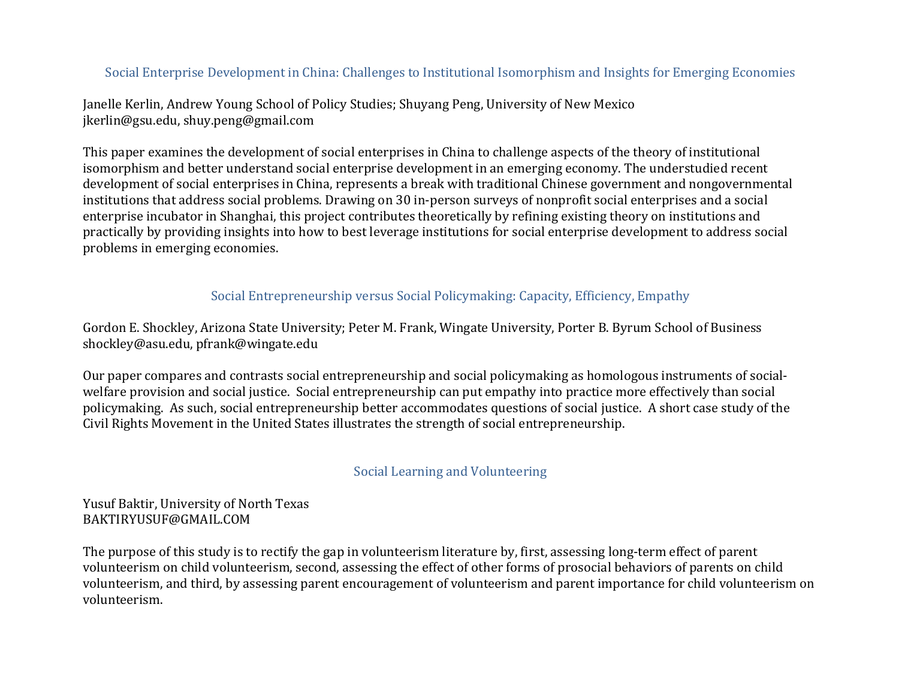# Social Enterprise Development in China: Challenges to Institutional Isomorphism and Insights for Emerging Economies

Janelle Kerlin, Andrew Young School of Policy Studies; Shuyang Peng, University of New Mexico jkerlin@gsu.edu, shuy.peng@gmail.com

This paper examines the development of social enterprises in China to challenge aspects of the theory of institutional isomorphism and better understand social enterprise development in an emerging economy. The understudied recent development of social enterprises in China, represents a break with traditional Chinese government and nongovernmental institutions that address social problems. Drawing on 30 in-person surveys of nonprofit social enterprises and a social enterprise incubator in Shanghai, this project contributes theoretically by refining existing theory on institutions and practically by providing insights into how to best leverage institutions for social enterprise development to address social problems in emerging economies.

#### Social Entrepreneurship versus Social Policymaking: Capacity, Efficiency, Empathy

Gordon E. Shockley, Arizona State University; Peter M. Frank, Wingate University, Porter B. Byrum School of Business shockley@asu.edu, pfrank@wingate.edu

Our paper compares and contrasts social entrepreneurship and social policymaking as homologous instruments of socialwelfare provision and social justice. Social entrepreneurship can put empathy into practice more effectively than social policymaking. As such, social entrepreneurship better accommodates questions of social justice. A short case study of the Civil Rights Movement in the United States illustrates the strength of social entrepreneurship.

#### Social Learning and Volunteering

#### Yusuf Baktir, University of North Texas BAKTIRYUSUF@GMAIL.COM

The purpose of this study is to rectify the gap in volunteerism literature by, first, assessing long-term effect of parent volunteerism on child volunteerism, second, assessing the effect of other forms of prosocial behaviors of parents on child volunteerism, and third, by assessing parent encouragement of volunteerism and parent importance for child volunteerism on volunteerism.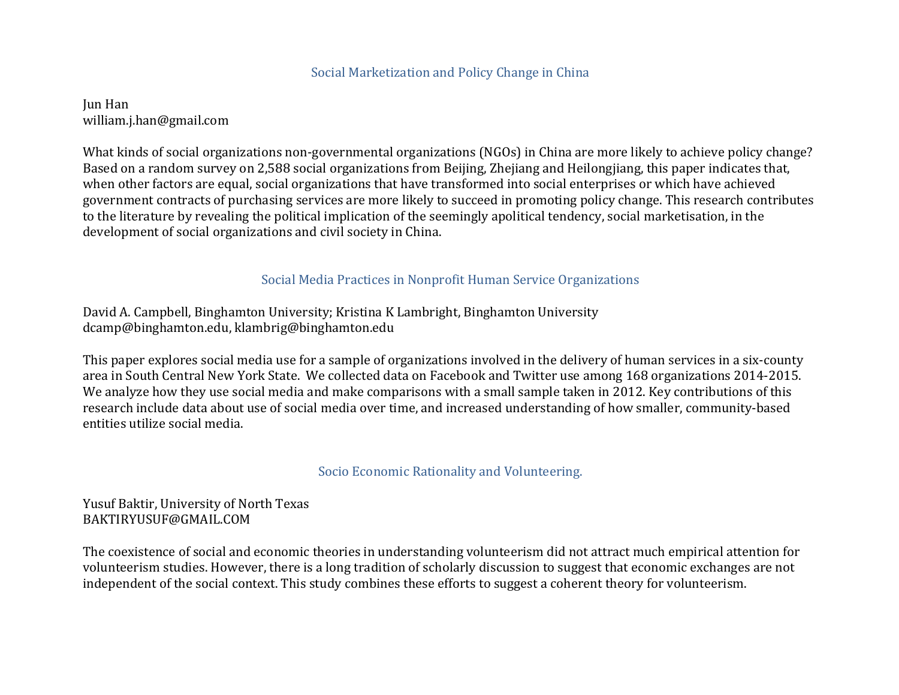#### Social Marketization and Policy Change in China

Jun Han william.j.han@gmail.com

What kinds of social organizations non-governmental organizations (NGOs) in China are more likely to achieve policy change? Based on a random survey on 2,588 social organizations from Beijing, Zhejiang and Heilongjiang, this paper indicates that, when other factors are equal, social organizations that have transformed into social enterprises or which have achieved government contracts of purchasing services are more likely to succeed in promoting policy change. This research contributes to the literature by revealing the political implication of the seemingly apolitical tendency, social marketisation, in the development of social organizations and civil society in China.

#### Social Media Practices in Nonprofit Human Service Organizations

David A. Campbell, Binghamton University; Kristina K Lambright, Binghamton University dcamp@binghamton.edu, klambrig@binghamton.edu

This paper explores social media use for a sample of organizations involved in the delivery of human services in a six-county area in South Central New York State. We collected data on Facebook and Twitter use among 168 organizations 2014-2015. We analyze how they use social media and make comparisons with a small sample taken in 2012. Key contributions of this research include data about use of social media over time, and increased understanding of how smaller, community-based entities utilize social media.

#### Socio Economic Rationality and Volunteering.

#### Yusuf Baktir, University of North Texas BAKTIRYUSUF@GMAIL.COM

The coexistence of social and economic theories in understanding volunteerism did not attract much empirical attention for volunteerism studies. However, there is a long tradition of scholarly discussion to suggest that economic exchanges are not independent of the social context. This study combines these efforts to suggest a coherent theory for volunteerism.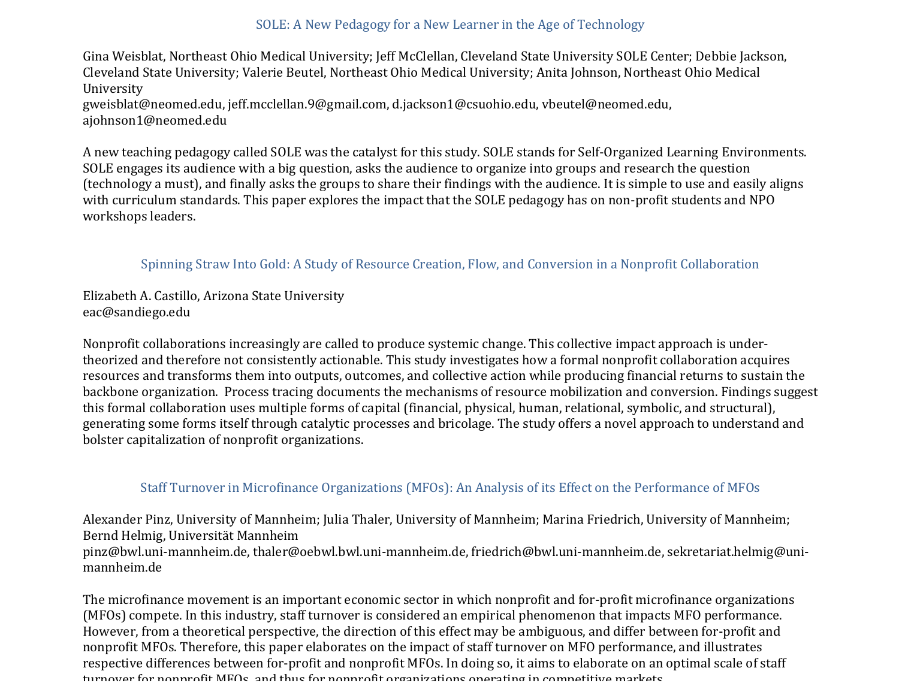## SOLE: A New Pedagogy for a New Learner in the Age of Technology

Gina Weisblat, Northeast Ohio Medical University; Jeff McClellan, Cleveland State University SOLE Center; Debbie Jackson, Cleveland State University; Valerie Beutel, Northeast Ohio Medical University; Anita Johnson, Northeast Ohio Medical University gweisblat@neomed.edu, jeff.mcclellan.9@gmail.com, d.jackson1@csuohio.edu, vbeutel@neomed.edu,

ajohnson1@neomed.edu

A new teaching pedagogy called SOLE was the catalyst for this study. SOLE stands for Self-Organized Learning Environments. SOLE engages its audience with a big question, asks the audience to organize into groups and research the question (technology a must), and finally asks the groups to share their findings with the audience. It is simple to use and easily aligns with curriculum standards. This paper explores the impact that the SOLE pedagogy has on non-profit students and NPO workshops leaders.

## Spinning Straw Into Gold: A Study of Resource Creation, Flow, and Conversion in a Nonprofit Collaboration

Elizabeth A. Castillo, Arizona State University eac@sandiego.edu

Nonprofit collaborations increasingly are called to produce systemic change. This collective impact approach is undertheorized and therefore not consistently actionable. This study investigates how a formal nonprofit collaboration acquires resources and transforms them into outputs, outcomes, and collective action while producing financial returns to sustain the backbone organization. Process tracing documents the mechanisms of resource mobilization and conversion. Findings suggest this formal collaboration uses multiple forms of capital (financial, physical, human, relational, symbolic, and structural), generating some forms itself through catalytic processes and bricolage. The study offers a novel approach to understand and bolster capitalization of nonprofit organizations.

# Staff Turnover in Microfinance Organizations (MFOs): An Analysis of its Effect on the Performance of MFOs

Alexander Pinz, University of Mannheim; Julia Thaler, University of Mannheim; Marina Friedrich, University of Mannheim; Bernd Helmig, Universität Mannheim pinz@bwl.uni-mannheim.de, thaler@oebwl.bwl.uni-mannheim.de, friedrich@bwl.uni-mannheim.de, sekretariat.helmig@unimannheim.de

The microfinance movement is an important economic sector in which nonprofit and for-profit microfinance organizations (MFOs) compete. In this industry, staff turnover is considered an empirical phenomenon that impacts MFO performance. However, from a theoretical perspective, the direction of this effect may be ambiguous, and differ between for-profit and nonprofit MFOs. Therefore, this paper elaborates on the impact of staff turnover on MFO performance, and illustrates respective differences between for-profit and nonprofit MFOs. In doing so, it aims to elaborate on an optimal scale of staff turnover for nonnrofit MFOs, and thus for nonnrofit organizations operating in competitive markets.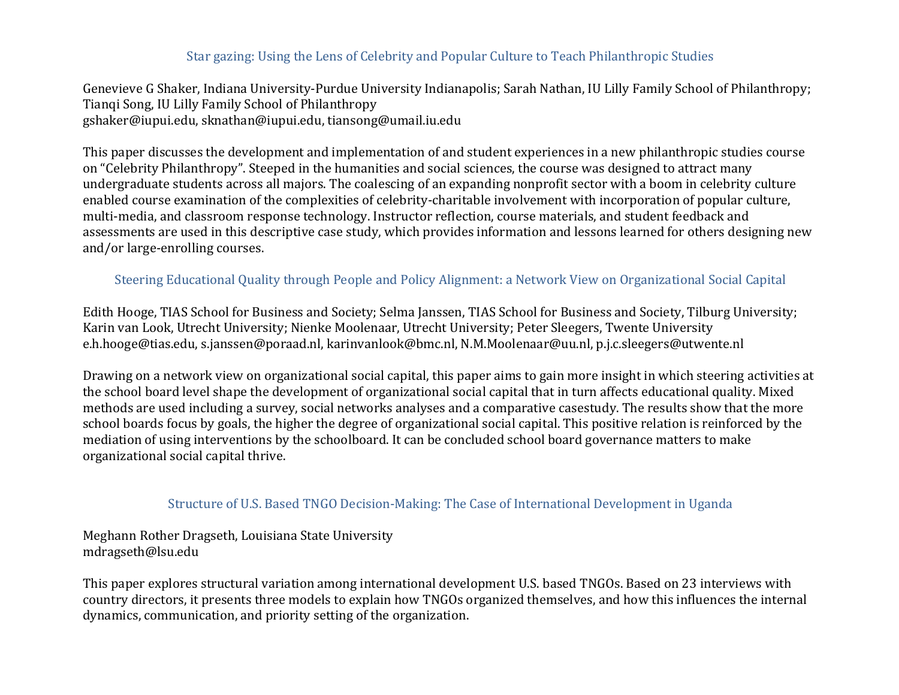## Star gazing: Using the Lens of Celebrity and Popular Culture to Teach Philanthropic Studies

Genevieve G Shaker, Indiana University-Purdue University Indianapolis; Sarah Nathan, IU Lilly Family School of Philanthropy; Tianqi Song, IU Lilly Family School of Philanthropy gshaker@iupui.edu, sknathan@iupui.edu, tiansong@umail.iu.edu

This paper discusses the development and implementation of and student experiences in a new philanthropic studies course on "Celebrity Philanthropy". Steeped in the humanities and social sciences, the course was designed to attract many undergraduate students across all majors. The coalescing of an expanding nonprofit sector with a boom in celebrity culture enabled course examination of the complexities of celebrity-charitable involvement with incorporation of popular culture, multi-media, and classroom response technology. Instructor reflection, course materials, and student feedback and assessments are used in this descriptive case study, which provides information and lessons learned for others designing new and/or large-enrolling courses.

## Steering Educational Quality through People and Policy Alignment: a Network View on Organizational Social Capital

Edith Hooge, TIAS School for Business and Society; Selma Janssen, TIAS School for Business and Society, Tilburg University; Karin van Look, Utrecht University; Nienke Moolenaar, Utrecht University; Peter Sleegers, Twente University e.h.hooge@tias.edu, s.janssen@poraad.nl, karinvanlook@bmc.nl, N.M.Moolenaar@uu.nl, p.j.c.sleegers@utwente.nl

Drawing on a network view on organizational social capital, this paper aims to gain more insight in which steering activities at the school board level shape the development of organizational social capital that in turn affects educational quality. Mixed methods are used including a survey, social networks analyses and a comparative casestudy. The results show that the more school boards focus by goals, the higher the degree of organizational social capital. This positive relation is reinforced by the mediation of using interventions by the schoolboard. It can be concluded school board governance matters to make organizational social capital thrive.

#### Structure of U.S. Based TNGO Decision-Making: The Case of International Development in Uganda

Meghann Rother Dragseth, Louisiana State University mdragseth@lsu.edu

This paper explores structural variation among international development U.S. based TNGOs. Based on 23 interviews with country directors, it presents three models to explain how TNGOs organized themselves, and how this influences the internal dynamics, communication, and priority setting of the organization.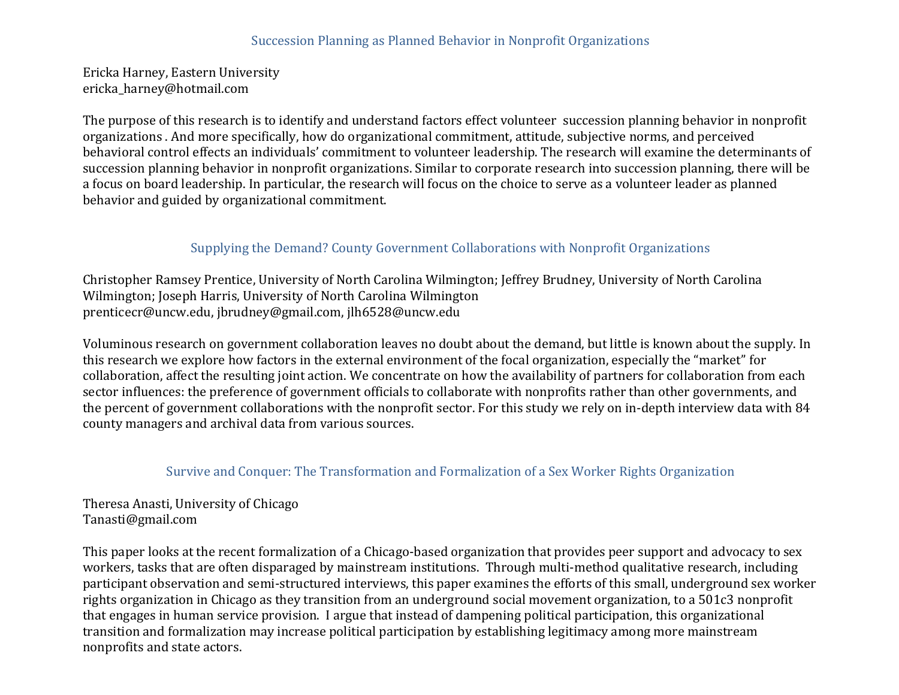### Succession Planning as Planned Behavior in Nonprofit Organizations

Ericka Harney, Eastern University ericka\_harney@hotmail.com

The purpose of this research is to identify and understand factors effect volunteer succession planning behavior in nonprofit organizations . And more specifically, how do organizational commitment, attitude, subjective norms, and perceived behavioral control effects an individuals' commitment to volunteer leadership. The research will examine the determinants of succession planning behavior in nonprofit organizations. Similar to corporate research into succession planning, there will be a focus on board leadership. In particular, the research will focus on the choice to serve as a volunteer leader as planned behavior and guided by organizational commitment.

# Supplying the Demand? County Government Collaborations with Nonprofit Organizations

Christopher Ramsey Prentice, University of North Carolina Wilmington; Jeffrey Brudney, University of North Carolina Wilmington; Joseph Harris, University of North Carolina Wilmington prenticecr@uncw.edu, jbrudney@gmail.com, jlh6528@uncw.edu

Voluminous research on government collaboration leaves no doubt about the demand, but little is known about the supply. In this research we explore how factors in the external environment of the focal organization, especially the "market" for collaboration, affect the resulting joint action. We concentrate on how the availability of partners for collaboration from each sector influences: the preference of government officials to collaborate with nonprofits rather than other governments, and the percent of government collaborations with the nonprofit sector. For this study we rely on in-depth interview data with 84 county managers and archival data from various sources.

#### Survive and Conquer: The Transformation and Formalization of a Sex Worker Rights Organization

Theresa Anasti, University of Chicago Tanasti@gmail.com

This paper looks at the recent formalization of a Chicago-based organization that provides peer support and advocacy to sex workers, tasks that are often disparaged by mainstream institutions. Through multi-method qualitative research, including participant observation and semi-structured interviews, this paper examines the efforts of this small, underground sex worker rights organization in Chicago as they transition from an underground social movement organization, to a 501c3 nonprofit that engages in human service provision. I argue that instead of dampening political participation, this organizational transition and formalization may increase political participation by establishing legitimacy among more mainstream nonprofits and state actors.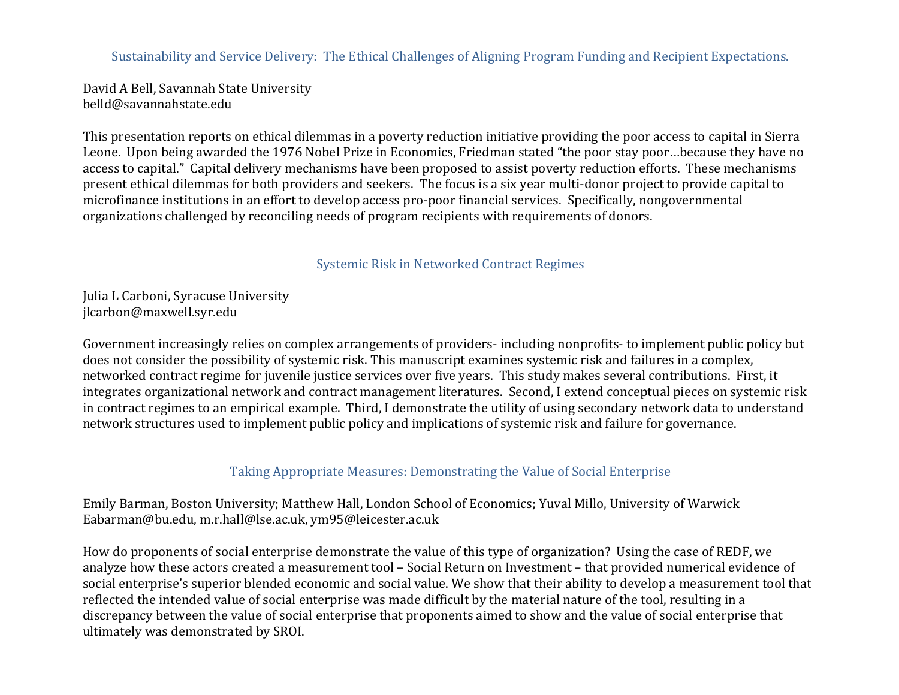Sustainability and Service Delivery: The Ethical Challenges of Aligning Program Funding and Recipient Expectations.

David A Bell, Savannah State University belld@savannahstate.edu

This presentation reports on ethical dilemmas in a poverty reduction initiative providing the poor access to capital in Sierra Leone. Upon being awarded the 1976 Nobel Prize in Economics, Friedman stated "the poor stay poor…because they have no access to capital." Capital delivery mechanisms have been proposed to assist poverty reduction efforts. These mechanisms present ethical dilemmas for both providers and seekers. The focus is a six year multi-donor project to provide capital to microfinance institutions in an effort to develop access pro-poor financial services. Specifically, nongovernmental organizations challenged by reconciling needs of program recipients with requirements of donors.

Systemic Risk in Networked Contract Regimes

Julia L Carboni, Syracuse University jlcarbon@maxwell.syr.edu

Government increasingly relies on complex arrangements of providers- including nonprofits- to implement public policy but does not consider the possibility of systemic risk. This manuscript examines systemic risk and failures in a complex, networked contract regime for juvenile justice services over five years. This study makes several contributions. First, it integrates organizational network and contract management literatures. Second, I extend conceptual pieces on systemic risk in contract regimes to an empirical example. Third, I demonstrate the utility of using secondary network data to understand network structures used to implement public policy and implications of systemic risk and failure for governance.

## Taking Appropriate Measures: Demonstrating the Value of Social Enterprise

Emily Barman, Boston University; Matthew Hall, London School of Economics; Yuval Millo, University of Warwick Eabarman@bu.edu, m.r.hall@lse.ac.uk, ym95@leicester.ac.uk

How do proponents of social enterprise demonstrate the value of this type of organization? Using the case of REDF, we analyze how these actors created a measurement tool – Social Return on Investment – that provided numerical evidence of social enterprise's superior blended economic and social value. We show that their ability to develop a measurement tool that reflected the intended value of social enterprise was made difficult by the material nature of the tool, resulting in a discrepancy between the value of social enterprise that proponents aimed to show and the value of social enterprise that ultimately was demonstrated by SROI.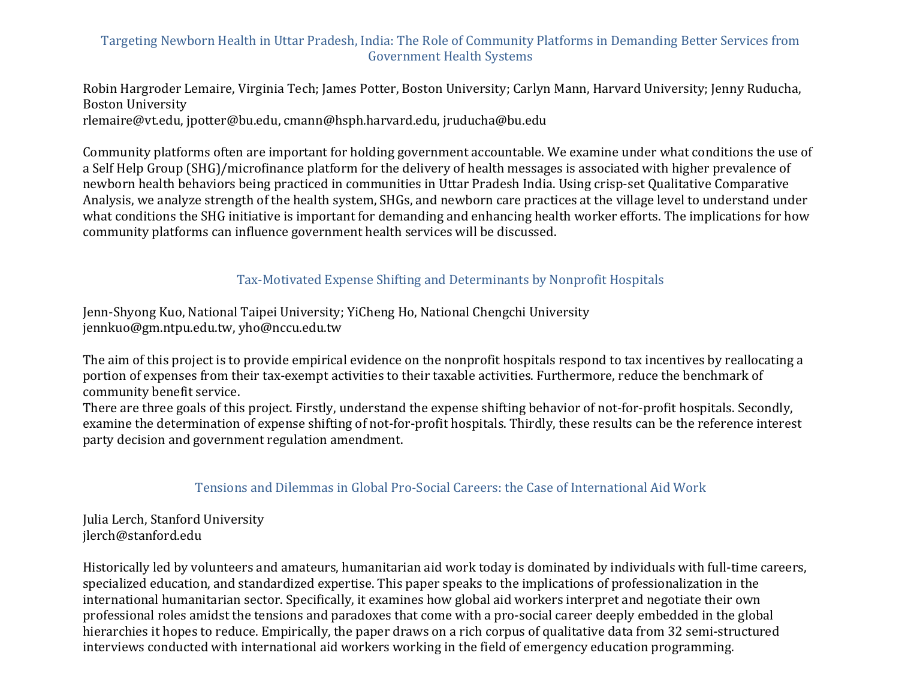# Targeting Newborn Health in Uttar Pradesh, India: The Role of Community Platforms in Demanding Better Services from Government Health Systems

Robin Hargroder Lemaire, Virginia Tech; James Potter, Boston University; Carlyn Mann, Harvard University; Jenny Ruducha, **Boston University** rlemaire@vt.edu, jpotter@bu.edu, cmann@hsph.harvard.edu, jruducha@bu.edu

Community platforms often are important for holding government accountable. We examine under what conditions the use of a Self Help Group (SHG)/microfinance platform for the delivery of health messages is associated with higher prevalence of newborn health behaviors being practiced in communities in Uttar Pradesh India. Using crisp-set Qualitative Comparative Analysis, we analyze strength of the health system, SHGs, and newborn care practices at the village level to understand under what conditions the SHG initiative is important for demanding and enhancing health worker efforts. The implications for how community platforms can influence government health services will be discussed.

# Tax-Motivated Expense Shifting and Determinants by Nonprofit Hospitals

Jenn-Shyong Kuo, National Taipei University; YiCheng Ho, National Chengchi University jennkuo@gm.ntpu.edu.tw, yho@nccu.edu.tw

The aim of this project is to provide empirical evidence on the nonprofit hospitals respond to tax incentives by reallocating a portion of expenses from their tax-exempt activities to their taxable activities. Furthermore, reduce the benchmark of community benefit service.

There are three goals of this project. Firstly, understand the expense shifting behavior of not-for-profit hospitals. Secondly, examine the determination of expense shifting of not-for-profit hospitals. Thirdly, these results can be the reference interest party decision and government regulation amendment.

## Tensions and Dilemmas in Global Pro-Social Careers: the Case of International Aid Work

Julia Lerch, Stanford University jlerch@stanford.edu

Historically led by volunteers and amateurs, humanitarian aid work today is dominated by individuals with full-time careers, specialized education, and standardized expertise. This paper speaks to the implications of professionalization in the international humanitarian sector. Specifically, it examines how global aid workers interpret and negotiate their own professional roles amidst the tensions and paradoxes that come with a pro-social career deeply embedded in the global hierarchies it hopes to reduce. Empirically, the paper draws on a rich corpus of qualitative data from 32 semi-structured interviews conducted with international aid workers working in the field of emergency education programming.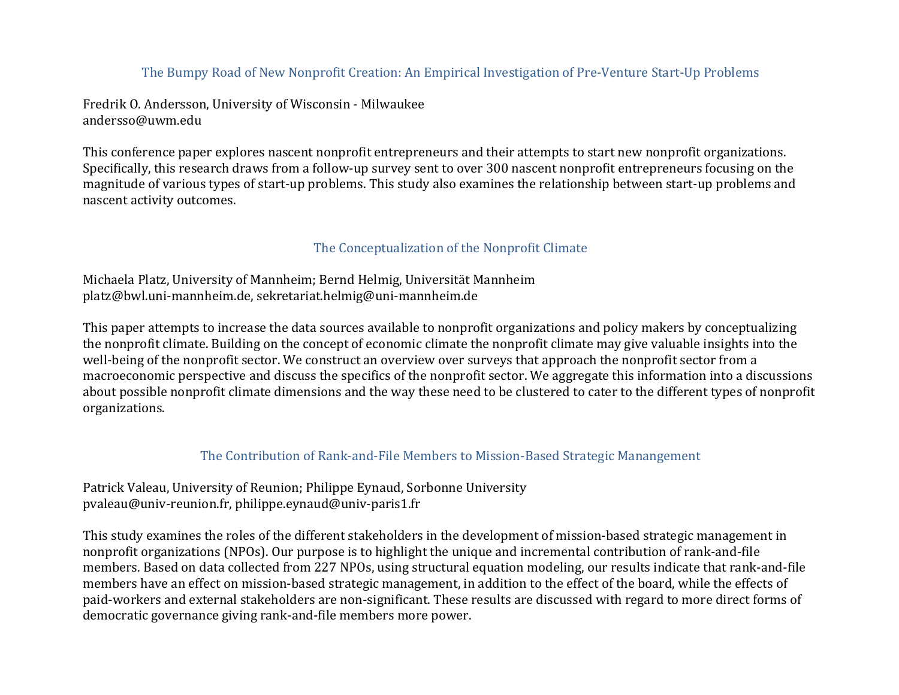## The Bumpy Road of New Nonprofit Creation: An Empirical Investigation of Pre-Venture Start-Up Problems

Fredrik O. Andersson, University of Wisconsin - Milwaukee andersso@uwm.edu

This conference paper explores nascent nonprofit entrepreneurs and their attempts to start new nonprofit organizations. Specifically, this research draws from a follow-up survey sent to over 300 nascent nonprofit entrepreneurs focusing on the magnitude of various types of start-up problems. This study also examines the relationship between start-up problems and nascent activity outcomes.

#### The Conceptualization of the Nonprofit Climate

Michaela Platz, University of Mannheim; Bernd Helmig, Universität Mannheim platz@bwl.uni-mannheim.de, sekretariat.helmig@uni-mannheim.de

This paper attempts to increase the data sources available to nonprofit organizations and policy makers by conceptualizing the nonprofit climate. Building on the concept of economic climate the nonprofit climate may give valuable insights into the well-being of the nonprofit sector. We construct an overview over surveys that approach the nonprofit sector from a macroeconomic perspective and discuss the specifics of the nonprofit sector. We aggregate this information into a discussions about possible nonprofit climate dimensions and the way these need to be clustered to cater to the different types of nonprofit organizations.

#### The Contribution of Rank-and-File Members to Mission-Based Strategic Manangement

Patrick Valeau, University of Reunion; Philippe Eynaud, Sorbonne University pvaleau@univ-reunion.fr, philippe.eynaud@univ-paris1.fr

This study examines the roles of the different stakeholders in the development of mission-based strategic management in nonprofit organizations (NPOs). Our purpose is to highlight the unique and incremental contribution of rank-and-file members. Based on data collected from 227 NPOs, using structural equation modeling, our results indicate that rank-and-file members have an effect on mission-based strategic management, in addition to the effect of the board, while the effects of paid-workers and external stakeholders are non-significant. These results are discussed with regard to more direct forms of democratic governance giving rank-and-file members more power.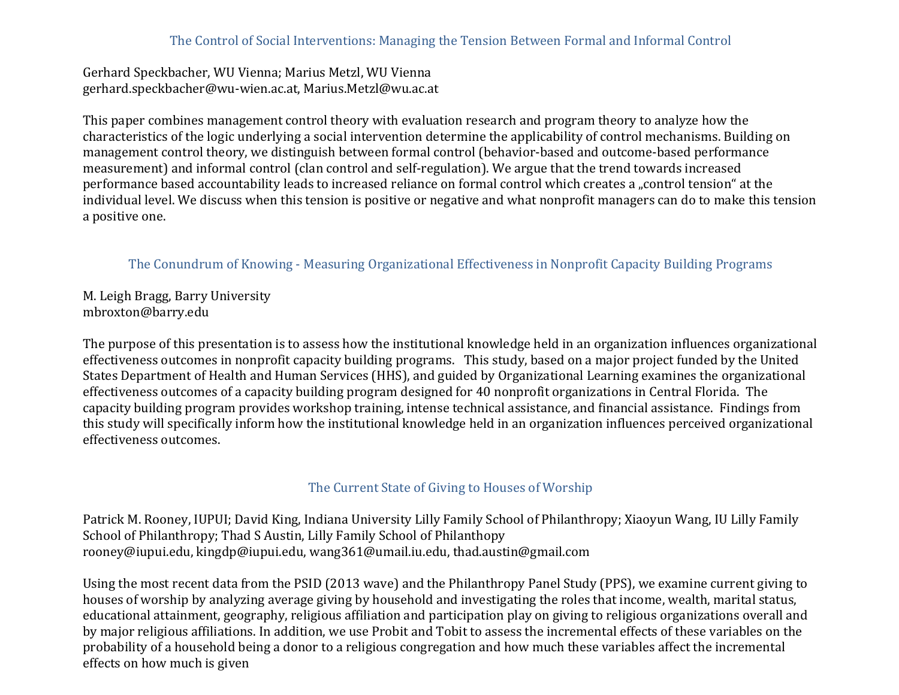## The Control of Social Interventions: Managing the Tension Between Formal and Informal Control

Gerhard Speckbacher, WU Vienna; Marius Metzl, WU Vienna gerhard.speckbacher@wu-wien.ac.at, Marius.Metzl@wu.ac.at

This paper combines management control theory with evaluation research and program theory to analyze how the characteristics of the logic underlying a social intervention determine the applicability of control mechanisms. Building on management control theory, we distinguish between formal control (behavior-based and outcome-based performance measurement) and informal control (clan control and self-regulation). We argue that the trend towards increased performance based accountability leads to increased reliance on formal control which creates a "control tension" at the individual level. We discuss when this tension is positive or negative and what nonprofit managers can do to make this tension a positive one.

#### The Conundrum of Knowing - Measuring Organizational Effectiveness in Nonprofit Capacity Building Programs

M. Leigh Bragg, Barry University mbroxton@barry.edu

The purpose of this presentation is to assess how the institutional knowledge held in an organization influences organizational effectiveness outcomes in nonprofit capacity building programs. This study, based on a major project funded by the United States Department of Health and Human Services (HHS), and guided by Organizational Learning examines the organizational effectiveness outcomes of a capacity building program designed for 40 nonprofit organizations in Central Florida. The capacity building program provides workshop training, intense technical assistance, and financial assistance. Findings from this study will specifically inform how the institutional knowledge held in an organization influences perceived organizational effectiveness outcomes.

#### The Current State of Giving to Houses of Worship

Patrick M. Rooney, IUPUI; David King, Indiana University Lilly Family School of Philanthropy; Xiaoyun Wang, IU Lilly Family School of Philanthropy; Thad S Austin, Lilly Family School of Philanthopy rooney@iupui.edu, kingdp@iupui.edu, wang361@umail.iu.edu, thad.austin@gmail.com

Using the most recent data from the PSID (2013 wave) and the Philanthropy Panel Study (PPS), we examine current giving to houses of worship by analyzing average giving by household and investigating the roles that income, wealth, marital status, educational attainment, geography, religious affiliation and participation play on giving to religious organizations overall and by major religious affiliations. In addition, we use Probit and Tobit to assess the incremental effects of these variables on the probability of a household being a donor to a religious congregation and how much these variables affect the incremental effects on how much is given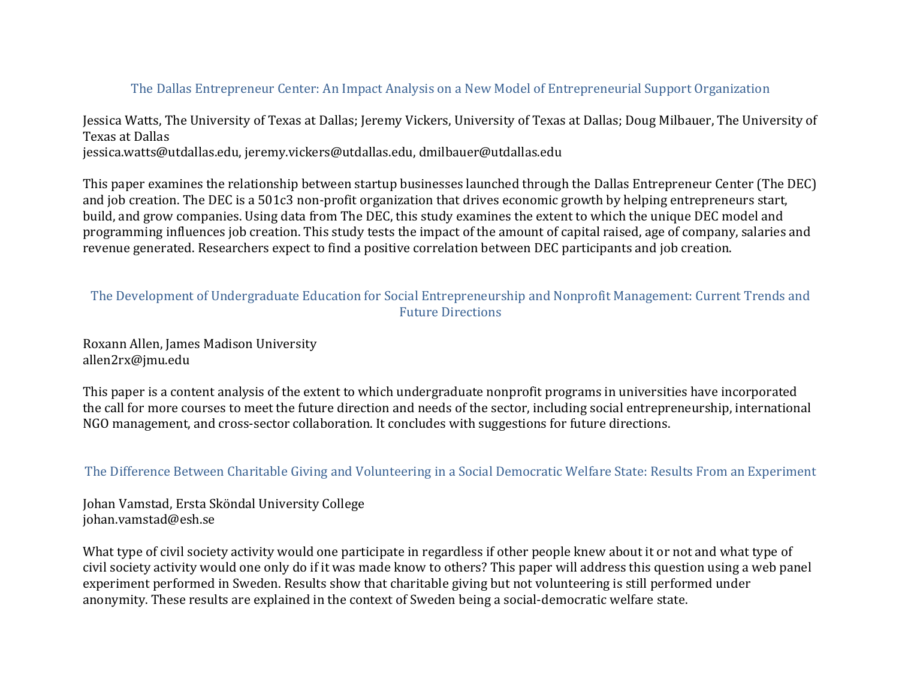## The Dallas Entrepreneur Center: An Impact Analysis on a New Model of Entrepreneurial Support Organization

Jessica Watts, The University of Texas at Dallas; Jeremy Vickers, University of Texas at Dallas; Doug Milbauer, The University of Texas at Dallas jessica.watts@utdallas.edu, jeremy.vickers@utdallas.edu, dmilbauer@utdallas.edu

This paper examines the relationship between startup businesses launched through the Dallas Entrepreneur Center (The DEC) and job creation. The DEC is a 501c3 non-profit organization that drives economic growth by helping entrepreneurs start, build, and grow companies. Using data from The DEC, this study examines the extent to which the unique DEC model and programming influences job creation. This study tests the impact of the amount of capital raised, age of company, salaries and revenue generated. Researchers expect to find a positive correlation between DEC participants and job creation.

# The Development of Undergraduate Education for Social Entrepreneurship and Nonprofit Management: Current Trends and **Future Directions**

Roxann Allen, James Madison University allen2rx@jmu.edu

This paper is a content analysis of the extent to which undergraduate nonprofit programs in universities have incorporated the call for more courses to meet the future direction and needs of the sector, including social entrepreneurship, international NGO management, and cross-sector collaboration. It concludes with suggestions for future directions.

The Difference Between Charitable Giving and Volunteering in a Social Democratic Welfare State: Results From an Experiment

Johan Vamstad, Ersta Sköndal University College johan.vamstad@esh.se

What type of civil society activity would one participate in regardless if other people knew about it or not and what type of civil society activity would one only do if it was made know to others? This paper will address this question using a web panel experiment performed in Sweden. Results show that charitable giving but not volunteering is still performed under anonymity. These results are explained in the context of Sweden being a social-democratic welfare state.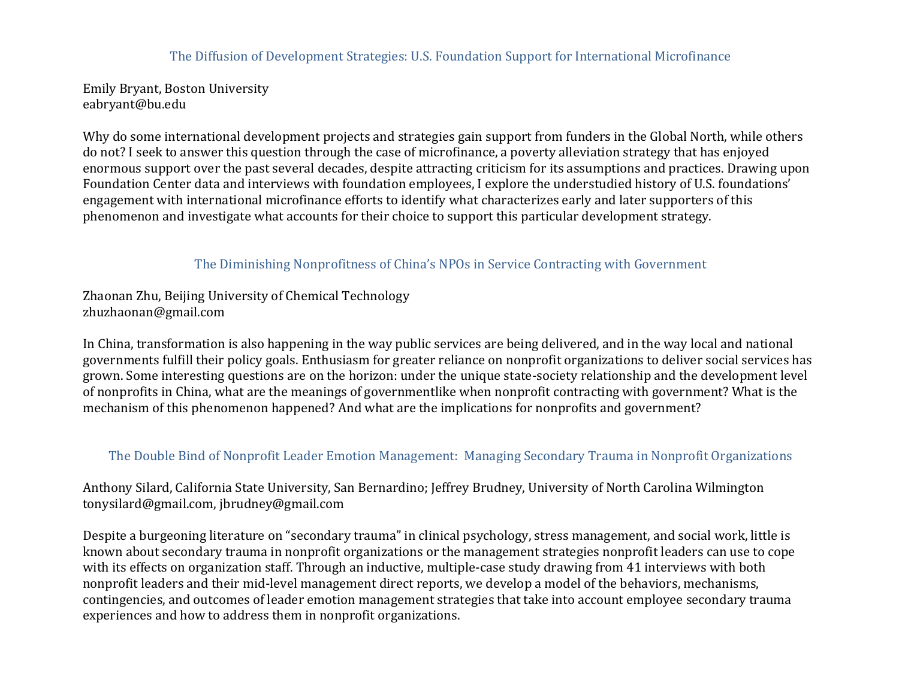#### The Diffusion of Development Strategies: U.S. Foundation Support for International Microfinance

Emily Bryant, Boston University eabryant@bu.edu

Why do some international development projects and strategies gain support from funders in the Global North, while others do not? I seek to answer this question through the case of microfinance, a poverty alleviation strategy that has enjoyed enormous support over the past several decades, despite attracting criticism for its assumptions and practices. Drawing upon Foundation Center data and interviews with foundation employees, I explore the understudied history of U.S. foundations' engagement with international microfinance efforts to identify what characterizes early and later supporters of this phenomenon and investigate what accounts for their choice to support this particular development strategy.

### The Diminishing Nonprofitness of China's NPOs in Service Contracting with Government

Zhaonan Zhu, Beijing University of Chemical Technology zhuzhaonan@gmail.com

In China, transformation is also happening in the way public services are being delivered, and in the way local and national governments fulfill their policy goals. Enthusiasm for greater reliance on nonprofit organizations to deliver social services has grown. Some interesting questions are on the horizon: under the unique state-society relationship and the development level of nonprofits in China, what are the meanings of governmentlike when nonprofit contracting with government? What is the mechanism of this phenomenon happened? And what are the implications for nonprofits and government?

## The Double Bind of Nonprofit Leader Emotion Management: Managing Secondary Trauma in Nonprofit Organizations

Anthony Silard, California State University, San Bernardino; Jeffrey Brudney, University of North Carolina Wilmington tonysilard@gmail.com, jbrudney@gmail.com

Despite a burgeoning literature on "secondary trauma" in clinical psychology, stress management, and social work, little is known about secondary trauma in nonprofit organizations or the management strategies nonprofit leaders can use to cope with its effects on organization staff. Through an inductive, multiple-case study drawing from 41 interviews with both nonprofit leaders and their mid-level management direct reports, we develop a model of the behaviors, mechanisms, contingencies, and outcomes of leader emotion management strategies that take into account employee secondary trauma experiences and how to address them in nonprofit organizations.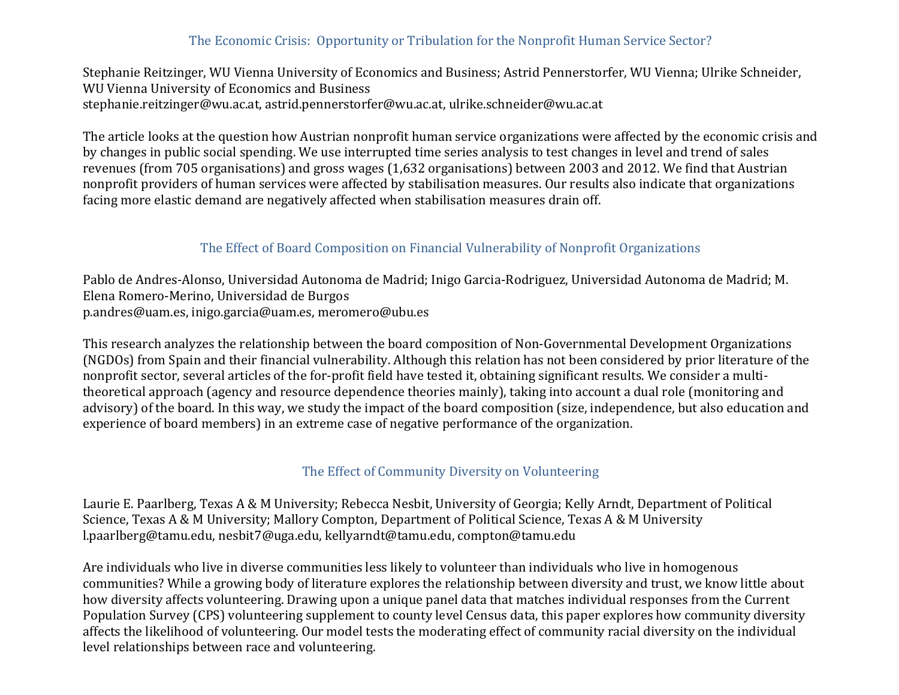# The Economic Crisis: Opportunity or Tribulation for the Nonprofit Human Service Sector?

Stephanie Reitzinger, WU Vienna University of Economics and Business; Astrid Pennerstorfer, WU Vienna; Ulrike Schneider, WU Vienna University of Economics and Business stephanie.reitzinger@wu.ac.at, astrid.pennerstorfer@wu.ac.at, ulrike.schneider@wu.ac.at

The article looks at the question how Austrian nonprofit human service organizations were affected by the economic crisis and by changes in public social spending. We use interrupted time series analysis to test changes in level and trend of sales revenues (from 705 organisations) and gross wages (1,632 organisations) between 2003 and 2012. We find that Austrian nonprofit providers of human services were affected by stabilisation measures. Our results also indicate that organizations facing more elastic demand are negatively affected when stabilisation measures drain off.

# The Effect of Board Composition on Financial Vulnerability of Nonprofit Organizations

Pablo de Andres-Alonso, Universidad Autonoma de Madrid; Inigo Garcia-Rodriguez, Universidad Autonoma de Madrid; M. Elena Romero-Merino, Universidad de Burgos p.andres@uam.es, inigo.garcia@uam.es, meromero@ubu.es

This research analyzes the relationship between the board composition of Non-Governmental Development Organizations (NGDOs) from Spain and their financial vulnerability. Although this relation has not been considered by prior literature of the nonprofit sector, several articles of the for-profit field have tested it, obtaining significant results. We consider a multitheoretical approach (agency and resource dependence theories mainly), taking into account a dual role (monitoring and advisory) of the board. In this way, we study the impact of the board composition (size, independence, but also education and experience of board members) in an extreme case of negative performance of the organization.

## The Effect of Community Diversity on Volunteering

Laurie E. Paarlberg, Texas A & M University; Rebecca Nesbit, University of Georgia; Kelly Arndt, Department of Political Science, Texas A & M University; Mallory Compton, Department of Political Science, Texas A & M University l.paarlberg@tamu.edu, nesbit7@uga.edu, kellyarndt@tamu.edu, compton@tamu.edu

Are individuals who live in diverse communities less likely to volunteer than individuals who live in homogenous communities? While a growing body of literature explores the relationship between diversity and trust, we know little about how diversity affects volunteering. Drawing upon a unique panel data that matches individual responses from the Current Population Survey (CPS) volunteering supplement to county level Census data, this paper explores how community diversity affects the likelihood of volunteering. Our model tests the moderating effect of community racial diversity on the individual level relationships between race and volunteering.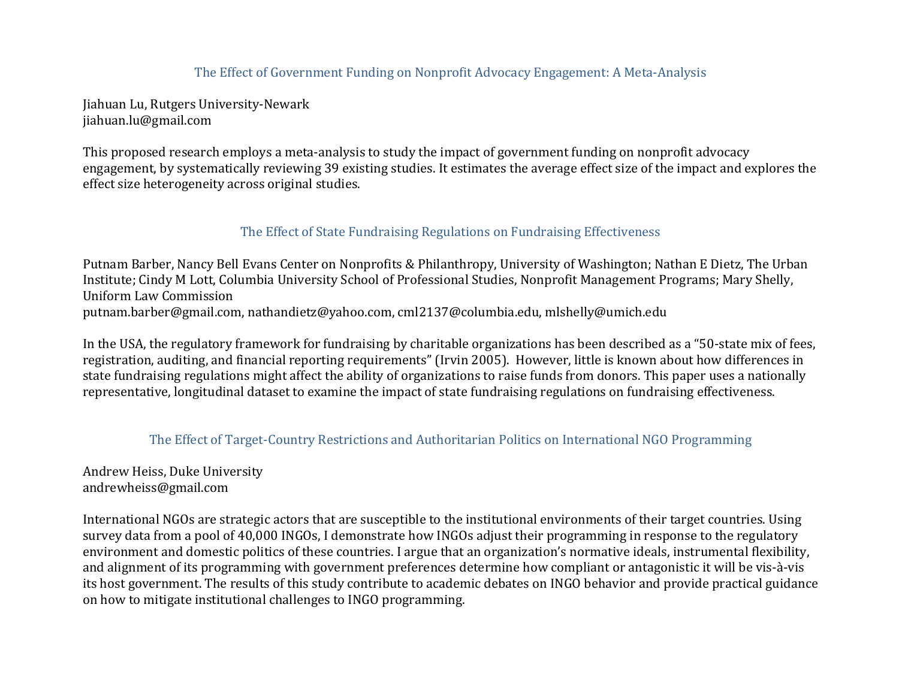## The Effect of Government Funding on Nonprofit Advocacy Engagement: A Meta-Analysis

Jiahuan Lu, Rutgers University-Newark jiahuan.lu@gmail.com

This proposed research employs a meta-analysis to study the impact of government funding on nonprofit advocacy engagement, by systematically reviewing 39 existing studies. It estimates the average effect size of the impact and explores the effect size heterogeneity across original studies.

### The Effect of State Fundraising Regulations on Fundraising Effectiveness

Putnam Barber, Nancy Bell Evans Center on Nonprofits & Philanthropy, University of Washington; Nathan E Dietz, The Urban Institute; Cindy M Lott, Columbia University School of Professional Studies, Nonprofit Management Programs; Mary Shelly, Uniform Law Commission putnam.barber@gmail.com, nathandietz@yahoo.com, cml2137@columbia.edu, mlshelly@umich.edu

In the USA, the regulatory framework for fundraising by charitable organizations has been described as a "50-state mix of fees, registration, auditing, and financial reporting requirements" (Irvin 2005). However, little is known about how differences in state fundraising regulations might affect the ability of organizations to raise funds from donors. This paper uses a nationally representative, longitudinal dataset to examine the impact of state fundraising regulations on fundraising effectiveness.

#### The Effect of Target-Country Restrictions and Authoritarian Politics on International NGO Programming

Andrew Heiss, Duke University andrewheiss@gmail.com

International NGOs are strategic actors that are susceptible to the institutional environments of their target countries. Using survey data from a pool of 40,000 INGOs, I demonstrate how INGOs adjust their programming in response to the regulatory environment and domestic politics of these countries. I argue that an organization's normative ideals, instrumental flexibility, and alignment of its programming with government preferences determine how compliant or antagonistic it will be vis-à-vis its host government. The results of this study contribute to academic debates on INGO behavior and provide practical guidance on how to mitigate institutional challenges to INGO programming.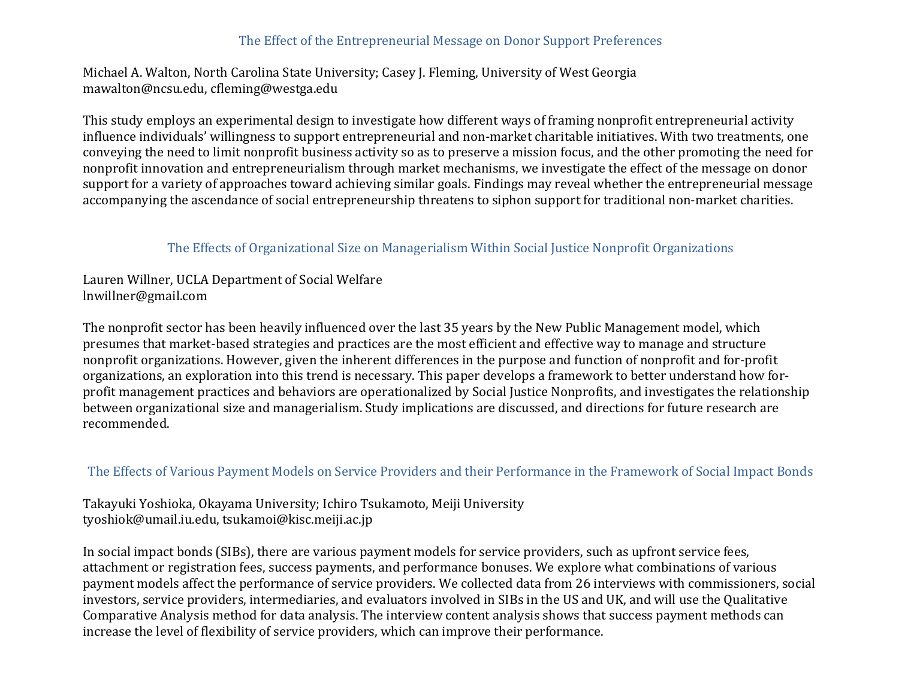## The Effect of the Entrepreneurial Message on Donor Support Preferences

Michael A. Walton, North Carolina State University; Casey J. Fleming, University of West Georgia mawalton@ncsu.edu, cfleming@westga.edu

This study employs an experimental design to investigate how different ways of framing nonprofit entrepreneurial activity influence individuals' willingness to support entrepreneurial and non-market charitable initiatives. With two treatments, one conveying the need to limit nonprofit business activity so as to preserve a mission focus, and the other promoting the need for nonprofit innovation and entrepreneurialism through market mechanisms, we investigate the effect of the message on donor support for a variety of approaches toward achieving similar goals. Findings may reveal whether the entrepreneurial message accompanying the ascendance of social entrepreneurship threatens to siphon support for traditional non-market charities.

# The Effects of Organizational Size on Managerialism Within Social Justice Nonprofit Organizations

Lauren Willner, UCLA Department of Social Welfare lnwillner@gmail.com

The nonprofit sector has been heavily influenced over the last 35 years by the New Public Management model, which presumes that market-based strategies and practices are the most efficient and effective way to manage and structure nonprofit organizations. However, given the inherent differences in the purpose and function of nonprofit and for-profit organizations, an exploration into this trend is necessary. This paper develops a framework to better understand how forprofit management practices and behaviors are operationalized by Social Justice Nonprofits, and investigates the relationship between organizational size and managerialism. Study implications are discussed, and directions for future research are recommended.

## The Effects of Various Payment Models on Service Providers and their Performance in the Framework of Social Impact Bonds

Takayuki Yoshioka, Okayama University; Ichiro Tsukamoto, Meiji University tyoshiok@umail.iu.edu, tsukamoi@kisc.meiji.ac.jp

In social impact bonds (SIBs), there are various payment models for service providers, such as upfront service fees, attachment or registration fees, success payments, and performance bonuses. We explore what combinations of various payment models affect the performance of service providers. We collected data from 26 interviews with commissioners, social investors, service providers, intermediaries, and evaluators involved in SIBs in the US and UK, and will use the Qualitative Comparative Analysis method for data analysis. The interview content analysis shows that success payment methods can increase the level of flexibility of service providers, which can improve their performance.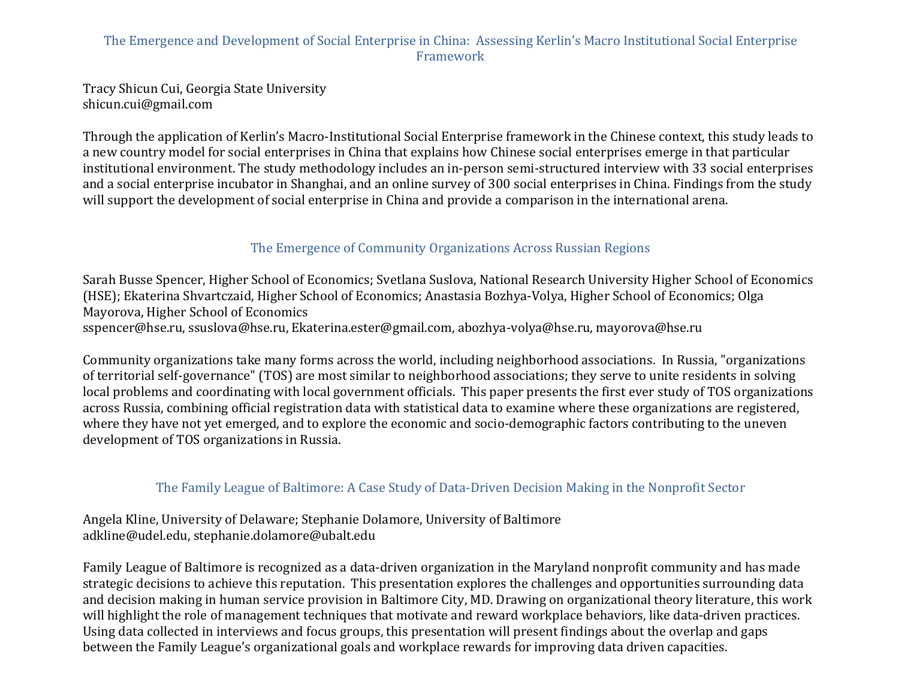## The Emergence and Development of Social Enterprise in China: Assessing Kerlin's Macro Institutional Social Enterprise Framework

Tracy Shicun Cui, Georgia State University shicun.cui@gmail.com

Through the application of Kerlin's Macro-Institutional Social Enterprise framework in the Chinese context, this study leads to a new country model for social enterprises in China that explains how Chinese social enterprises emerge in that particular institutional environment. The study methodology includes an in-person semi-structured interview with 33 social enterprises and a social enterprise incubator in Shanghai, and an online survey of 300 social enterprises in China. Findings from the study will support the development of social enterprise in China and provide a comparison in the international arena.

# The Emergence of Community Organizations Across Russian Regions

Sarah Busse Spencer, Higher School of Economics; Svetlana Suslova, National Research University Higher School of Economics (HSE); Ekaterina Shvartczaid, Higher School of Economics; Anastasia Bozhya-Volya, Higher School of Economics; Olga Mayorova, Higher School of Economics sspencer@hse.ru, ssuslova@hse.ru, Ekaterina.ester@gmail.com, abozhya-volya@hse.ru, mayorova@hse.ru

Community organizations take many forms across the world, including neighborhood associations. In Russia, "organizations" of territorial self-governance" (TOS) are most similar to neighborhood associations; they serve to unite residents in solving local problems and coordinating with local government officials. This paper presents the first ever study of TOS organizations across Russia, combining official registration data with statistical data to examine where these organizations are registered, where they have not yet emerged, and to explore the economic and socio-demographic factors contributing to the uneven development of TOS organizations in Russia.

# The Family League of Baltimore: A Case Study of Data-Driven Decision Making in the Nonprofit Sector

Angela Kline, University of Delaware; Stephanie Dolamore, University of Baltimore adkline@udel.edu, stephanie.dolamore@ubalt.edu

Family League of Baltimore is recognized as a data-driven organization in the Maryland nonprofit community and has made strategic decisions to achieve this reputation. This presentation explores the challenges and opportunities surrounding data and decision making in human service provision in Baltimore City, MD. Drawing on organizational theory literature, this work will highlight the role of management techniques that motivate and reward workplace behaviors, like data-driven practices. Using data collected in interviews and focus groups, this presentation will present findings about the overlap and gaps between the Family League's organizational goals and workplace rewards for improving data driven capacities.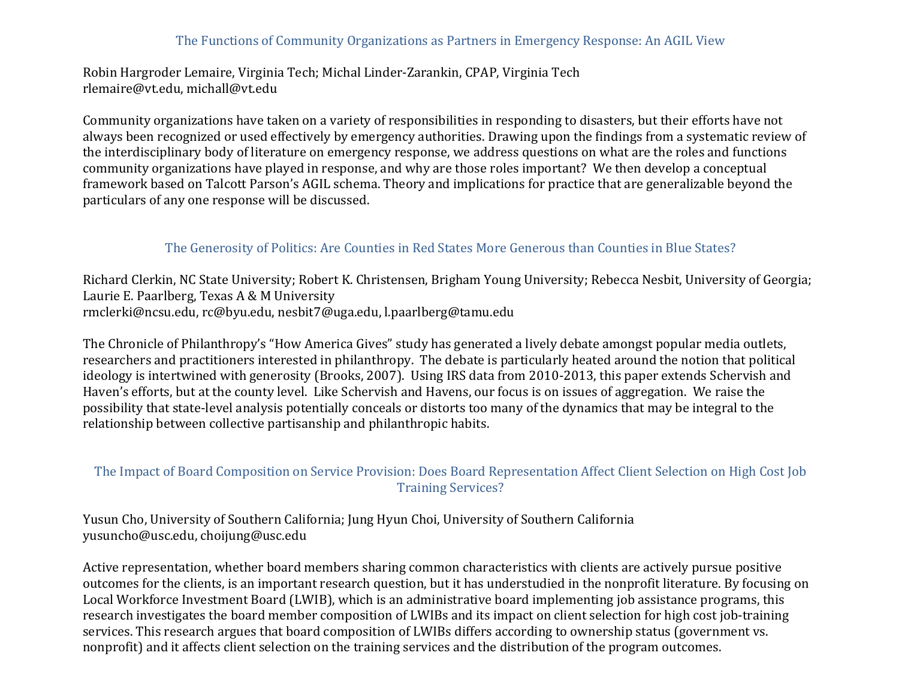## The Functions of Community Organizations as Partners in Emergency Response: An AGIL View

Robin Hargroder Lemaire, Virginia Tech; Michal Linder-Zarankin, CPAP, Virginia Tech rlemaire@vt.edu, michall@vt.edu

Community organizations have taken on a variety of responsibilities in responding to disasters, but their efforts have not always been recognized or used effectively by emergency authorities. Drawing upon the findings from a systematic review of the interdisciplinary body of literature on emergency response, we address questions on what are the roles and functions community organizations have played in response, and why are those roles important? We then develop a conceptual framework based on Talcott Parson's AGIL schema. Theory and implications for practice that are generalizable beyond the particulars of any one response will be discussed.

#### The Generosity of Politics: Are Counties in Red States More Generous than Counties in Blue States?

Richard Clerkin, NC State University; Robert K. Christensen, Brigham Young University; Rebecca Nesbit, University of Georgia; Laurie E. Paarlberg, Texas A & M University rmclerki@ncsu.edu, rc@byu.edu, nesbit7@uga.edu, l.paarlberg@tamu.edu

The Chronicle of Philanthropy's "How America Gives" study has generated a lively debate amongst popular media outlets, researchers and practitioners interested in philanthropy. The debate is particularly heated around the notion that political ideology is intertwined with generosity (Brooks, 2007). Using IRS data from 2010-2013, this paper extends Schervish and Haven's efforts, but at the county level. Like Schervish and Havens, our focus is on issues of aggregation. We raise the possibility that state-level analysis potentially conceals or distorts too many of the dynamics that may be integral to the relationship between collective partisanship and philanthropic habits.

#### The Impact of Board Composition on Service Provision: Does Board Representation Affect Client Selection on High Cost Job **Training Services?**

Yusun Cho, University of Southern California; Jung Hyun Choi, University of Southern California yusuncho@usc.edu, choijung@usc.edu

Active representation, whether board members sharing common characteristics with clients are actively pursue positive outcomes for the clients, is an important research question, but it has understudied in the nonprofit literature. By focusing on Local Workforce Investment Board (LWIB), which is an administrative board implementing job assistance programs, this research investigates the board member composition of LWIBs and its impact on client selection for high cost job-training services. This research argues that board composition of LWIBs differs according to ownership status (government vs. nonprofit) and it affects client selection on the training services and the distribution of the program outcomes.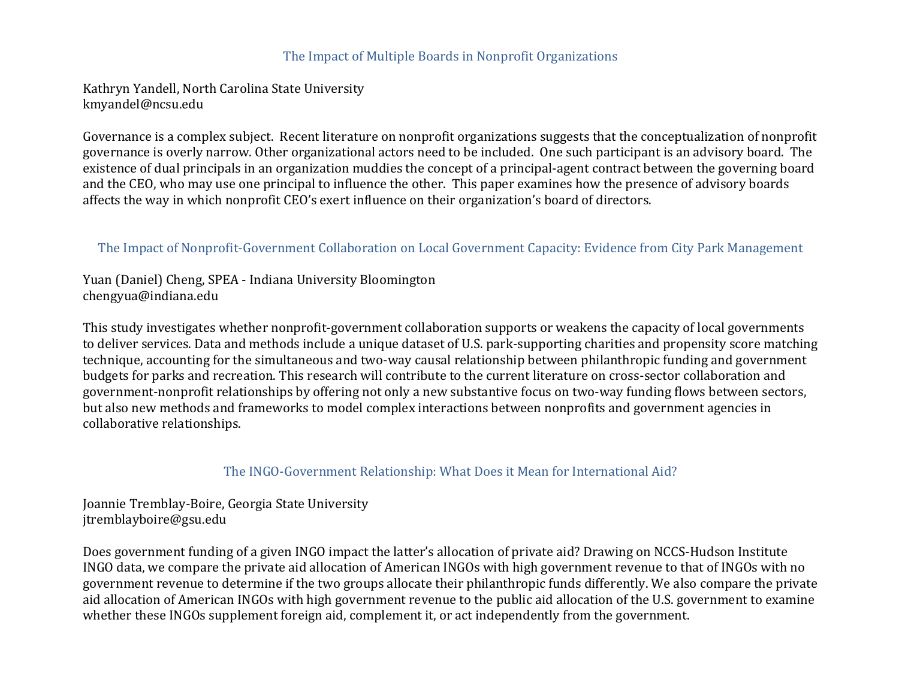#### The Impact of Multiple Boards in Nonprofit Organizations

Kathryn Yandell, North Carolina State University kmyandel@ncsu.edu

Governance is a complex subject. Recent literature on nonprofit organizations suggests that the conceptualization of nonprofit governance is overly narrow. Other organizational actors need to be included. One such participant is an advisory board. The existence of dual principals in an organization muddies the concept of a principal-agent contract between the governing board and the CEO, who may use one principal to influence the other. This paper examines how the presence of advisory boards affects the way in which nonprofit CEO's exert influence on their organization's board of directors.

#### The Impact of Nonprofit-Government Collaboration on Local Government Capacity: Evidence from City Park Management

Yuan (Daniel) Cheng, SPEA - Indiana University Bloomington chengyua@indiana.edu

This study investigates whether nonprofit-government collaboration supports or weakens the capacity of local governments to deliver services. Data and methods include a unique dataset of U.S. park-supporting charities and propensity score matching technique, accounting for the simultaneous and two-way causal relationship between philanthropic funding and government budgets for parks and recreation. This research will contribute to the current literature on cross-sector collaboration and government-nonprofit relationships by offering not only a new substantive focus on two-way funding flows between sectors, but also new methods and frameworks to model complex interactions between nonprofits and government agencies in collaborative relationships.

#### The INGO-Government Relationship: What Does it Mean for International Aid?

Joannie Tremblay-Boire, Georgia State University jtremblayboire@gsu.edu

Does government funding of a given INGO impact the latter's allocation of private aid? Drawing on NCCS-Hudson Institute INGO data, we compare the private aid allocation of American INGOs with high government revenue to that of INGOs with no government revenue to determine if the two groups allocate their philanthropic funds differently. We also compare the private aid allocation of American INGOs with high government revenue to the public aid allocation of the U.S. government to examine whether these INGOs supplement foreign aid, complement it, or act independently from the government.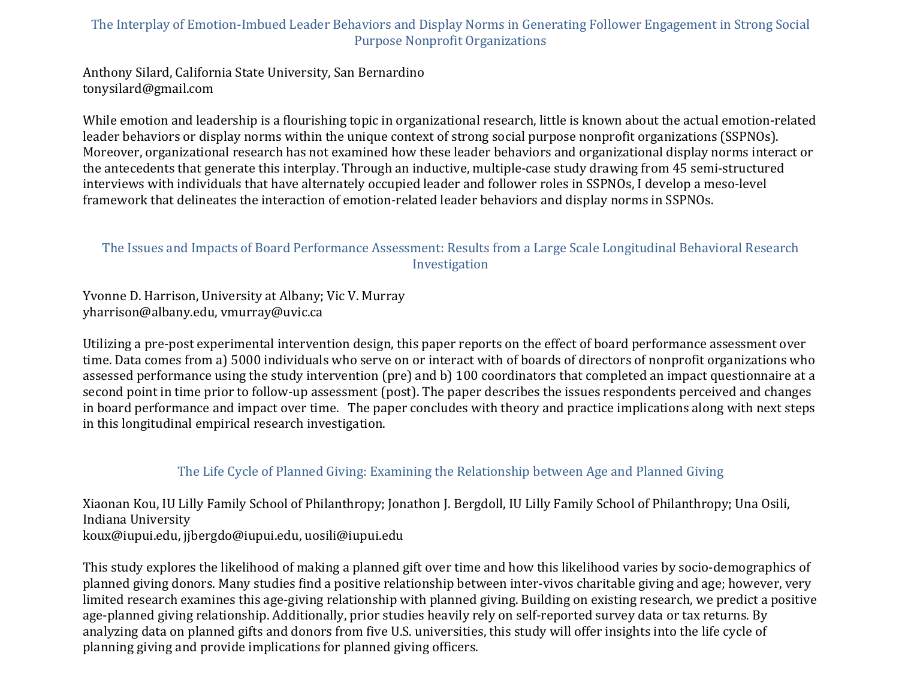# The Interplay of Emotion-Imbued Leader Behaviors and Display Norms in Generating Follower Engagement in Strong Social Purpose Nonprofit Organizations

Anthony Silard, California State University, San Bernardino tonysilard@gmail.com

While emotion and leadership is a flourishing topic in organizational research, little is known about the actual emotion-related leader behaviors or display norms within the unique context of strong social purpose nonprofit organizations (SSPNOs). Moreover, organizational research has not examined how these leader behaviors and organizational display norms interact or the antecedents that generate this interplay. Through an inductive, multiple-case study drawing from 45 semi-structured interviews with individuals that have alternately occupied leader and follower roles in SSPNOs, I develop a meso-level framework that delineates the interaction of emotion-related leader behaviors and display norms in SSPNOs.

## The Issues and Impacts of Board Performance Assessment: Results from a Large Scale Longitudinal Behavioral Research Investigation

Yvonne D. Harrison, University at Albany; Vic V. Murray yharrison@albany.edu, vmurray@uvic.ca

Utilizing a pre-post experimental intervention design, this paper reports on the effect of board performance assessment over time. Data comes from a) 5000 individuals who serve on or interact with of boards of directors of nonprofit organizations who assessed performance using the study intervention (pre) and b) 100 coordinators that completed an impact questionnaire at a second point in time prior to follow-up assessment (post). The paper describes the issues respondents perceived and changes in board performance and impact over time. The paper concludes with theory and practice implications along with next steps in this longitudinal empirical research investigation.

## The Life Cycle of Planned Giving: Examining the Relationship between Age and Planned Giving

Xiaonan Kou, IU Lilly Family School of Philanthropy; Jonathon J. Bergdoll, IU Lilly Family School of Philanthropy; Una Osili, Indiana University koux@iupui.edu, jjbergdo@iupui.edu, uosili@iupui.edu

This study explores the likelihood of making a planned gift over time and how this likelihood varies by socio-demographics of planned giving donors. Many studies find a positive relationship between inter-vivos charitable giving and age; however, very limited research examines this age-giving relationship with planned giving. Building on existing research, we predict a positive age-planned giving relationship. Additionally, prior studies heavily rely on self-reported survey data or tax returns. By analyzing data on planned gifts and donors from five U.S. universities, this study will offer insights into the life cycle of planning giving and provide implications for planned giving officers.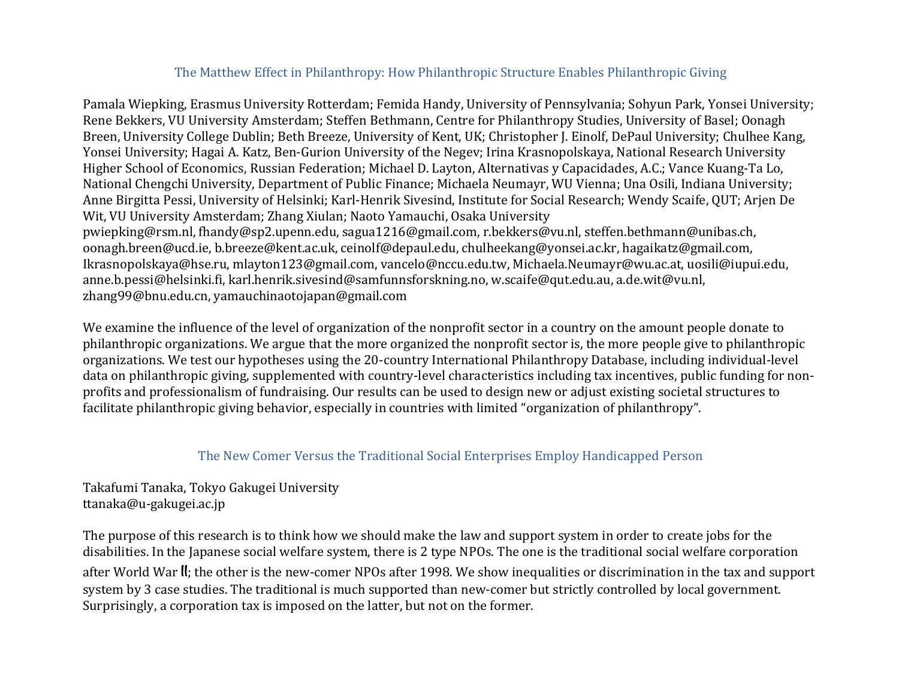# The Matthew Effect in Philanthropy: How Philanthropic Structure Enables Philanthropic Giving

Pamala Wiepking, Erasmus University Rotterdam; Femida Handy, University of Pennsylvania; Sohyun Park, Yonsei University; Rene Bekkers, VU University Amsterdam; Steffen Bethmann, Centre for Philanthropy Studies, University of Basel; Oonagh Breen, University College Dublin; Beth Breeze, University of Kent, UK; Christopher J. Einolf, DePaul University; Chulhee Kang, Yonsei University; Hagai A. Katz, Ben-Gurion University of the Negey; Irina Krasnopolskaya, National Research University Higher School of Economics, Russian Federation; Michael D. Layton, Alternativas y Capacidades, A.C.; Vance Kuang-Ta Lo, National Chengchi University, Department of Public Finance; Michaela Neumayr, WU Vienna; Una Osili, Indiana University; Anne Birgitta Pessi, University of Helsinki; Karl-Henrik Sivesind, Institute for Social Research; Wendy Scaife, QUT; Arjen De Wit, VU University Amsterdam; Zhang Xiulan; Naoto Yamauchi, Osaka University pwiepking@rsm.nl, fhandy@sp2.upenn.edu, sagua1216@gmail.com, r.bekkers@vu.nl, steffen.bethmann@unibas.ch, oonagh.breen@ucd.ie, b.breeze@kent.ac.uk, ceinolf@depaul.edu, chulheekang@yonsei.ac.kr, hagaikatz@gmail.com, Ikrasnopolskaya@hse.ru, mlayton123@gmail.com, vancelo@nccu.edu.tw, Michaela.Neumayr@wu.ac.at, uosili@iupui.edu, anne.b.pessi@helsinki.fi, karl.henrik.sivesind@samfunnsforskning.no, w.scaife@qut.edu.au, a.de.wit@vu.nl, zhang99@bnu.edu.cn, yamauchinaotojapan@gmail.com

We examine the influence of the level of organization of the nonprofit sector in a country on the amount people donate to philanthropic organizations. We argue that the more organized the nonprofit sector is, the more people give to philanthropic organizations. We test our hypotheses using the 20-country International Philanthropy Database, including individual-level data on philanthropic giving, supplemented with country-level characteristics including tax incentives, public funding for nonprofits and professionalism of fundraising. Our results can be used to design new or adjust existing societal structures to facilitate philanthropic giving behavior, especially in countries with limited "organization of philanthropy".

#### The New Comer Versus the Traditional Social Enterprises Employ Handicapped Person

Takafumi Tanaka, Tokyo Gakugei University ttanaka@u-gakugei.ac.jp

The purpose of this research is to think how we should make the law and support system in order to create jobs for the disabilities. In the Japanese social welfare system, there is 2 type NPOs. The one is the traditional social welfare corporation after World War II; the other is the new-comer NPOs after 1998. We show inequalities or discrimination in the tax and support system by 3 case studies. The traditional is much supported than new-comer but strictly controlled by local government. Surprisingly, a corporation tax is imposed on the latter, but not on the former.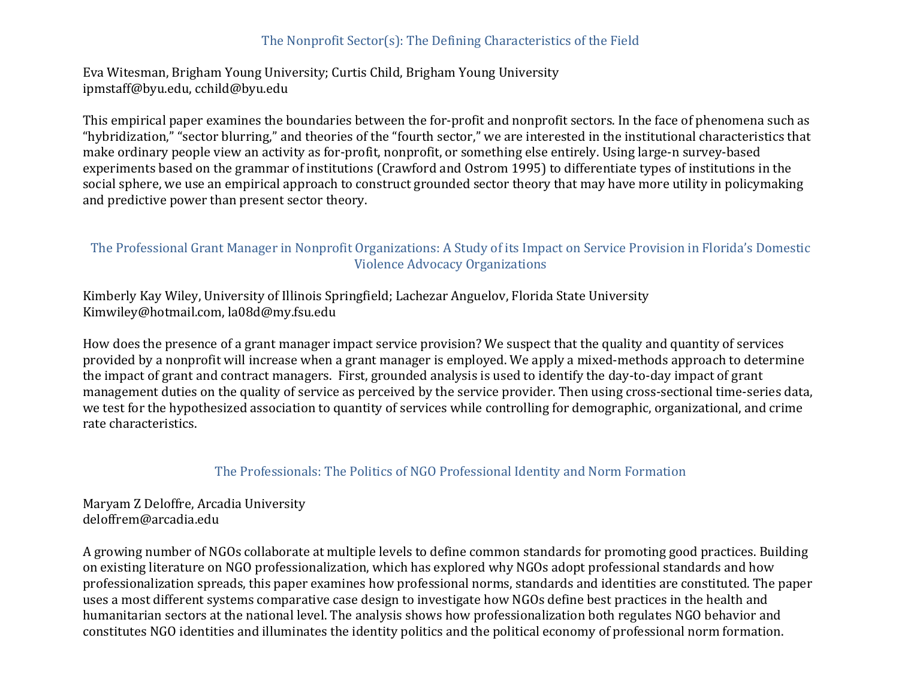# The Nonprofit  $Sector(s)$ : The Defining Characteristics of the Field

Eva Witesman, Brigham Young University; Curtis Child, Brigham Young University ipmstaff@byu.edu, cchild@byu.edu

This empirical paper examines the boundaries between the for-profit and nonprofit sectors. In the face of phenomena such as "hybridization," "sector blurring," and theories of the "fourth sector," we are interested in the institutional characteristics that make ordinary people view an activity as for-profit, nonprofit, or something else entirely. Using large-n survey-based experiments based on the grammar of institutions (Crawford and Ostrom 1995) to differentiate types of institutions in the social sphere, we use an empirical approach to construct grounded sector theory that may have more utility in policymaking and predictive power than present sector theory.

## The Professional Grant Manager in Nonprofit Organizations: A Study of its Impact on Service Provision in Florida's Domestic Violence Advocacy Organizations

Kimberly Kay Wiley, University of Illinois Springfield; Lachezar Anguelov, Florida State University Kimwiley@hotmail.com, la08d@my.fsu.edu

How does the presence of a grant manager impact service provision? We suspect that the quality and quantity of services provided by a nonprofit will increase when a grant manager is employed. We apply a mixed-methods approach to determine the impact of grant and contract managers. First, grounded analysis is used to identify the day-to-day impact of grant management duties on the quality of service as perceived by the service provider. Then using cross-sectional time-series data, we test for the hypothesized association to quantity of services while controlling for demographic, organizational, and crime rate characteristics.

## The Professionals: The Politics of NGO Professional Identity and Norm Formation

# Maryam Z Deloffre, Arcadia University deloffrem@arcadia.edu

A growing number of NGOs collaborate at multiple levels to define common standards for promoting good practices. Building on existing literature on NGO professionalization, which has explored why NGOs adopt professional standards and how professionalization spreads, this paper examines how professional norms, standards and identities are constituted. The paper uses a most different systems comparative case design to investigate how NGOs define best practices in the health and humanitarian sectors at the national level. The analysis shows how professionalization both regulates NGO behavior and constitutes NGO identities and illuminates the identity politics and the political economy of professional norm formation.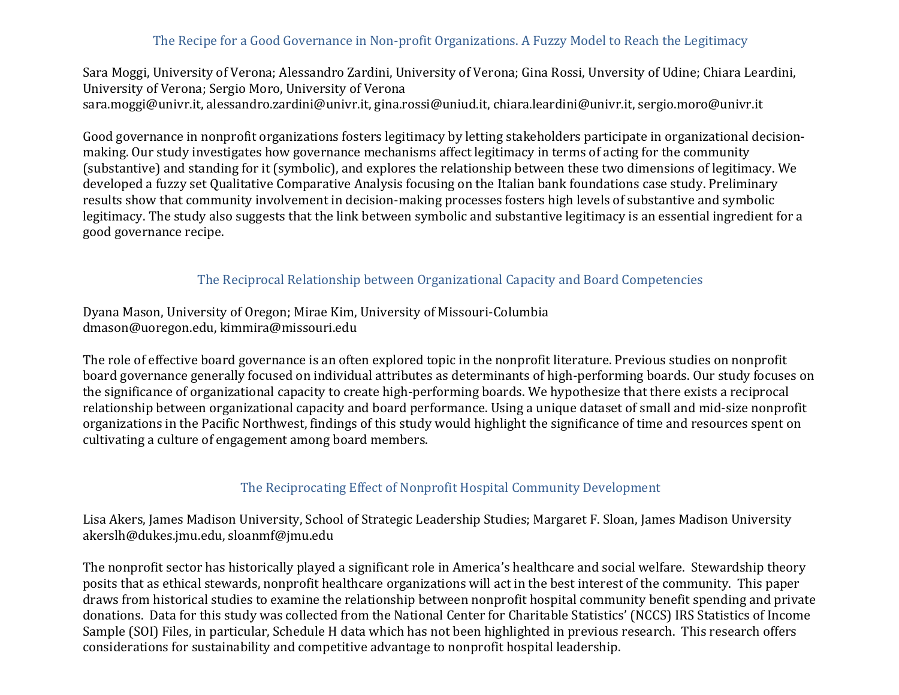# The Recipe for a Good Governance in Non-profit Organizations. A Fuzzy Model to Reach the Legitimacy

Sara Moggi, University of Verona; Alessandro Zardini, University of Verona; Gina Rossi, Unversity of Udine; Chiara Leardini, University of Verona; Sergio Moro, University of Verona sara.moggi@univr.it, alessandro.zardini@univr.it, gina.rossi@uniud.it, chiara.leardini@univr.it, sergio.moro@univr.it

Good governance in nonprofit organizations fosters legitimacy by letting stakeholders participate in organizational decisionmaking. Our study investigates how governance mechanisms affect legitimacy in terms of acting for the community (substantive) and standing for it (symbolic), and explores the relationship between these two dimensions of legitimacy. We developed a fuzzy set Qualitative Comparative Analysis focusing on the Italian bank foundations case study. Preliminary results show that community involvement in decision-making processes fosters high levels of substantive and symbolic legitimacy. The study also suggests that the link between symbolic and substantive legitimacy is an essential ingredient for a good governance recipe.

### The Reciprocal Relationship between Organizational Capacity and Board Competencies

Dyana Mason, University of Oregon; Mirae Kim, University of Missouri-Columbia dmason@uoregon.edu, kimmira@missouri.edu

The role of effective board governance is an often explored topic in the nonprofit literature. Previous studies on nonprofit board governance generally focused on individual attributes as determinants of high-performing boards. Our study focuses on the significance of organizational capacity to create high-performing boards. We hypothesize that there exists a reciprocal relationship between organizational capacity and board performance. Using a unique dataset of small and mid-size nonprofit organizations in the Pacific Northwest, findings of this study would highlight the significance of time and resources spent on cultivating a culture of engagement among board members.

## The Reciprocating Effect of Nonprofit Hospital Community Development

Lisa Akers, James Madison University, School of Strategic Leadership Studies; Margaret F. Sloan, James Madison University akerslh@dukes.jmu.edu, sloanmf@jmu.edu

The nonprofit sector has historically played a significant role in America's healthcare and social welfare. Stewardship theory posits that as ethical stewards, nonprofit healthcare organizations will act in the best interest of the community. This paper draws from historical studies to examine the relationship between nonprofit hospital community benefit spending and private donations. Data for this study was collected from the National Center for Charitable Statistics' (NCCS) IRS Statistics of Income Sample (SOI) Files, in particular, Schedule H data which has not been highlighted in previous research. This research offers considerations for sustainability and competitive advantage to nonprofit hospital leadership.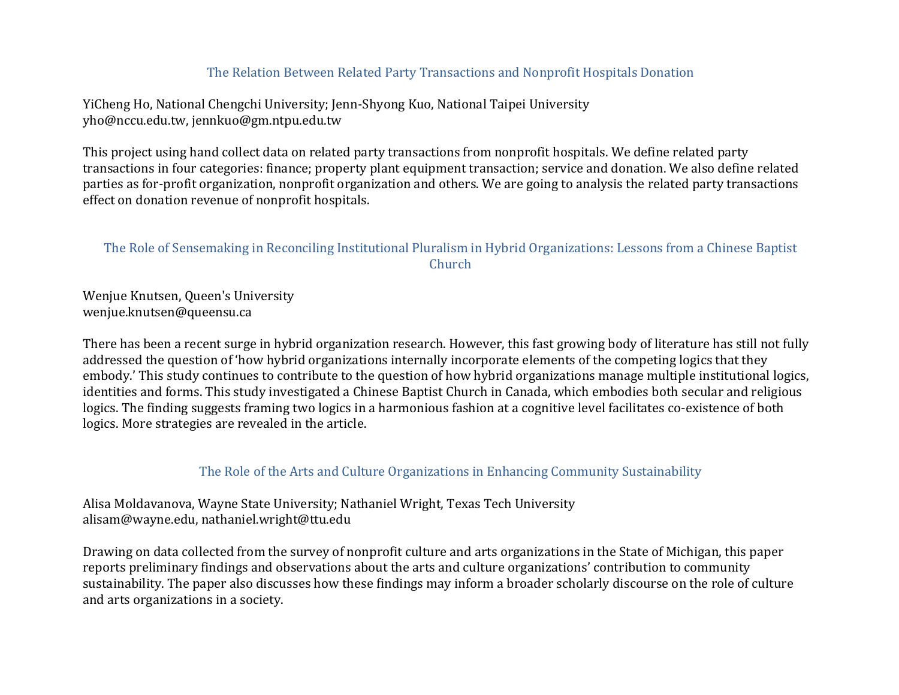## The Relation Between Related Party Transactions and Nonprofit Hospitals Donation

YiCheng Ho, National Chengchi University; Jenn-Shyong Kuo, National Taipei University yho@nccu.edu.tw, jennkuo@gm.ntpu.edu.tw

This project using hand collect data on related party transactions from nonprofit hospitals. We define related party transactions in four categories: finance; property plant equipment transaction; service and donation. We also define related parties as for-profit organization, nonprofit organization and others. We are going to analysis the related party transactions effect on donation revenue of nonprofit hospitals.

### The Role of Sensemaking in Reconciling Institutional Pluralism in Hybrid Organizations: Lessons from a Chinese Baptist Church

Wenjue Knutsen, Queen's University wenjue.knutsen@queensu.ca

There has been a recent surge in hybrid organization research. However, this fast growing body of literature has still not fully addressed the question of 'how hybrid organizations internally incorporate elements of the competing logics that they embody.' This study continues to contribute to the question of how hybrid organizations manage multiple institutional logics, identities and forms. This study investigated a Chinese Baptist Church in Canada, which embodies both secular and religious logics. The finding suggests framing two logics in a harmonious fashion at a cognitive level facilitates co-existence of both logics. More strategies are revealed in the article.

#### The Role of the Arts and Culture Organizations in Enhancing Community Sustainability

Alisa Moldavanova, Wayne State University; Nathaniel Wright, Texas Tech University alisam@wayne.edu, nathaniel.wright@ttu.edu

Drawing on data collected from the survey of nonprofit culture and arts organizations in the State of Michigan, this paper reports preliminary findings and observations about the arts and culture organizations' contribution to community sustainability. The paper also discusses how these findings may inform a broader scholarly discourse on the role of culture and arts organizations in a society.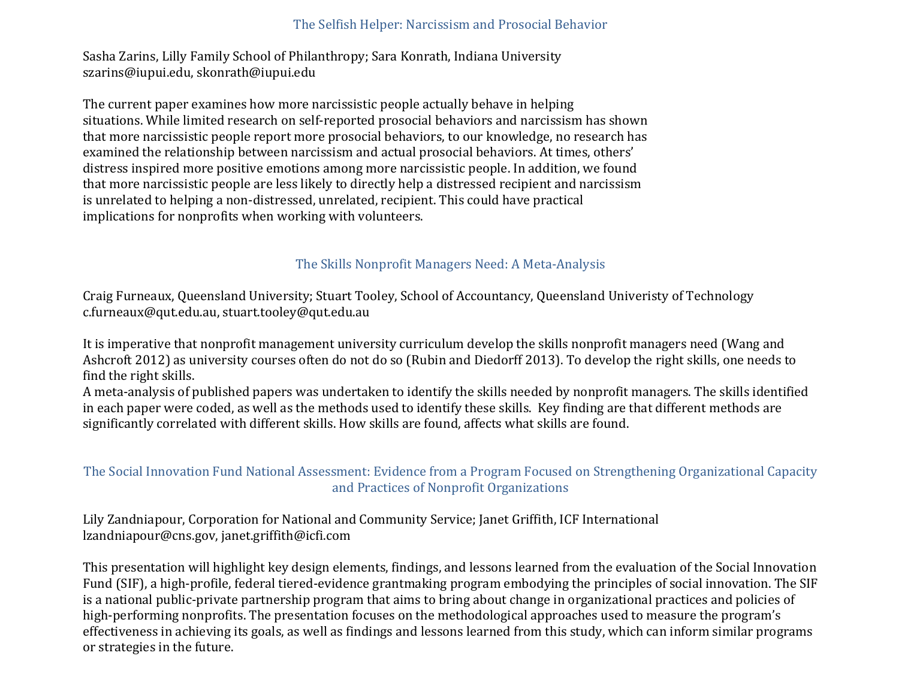#### The Selfish Helper: Narcissism and Prosocial Behavior

Sasha Zarins, Lilly Family School of Philanthropy; Sara Konrath, Indiana University szarins@iupui.edu, skonrath@iupui.edu

The current paper examines how more narcissistic people actually behave in helping situations. While limited research on self-reported prosocial behaviors and narcissism has shown that more narcissistic people report more prosocial behaviors, to our knowledge, no research has examined the relationship between narcissism and actual prosocial behaviors. At times, others' distress inspired more positive emotions among more narcissistic people. In addition, we found that more narcissistic people are less likely to directly help a distressed recipient and narcissism is unrelated to helping a non-distressed, unrelated, recipient. This could have practical implications for nonprofits when working with volunteers.

# The Skills Nonprofit Managers Need: A Meta-Analysis

Craig Furneaux, Queensland University; Stuart Tooley, School of Accountancy, Queensland Univeristy of Technology c.furneaux@qut.edu.au, stuart.tooley@qut.edu.au

It is imperative that nonprofit management university curriculum develop the skills nonprofit managers need (Wang and Ashcroft 2012) as university courses often do not do so (Rubin and Diedorff 2013). To develop the right skills, one needs to find the right skills.

A meta-analysis of published papers was undertaken to identify the skills needed by nonprofit managers. The skills identified in each paper were coded, as well as the methods used to identify these skills. Key finding are that different methods are significantly correlated with different skills. How skills are found, affects what skills are found.

## The Social Innovation Fund National Assessment: Evidence from a Program Focused on Strengthening Organizational Capacity and Practices of Nonprofit Organizations

Lily Zandniapour, Corporation for National and Community Service; Janet Griffith, ICF International lzandniapour@cns.gov, janet.griffith@icfi.com

This presentation will highlight key design elements, findings, and lessons learned from the evaluation of the Social Innovation Fund (SIF), a high-profile, federal tiered-evidence grantmaking program embodying the principles of social innovation. The SIF is a national public-private partnership program that aims to bring about change in organizational practices and policies of high-performing nonprofits. The presentation focuses on the methodological approaches used to measure the program's effectiveness in achieving its goals, as well as findings and lessons learned from this study, which can inform similar programs or strategies in the future.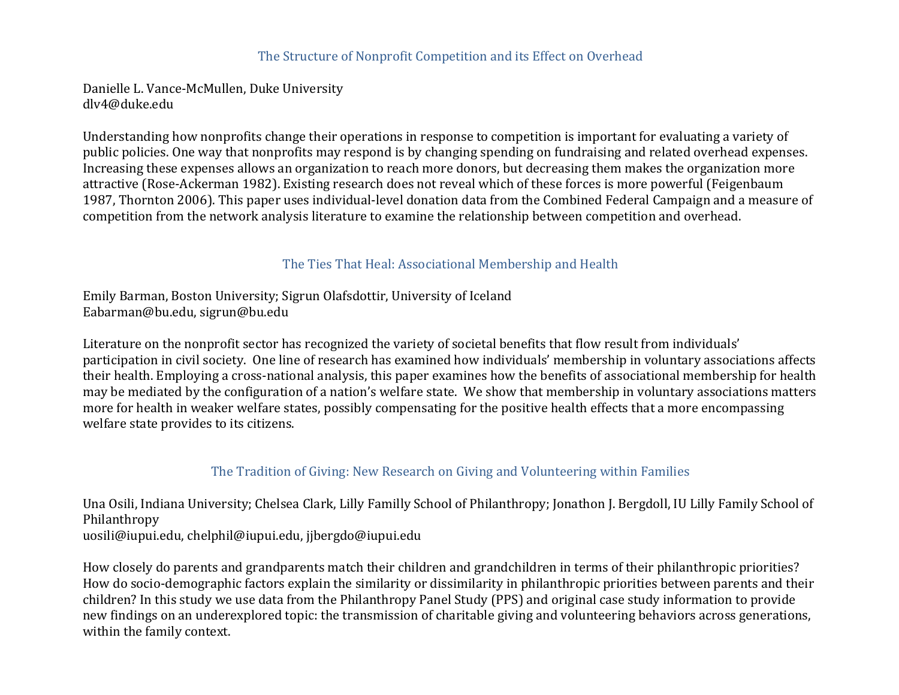#### The Structure of Nonprofit Competition and its Effect on Overhead

Danielle L. Vance-McMullen, Duke University dlv4@duke.edu

Understanding how nonprofits change their operations in response to competition is important for evaluating a variety of public policies. One way that nonprofits may respond is by changing spending on fundraising and related overhead expenses. Increasing these expenses allows an organization to reach more donors, but decreasing them makes the organization more attractive (Rose-Ackerman 1982). Existing research does not reveal which of these forces is more powerful (Feigenbaum 1987, Thornton 2006). This paper uses individual-level donation data from the Combined Federal Campaign and a measure of competition from the network analysis literature to examine the relationship between competition and overhead.

### The Ties That Heal: Associational Membership and Health

Emily Barman, Boston University; Sigrun Olafsdottir, University of Iceland Eabarman@bu.edu, sigrun@bu.edu

Literature on the nonprofit sector has recognized the variety of societal benefits that flow result from individuals' participation in civil society. One line of research has examined how individuals' membership in voluntary associations affects their health. Employing a cross-national analysis, this paper examines how the benefits of associational membership for health may be mediated by the configuration of a nation's welfare state. We show that membership in voluntary associations matters more for health in weaker welfare states, possibly compensating for the positive health effects that a more encompassing welfare state provides to its citizens.

## The Tradition of Giving: New Research on Giving and Volunteering within Families

Una Osili, Indiana University; Chelsea Clark, Lilly Familly School of Philanthropy; Jonathon J. Bergdoll, IU Lilly Family School of Philanthropy uosili@iupui.edu, chelphil@iupui.edu, jjbergdo@iupui.edu

How closely do parents and grandparents match their children and grandchildren in terms of their philanthropic priorities? How do socio-demographic factors explain the similarity or dissimilarity in philanthropic priorities between parents and their children? In this study we use data from the Philanthropy Panel Study (PPS) and original case study information to provide new findings on an underexplored topic: the transmission of charitable giving and volunteering behaviors across generations, within the family context.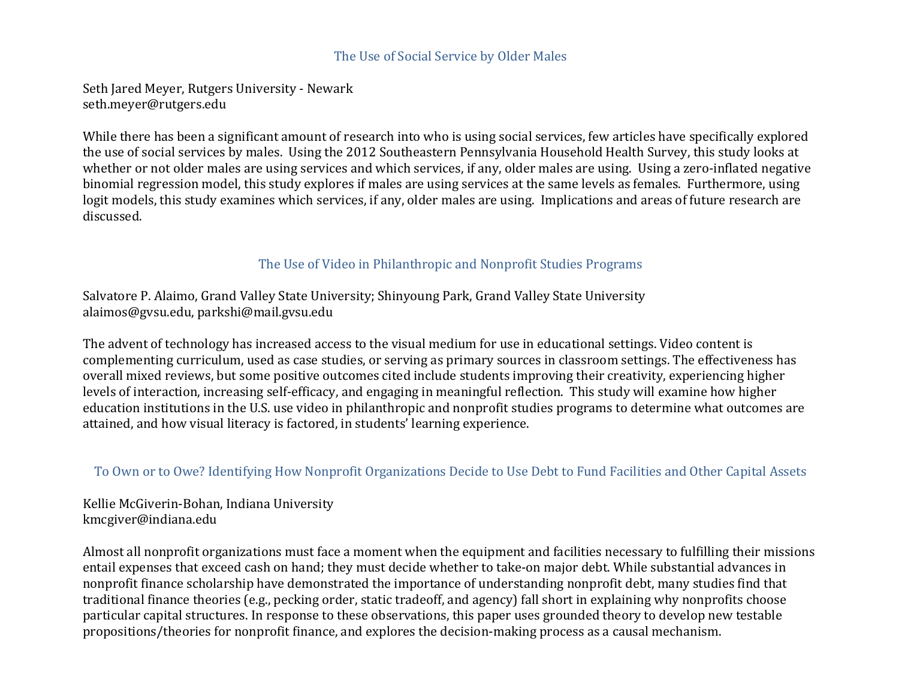#### The Use of Social Service by Older Males

Seth Jared Meyer, Rutgers University - Newark seth.meyer@rutgers.edu

While there has been a significant amount of research into who is using social services, few articles have specifically explored the use of social services by males. Using the 2012 Southeastern Pennsylvania Household Health Survey, this study looks at whether or not older males are using services and which services, if any, older males are using. Using a zero-inflated negative binomial regression model, this study explores if males are using services at the same levels as females. Furthermore, using logit models, this study examines which services, if any, older males are using. Implications and areas of future research are discussed.

## The Use of Video in Philanthropic and Nonprofit Studies Programs

Salvatore P. Alaimo, Grand Valley State University; Shinyoung Park, Grand Valley State University alaimos@gvsu.edu, parkshi@mail.gvsu.edu

The advent of technology has increased access to the visual medium for use in educational settings. Video content is complementing curriculum, used as case studies, or serving as primary sources in classroom settings. The effectiveness has overall mixed reviews, but some positive outcomes cited include students improving their creativity, experiencing higher levels of interaction, increasing self-efficacy, and engaging in meaningful reflection. This study will examine how higher education institutions in the U.S. use video in philanthropic and nonprofit studies programs to determine what outcomes are attained, and how visual literacy is factored, in students' learning experience.

#### To Own or to Owe? Identifying How Nonprofit Organizations Decide to Use Debt to Fund Facilities and Other Capital Assets

Kellie McGiverin-Bohan, Indiana University kmcgiver@indiana.edu

Almost all nonprofit organizations must face a moment when the equipment and facilities necessary to fulfilling their missions entail expenses that exceed cash on hand; they must decide whether to take-on major debt. While substantial advances in nonprofit finance scholarship have demonstrated the importance of understanding nonprofit debt, many studies find that traditional finance theories (e.g., pecking order, static tradeoff, and agency) fall short in explaining why nonprofits choose particular capital structures. In response to these observations, this paper uses grounded theory to develop new testable propositions/theories for nonprofit finance, and explores the decision-making process as a causal mechanism.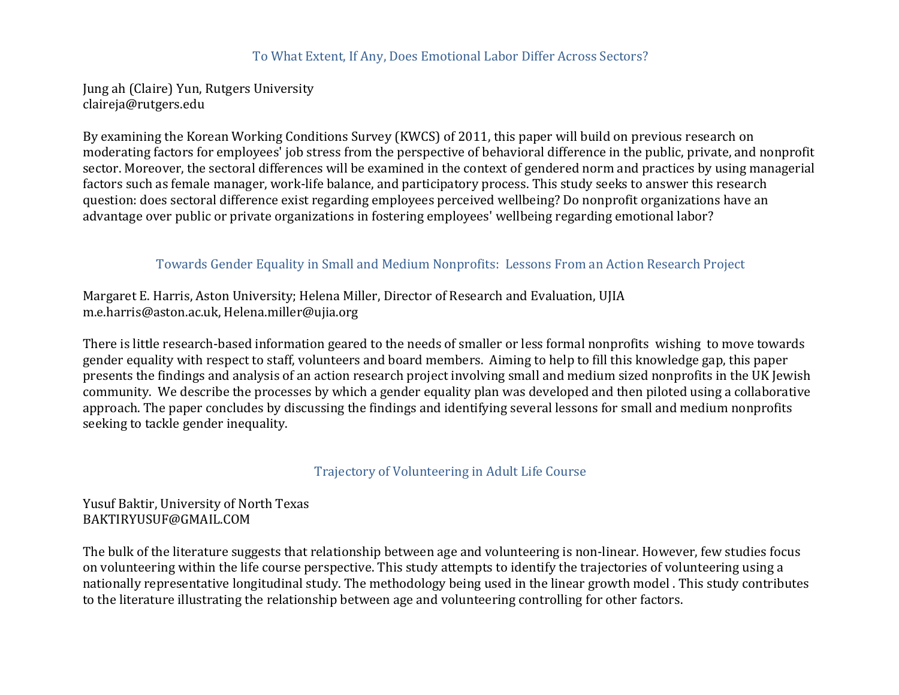#### To What Extent, If Any, Does Emotional Labor Differ Across Sectors?

Jung ah (Claire) Yun, Rutgers University claireja@rutgers.edu

By examining the Korean Working Conditions Survey (KWCS) of 2011, this paper will build on previous research on moderating factors for employees' job stress from the perspective of behavioral difference in the public, private, and nonprofit sector. Moreover, the sectoral differences will be examined in the context of gendered norm and practices by using managerial factors such as female manager, work-life balance, and participatory process. This study seeks to answer this research question: does sectoral difference exist regarding employees perceived wellbeing? Do nonprofit organizations have an advantage over public or private organizations in fostering employees' wellbeing regarding emotional labor?

### Towards Gender Equality in Small and Medium Nonprofits: Lessons From an Action Research Project

Margaret E. Harris, Aston University; Helena Miller, Director of Research and Evaluation, UJIA m.e.harris@aston.ac.uk, Helena.miller@ujia.org

There is little research-based information geared to the needs of smaller or less formal nonprofits wishing to move towards gender equality with respect to staff, volunteers and board members. Aiming to help to fill this knowledge gap, this paper presents the findings and analysis of an action research project involving small and medium sized nonprofits in the UK Jewish community. We describe the processes by which a gender equality plan was developed and then piloted using a collaborative approach. The paper concludes by discussing the findings and identifying several lessons for small and medium nonprofits seeking to tackle gender inequality.

#### Trajectory of Volunteering in Adult Life Course

### Yusuf Baktir, University of North Texas BAKTIRYUSUF@GMAIL.COM

The bulk of the literature suggests that relationship between age and volunteering is non-linear. However, few studies focus on volunteering within the life course perspective. This study attempts to identify the trajectories of volunteering using a nationally representative longitudinal study. The methodology being used in the linear growth model. This study contributes to the literature illustrating the relationship between age and volunteering controlling for other factors.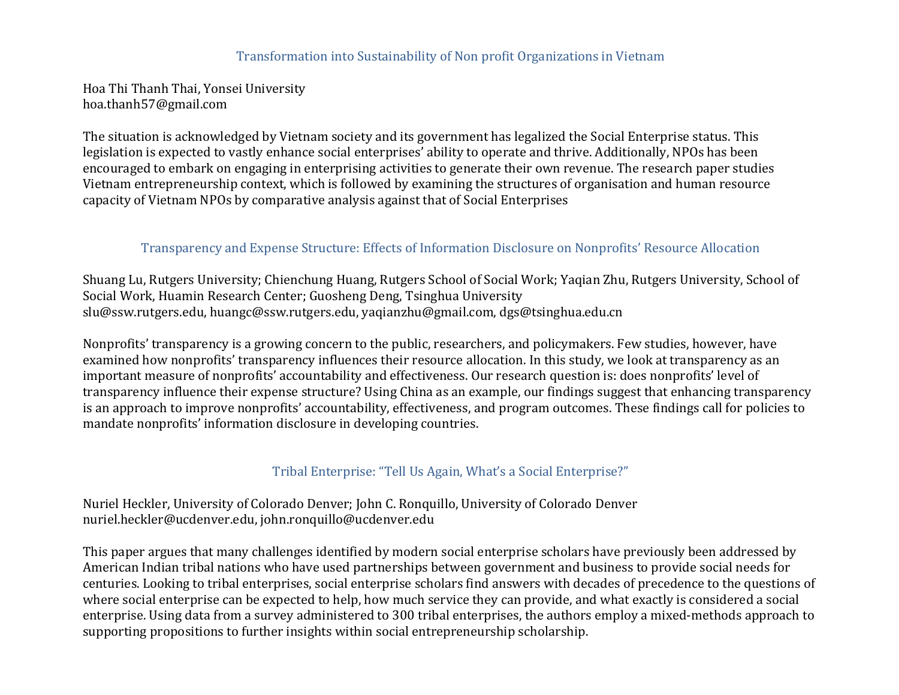#### Transformation into Sustainability of Non profit Organizations in Vietnam

Hoa Thi Thanh Thai, Yonsei University hoa.thanh57@gmail.com

The situation is acknowledged by Vietnam society and its government has legalized the Social Enterprise status. This legislation is expected to vastly enhance social enterprises' ability to operate and thrive. Additionally, NPOs has been encouraged to embark on engaging in enterprising activities to generate their own revenue. The research paper studies Vietnam entrepreneurship context, which is followed by examining the structures of organisation and human resource capacity of Vietnam NPOs by comparative analysis against that of Social Enterprises

#### Transparency and Expense Structure: Effects of Information Disclosure on Nonprofits' Resource Allocation

Shuang Lu, Rutgers University; Chienchung Huang, Rutgers School of Social Work; Yaqian Zhu, Rutgers University, School of Social Work, Huamin Research Center; Guosheng Deng, Tsinghua University slu@ssw.rutgers.edu, huangc@ssw.rutgers.edu, yaqianzhu@gmail.com, dgs@tsinghua.edu.cn

Nonprofits' transparency is a growing concern to the public, researchers, and policymakers. Few studies, however, have examined how nonprofits' transparency influences their resource allocation. In this study, we look at transparency as an important measure of nonprofits' accountability and effectiveness. Our research question is: does nonprofits' level of transparency influence their expense structure? Using China as an example, our findings suggest that enhancing transparency is an approach to improve nonprofits' accountability, effectiveness, and program outcomes. These findings call for policies to mandate nonprofits' information disclosure in developing countries.

## Tribal Enterprise: "Tell Us Again, What's a Social Enterprise?"

Nuriel Heckler, University of Colorado Denver; John C. Ronquillo, University of Colorado Denver nuriel.heckler@ucdenver.edu, john.ronquillo@ucdenver.edu

This paper argues that many challenges identified by modern social enterprise scholars have previously been addressed by American Indian tribal nations who have used partnerships between government and business to provide social needs for centuries. Looking to tribal enterprises, social enterprise scholars find answers with decades of precedence to the questions of where social enterprise can be expected to help, how much service they can provide, and what exactly is considered a social enterprise. Using data from a survey administered to 300 tribal enterprises, the authors employ a mixed-methods approach to supporting propositions to further insights within social entrepreneurship scholarship.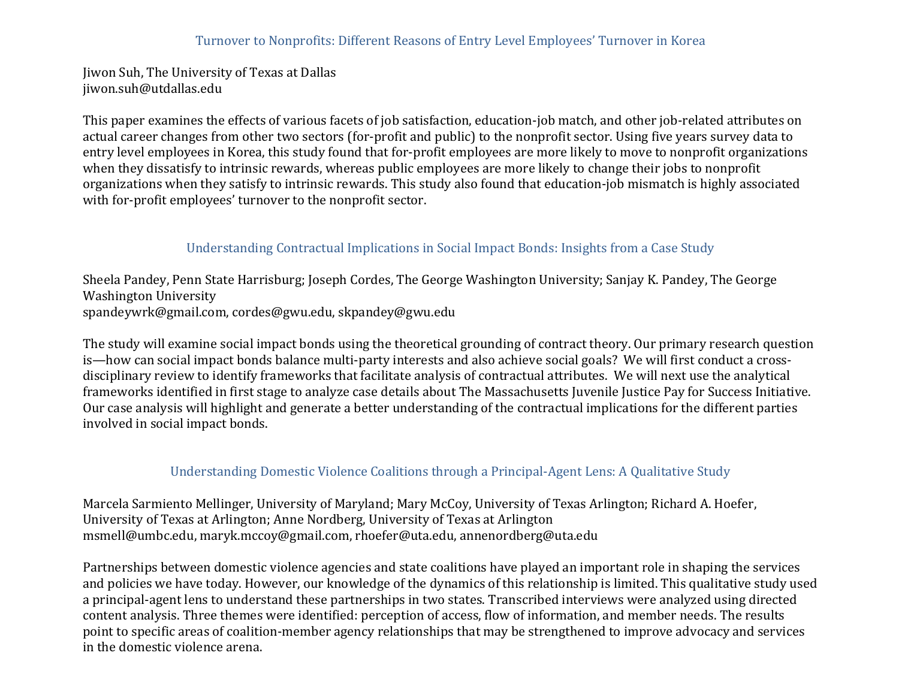Jiwon Suh, The University of Texas at Dallas jiwon.suh@utdallas.edu

This paper examines the effects of various facets of job satisfaction, education-job match, and other job-related attributes on actual career changes from other two sectors (for-profit and public) to the nonprofit sector. Using five years survey data to entry level employees in Korea, this study found that for-profit employees are more likely to move to nonprofit organizations when they dissatisfy to intrinsic rewards, whereas public employees are more likely to change their jobs to nonprofit organizations when they satisfy to intrinsic rewards. This study also found that education-job mismatch is highly associated with for-profit employees' turnover to the nonprofit sector.

# Understanding Contractual Implications in Social Impact Bonds: Insights from a Case Study

Sheela Pandey, Penn State Harrisburg; Joseph Cordes, The George Washington University; Sanjay K. Pandey, The George Washington University spandeywrk@gmail.com, cordes@gwu.edu, skpandey@gwu.edu

The study will examine social impact bonds using the theoretical grounding of contract theory. Our primary research question is—how can social impact bonds balance multi-party interests and also achieve social goals? We will first conduct a crossdisciplinary review to identify frameworks that facilitate analysis of contractual attributes. We will next use the analytical frameworks identified in first stage to analyze case details about The Massachusetts Juvenile Justice Pay for Success Initiative. Our case analysis will highlight and generate a better understanding of the contractual implications for the different parties involved in social impact bonds.

# Understanding Domestic Violence Coalitions through a Principal-Agent Lens: A Qualitative Study

Marcela Sarmiento Mellinger, University of Maryland; Mary McCoy, University of Texas Arlington; Richard A. Hoefer, University of Texas at Arlington; Anne Nordberg, University of Texas at Arlington msmell@umbc.edu, maryk.mccoy@gmail.com, rhoefer@uta.edu, annenordberg@uta.edu

Partnerships between domestic violence agencies and state coalitions have played an important role in shaping the services and policies we have today. However, our knowledge of the dynamics of this relationship is limited. This qualitative study used a principal-agent lens to understand these partnerships in two states. Transcribed interviews were analyzed using directed content analysis. Three themes were identified: perception of access, flow of information, and member needs. The results point to specific areas of coalition-member agency relationships that may be strengthened to improve advocacy and services in the domestic violence arena.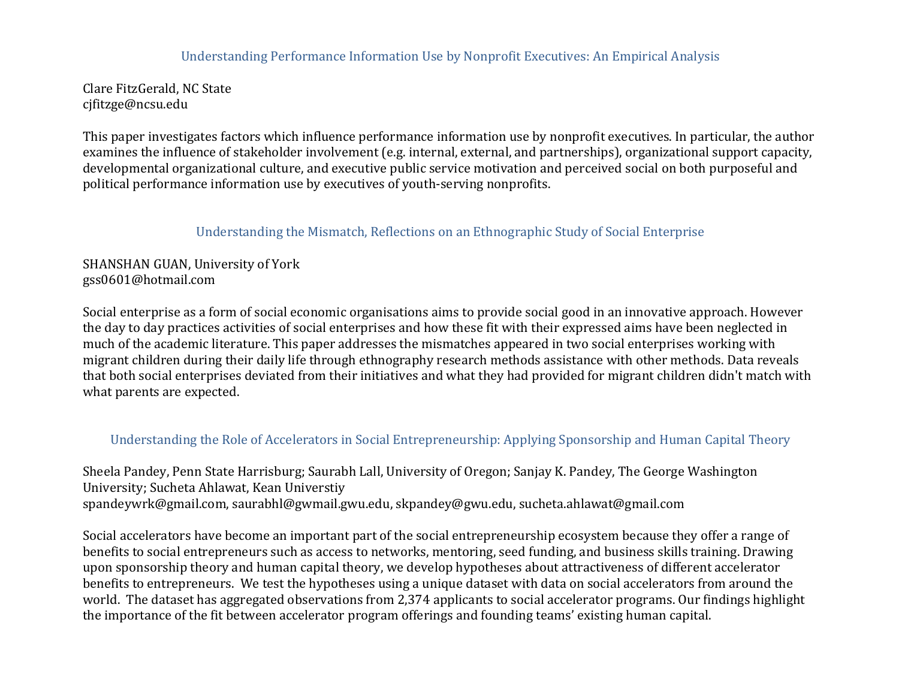#### Understanding Performance Information Use by Nonprofit Executives: An Empirical Analysis

Clare FitzGerald, NC State cjfitzge@ncsu.edu

This paper investigates factors which influence performance information use by nonprofit executives. In particular, the author examines the influence of stakeholder involvement (e.g. internal, external, and partnerships), organizational support capacity, developmental organizational culture, and executive public service motivation and perceived social on both purposeful and political performance information use by executives of youth-serving nonprofits.

#### Understanding the Mismatch, Reflections on an Ethnographic Study of Social Enterprise

### SHANSHAN GUAN, University of York gss0601@hotmail.com

Social enterprise as a form of social economic organisations aims to provide social good in an innovative approach. However the day to day practices activities of social enterprises and how these fit with their expressed aims have been neglected in much of the academic literature. This paper addresses the mismatches appeared in two social enterprises working with migrant children during their daily life through ethnography research methods assistance with other methods. Data reveals that both social enterprises deviated from their initiatives and what they had provided for migrant children didn't match with what parents are expected.

#### Understanding the Role of Accelerators in Social Entrepreneurship: Applying Sponsorship and Human Capital Theory

Sheela Pandey, Penn State Harrisburg; Saurabh Lall, University of Oregon; Sanjay K. Pandey, The George Washington University; Sucheta Ahlawat, Kean Universtiy spandeywrk@gmail.com, saurabhl@gwmail.gwu.edu, skpandey@gwu.edu, sucheta.ahlawat@gmail.com

Social accelerators have become an important part of the social entrepreneurship ecosystem because they offer a range of benefits to social entrepreneurs such as access to networks, mentoring, seed funding, and business skills training. Drawing upon sponsorship theory and human capital theory, we develop hypotheses about attractiveness of different accelerator benefits to entrepreneurs. We test the hypotheses using a unique dataset with data on social accelerators from around the world. The dataset has aggregated observations from 2,374 applicants to social accelerator programs. Our findings highlight the importance of the fit between accelerator program offerings and founding teams' existing human capital.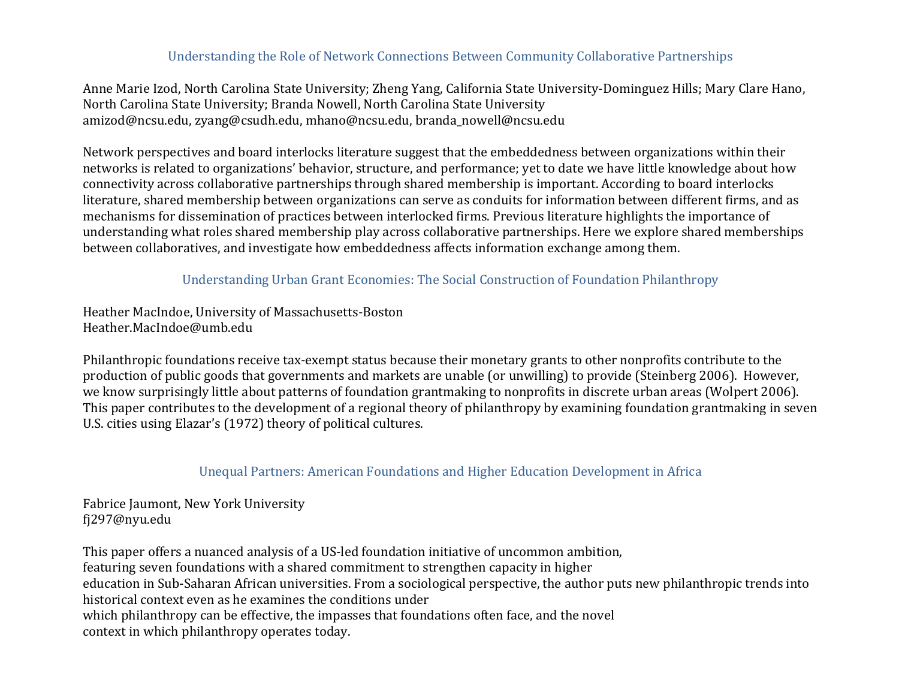### Understanding the Role of Network Connections Between Community Collaborative Partnerships

Anne Marie Izod, North Carolina State University; Zheng Yang, California State University-Dominguez Hills; Mary Clare Hano, North Carolina State University; Branda Nowell, North Carolina State University amizod@ncsu.edu, zyang@csudh.edu, mhano@ncsu.edu, branda\_nowell@ncsu.edu

Network perspectives and board interlocks literature suggest that the embeddedness between organizations within their networks is related to organizations' behavior, structure, and performance; yet to date we have little knowledge about how connectivity across collaborative partnerships through shared membership is important. According to board interlocks literature, shared membership between organizations can serve as conduits for information between different firms, and as mechanisms for dissemination of practices between interlocked firms. Previous literature highlights the importance of understanding what roles shared membership play across collaborative partnerships. Here we explore shared memberships between collaboratives, and investigate how embeddedness affects information exchange among them.

### Understanding Urban Grant Economies: The Social Construction of Foundation Philanthropy

Heather MacIndoe, University of Massachusetts-Boston Heather.MacIndoe@umb.edu

Philanthropic foundations receive tax-exempt status because their monetary grants to other nonprofits contribute to the production of public goods that governments and markets are unable (or unwilling) to provide (Steinberg 2006). However, we know surprisingly little about patterns of foundation grantmaking to nonprofits in discrete urban areas (Wolpert 2006). This paper contributes to the development of a regional theory of philanthropy by examining foundation grantmaking in seven U.S. cities using Elazar's (1972) theory of political cultures.

#### Unequal Partners: American Foundations and Higher Education Development in Africa

Fabrice Jaumont, New York University fj297@nyu.edu

This paper offers a nuanced analysis of a US-led foundation initiative of uncommon ambition, featuring seven foundations with a shared commitment to strengthen capacity in higher education in Sub-Saharan African universities. From a sociological perspective, the author puts new philanthropic trends into historical context even as he examines the conditions under which philanthropy can be effective, the impasses that foundations often face, and the novel context in which philanthropy operates today.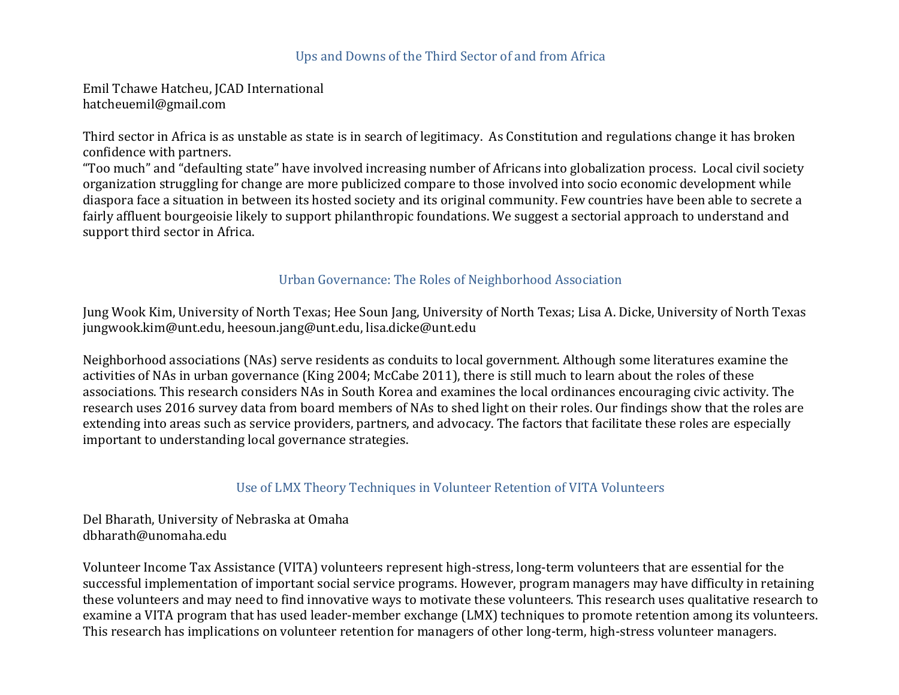#### Ups and Downs of the Third Sector of and from Africa

Emil Tchawe Hatcheu, JCAD International hatcheuemil@gmail.com

Third sector in Africa is as unstable as state is in search of legitimacy. As Constitution and regulations change it has broken confidence with partners.

"Too much" and "defaulting state" have involved increasing number of Africans into globalization process. Local civil society organization struggling for change are more publicized compare to those involved into socio economic development while diaspora face a situation in between its hosted society and its original community. Few countries have been able to secrete a fairly affluent bourgeoisie likely to support philanthropic foundations. We suggest a sectorial approach to understand and support third sector in Africa.

#### Urban Governance: The Roles of Neighborhood Association

Jung Wook Kim, University of North Texas; Hee Soun Jang, University of North Texas; Lisa A. Dicke, University of North Texas jungwook.kim@unt.edu, heesoun.jang@unt.edu, lisa.dicke@unt.edu

Neighborhood associations (NAs) serve residents as conduits to local government. Although some literatures examine the activities of NAs in urban governance (King 2004; McCabe 2011), there is still much to learn about the roles of these associations. This research considers NAs in South Korea and examines the local ordinances encouraging civic activity. The research uses 2016 survey data from board members of NAs to shed light on their roles. Our findings show that the roles are extending into areas such as service providers, partners, and advocacy. The factors that facilitate these roles are especially important to understanding local governance strategies.

#### Use of LMX Theory Techniques in Volunteer Retention of VITA Volunteers

Del Bharath, University of Nebraska at Omaha dbharath@unomaha.edu

Volunteer Income Tax Assistance (VITA) volunteers represent high-stress, long-term volunteers that are essential for the successful implementation of important social service programs. However, program managers may have difficulty in retaining these volunteers and may need to find innovative ways to motivate these volunteers. This research uses qualitative research to examine a VITA program that has used leader-member exchange (LMX) techniques to promote retention among its volunteers. This research has implications on volunteer retention for managers of other long-term, high-stress volunteer managers.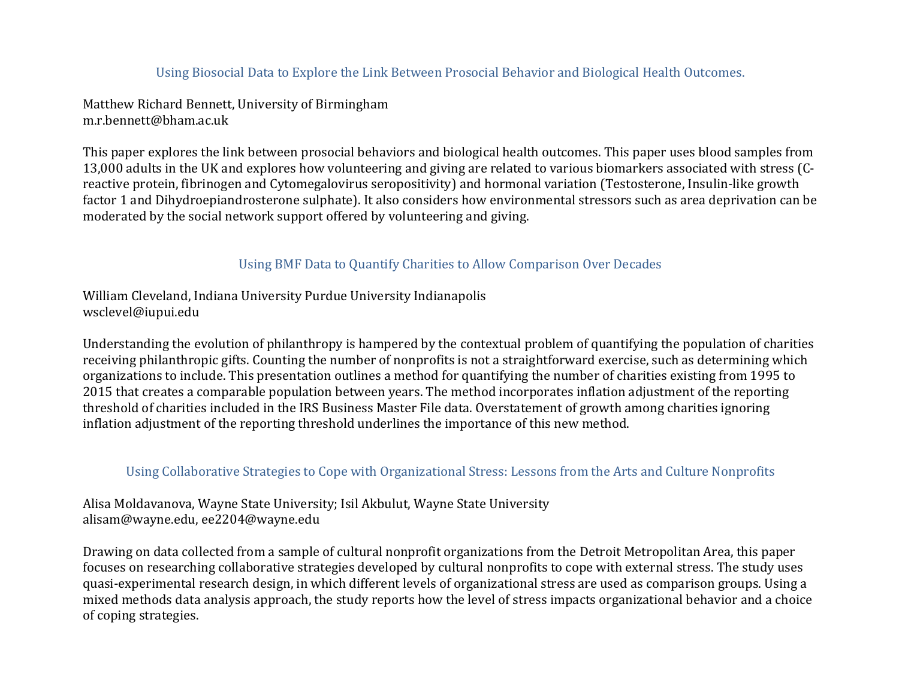## Using Biosocial Data to Explore the Link Between Prosocial Behavior and Biological Health Outcomes.

Matthew Richard Bennett, University of Birmingham m.r.bennett@bham.ac.uk

This paper explores the link between prosocial behaviors and biological health outcomes. This paper uses blood samples from 13,000 adults in the UK and explores how volunteering and giving are related to various biomarkers associated with stress (Creactive protein, fibrinogen and Cytomegalovirus seropositivity) and hormonal variation (Testosterone, Insulin-like growth factor 1 and Dihydroepiandrosterone sulphate). It also considers how environmental stressors such as area deprivation can be moderated by the social network support offered by volunteering and giving.

#### Using BMF Data to Quantify Charities to Allow Comparison Over Decades

William Cleveland, Indiana University Purdue University Indianapolis wsclevel@iupui.edu

Understanding the evolution of philanthropy is hampered by the contextual problem of quantifying the population of charities receiving philanthropic gifts. Counting the number of nonprofits is not a straightforward exercise, such as determining which organizations to include. This presentation outlines a method for quantifying the number of charities existing from 1995 to 2015 that creates a comparable population between years. The method incorporates inflation adjustment of the reporting threshold of charities included in the IRS Business Master File data. Overstatement of growth among charities ignoring inflation adjustment of the reporting threshold underlines the importance of this new method.

#### Using Collaborative Strategies to Cope with Organizational Stress: Lessons from the Arts and Culture Nonprofits

Alisa Moldavanova, Wayne State University; Isil Akbulut, Wayne State University alisam@wayne.edu, ee2204@wayne.edu

Drawing on data collected from a sample of cultural nonprofit organizations from the Detroit Metropolitan Area, this paper focuses on researching collaborative strategies developed by cultural nonprofits to cope with external stress. The study uses quasi-experimental research design, in which different levels of organizational stress are used as comparison groups. Using a mixed methods data analysis approach, the study reports how the level of stress impacts organizational behavior and a choice of coping strategies.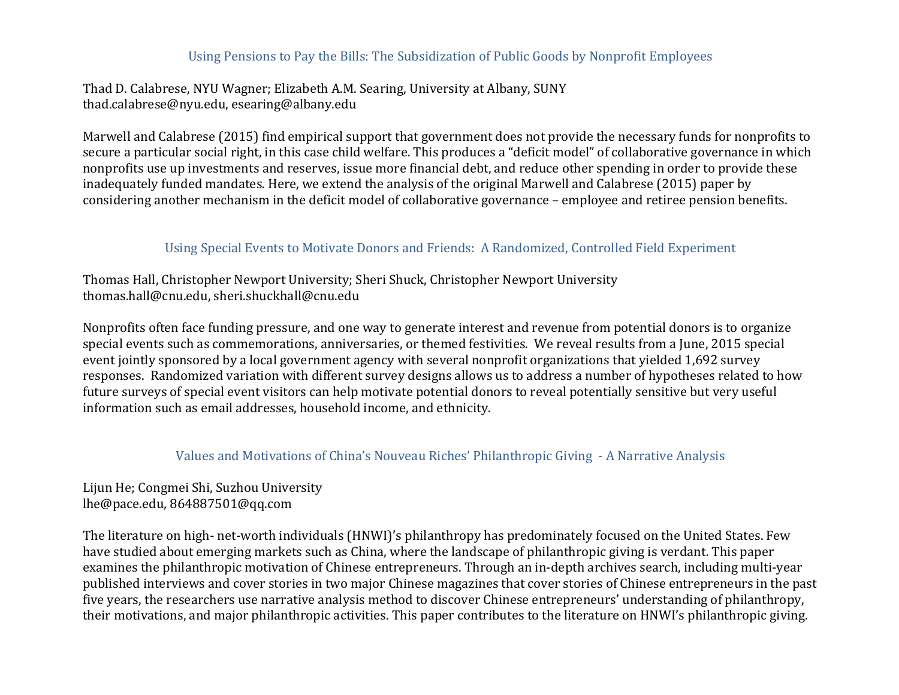### Using Pensions to Pay the Bills: The Subsidization of Public Goods by Nonprofit Employees

Thad D. Calabrese, NYU Wagner; Elizabeth A.M. Searing, University at Albany, SUNY thad.calabrese@nyu.edu, esearing@albany.edu

Marwell and Calabrese (2015) find empirical support that government does not provide the necessary funds for nonprofits to secure a particular social right, in this case child welfare. This produces a "deficit model" of collaborative governance in which nonprofits use up investments and reserves, issue more financial debt, and reduce other spending in order to provide these inadequately funded mandates. Here, we extend the analysis of the original Marwell and Calabrese (2015) paper by considering another mechanism in the deficit model of collaborative governance – employee and retiree pension benefits.

# Using Special Events to Motivate Donors and Friends: A Randomized, Controlled Field Experiment

Thomas Hall, Christopher Newport University; Sheri Shuck, Christopher Newport University thomas.hall@cnu.edu, sheri.shuckhall@cnu.edu

Nonprofits often face funding pressure, and one way to generate interest and revenue from potential donors is to organize special events such as commemorations, anniversaries, or themed festivities. We reveal results from a June, 2015 special event jointly sponsored by a local government agency with several nonprofit organizations that yielded 1,692 survey responses. Randomized variation with different survey designs allows us to address a number of hypotheses related to how future surveys of special event visitors can help motivate potential donors to reveal potentially sensitive but very useful information such as email addresses, household income, and ethnicity.

#### Values and Motivations of China's Nouveau Riches' Philanthropic Giving - A Narrative Analysis

Lijun He; Congmei Shi, Suzhou University lhe@pace.edu, 864887501@qq.com

The literature on high- net-worth individuals (HNWI)'s philanthropy has predominately focused on the United States. Few have studied about emerging markets such as China, where the landscape of philanthropic giving is verdant. This paper examines the philanthropic motivation of Chinese entrepreneurs. Through an in-depth archives search, including multi-year published interviews and cover stories in two major Chinese magazines that cover stories of Chinese entrepreneurs in the past five years, the researchers use narrative analysis method to discover Chinese entrepreneurs' understanding of philanthropy, their motivations, and major philanthropic activities. This paper contributes to the literature on HNWI's philanthropic giving.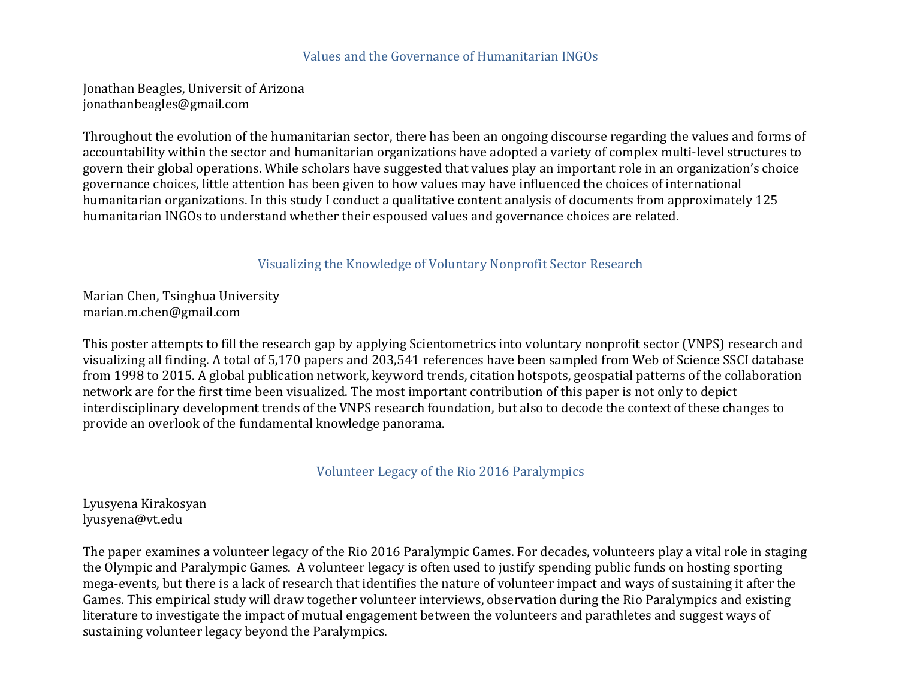#### Values and the Governance of Humanitarian INGOs

Jonathan Beagles, Universit of Arizona jonathanbeagles@gmail.com

Throughout the evolution of the humanitarian sector, there has been an ongoing discourse regarding the values and forms of accountability within the sector and humanitarian organizations have adopted a variety of complex multi-level structures to govern their global operations. While scholars have suggested that values play an important role in an organization's choice governance choices, little attention has been given to how values may have influenced the choices of international humanitarian organizations. In this study I conduct a qualitative content analysis of documents from approximately 125 humanitarian INGOs to understand whether their espoused values and governance choices are related.

Visualizing the Knowledge of Voluntary Nonprofit Sector Research

Marian Chen, Tsinghua University marian.m.chen@gmail.com

This poster attempts to fill the research gap by applying Scientometrics into voluntary nonprofit sector (VNPS) research and visualizing all finding. A total of 5,170 papers and 203,541 references have been sampled from Web of Science SSCI database from 1998 to 2015. A global publication network, keyword trends, citation hotspots, geospatial patterns of the collaboration network are for the first time been visualized. The most important contribution of this paper is not only to depict interdisciplinary development trends of the VNPS research foundation, but also to decode the context of these changes to provide an overlook of the fundamental knowledge panorama.

Volunteer Legacy of the Rio 2016 Paralympics

Lyusyena Kirakosyan lyusyena@vt.edu

The paper examines a volunteer legacy of the Rio 2016 Paralympic Games. For decades, volunteers play a vital role in staging the Olympic and Paralympic Games. A volunteer legacy is often used to justify spending public funds on hosting sporting mega-events, but there is a lack of research that identifies the nature of volunteer impact and ways of sustaining it after the Games. This empirical study will draw together volunteer interviews, observation during the Rio Paralympics and existing literature to investigate the impact of mutual engagement between the volunteers and parathletes and suggest ways of sustaining volunteer legacy beyond the Paralympics.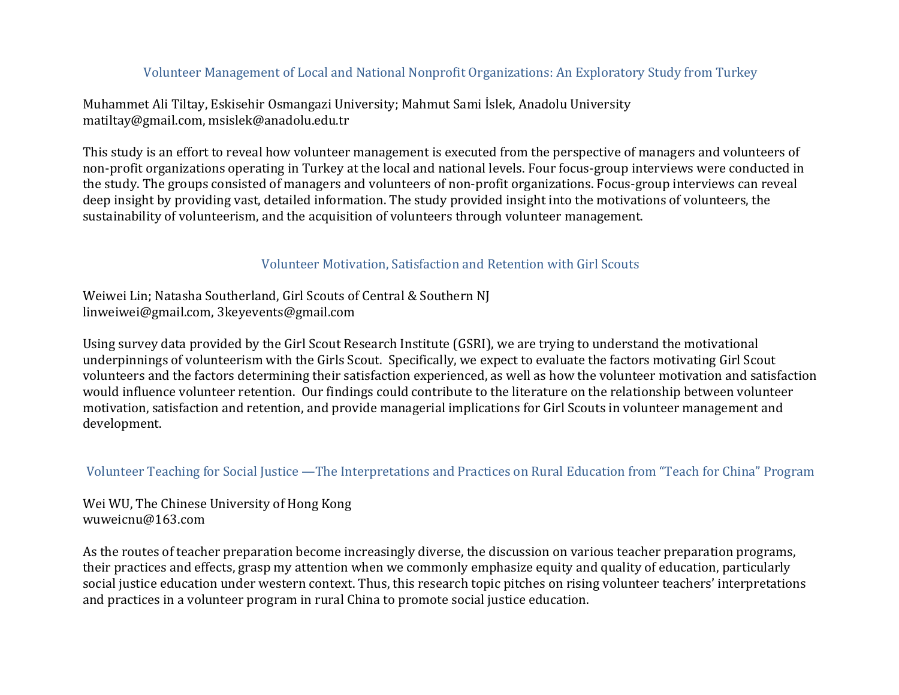## Volunteer Management of Local and National Nonprofit Organizations: An Exploratory Study from Turkey

Muhammet Ali Tiltay, Eskisehir Osmangazi University; Mahmut Sami İslek, Anadolu University matiltay@gmail.com, msislek@anadolu.edu.tr

This study is an effort to reveal how volunteer management is executed from the perspective of managers and volunteers of non-profit organizations operating in Turkey at the local and national levels. Four focus-group interviews were conducted in the study. The groups consisted of managers and volunteers of non-profit organizations. Focus-group interviews can reveal deep insight by providing vast, detailed information. The study provided insight into the motivations of volunteers, the sustainability of volunteerism, and the acquisition of volunteers through volunteer management.

#### Volunteer Motivation, Satisfaction and Retention with Girl Scouts

Weiwei Lin; Natasha Southerland, Girl Scouts of Central & Southern NJ linweiwei@gmail.com, 3keyevents@gmail.com

Using survey data provided by the Girl Scout Research Institute (GSRI), we are trying to understand the motivational underpinnings of volunteerism with the Girls Scout. Specifically, we expect to evaluate the factors motivating Girl Scout volunteers and the factors determining their satisfaction experienced, as well as how the volunteer motivation and satisfaction would influence volunteer retention. Our findings could contribute to the literature on the relationship between volunteer motivation, satisfaction and retention, and provide managerial implications for Girl Scouts in volunteer management and development.

#### Volunteer Teaching for Social Justice —The Interpretations and Practices on Rural Education from "Teach for China" Program

Wei WU, The Chinese University of Hong Kong wuweicnu@163.com

As the routes of teacher preparation become increasingly diverse, the discussion on various teacher preparation programs, their practices and effects, grasp my attention when we commonly emphasize equity and quality of education, particularly social justice education under western context. Thus, this research topic pitches on rising volunteer teachers' interpretations and practices in a volunteer program in rural China to promote social justice education.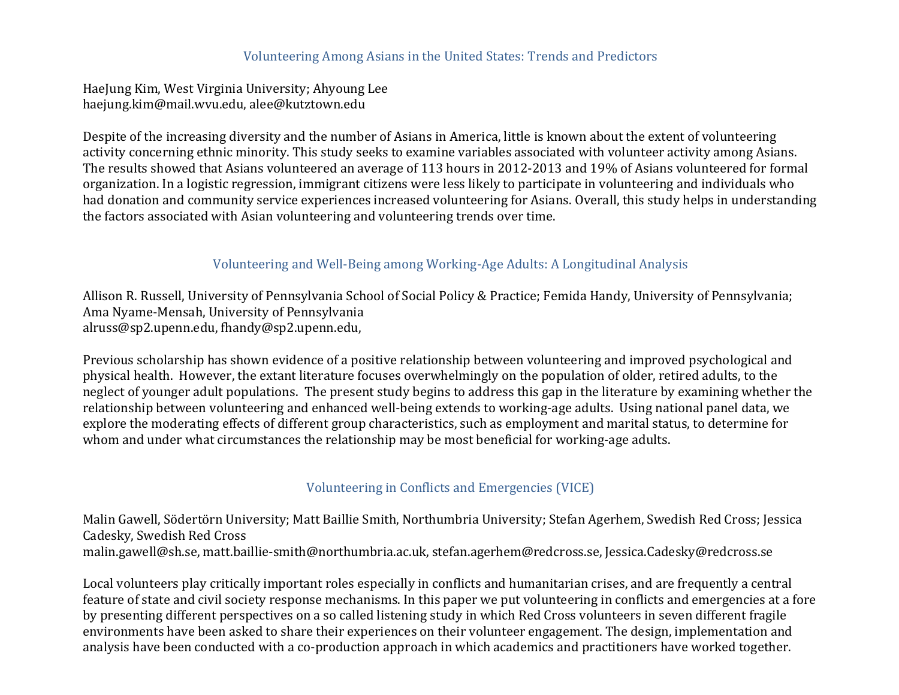#### Volunteering Among Asians in the United States: Trends and Predictors

HaeJung Kim, West Virginia University; Ahyoung Lee haejung.kim@mail.wvu.edu, alee@kutztown.edu

Despite of the increasing diversity and the number of Asians in America, little is known about the extent of volunteering activity concerning ethnic minority. This study seeks to examine variables associated with volunteer activity among Asians. The results showed that Asians volunteered an average of 113 hours in 2012-2013 and 19% of Asians volunteered for formal organization. In a logistic regression, immigrant citizens were less likely to participate in volunteering and individuals who had donation and community service experiences increased volunteering for Asians. Overall, this study helps in understanding the factors associated with Asian volunteering and volunteering trends over time.

#### Volunteering and Well-Being among Working-Age Adults: A Longitudinal Analysis

Allison R. Russell, University of Pennsylvania School of Social Policy & Practice; Femida Handy, University of Pennsylvania; Ama Nyame-Mensah, University of Pennsylvania alruss@sp2.upenn.edu, fhandy@sp2.upenn.edu,

Previous scholarship has shown evidence of a positive relationship between volunteering and improved psychological and physical health. However, the extant literature focuses overwhelmingly on the population of older, retired adults, to the neglect of younger adult populations. The present study begins to address this gap in the literature by examining whether the relationship between volunteering and enhanced well-being extends to working-age adults. Using national panel data, we explore the moderating effects of different group characteristics, such as employment and marital status, to determine for whom and under what circumstances the relationship may be most beneficial for working-age adults.

#### Volunteering in Conflicts and Emergencies (VICE)

Malin Gawell, Södertörn University; Matt Baillie Smith, Northumbria University; Stefan Agerhem, Swedish Red Cross; Jessica Cadesky, Swedish Red Cross malin.gawell@sh.se, matt.baillie-smith@northumbria.ac.uk, stefan.agerhem@redcross.se, Jessica.Cadesky@redcross.se

Local volunteers play critically important roles especially in conflicts and humanitarian crises, and are frequently a central feature of state and civil society response mechanisms. In this paper we put volunteering in conflicts and emergencies at a fore by presenting different perspectives on a so called listening study in which Red Cross volunteers in seven different fragile environments have been asked to share their experiences on their volunteer engagement. The design, implementation and analysis have been conducted with a co-production approach in which academics and practitioners have worked together.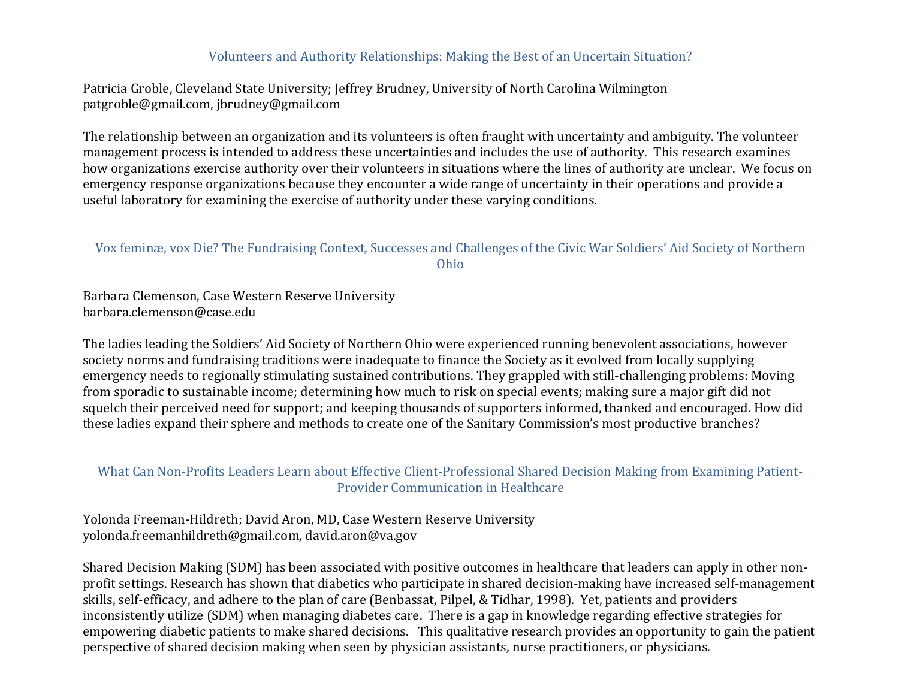### Volunteers and Authority Relationships: Making the Best of an Uncertain Situation?

Patricia Groble, Cleveland State University; Jeffrey Brudney, University of North Carolina Wilmington patgroble@gmail.com, jbrudney@gmail.com

The relationship between an organization and its volunteers is often fraught with uncertainty and ambiguity. The volunteer management process is intended to address these uncertainties and includes the use of authority. This research examines how organizations exercise authority over their volunteers in situations where the lines of authority are unclear. We focus on emergency response organizations because they encounter a wide range of uncertainty in their operations and provide a useful laboratory for examining the exercise of authority under these varying conditions.

### Vox feminæ, vox Die? The Fundraising Context, Successes and Challenges of the Civic War Soldiers' Aid Society of Northern Ohio

Barbara Clemenson, Case Western Reserve University barbara.clemenson@case.edu

The ladies leading the Soldiers' Aid Society of Northern Ohio were experienced running benevolent associations, however society norms and fundraising traditions were inadequate to finance the Society as it evolved from locally supplying emergency needs to regionally stimulating sustained contributions. They grappled with still-challenging problems: Moving from sporadic to sustainable income; determining how much to risk on special events; making sure a major gift did not squelch their perceived need for support; and keeping thousands of supporters informed, thanked and encouraged. How did these ladies expand their sphere and methods to create one of the Sanitary Commission's most productive branches?

#### What Can Non-Profits Leaders Learn about Effective Client-Professional Shared Decision Making from Examining Patient-Provider Communication in Healthcare

Yolonda Freeman-Hildreth; David Aron, MD, Case Western Reserve University yolonda.freemanhildreth@gmail.com, david.aron@va.gov

Shared Decision Making (SDM) has been associated with positive outcomes in healthcare that leaders can apply in other nonprofit settings. Research has shown that diabetics who participate in shared decision-making have increased self-management skills, self-efficacy, and adhere to the plan of care (Benbassat, Pilpel, & Tidhar, 1998). Yet, patients and providers inconsistently utilize (SDM) when managing diabetes care. There is a gap in knowledge regarding effective strategies for empowering diabetic patients to make shared decisions. This qualitative research provides an opportunity to gain the patient perspective of shared decision making when seen by physician assistants, nurse practitioners, or physicians.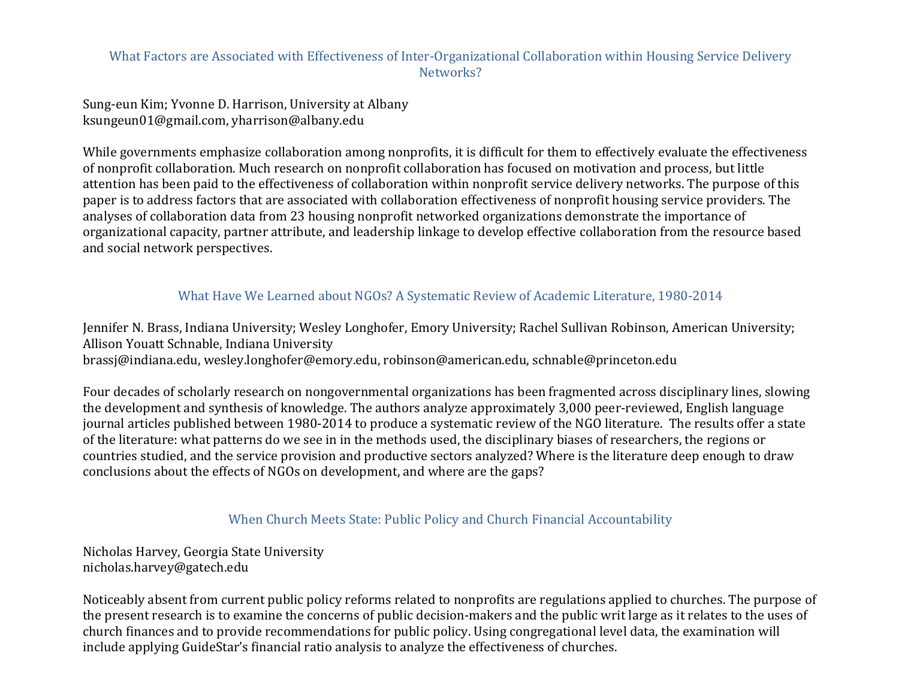### What Factors are Associated with Effectiveness of Inter-Organizational Collaboration within Housing Service Delivery Networks?

Sung-eun Kim; Yvonne D. Harrison, University at Albany ksungeun01@gmail.com, yharrison@albany.edu

While governments emphasize collaboration among nonprofits, it is difficult for them to effectively evaluate the effectiveness of nonprofit collaboration. Much research on nonprofit collaboration has focused on motivation and process, but little attention has been paid to the effectiveness of collaboration within nonprofit service delivery networks. The purpose of this paper is to address factors that are associated with collaboration effectiveness of nonprofit housing service providers. The analyses of collaboration data from 23 housing nonprofit networked organizations demonstrate the importance of organizational capacity, partner attribute, and leadership linkage to develop effective collaboration from the resource based and social network perspectives.

#### What Have We Learned about NGOs? A Systematic Review of Academic Literature, 1980-2014

Jennifer N. Brass, Indiana University; Wesley Longhofer, Emory University; Rachel Sullivan Robinson, American University; Allison Youatt Schnable, Indiana University brassj@indiana.edu, wesley.longhofer@emory.edu, robinson@american.edu, schnable@princeton.edu

Four decades of scholarly research on nongovernmental organizations has been fragmented across disciplinary lines, slowing the development and synthesis of knowledge. The authors analyze approximately 3,000 peer-reviewed, English language journal articles published between 1980-2014 to produce a systematic review of the NGO literature. The results offer a state of the literature: what patterns do we see in in the methods used, the disciplinary biases of researchers, the regions or countries studied, and the service provision and productive sectors analyzed? Where is the literature deep enough to draw conclusions about the effects of NGOs on development, and where are the gaps?

#### When Church Meets State: Public Policy and Church Financial Accountability

Nicholas Harvey, Georgia State University nicholas.harvey@gatech.edu

Noticeably absent from current public policy reforms related to nonprofits are regulations applied to churches. The purpose of the present research is to examine the concerns of public decision-makers and the public writ large as it relates to the uses of church finances and to provide recommendations for public policy. Using congregational level data, the examination will include applying GuideStar's financial ratio analysis to analyze the effectiveness of churches.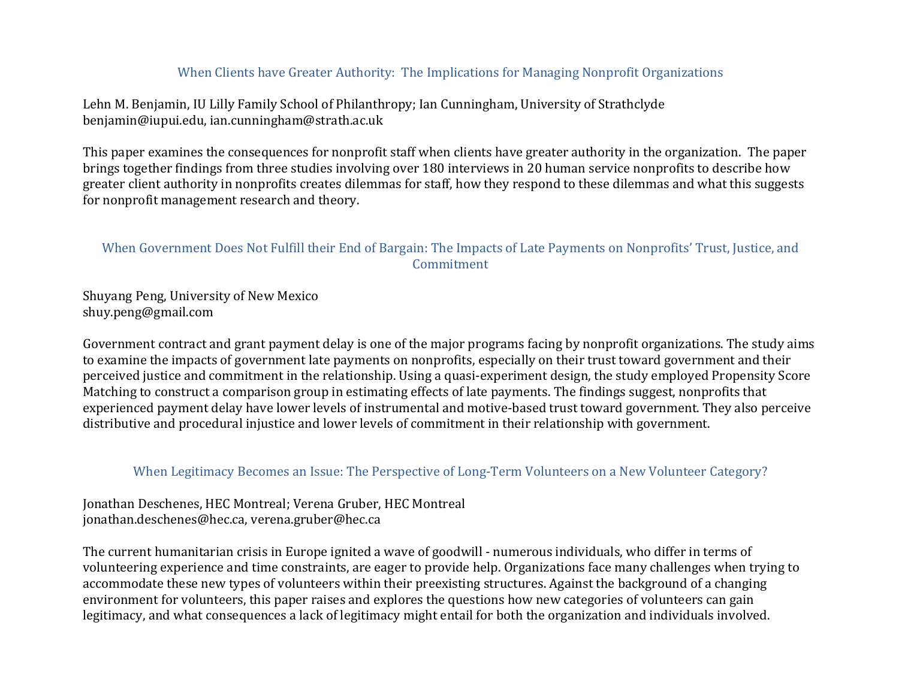### When Clients have Greater Authority: The Implications for Managing Nonprofit Organizations

Lehn M. Benjamin, IU Lilly Family School of Philanthropy; Ian Cunningham, University of Strathclyde benjamin@iupui.edu, ian.cunningham@strath.ac.uk

This paper examines the consequences for nonprofit staff when clients have greater authority in the organization. The paper brings together findings from three studies involving over 180 interviews in 20 human service nonprofits to describe how greater client authority in nonprofits creates dilemmas for staff, how they respond to these dilemmas and what this suggests for nonprofit management research and theory.

### When Government Does Not Fulfill their End of Bargain: The Impacts of Late Payments on Nonprofits' Trust, Justice, and Commitment

Shuyang Peng, University of New Mexico shuy.peng@gmail.com

Government contract and grant payment delay is one of the major programs facing by nonprofit organizations. The study aims to examine the impacts of government late payments on nonprofits, especially on their trust toward government and their perceived justice and commitment in the relationship. Using a quasi-experiment design, the study employed Propensity Score Matching to construct a comparison group in estimating effects of late payments. The findings suggest, nonprofits that experienced payment delay have lower levels of instrumental and motive-based trust toward government. They also perceive distributive and procedural injustice and lower levels of commitment in their relationship with government.

#### When Legitimacy Becomes an Issue: The Perspective of Long-Term Volunteers on a New Volunteer Category?

Jonathan Deschenes, HEC Montreal; Verena Gruber, HEC Montreal jonathan.deschenes@hec.ca, verena.gruber@hec.ca

The current humanitarian crisis in Europe ignited a wave of goodwill - numerous individuals, who differ in terms of volunteering experience and time constraints, are eager to provide help. Organizations face many challenges when trying to accommodate these new types of volunteers within their preexisting structures. Against the background of a changing environment for volunteers, this paper raises and explores the questions how new categories of volunteers can gain legitimacy, and what consequences a lack of legitimacy might entail for both the organization and individuals involved.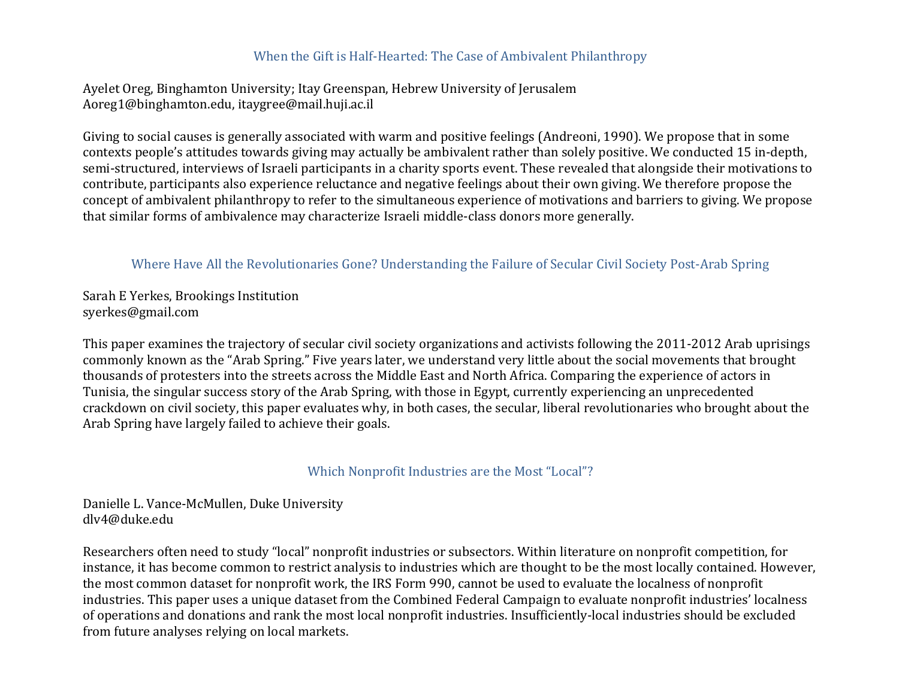### When the Gift is Half-Hearted: The Case of Ambivalent Philanthropy

Ayelet Oreg, Binghamton University; Itay Greenspan, Hebrew University of Jerusalem Aoreg1@binghamton.edu, itaygree@mail.huji.ac.il

Giving to social causes is generally associated with warm and positive feelings (Andreoni, 1990). We propose that in some contexts people's attitudes towards giving may actually be ambivalent rather than solely positive. We conducted 15 in-depth, semi-structured, interviews of Israeli participants in a charity sports event. These revealed that alongside their motivations to contribute, participants also experience reluctance and negative feelings about their own giving. We therefore propose the concept of ambivalent philanthropy to refer to the simultaneous experience of motivations and barriers to giving. We propose that similar forms of ambivalence may characterize Israeli middle-class donors more generally.

### Where Have All the Revolutionaries Gone? Understanding the Failure of Secular Civil Society Post-Arab Spring

Sarah E Yerkes, Brookings Institution syerkes@gmail.com

This paper examines the trajectory of secular civil society organizations and activists following the 2011-2012 Arab uprisings commonly known as the "Arab Spring." Five years later, we understand very little about the social movements that brought thousands of protesters into the streets across the Middle East and North Africa. Comparing the experience of actors in Tunisia, the singular success story of the Arab Spring, with those in Egypt, currently experiencing an unprecedented crackdown on civil society, this paper evaluates why, in both cases, the secular, liberal revolutionaries who brought about the Arab Spring have largely failed to achieve their goals.

#### Which Nonprofit Industries are the Most "Local"?

Danielle L. Vance-McMullen, Duke University dlv4@duke.edu

Researchers often need to study "local" nonprofit industries or subsectors. Within literature on nonprofit competition, for instance, it has become common to restrict analysis to industries which are thought to be the most locally contained. However, the most common dataset for nonprofit work, the IRS Form 990, cannot be used to evaluate the localness of nonprofit industries. This paper uses a unique dataset from the Combined Federal Campaign to evaluate nonprofit industries' localness of operations and donations and rank the most local nonprofit industries. Insufficiently-local industries should be excluded from future analyses relying on local markets.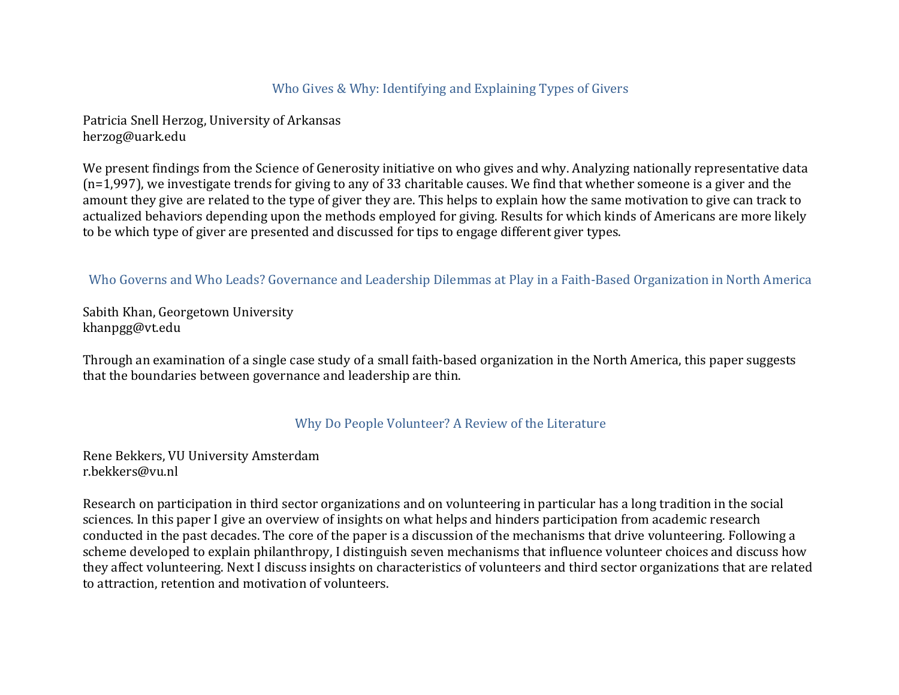### Who Gives & Why: Identifying and Explaining Types of Givers

Patricia Snell Herzog, University of Arkansas herzog@uark.edu

We present findings from the Science of Generosity initiative on who gives and why. Analyzing nationally representative data  $(n=1,997)$ , we investigate trends for giving to any of 33 charitable causes. We find that whether someone is a giver and the amount they give are related to the type of giver they are. This helps to explain how the same motivation to give can track to actualized behaviors depending upon the methods employed for giving. Results for which kinds of Americans are more likely to be which type of giver are presented and discussed for tips to engage different giver types.

Who Governs and Who Leads? Governance and Leadership Dilemmas at Play in a Faith-Based Organization in North America

Sabith Khan, Georgetown University khanpgg@vt.edu

Through an examination of a single case study of a small faith-based organization in the North America, this paper suggests that the boundaries between governance and leadership are thin.

#### Why Do People Volunteer? A Review of the Literature

Rene Bekkers, VU University Amsterdam r.bekkers@vu.nl

Research on participation in third sector organizations and on volunteering in particular has a long tradition in the social sciences. In this paper I give an overview of insights on what helps and hinders participation from academic research conducted in the past decades. The core of the paper is a discussion of the mechanisms that drive volunteering. Following a scheme developed to explain philanthropy, I distinguish seven mechanisms that influence volunteer choices and discuss how they affect volunteering. Next I discuss insights on characteristics of volunteers and third sector organizations that are related to attraction, retention and motivation of volunteers.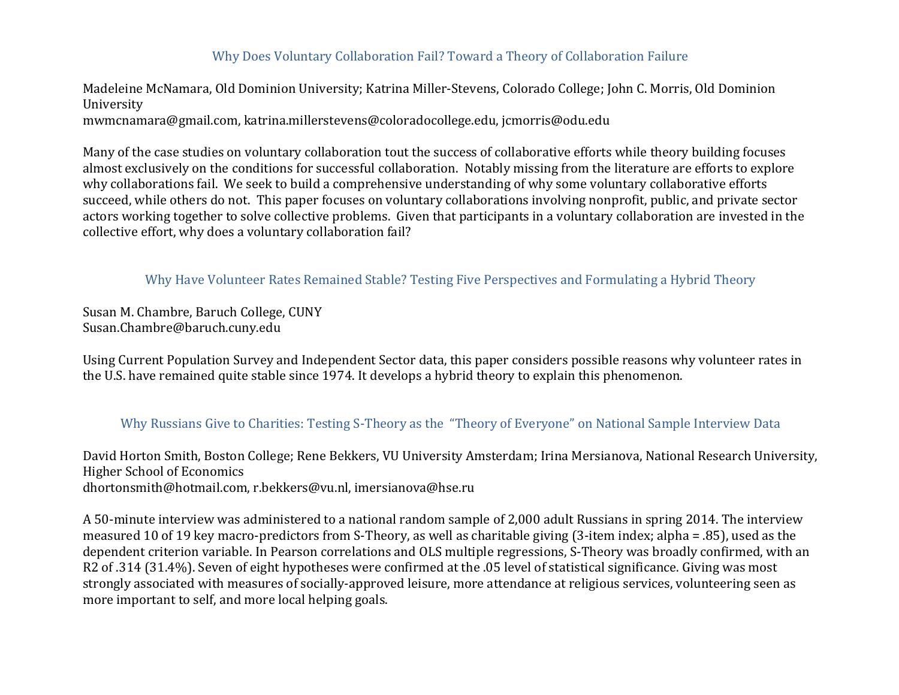## Why Does Voluntary Collaboration Fail? Toward a Theory of Collaboration Failure

Madeleine McNamara, Old Dominion University; Katrina Miller-Stevens, Colorado College; John C. Morris, Old Dominion University

mwmcnamara@gmail.com, katrina.millerstevens@coloradocollege.edu, jcmorris@odu.edu

Many of the case studies on voluntary collaboration tout the success of collaborative efforts while theory building focuses almost exclusively on the conditions for successful collaboration. Notably missing from the literature are efforts to explore why collaborations fail. We seek to build a comprehensive understanding of why some voluntary collaborative efforts succeed, while others do not. This paper focuses on voluntary collaborations involving nonprofit, public, and private sector actors working together to solve collective problems. Given that participants in a voluntary collaboration are invested in the collective effort, why does a voluntary collaboration fail?

Why Have Volunteer Rates Remained Stable? Testing Five Perspectives and Formulating a Hybrid Theory

Susan M. Chambre, Baruch College, CUNY Susan.Chambre@baruch.cuny.edu

Using Current Population Survey and Independent Sector data, this paper considers possible reasons why volunteer rates in the U.S. have remained quite stable since 1974. It develops a hybrid theory to explain this phenomenon.

## Why Russians Give to Charities: Testing S-Theory as the "Theory of Everyone" on National Sample Interview Data

David Horton Smith, Boston College; Rene Bekkers, VU University Amsterdam; Irina Mersianova, National Research University, Higher School of Economics dhortonsmith@hotmail.com, r.bekkers@vu.nl, imersianova@hse.ru

A 50-minute interview was administered to a national random sample of 2,000 adult Russians in spring 2014. The interview measured 10 of 19 key macro-predictors from S-Theory, as well as charitable giving  $(3\text{-item index}; \text{alpha} = .85)$ , used as the dependent criterion variable. In Pearson correlations and OLS multiple regressions, S-Theory was broadly confirmed, with an R2 of .314 (31.4%). Seven of eight hypotheses were confirmed at the .05 level of statistical significance. Giving was most strongly associated with measures of socially-approved leisure, more attendance at religious services, volunteering seen as more important to self, and more local helping goals.